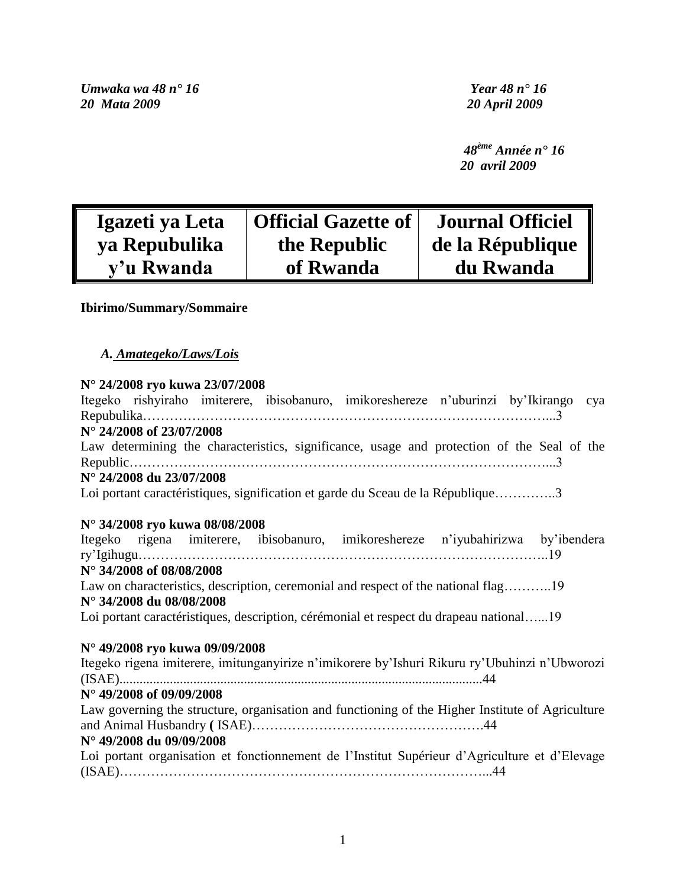*Umwaka wa 48 n° 16 Year 48 n° 16*

*20 Mata 2009 20 April 2009*

 *48ème Année n° 16 20 avril 2009*

| Igazeti ya Leta | <b>Official Gazette of</b> | <b>Journal Officiel</b> |
|-----------------|----------------------------|-------------------------|
| ya Repubulika   | the Republic               | de la République        |
| y'u Rwanda      | of Rwanda                  | du Rwanda               |

# **Ibirimo/Summary/Sommaire**

# *A. Amategeko/Laws/Lois*

# **N° 24/2008 ryo kuwa 23/07/2008**

| Itegeko rishyiraho imiterere, ibisobanuro, imikoreshereze n'uburinzi by'Ikirango cya             |
|--------------------------------------------------------------------------------------------------|
|                                                                                                  |
| N° 24/2008 of 23/07/2008                                                                         |
| Law determining the characteristics, significance, usage and protection of the Seal of the       |
|                                                                                                  |
| $N^{\circ}$ 24/2008 du 23/07/2008                                                                |
| Loi portant caractéristiques, signification et garde du Sceau de la République3                  |
|                                                                                                  |
| N° 34/2008 ryo kuwa 08/08/2008                                                                   |
| Itegeko rigena imiterere, ibisobanuro, imikoreshereze n'iyubahirizwa by'ibendera                 |
|                                                                                                  |
| N° 34/2008 of 08/08/2008                                                                         |
| Law on characteristics, description, ceremonial and respect of the national flag19               |
| N° 34/2008 du 08/08/2008                                                                         |
| Loi portant caractéristiques, description, cérémonial et respect du drapeau national19           |
|                                                                                                  |
| N° 49/2008 ryo kuwa 09/09/2008                                                                   |
| Itegeko rigena imiterere, imitunganyirize n'imikorere by'Ishuri Rikuru ry'Ubuhinzi n'Ubworozi    |
|                                                                                                  |
| N° 49/2008 of 09/09/2008                                                                         |
| Law governing the structure, organisation and functioning of the Higher Institute of Agriculture |
|                                                                                                  |
| N° 49/2008 du 09/09/2008                                                                         |
| Loi portant organisation et fonctionnement de l'Institut Supérieur d'Agriculture et d'Elevage    |
|                                                                                                  |
|                                                                                                  |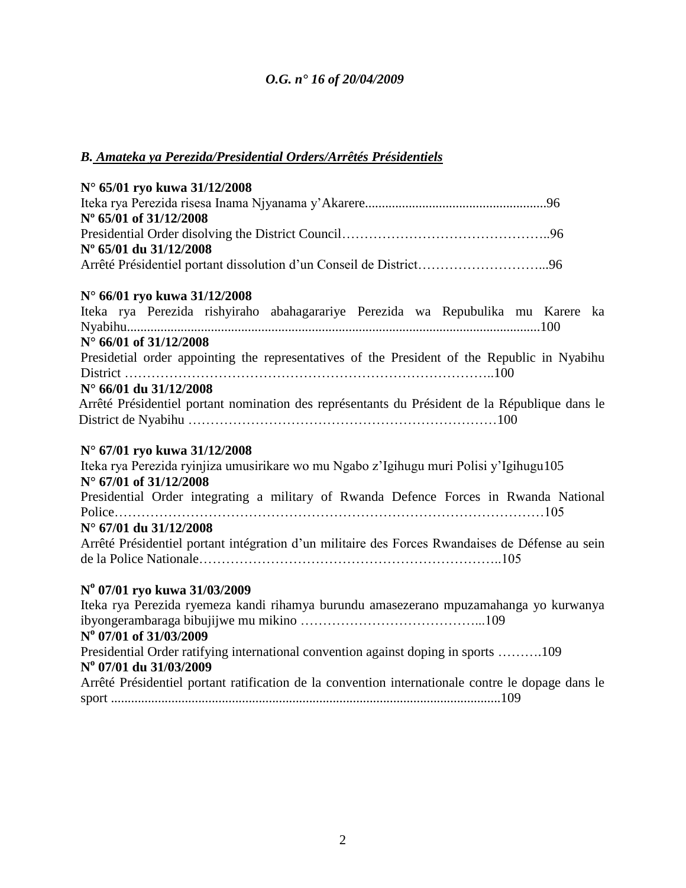# *B. Amateka ya Perezida/Presidential Orders/Arrêtés Présidentiels*

| N° 65/01 ryo kuwa 31/12/2008                                                                      |  |
|---------------------------------------------------------------------------------------------------|--|
|                                                                                                   |  |
| Nº 65/01 of 31/12/2008                                                                            |  |
|                                                                                                   |  |
| Nº 65/01 du 31/12/2008                                                                            |  |
| Arrêté Présidentiel portant dissolution d'un Conseil de District96                                |  |
| N° 66/01 ryo kuwa 31/12/2008                                                                      |  |
| Iteka rya Perezida rishyiraho abahagarariye Perezida wa Repubulika mu Karere ka                   |  |
|                                                                                                   |  |
| $N^{\circ}$ 66/01 of 31/12/2008                                                                   |  |
| Presidetial order appointing the representatives of the President of the Republic in Nyabihu      |  |
|                                                                                                   |  |
| N° 66/01 du 31/12/2008                                                                            |  |
| Arrêté Présidentiel portant nomination des représentants du Président de la République dans le    |  |
|                                                                                                   |  |
|                                                                                                   |  |
| N° 67/01 ryo kuwa 31/12/2008                                                                      |  |
| Iteka rya Perezida ryinjiza umusirikare wo mu Ngabo z'Igihugu muri Polisi y'Igihugu105            |  |
| N° 67/01 of 31/12/2008                                                                            |  |
| Presidential Order integrating a military of Rwanda Defence Forces in Rwanda National             |  |
|                                                                                                   |  |
| N° 67/01 du 31/12/2008                                                                            |  |
| Arrêté Présidentiel portant intégration d'un militaire des Forces Rwandaises de Défense au sein   |  |
|                                                                                                   |  |
| Nº 07/01 ryo kuwa 31/03/2009                                                                      |  |
| Iteka rya Perezida ryemeza kandi rihamya burundu amasezerano mpuzamahanga yo kurwanya             |  |
|                                                                                                   |  |
| N° 07/01 of 31/03/2009                                                                            |  |
| Presidential Order ratifying international convention against doping in sports 109                |  |
| N° 07/01 du 31/03/2009                                                                            |  |
| Arrêté Présidentiel portant ratification de la convention internationale contre le dopage dans le |  |
|                                                                                                   |  |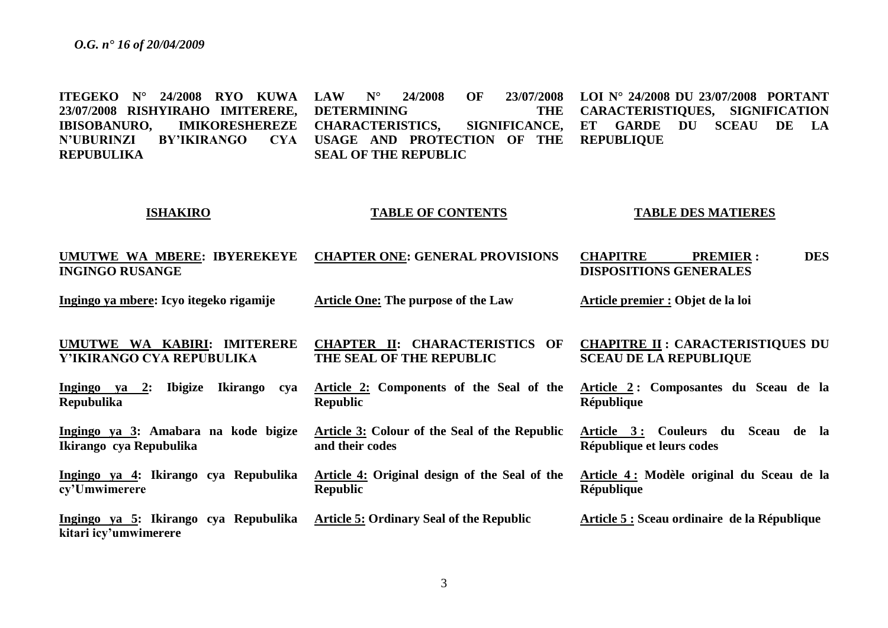**ITEGEKO N° 24/2008 RYO KUWA 23/07/2008 RISHYIRAHO IMITERERE, IBISOBANURO, IMIKORESHEREZE N'UBURINZI BY'IKIRANGO REPUBULIKA ISHAKIRO UMUTWE WA MBERE: IBYEREKEYE INGINGO RUSANGE Ingingo ya mbere: Icyo itegeko rigamije UMUTWE WA KABIRI: IMITERERE Y'IKIRANGO CYA REPUBULIKA Ingingo ya 2: Ibigize Ikirango cya Repubulika Ingingo ya 3: Amabara na kode bigize Ikirango cya Repubulika Ingingo ya 4: Ikirango cya Repubulika cy'Umwimerere Ingingo ya 5: Ikirango cya Repubulika kitari icy'umwimerere LAW N° 24/2008 OF 23/07/2008 DETERMINING THE CHARACTERISTICS, SIGNIFICANCE, USAGE AND PROTECTION OF THE SEAL OF THE REPUBLIC TABLE OF CONTENTS CHAPTER ONE: GENERAL PROVISIONS Article One: The purpose of the Law CHAPTER II: CHARACTERISTICS OF THE SEAL OF THE REPUBLIC Article 2: Components of the Seal of the Republic Article 3: Colour of the Seal of the Republic and their codes Article 4: Original design of the Seal of the Republic Article 5: Ordinary Seal of the Republic LOI N° 24/2008 DU 23/07/2008 PORTANT CARACTERISTIQUES, SIGNIFICATION ET GARDE DU SCEAU DE LA REPUBLIQUE TABLE DES MATIERES CHAPITRE PREMIER : DES DISPOSITIONS GENERALES Article premier : Objet de la loi CHAPITRE II : CARACTERISTIQUES DU SCEAU DE LA REPUBLIQUE Article 2 : Composantes du Sceau de la République Article 3 : Couleurs du Sceau de la République et leurs codes Article 4 : Modèle original du Sceau de la République Article 5 : Sceau ordinaire de la République**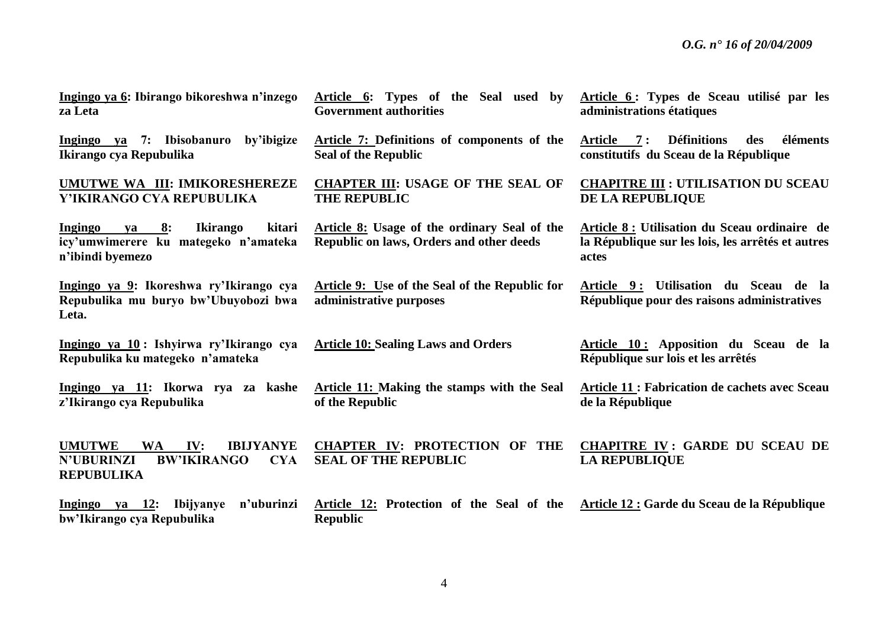**Ingingo ya 6: Ibirango bikoreshwa n'inzego za Leta**

**Ingingo ya 7: Ibisobanuro by'ibigize Ikirango cya Repubulika**

#### **UMUTWE WA III: IMIKORESHEREZE Y'IKIRANGO CYA REPUBULIKA**

**Ingingo ya 8: Ikirango kitari icy'umwimerere ku mategeko n'amateka n'ibindi byemezo**

**Ingingo ya 9: Ikoreshwa ry'Ikirango cya Repubulika mu buryo bw'Ubuyobozi bwa Leta.**

**Ingingo ya 10 : Ishyirwa ry'Ikirango cya Repubulika ku mategeko n'amateka**

**Ingingo ya 11: Ikorwa rya za kashe z'Ikirango cya Repubulika**

**REPUBULIKA**

**Article 6: Types of the Seal used by Government authorities**

**Article 7: Definitions of components of the Seal of the Republic**

**CHAPTER III: USAGE OF THE SEAL OF THE REPUBLIC**

**Article 8: Usage of the ordinary Seal of the Republic on laws, Orders and other deeds** 

**Article 9: Use of the Seal of the Republic for administrative purposes**

**Article 10: Sealing Laws and Orders**

**Article 11: Making the stamps with the Seal of the Republic** 

**Article 6 : Types de Sceau utilisé par les administrations étatiques**

**Article 7 : Définitions des éléments constitutifs du Sceau de la République**

**CHAPITRE III : UTILISATION DU SCEAU DE LA REPUBLIQUE**

**Article 8 : Utilisation du Sceau ordinaire de la République sur les lois, les arrêtés et autres actes**

**Article 9 : Utilisation du Sceau de la République pour des raisons administratives**

**Article 10 : Apposition du Sceau de la République sur lois et les arrêtés**

**Article 11 : Fabrication de cachets avec Sceau de la République** 

**UMUTWE WA IV: IBIJYANYE N'UBURINZI BW'IKIRANGO CYA CHAPTER IV: PROTECTION OF THE SEAL OF THE REPUBLIC CHAPITRE IV : GARDE DU SCEAU DE LA REPUBLIQUE**

**Ingingo ya 12: Ibijyanye n'uburinzi bw'Ikirango cya Repubulika Article 12: Protection of the Seal of the Article 12 : Garde du Sceau de la RépubliqueRepublic**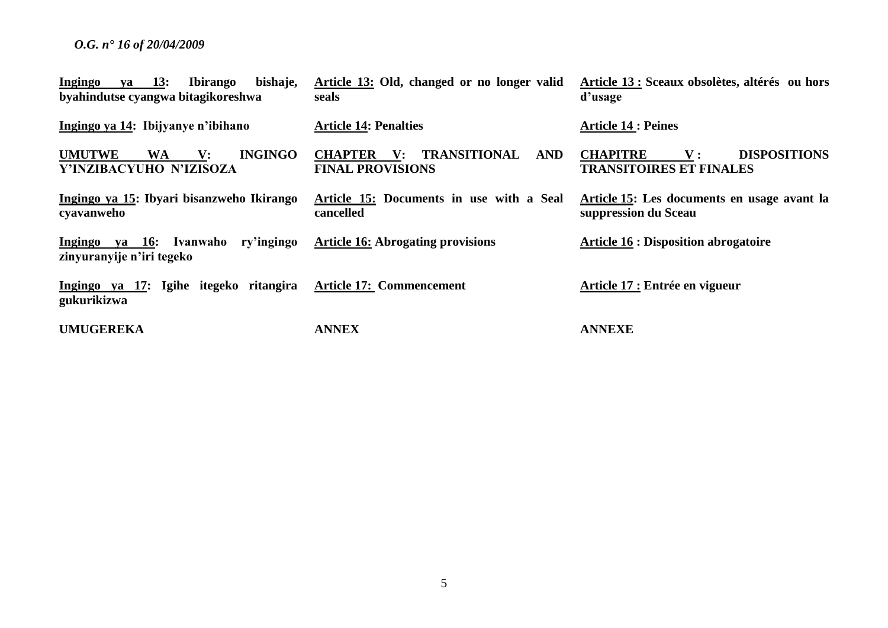| $va = 13$ :<br>bishaje,<br><b>Ibirango</b><br>Ingingo<br>byahindutse cyangwa bitagikoreshwa | Article 13: Old, changed or no longer valid<br>seals                               | Article 13 : Sceaux obsolètes, altérés ou hors<br>d'usage                               |
|---------------------------------------------------------------------------------------------|------------------------------------------------------------------------------------|-----------------------------------------------------------------------------------------|
| Ingingo ya 14: Ibijyanye n'ibihano                                                          | <b>Article 14: Penalties</b>                                                       | <b>Article 14 : Peines</b>                                                              |
| <b>INGINGO</b><br><b>UMUTWE</b><br><b>WA</b><br>$\mathbf{V}$ :<br>Y'INZIBACYUHO N'IZISOZA   | TRANSITIONAL<br>AND<br><b>CHAPTER</b><br>$\mathbf{V}$ :<br><b>FINAL PROVISIONS</b> | <b>DISPOSITIONS</b><br><b>CHAPITRE</b><br>${\bf V}$ :<br><b>TRANSITOIRES ET FINALES</b> |
| Ingingo ya 15: Ibyari bisanzweho Ikirango<br>cyavanweho                                     | Article 15: Documents in use with a Seal<br>cancelled                              | Article 15: Les documents en usage avant la<br>suppression du Sceau                     |
| ry'ingingo<br>Ingingo ya 16: Ivanwaho<br>zinyuranyije n'iri tegeko                          | <b>Article 16: Abrogating provisions</b>                                           | <b>Article 16 : Disposition abrogatoire</b>                                             |
| Ingingo ya 17: Igihe itegeko ritangira<br>gukurikizwa                                       | <b>Article 17: Commencement</b>                                                    | Article 17 : Entrée en vigueur                                                          |
| <b>UMUGEREKA</b>                                                                            | <b>ANNEX</b>                                                                       | <b>ANNEXE</b>                                                                           |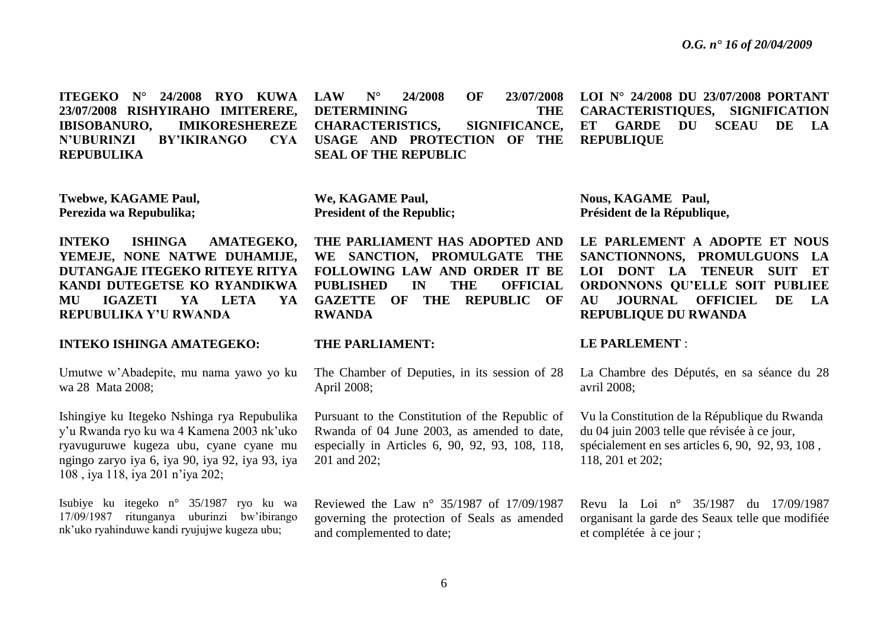**ITEGEKO N° 24/2008 RYO KUWA 23/07/2008 RISHYIRAHO IMITERERE, IBISOBANURO, IMIKORESHEREZE N'UBURINZI BY'IKIRANGO CYA REPUBULIKA LAW N° 24/2008 OF 23/07/2008 DETERMINING THE CHARACTERISTICS, SIGNIFICANCE, USAGE AND PROTECTION OF THE SEAL OF THE REPUBLIC LOI N° 24/2008 DU 23/07/2008 PORTANT CARACTERISTIQUES, SIGNIFICATION ET GARDE DU SCEAU DE LA REPUBLIQUE**

**Twebwe, KAGAME Paul, Perezida wa Repubulika;**

**INTEKO ISHINGA AMATEGEKO, YEMEJE, NONE NATWE DUHAMIJE, DUTANGAJE ITEGEKO RITEYE RITYA KANDI DUTEGETSE KO RYANDIKWA MU IGAZETI YA LETA YA REPUBULIKA Y'U RWANDA**

#### **INTEKO ISHINGA AMATEGEKO:**

Umutwe w'Abadepite, mu nama yawo yo ku wa 28 Mata 2008;

Ishingiye ku Itegeko Nshinga rya Repubulika y'u Rwanda ryo ku wa 4 Kamena 2003 nk'uko ryavuguruwe kugeza ubu, cyane cyane mu ngingo zaryo iya 6, iya 90, iya 92, iya 93, iya 108 , iya 118, iya 201 n'iya 202;

Isubiye ku itegeko n° 35/1987 ryo ku wa 17/09/1987 ritunganya uburinzi bw'ibirango nk'uko ryahinduwe kandi ryujujwe kugeza ubu;

**We, KAGAME Paul, President of the Republic;**

**THE PARLIAMENT HAS ADOPTED AND WE SANCTION, PROMULGATE THE FOLLOWING LAW AND ORDER IT BE PUBLISHED IN THE OFFICIAL GAZETTE OF THE REPUBLIC OF RWANDA**

#### **THE PARLIAMENT:**

The Chamber of Deputies, in its session of 28 April 2008;

Pursuant to the Constitution of the Republic of Rwanda of 04 June 2003, as amended to date, especially in Articles 6, 90, 92, 93, 108, 118, 201 and 202;

Reviewed the Law n° 35/1987 of 17/09/1987 governing the protection of Seals as amended and complemented to date;

**Nous, KAGAME Paul, Président de la République,**

LE PARLEMENT A ADOPTE ET NOUS **SANCTIONNONS, PROMULGUONS LA LOI DONT LA TENEUR SUIT ET ORDONNONS QU'ELLE SOIT PUBLIEE AU JOURNAL OFFICIEL DE LA REPUBLIQUE DU RWANDA**

#### **LE PARLEMENT** :

La Chambre des Députés, en sa séance du 28 avril 2008;

Vu la Constitution de la République du Rwanda du 04 juin 2003 telle que révisée à ce jour, spécialement en ses articles 6, 90, 92, 93, 108 , 118, 201 et 202;

Revu la Loi n° 35/1987 du 17/09/1987 organisant la garde des Seaux telle que modifiée et complétée à ce jour ;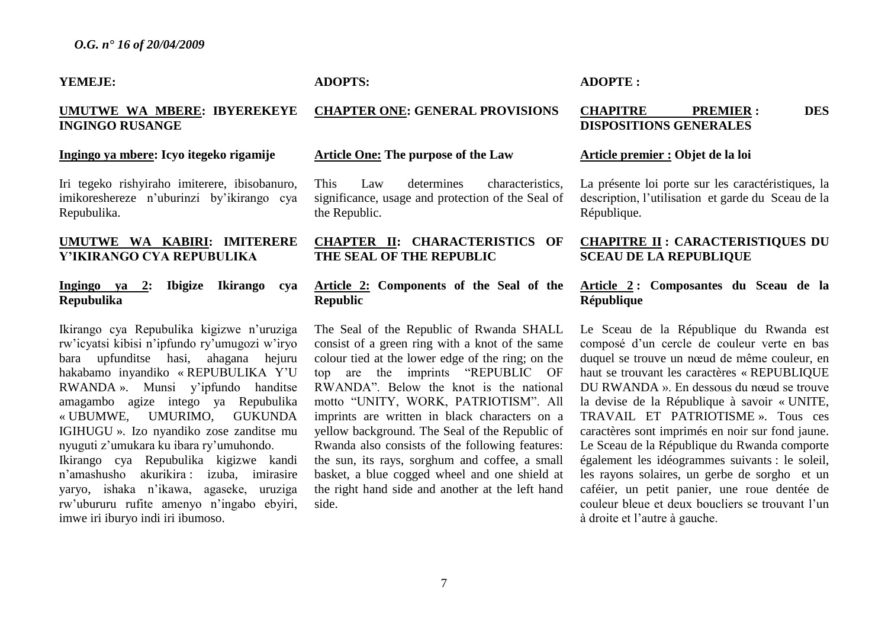#### **YEMEJE:**

# **UMUTWE WA MBERE: IBYEREKEYE INGINGO RUSANGE**

#### **Ingingo ya mbere: Icyo itegeko rigamije**

Iri tegeko rishyiraho imiterere, ibisobanuro, imikoreshereze n'uburinzi by'ikirango cya Repubulika.

# **UMUTWE WA KABIRI: IMITERERE Y'IKIRANGO CYA REPUBULIKA**

# **Ingingo ya 2: Ibigize Ikirango cya Repubulika**

Ikirango cya Repubulika kigizwe n'uruziga rw'icyatsi kibisi n'ipfundo ry'umugozi w'iryo bara upfunditse hasi, ahagana hejuru hakabamo inyandiko « REPUBULIKA Y'U RWANDA ». Munsi y'ipfundo handitse amagambo agize intego ya Repubulika « UBUMWE, UMURIMO, GUKUNDA IGIHUGU ». Izo nyandiko zose zanditse mu nyuguti z'umukara ku ibara ry'umuhondo. Ikirango cya Repubulika kigizwe kandi n'amashusho akurikira : izuba, imirasire yaryo, ishaka n'ikawa, agaseke, uruziga rw'ubururu rufite amenyo n'ingabo ebyiri, imwe iri iburyo indi iri ibumoso.

# **ADOPTS:**

# **CHAPTER ONE: GENERAL PROVISIONS**

#### **Article One: The purpose of the Law**

This Law determines characteristics, significance, usage and protection of the Seal of the Republic.

# **CHAPTER II: CHARACTERISTICS OF THE SEAL OF THE REPUBLIC**

# **Article 2: Components of the Seal of the Republic**

The Seal of the Republic of Rwanda SHALL consist of a green ring with a knot of the same colour tied at the lower edge of the ring; on the top are the imprints "REPUBLIC OF RWANDA". Below the knot is the national motto "UNITY, WORK, PATRIOTISM". All imprints are written in black characters on a yellow background. The Seal of the Republic of Rwanda also consists of the following features: the sun, its rays, sorghum and coffee, a small basket, a blue cogged wheel and one shield at the right hand side and another at the left hand side.

# **ADOPTE :**

# **CHAPITRE PREMIER : DES DISPOSITIONS GENERALES**

#### **Article premier : Objet de la loi**

La présente loi porte sur les caractéristiques, la description, l'utilisation et garde du Sceau de la République.

# **CHAPITRE II : CARACTERISTIQUES DU SCEAU DE LA REPUBLIQUE**

# **Article 2 : Composantes du Sceau de la République**

Le Sceau de la République du Rwanda est composé d'un cercle de couleur verte en bas duquel se trouve un nœud de même couleur, en haut se trouvant les caractères « REPUBLIQUE DU RWANDA ». En dessous du nœud se trouve la devise de la République à savoir « UNITE, TRAVAIL ET PATRIOTISME ». Tous ces caractères sont imprimés en noir sur fond jaune. Le Sceau de la République du Rwanda comporte également les idéogrammes suivants : le soleil, les rayons solaires, un gerbe de sorgho et un caféier, un petit panier, une roue dentée de couleur bleue et deux boucliers se trouvant l'un à droite et l'autre à gauche.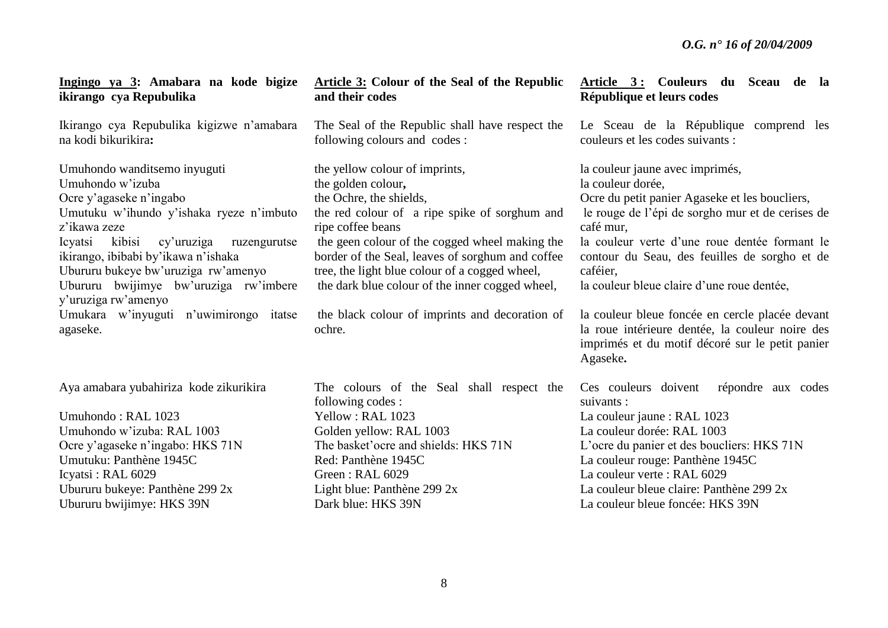| Ingingo ya 3: Amabara na kode bigize<br>ikirango cya Repubulika                                                                                                                                                                                                                                                                          | Article 3: Colour of the Seal of the Republic<br>and their codes                                                                                                                                                                                                                                                                                                 | Article 3: Couleurs du Sceau de la<br>République et leurs codes                                                                                                                                                                                                                                                                     |
|------------------------------------------------------------------------------------------------------------------------------------------------------------------------------------------------------------------------------------------------------------------------------------------------------------------------------------------|------------------------------------------------------------------------------------------------------------------------------------------------------------------------------------------------------------------------------------------------------------------------------------------------------------------------------------------------------------------|-------------------------------------------------------------------------------------------------------------------------------------------------------------------------------------------------------------------------------------------------------------------------------------------------------------------------------------|
| Ikirango cya Repubulika kigizwe n'amabara<br>na kodi bikurikira:                                                                                                                                                                                                                                                                         | The Seal of the Republic shall have respect the<br>following colours and codes :                                                                                                                                                                                                                                                                                 | Le Sceau de la République comprend les<br>couleurs et les codes suivants :                                                                                                                                                                                                                                                          |
| Umuhondo wanditsemo inyuguti<br>Umuhondo w'izuba<br>Ocre y'agaseke n'ingabo<br>Umutuku w'ihundo y'ishaka ryeze n'imbuto<br>z'ikawa zeze<br>kibisi<br>cy'uruziga<br>Icyatsi<br>ruzengurutse<br>ikirango, ibibabi by'ikawa n'ishaka<br>Ubururu bukeye bw'uruziga rw'amenyo<br>Ubururu bwijimye bw'uruziga rw'imbere<br>y'uruziga rw'amenyo | the yellow colour of imprints,<br>the golden colour,<br>the Ochre, the shields,<br>the red colour of a ripe spike of sorghum and<br>ripe coffee beans<br>the geen colour of the cogged wheel making the<br>border of the Seal, leaves of sorghum and coffee<br>tree, the light blue colour of a cogged wheel,<br>the dark blue colour of the inner cogged wheel, | la couleur jaune avec imprimés,<br>la couleur dorée,<br>Ocre du petit panier Agaseke et les boucliers,<br>le rouge de l'épi de sorgho mur et de cerises de<br>café mur,<br>la couleur verte d'une roue dentée formant le<br>contour du Seau, des feuilles de sorgho et de<br>caféier,<br>la couleur bleue claire d'une roue dentée, |
| Umukara w'inyuguti n'uwimirongo<br>itatse<br>agaseke.                                                                                                                                                                                                                                                                                    | the black colour of imprints and decoration of<br>ochre.                                                                                                                                                                                                                                                                                                         | la couleur bleue foncée en cercle placée devant<br>la roue intérieure dentée, la couleur noire des<br>imprimés et du motif décoré sur le petit panier<br>Agaseke.                                                                                                                                                                   |
| Aya amabara yubahiriza kode zikurikira<br>Umuhondo: RAL 1023<br>Umuhondo w'izuba: RAL 1003<br>Ocre y'agaseke n'ingabo: HKS 71N<br>Umutuku: Panthène 1945C<br>Icyatsi: RAL 6029<br>Ubururu bukeye: Panthène 299 2x<br>Ubururu bwijimye: HKS 39N                                                                                           | The colours of the Seal shall respect the<br>following codes:<br>Yellow: RAL 1023<br>Golden yellow: RAL 1003<br>The basket' ocre and shields: HKS 71N<br>Red: Panthène 1945C<br>Green: RAL 6029<br>Light blue: Panthène 299 2x<br>Dark blue: HKS 39N                                                                                                             | répondre aux codes<br>Ces couleurs doivent<br>suivants :<br>La couleur jaune : RAL 1023<br>La couleur dorée: RAL 1003<br>L'ocre du panier et des boucliers: HKS 71N<br>La couleur rouge: Panthène 1945C<br>La couleur verte : RAL 6029<br>La couleur bleue claire: Panthène 299 2x<br>La couleur bleue foncée: HKS 39N              |
|                                                                                                                                                                                                                                                                                                                                          |                                                                                                                                                                                                                                                                                                                                                                  |                                                                                                                                                                                                                                                                                                                                     |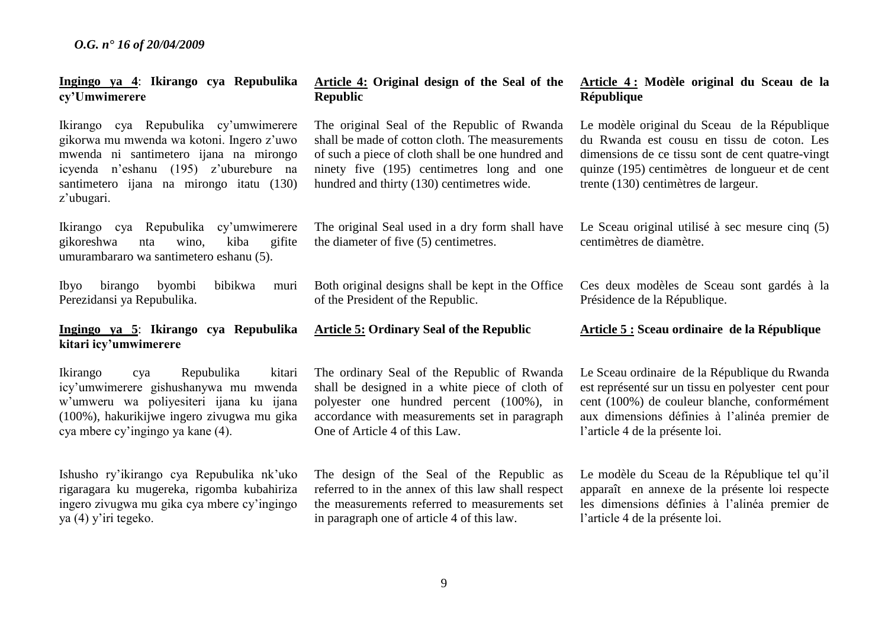#### **Ingingo ya 4**: **Ikirango cya Repubulika cy'Umwimerere**

Ikirango cya Repubulika cy'umwimerere gikorwa mu mwenda wa kotoni. Ingero z'uwo mwenda ni santimetero ijana na mirongo icyenda n'eshanu (195) z'uburebure na santimetero ijana na mirongo itatu (130) z'ubugari.

Ikirango cya Repubulika cy'umwimerere gikoreshwa nta wino, kiba gifite umurambararo wa santimetero eshanu (5).

Ibyo birango byombi bibikwa muri Perezidansi ya Repubulika.

# **Ingingo ya 5**: **Ikirango cya Repubulika kitari icy'umwimerere**

Ikirango cya Repubulika kitari icy'umwimerere gishushanywa mu mwenda w'umweru wa poliyesiteri ijana ku ijana (100%), hakurikijwe ingero zivugwa mu gika cya mbere cy'ingingo ya kane (4).

Ishusho ry'ikirango cya Repubulika nk'uko rigaragara ku mugereka, rigomba kubahiriza ingero zivugwa mu gika cya mbere cy'ingingo ya (4) y'iri tegeko.

# **Article 4: Original design of the Seal of the Republic**

The original Seal of the Republic of Rwanda shall be made of cotton cloth. The measurements of such a piece of cloth shall be one hundred and ninety five (195) centimetres long and one hundred and thirty (130) centimetres wide.

The original Seal used in a dry form shall have the diameter of five (5) centimetres.

Both original designs shall be kept in the Office of the President of the Republic.

**Article 5: Ordinary Seal of the Republic**

The ordinary Seal of the Republic of Rwanda shall be designed in a white piece of cloth of polyester one hundred percent (100%), in accordance with measurements set in paragraph One of Article 4 of this Law.

The design of the Seal of the Republic as referred to in the annex of this law shall respect the measurements referred to measurements set in paragraph one of article 4 of this law.

# **Article 4 : Modèle original du Sceau de la République**

Le modèle original du Sceau de la République du Rwanda est cousu en tissu de coton. Les dimensions de ce tissu sont de cent quatre-vingt quinze (195) centimètres de longueur et de cent trente (130) centimètres de largeur.

Le Sceau original utilisé à sec mesure cinq (5) centimètres de diamètre.

Ces deux modèles de Sceau sont gardés à la Présidence de la République.

**Article 5 : Sceau ordinaire de la République**

Le Sceau ordinaire de la République du Rwanda est représenté sur un tissu en polyester cent pour cent (100%) de couleur blanche, conformément aux dimensions définies à l'alinéa premier de l'article 4 de la présente loi.

Le modèle du Sceau de la République tel qu'il apparaît en annexe de la présente loi respecte les dimensions définies à l'alinéa premier de l'article 4 de la présente loi.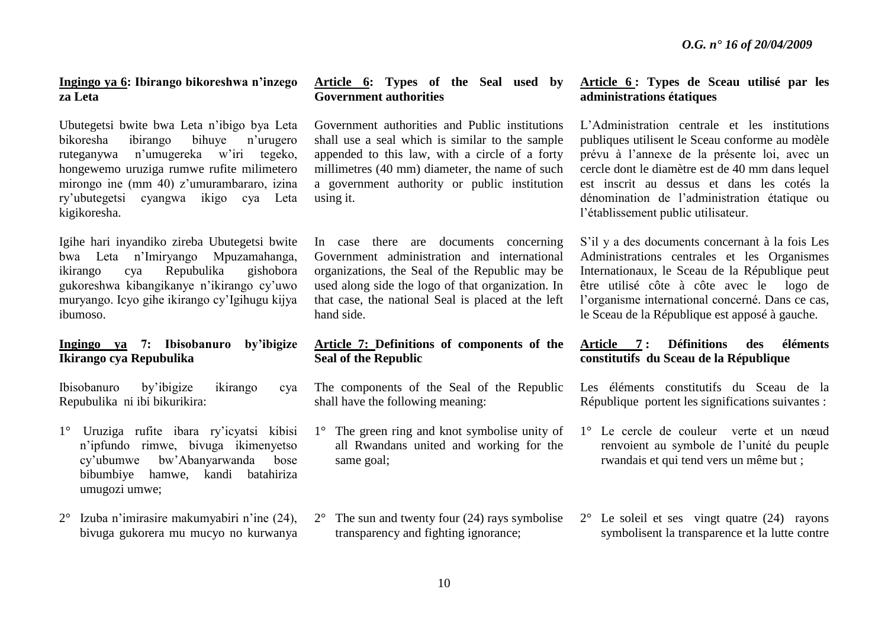# **Ingingo ya 6: Ibirango bikoreshwa n'inzego za Leta**

Ubutegetsi bwite bwa Leta n'ibigo bya Leta bikoresha ibirango bihuye n'urugero ruteganywa n'umugereka w'iri tegeko, hongewemo uruziga rumwe rufite milimetero mirongo ine (mm 40) z'umurambararo, izina ry'ubutegetsi cyangwa ikigo cya Leta kigikoresha.

Igihe hari inyandiko zireba Ubutegetsi bwite bwa Leta n'Imiryango Mpuzamahanga, ikirango cya Repubulika gishobora gukoreshwa kibangikanye n'ikirango cy'uwo muryango. Icyo gihe ikirango cy'Igihugu kijya ibumoso.

# **Ingingo ya 7: Ibisobanuro by'ibigize Ikirango cya Repubulika**

Ibisobanuro by'ibigize ikirango cya Repubulika ni ibi bikurikira:

- 1° Uruziga rufite ibara ry'icyatsi kibisi n'ipfundo rimwe, bivuga ikimenyetso cy'ubumwe bw'Abanyarwanda bose bibumbiye hamwe, kandi batahiriza umugozi umwe;
- 2° Izuba n'imirasire makumyabiri n'ine (24), bivuga gukorera mu mucyo no kurwanya

# **Article 6: Types of the Seal used by Government authorities**

Government authorities and Public institutions shall use a seal which is similar to the sample appended to this law, with a circle of a forty millimetres (40 mm) diameter, the name of such a government authority or public institution using it.

In case there are documents concerning Government administration and international organizations, the Seal of the Republic may be used along side the logo of that organization. In that case, the national Seal is placed at the left hand side.

# **Article 7: Definitions of components of the Seal of the Republic**

The components of the Seal of the Republic shall have the following meaning:

- 1° The green ring and knot symbolise unity of all Rwandans united and working for the same goal;
- $2^{\circ}$  The sun and twenty four (24) rays symbolise transparency and fighting ignorance;

# **Article 6 : Types de Sceau utilisé par les administrations étatiques**

L'Administration centrale et les institutions publiques utilisent le Sceau conforme au modèle prévu à l'annexe de la présente loi, avec un cercle dont le diamètre est de 40 mm dans lequel est inscrit au dessus et dans les cotés la dénomination de l'administration étatique ou l'établissement public utilisateur.

S'il y a des documents concernant à la fois Les Administrations centrales et les Organismes Internationaux, le Sceau de la République peut être utilisé côte à côte avec le logo de l'organisme international concerné. Dans ce cas, le Sceau de la République est apposé à gauche.

# **Article 7 : Définitions des éléments constitutifs du Sceau de la République**

Les éléments constitutifs du Sceau de la République portent les significations suivantes :

- 1° Le cercle de couleur verte et un nœud renvoient au symbole de l'unité du peuple rwandais et qui tend vers un même but ;
- 2° Le soleil et ses vingt quatre (24) rayons symbolisent la transparence et la lutte contre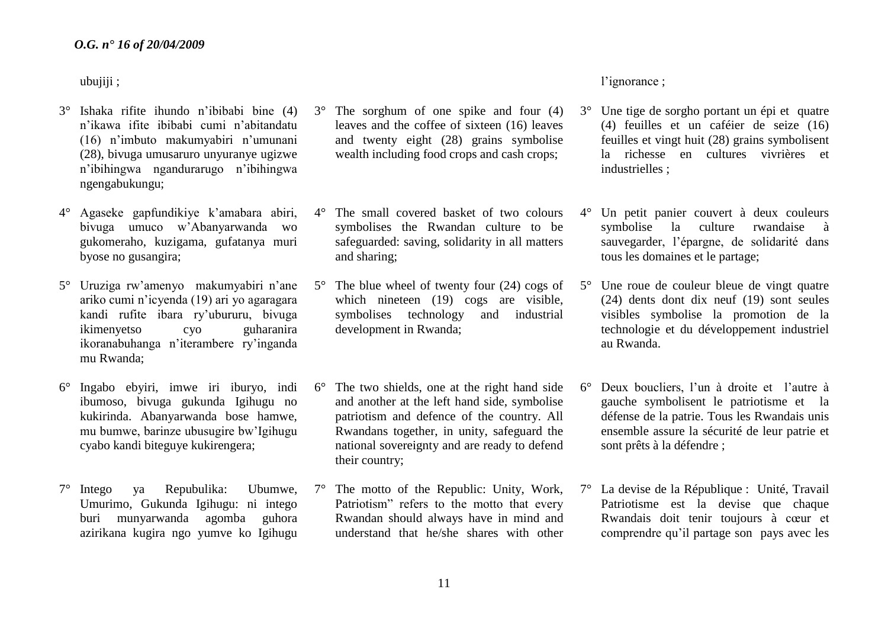ubujiji ;

- 3° Ishaka rifite ihundo n'ibibabi bine (4) n'ikawa ifite ibibabi cumi n'abitandatu (16) n'imbuto makumyabiri n'umunani (28), bivuga umusaruro unyuranye ugizwe n'ibihingwa ngandurarugo n'ibihingwa ngengabukungu;
- 4° Agaseke gapfundikiye k'amabara abiri, bivuga umuco w'Abanyarwanda wo gukomeraho, kuzigama, gufatanya muri byose no gusangira;
- 5° Uruziga rw'amenyo makumyabiri n'ane ariko cumi n'icyenda (19) ari yo agaragara kandi rufite ibara ry'ubururu, bivuga ikimenyetso cyo guharanira ikoranabuhanga n'iterambere ry'inganda mu Rwanda;
- 6° Ingabo ebyiri, imwe iri iburyo, indi ibumoso, bivuga gukunda Igihugu no kukirinda. Abanyarwanda bose hamwe, mu bumwe, barinze ubusugire bw'Igihugu cyabo kandi biteguye kukirengera;
- 7° Intego ya Repubulika: Ubumwe, Umurimo, Gukunda Igihugu: ni intego buri munyarwanda agomba guhora azirikana kugira ngo yumve ko Igihugu
- The sorghum of one spike and four (4) leaves and the coffee of sixteen (16) leaves and twenty eight (28) grains symbolise wealth including food crops and cash crops;
- 4° The small covered basket of two colours symbolises the Rwandan culture to be safeguarded: saving, solidarity in all matters and sharing;
- 5° The blue wheel of twenty four (24) cogs of which nineteen (19) cogs are visible, symbolises technology and industrial development in Rwanda;
- 6° The two shields, one at the right hand side and another at the left hand side, symbolise patriotism and defence of the country. All Rwandans together, in unity, safeguard the national sovereignty and are ready to defend their country;
- 7° The motto of the Republic: Unity, Work, Patriotism" refers to the motto that every Rwandan should always have in mind and understand that he/she shares with other

l'ignorance ;

- 3° Une tige de sorgho portant un épi et quatre (4) feuilles et un caféier de seize (16) feuilles et vingt huit (28) grains symbolisent la richesse en cultures vivrières et industrielles ;
- 4° Un petit panier couvert à deux couleurs symbolise la culture rwandaise à sauvegarder, l'épargne, de solidarité dans tous les domaines et le partage;
- 5° Une roue de couleur bleue de vingt quatre (24) dents dont dix neuf (19) sont seules visibles symbolise la promotion de la technologie et du développement industriel au Rwanda.
- 6° Deux boucliers, l'un à droite et l'autre à gauche symbolisent le patriotisme et la défense de la patrie. Tous les Rwandais unis ensemble assure la sécurité de leur patrie et sont prêts à la défendre ;
- 7° La devise de la République : Unité, Travail Patriotisme est la devise que chaque Rwandais doit tenir toujours à cœur et comprendre qu'il partage son pays avec les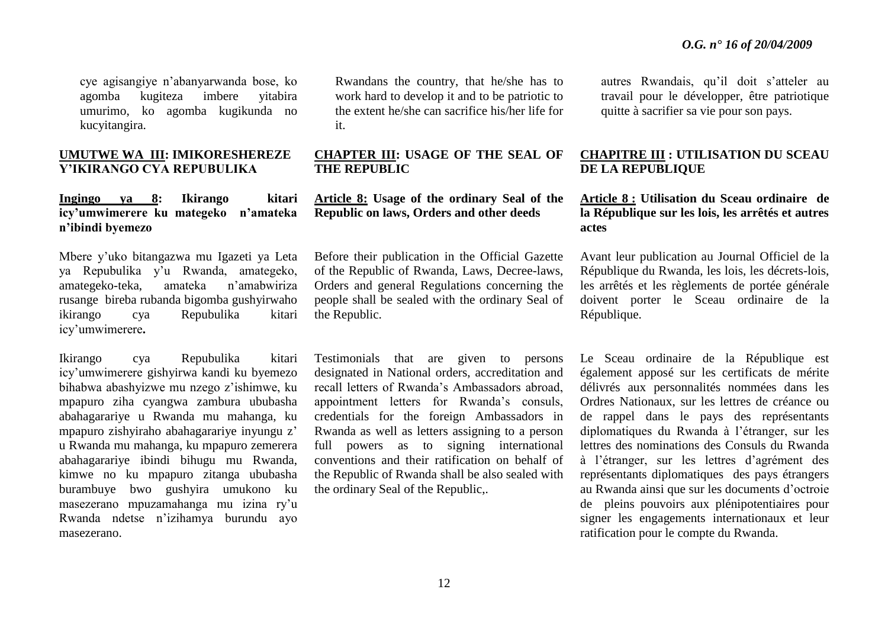cye agisangiye n'abanyarwanda bose, ko agomba kugiteza imbere yitabira umurimo, ko agomba kugikunda no kucyitangira.

# **UMUTWE WA III: IMIKORESHEREZE Y'IKIRANGO CYA REPUBULIKA**

# **Ingingo ya 8: Ikirango kitari icy'umwimerere ku mategeko n'amateka n'ibindi byemezo**

Mbere y'uko bitangazwa mu Igazeti ya Leta ya Repubulika y'u Rwanda, amategeko, amategeko-teka, amateka n'amabwiriza rusange bireba rubanda bigomba gushyirwaho ikirango cya Repubulika kitari icy'umwimerere**.**

Ikirango cya Repubulika kitari icy'umwimerere gishyirwa kandi ku byemezo bihabwa abashyizwe mu nzego z'ishimwe, ku mpapuro ziha cyangwa zambura ububasha abahagarariye u Rwanda mu mahanga, ku mpapuro zishyiraho abahagarariye inyungu z' u Rwanda mu mahanga, ku mpapuro zemerera abahagarariye ibindi bihugu mu Rwanda, kimwe no ku mpapuro zitanga ububasha burambuye bwo gushyira umukono ku masezerano mpuzamahanga mu izina ry'u Rwanda ndetse n'izihamya burundu ayo masezerano.

Rwandans the country, that he/she has to work hard to develop it and to be patriotic to the extent he/she can sacrifice his/her life for it.

# **CHAPTER III: USAGE OF THE SEAL OF THE REPUBLIC**

# **Article 8: Usage of the ordinary Seal of the Republic on laws, Orders and other deeds**

Before their publication in the Official Gazette of the Republic of Rwanda, Laws, Decree-laws, Orders and general Regulations concerning the people shall be sealed with the ordinary Seal of the Republic.

Testimonials that are given to persons designated in National orders, accreditation and recall letters of Rwanda's Ambassadors abroad, appointment letters for Rwanda's consuls, credentials for the foreign Ambassadors in Rwanda as well as letters assigning to a person full powers as to signing international conventions and their ratification on behalf of the Republic of Rwanda shall be also sealed with the ordinary Seal of the Republic,.

autres Rwandais, qu'il doit s'atteler au travail pour le développer, être patriotique quitte à sacrifier sa vie pour son pays.

# **CHAPITRE III : UTILISATION DU SCEAU DE LA REPUBLIQUE**

# **Article 8 : Utilisation du Sceau ordinaire de la République sur les lois, les arrêtés et autres actes**

Avant leur publication au Journal Officiel de la République du Rwanda, les lois, les décrets-lois, les arrêtés et les règlements de portée générale doivent porter le Sceau ordinaire de la République.

Le Sceau ordinaire de la République est également apposé sur les certificats de mérite délivrés aux personnalités nommées dans les Ordres Nationaux, sur les lettres de créance ou de rappel dans le pays des représentants diplomatiques du Rwanda à l'étranger, sur les lettres des nominations des Consuls du Rwanda à l'étranger, sur les lettres d'agrément des représentants diplomatiques des pays étrangers au Rwanda ainsi que sur les documents d'octroie de pleins pouvoirs aux plénipotentiaires pour signer les engagements internationaux et leur ratification pour le compte du Rwanda.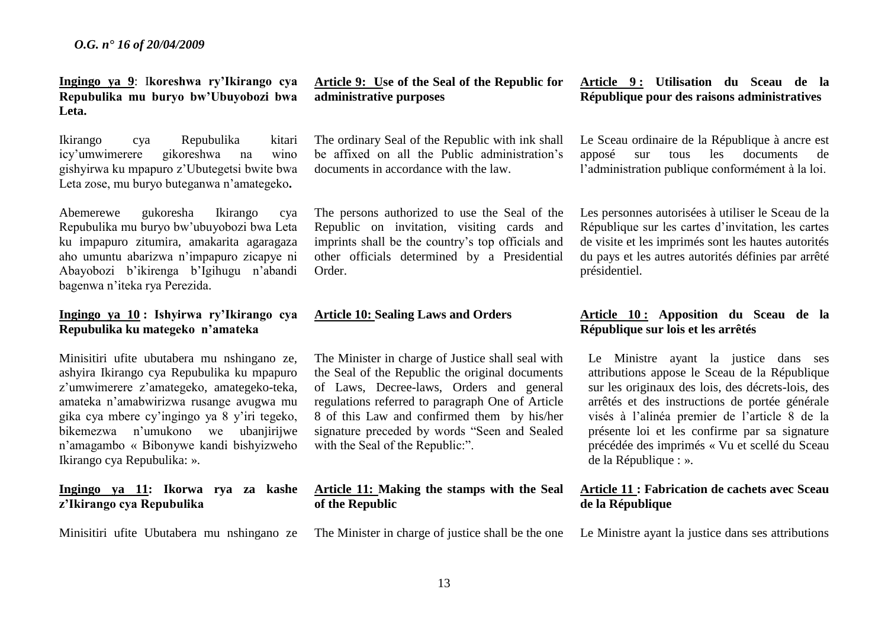**Ingingo ya 9**: I**koreshwa ry'Ikirango cya Repubulika mu buryo bw'Ubuyobozi bwa Leta.**

Ikirango cya Repubulika kitari icy'umwimerere gikoreshwa na wino gishyirwa ku mpapuro z'Ubutegetsi bwite bwa Leta zose, mu buryo buteganwa n'amategeko**.** 

Abemerewe gukoresha Ikirango cya Repubulika mu buryo bw'ubuyobozi bwa Leta ku impapuro zitumira, amakarita agaragaza aho umuntu abarizwa n'impapuro zicapye ni Abayobozi b'ikirenga b'Igihugu n'abandi bagenwa n'iteka rya Perezida.

# **Ingingo ya 10 : Ishyirwa ry'Ikirango cya Repubulika ku mategeko n'amateka**

Minisitiri ufite ubutabera mu nshingano ze, ashyira Ikirango cya Repubulika ku mpapuro z'umwimerere z'amategeko, amategeko-teka, amateka n'amabwirizwa rusange avugwa mu gika cya mbere cy'ingingo ya 8 y'iri tegeko, bikemezwa n'umukono we ubanjirijwe n'amagambo « Bibonywe kandi bishyizweho Ikirango cya Repubulika: ».

# **Ingingo ya 11: Ikorwa rya za kashe z'Ikirango cya Repubulika**

Minisitiri ufite Ubutabera mu nshingano ze

**Article 9: Use of the Seal of the Republic for administrative purposes**

The ordinary Seal of the Republic with ink shall be affixed on all the Public administration's documents in accordance with the law.

The persons authorized to use the Seal of the Republic on invitation, visiting cards and imprints shall be the country's top officials and other officials determined by a Presidential Order.

# **Article 10: Sealing Laws and Orders**

The Minister in charge of Justice shall seal with the Seal of the Republic the original documents of Laws, Decree-laws, Orders and general regulations referred to paragraph One of Article 8 of this Law and confirmed them by his/her signature preceded by words "Seen and Sealed with the Seal of the Republic:".

# **Article 11: Making the stamps with the Seal of the Republic**

The Minister in charge of justice shall be the one

**Article 9 : Utilisation du Sceau de la République pour des raisons administratives**

Le Sceau ordinaire de la République à ancre est apposé sur tous les documents de l'administration publique conformément à la loi.

Les personnes autorisées à utiliser le Sceau de la République sur les cartes d'invitation, les cartes de visite et les imprimés sont les hautes autorités du pays et les autres autorités définies par arrêté présidentiel.

# **Article 10 : Apposition du Sceau de la République sur lois et les arrêtés**

Le Ministre ayant la justice dans ses attributions appose le Sceau de la République sur les originaux des lois, des décrets-lois, des arrêtés et des instructions de portée générale visés à l'alinéa premier de l'article 8 de la présente loi et les confirme par sa signature précédée des imprimés « Vu et scellé du Sceau de la République : ».

# **Article 11 : Fabrication de cachets avec Sceau de la République**

Le Ministre ayant la justice dans ses attributions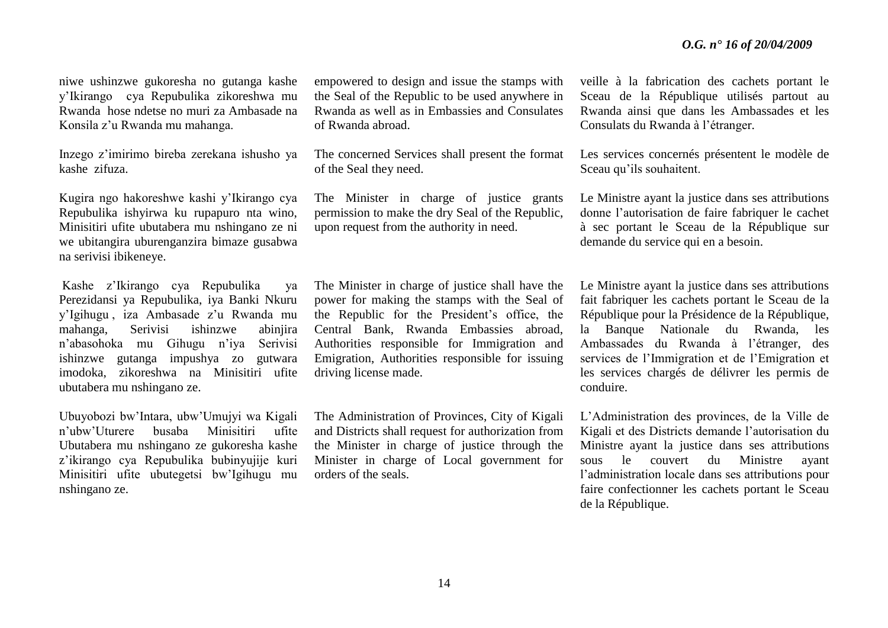niwe ushinzwe gukoresha no gutanga kashe y'Ikirango cya Repubulika zikoreshwa mu Rwanda hose ndetse no muri za Ambasade na Konsila z'u Rwanda mu mahanga.

Inzego z'imirimo bireba zerekana ishusho ya kashe zifuza.

Kugira ngo hakoreshwe kashi y'Ikirango cya Repubulika ishyirwa ku rupapuro nta wino, Minisitiri ufite ubutabera mu nshingano ze ni we ubitangira uburenganzira bimaze gusabwa na serivisi ibikeneye.

Kashe z'Ikirango cya Repubulika ya Perezidansi ya Repubulika, iya Banki Nkuru y'Igihugu , iza Ambasade z'u Rwanda mu mahanga, Serivisi ishinzwe abinjira n'abasohoka mu Gihugu n'iya Serivisi ishinzwe gutanga impushya zo gutwara imodoka, zikoreshwa na Minisitiri ufite ubutabera mu nshingano ze.

Ubuyobozi bw'Intara, ubw'Umujyi wa Kigali n'ubw'Uturere busaba Minisitiri ufite Ubutabera mu nshingano ze gukoresha kashe z'ikirango cya Repubulika bubinyujije kuri Minisitiri ufite ubutegetsi bw'Igihugu mu nshingano ze.

empowered to design and issue the stamps with the Seal of the Republic to be used anywhere in Rwanda as well as in Embassies and Consulates of Rwanda abroad.

The concerned Services shall present the format of the Seal they need.

The Minister in charge of justice grants permission to make the dry Seal of the Republic, upon request from the authority in need.

The Minister in charge of justice shall have the power for making the stamps with the Seal of the Republic for the President's office, the Central Bank, Rwanda Embassies abroad, Authorities responsible for Immigration and Emigration, Authorities responsible for issuing driving license made.

The Administration of Provinces, City of Kigali and Districts shall request for authorization from the Minister in charge of justice through the Minister in charge of Local government for orders of the seals.

veille à la fabrication des cachets portant le Sceau de la République utilisés partout au Rwanda ainsi que dans les Ambassades et les Consulats du Rwanda à l'étranger.

Les services concernés présentent le modèle de Sceau qu'ils souhaitent.

Le Ministre ayant la justice dans ses attributions donne l'autorisation de faire fabriquer le cachet à sec portant le Sceau de la République sur demande du service qui en a besoin.

Le Ministre ayant la justice dans ses attributions fait fabriquer les cachets portant le Sceau de la République pour la Présidence de la République, la Banque Nationale du Rwanda, les Ambassades du Rwanda à l'étranger, des services de l'Immigration et de l'Emigration et les services chargés de délivrer les permis de conduire.

L'Administration des provinces, de la Ville de Kigali et des Districts demande l'autorisation du Ministre ayant la justice dans ses attributions sous le couvert du Ministre ayant l'administration locale dans ses attributions pour faire confectionner les cachets portant le Sceau de la République.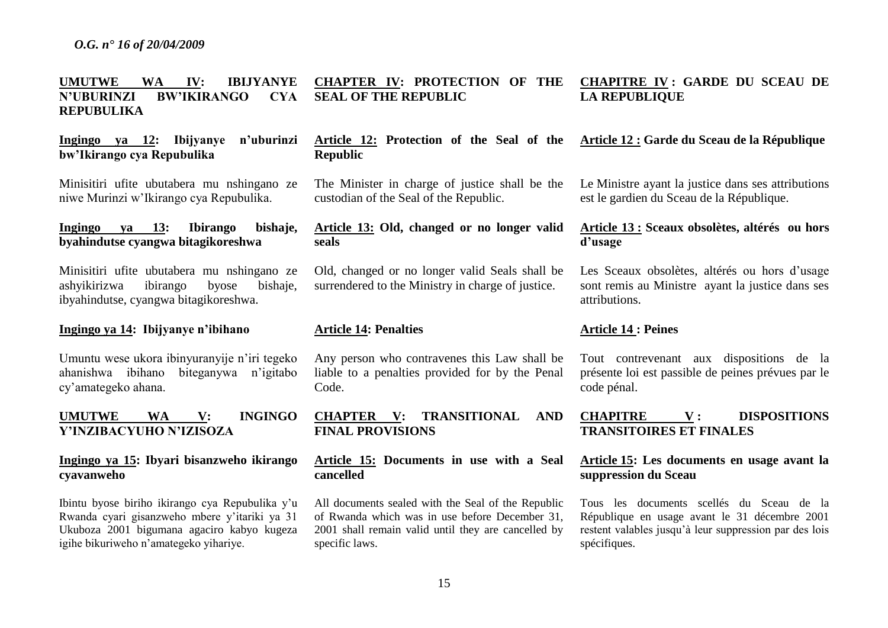#### **UMUTWE WA IV: IBIJYANYE N'UBURINZI BW'IKIRANGO CYA REPUBULIKA CHAPTER IV: PROTECTION OF THE SEAL OF THE REPUBLIC**

**Ingingo ya 12: Ibijyanye n'uburinzi bw'Ikirango cya Repubulika**

Minisitiri ufite ubutabera mu nshingano ze niwe Murinzi w'Ikirango cya Repubulika.

# **Ingingo ya 13: Ibirango bishaje, byahindutse cyangwa bitagikoreshwa**

Minisitiri ufite ubutabera mu nshingano ze ashyikirizwa ibirango byose bishaje, ibyahindutse, cyangwa bitagikoreshwa.

#### **Ingingo ya 14: Ibijyanye n'ibihano**

Umuntu wese ukora ibinyuranyije n'iri tegeko ahanishwa ibihano biteganywa n'igitabo cy'amategeko ahana.

# **UMUTWE WA V: INGINGO Y'INZIBACYUHO N'IZISOZA**

# **Ingingo ya 15: Ibyari bisanzweho ikirango cyavanweho**

Ibintu byose biriho ikirango cya Repubulika y'u Rwanda cyari gisanzweho mbere y'itariki ya 31 Ukuboza 2001 bigumana agaciro kabyo kugeza igihe bikuriweho n'amategeko yihariye.

**Article 12: Protection of the Seal of the Republic**

The Minister in charge of justice shall be the custodian of the Seal of the Republic.

# **Article 13: Old, changed or no longer valid seals**

Old, changed or no longer valid Seals shall be surrendered to the Ministry in charge of justice.

#### **Article 14: Penalties**

Any person who contravenes this Law shall be liable to a penalties provided for by the Penal Code.

**CHAPTER V: TRANSITIONAL AND FINAL PROVISIONS** 

**Article 15: Documents in use with a Seal cancelled**

All documents sealed with the Seal of the Republic of Rwanda which was in use before December 31, 2001 shall remain valid until they are cancelled by specific laws.

# **CHAPITRE IV : GARDE DU SCEAU DE LA REPUBLIQUE**

#### **Article 12 : Garde du Sceau de la République**

Le Ministre ayant la justice dans ses attributions est le gardien du Sceau de la République.

# **Article 13 : Sceaux obsolètes, altérés ou hors d'usage**

Les Sceaux obsolètes, altérés ou hors d'usage sont remis au Ministre ayant la justice dans ses attributions.

#### **Article 14 : Peines**

Tout contrevenant aux dispositions de la présente loi est passible de peines prévues par le code pénal.

# **CHAPITRE V : DISPOSITIONS TRANSITOIRES ET FINALES**

# **Article 15: Les documents en usage avant la suppression du Sceau**

Tous les documents scellés du Sceau de la République en usage avant le 31 décembre 2001 restent valables jusqu'à leur suppression par des lois spécifiques.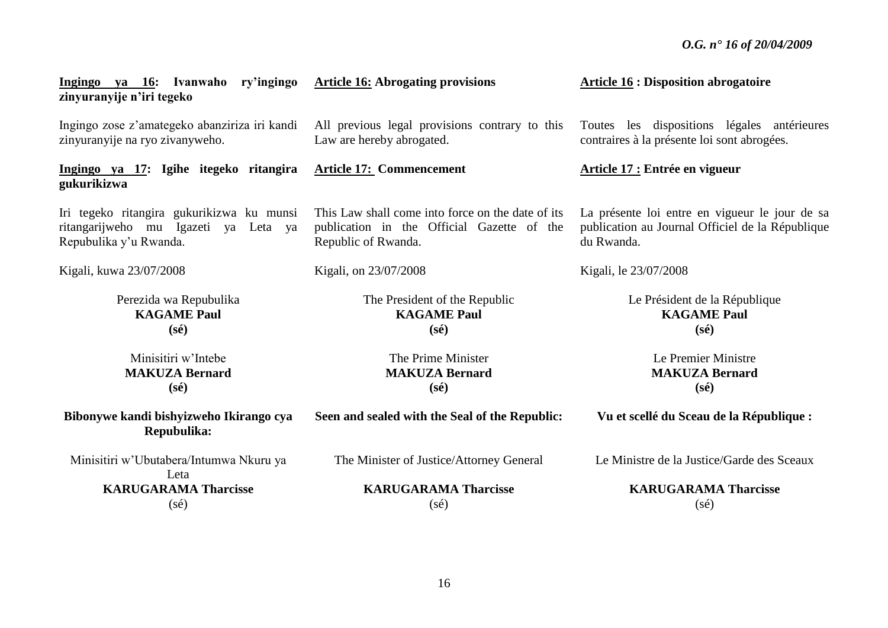| Ingingo ya 16: Ivanwaho ry'ingingo<br>zinyuranyije n'iri tegeko | <b>Article 16: Abrogating provisions</b>          | <b>Article 16 : Disposition abrogatoire</b>      |
|-----------------------------------------------------------------|---------------------------------------------------|--------------------------------------------------|
| Ingingo zose z'amategeko abanziriza iri kandi                   | All previous legal provisions contrary to this    | Toutes les dispositions légales antérieures      |
| zinyuranyije na ryo zivanyweho.                                 | Law are hereby abrogated.                         | contraires à la présente loi sont abrogées.      |
| Ingingo ya 17: Igihe itegeko ritangira<br>gukurikizwa           | <b>Article 17: Commencement</b>                   | Article 17 : Entrée en vigueur                   |
| Iri tegeko ritangira gukurikizwa ku munsi                       | This Law shall come into force on the date of its | La présente loi entre en vigueur le jour de sa   |
| ritangarijweho mu Igazeti ya Leta ya                            | publication in the Official Gazette of the        | publication au Journal Officiel de la République |
| Repubulika y'u Rwanda.                                          | Republic of Rwanda.                               | du Rwanda.                                       |
| Kigali, kuwa 23/07/2008                                         | Kigali, on 23/07/2008                             | Kigali, le 23/07/2008                            |
| Perezida wa Repubulika                                          | The President of the Republic                     | Le Président de la République                    |
| <b>KAGAME Paul</b>                                              | <b>KAGAME Paul</b>                                | <b>KAGAME Paul</b>                               |
| $(s\acute{e})$                                                  | $(s\acute{e})$                                    | $(s\acute{e})$                                   |
| Minisitiri w'Intebe                                             | The Prime Minister                                | Le Premier Ministre                              |
| <b>MAKUZA Bernard</b>                                           | <b>MAKUZA Bernard</b>                             | <b>MAKUZA Bernard</b>                            |
| $(s\acute{e})$                                                  | $(s\acute{e})$                                    | $(s\acute{e})$                                   |
| Bibonywe kandi bishyizweho Ikirango cya<br>Repubulika:          | Seen and sealed with the Seal of the Republic:    | Vu et scellé du Sceau de la République :         |
| Minisitiri w'Ubutabera/Intumwa Nkuru ya<br>Leta                 | The Minister of Justice/Attorney General          | Le Ministre de la Justice/Garde des Sceaux       |
| <b>KARUGARAMA Tharcisse</b>                                     | <b>KARUGARAMA Tharcisse</b>                       | <b>KARUGARAMA Tharcisse</b>                      |
| $(s\acute{e})$                                                  | $(s\acute{e})$                                    | $(s\acute{e})$                                   |

16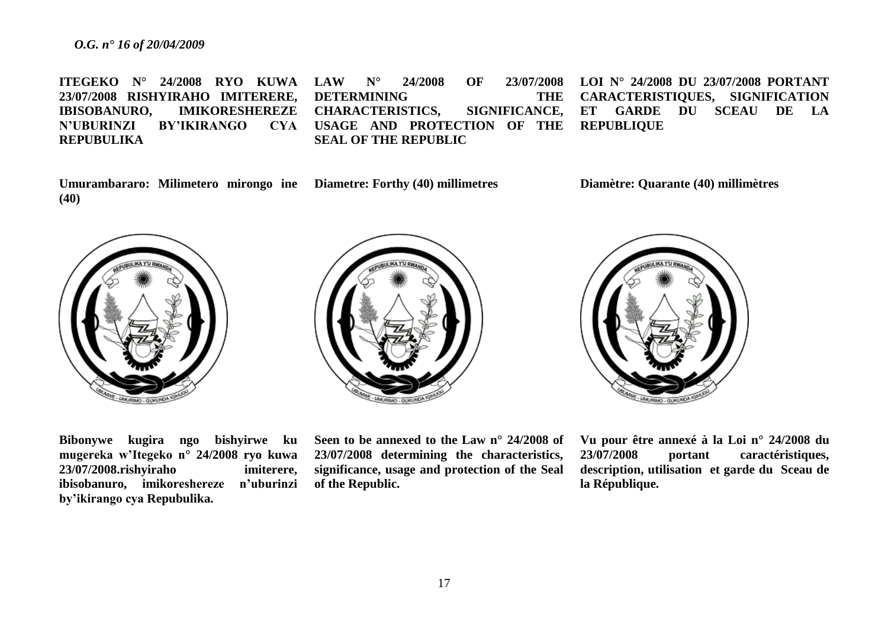**ITEGEKO N° 24/2008 RYO KUWA 23/07/2008 RISHYIRAHO IMITERERE, IBISOBANURO, IMIKORESHEREZE N'UBURINZI BY'IKIRANGO REPUBULIKA LAW N° 24/2008 OF 23/07/2008 DETERMINING THE CHARACTERISTICS, SIGNIFICANCE, USAGE AND PROTECTION OF THE SEAL OF THE REPUBLIC LOI N° 24/2008 DU 23/07/2008 PORTANT CARACTERISTIQUES, SIGNIFICATION ET GARDE DU SCEAU DE LA REPUBLIQUE**

**Umurambararo: Milimetero mirongo ine Diametre: Forthy (40) millimetres (40)**

**Diamètre: Quarante (40) millimètres**







**Bibonywe kugira ngo bishyirwe ku mugereka w'Itegeko n° 24/2008 ryo kuwa 23/07/2008.rishyiraho imiterere, ibisobanuro, imikoreshereze n'uburinzi by'ikirango cya Repubulika.**

**Seen to be annexed to the Law n° 24/2008 of 23/07/2008 determining the characteristics, significance, usage and protection of the Seal of the Republic.**

**Vu pour être annexé à la Loi n° 24/2008 du 23/07/2008 portant caractéristiques, description, utilisation et garde du Sceau de la République.**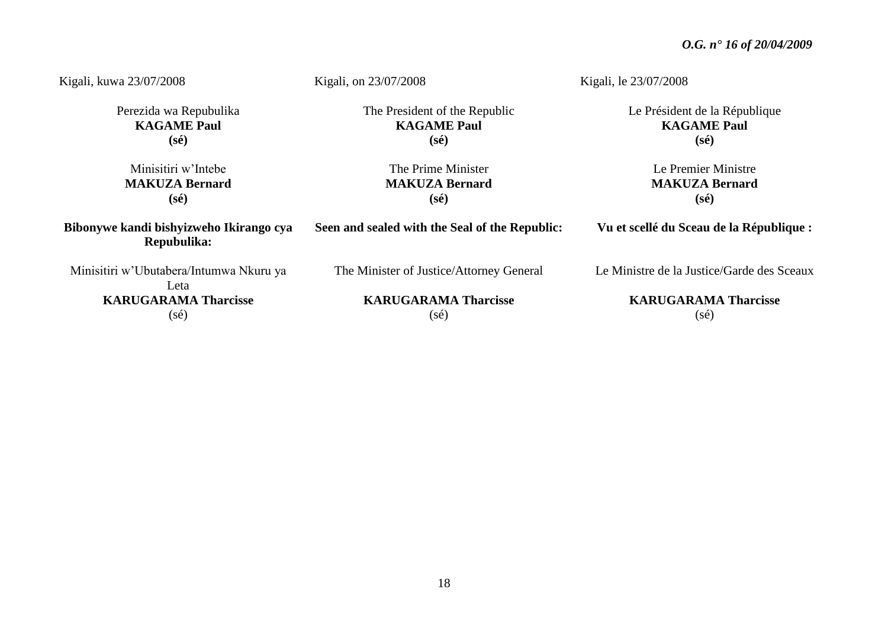| Kigali, kuwa 23/07/2008                                | Kigali, on 23/07/2008                          | Kigali, le 23/07/2008                      |
|--------------------------------------------------------|------------------------------------------------|--------------------------------------------|
| Perezida wa Repubulika                                 | The President of the Republic                  | Le Président de la République              |
| <b>KAGAME Paul</b><br>$(s\acute{e})$                   | <b>KAGAME Paul</b><br>$(s\acute{e})$           | <b>KAGAME Paul</b><br>$(s\acute{e})$       |
|                                                        |                                                |                                            |
| Minisitiri w'Intebe                                    | The Prime Minister                             | Le Premier Ministre                        |
| <b>MAKUZA Bernard</b>                                  | <b>MAKUZA Bernard</b>                          | <b>MAKUZA Bernard</b>                      |
| $(s\acute{e})$                                         | $(s\acute{e})$                                 | $(s\acute{e})$                             |
| Bibonywe kandi bishyizweho Ikirango cya<br>Repubulika: | Seen and sealed with the Seal of the Republic: | Vu et scellé du Sceau de la République :   |
| Minisitiri w'Ubutabera/Intumwa Nkuru ya<br>Leta        | The Minister of Justice/Attorney General       | Le Ministre de la Justice/Garde des Sceaux |
| <b>KARUGARAMA Tharcisse</b>                            | <b>KARUGARAMA Tharcisse</b>                    | <b>KARUGARAMA Tharcisse</b>                |
| $(s\acute{e})$                                         | $(s\acute{e})$                                 | (sé)                                       |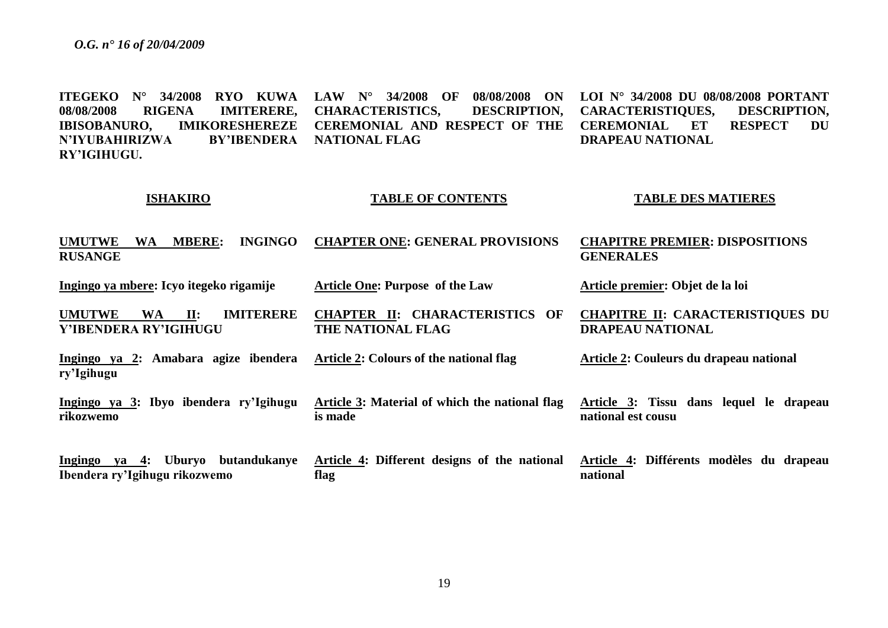**rikozwemo**

**ITEGEKO N° 34/2008 RYO KUWA LAW N° 34/2008 OF 08/08/2008 ON 08/08/2008 RIGENA IMITERERE, IBISOBANURO, IMIKORESHEREZE N'IYUBAHIRIZWA RY'IGIHUGU. CHARACTERISTICS, DESCRIPTION, CEREMONIAL AND RESPECT OF THE RY'IBENDERA NATIONAL FLAG LOI N° 34/2008 DU 08/08/2008 PORTANT CARACTERISTIQUES, DESCRIPTION, CEREMONIAL ET RESPECT DU DRAPEAU NATIONAL**

#### **ISHAKIRO**

#### **TABLE OF CONTENTS**

#### **TABLE DES MATIERES**

**CHAPITRE II: CARACTERISTIQUES DU** 

**Article 3: Tissu dans lequel le drapeau** 

**Article 2: Couleurs du drapeau national**

**Article premier: Objet de la loi**

**DRAPEAU NATIONAL** 

**national est cousu**

**UMUTWE WA MBERE: INGINGO RUSANGE CHAPTER ONE: GENERAL PROVISIONS CHAPITRE PREMIER: DISPOSITIONS GENERALES**

**Ingingo ya mbere: Icyo itegeko rigamije Article One: Purpose of the Law**

**UMUTWE WA II: IMITERERE Y'IBENDERA RY'IGIHUGU CHAPTER II: CHARACTERISTICS OF THE NATIONAL FLAG**

**Ingingo ya 2: Amabara agize ibendera ry'Igihugu Article 2: Colours of the national flag**

**Ingingo ya 3: Ibyo ibendera ry'Igihugu Article 3: Material of which the national flag is made**

**Ingingo ya 4: Uburyo butandukanye Ibendera ry'Igihugu rikozwemo Article 4: Different designs of the national flag Article 4: Différents modèles du drapeau national**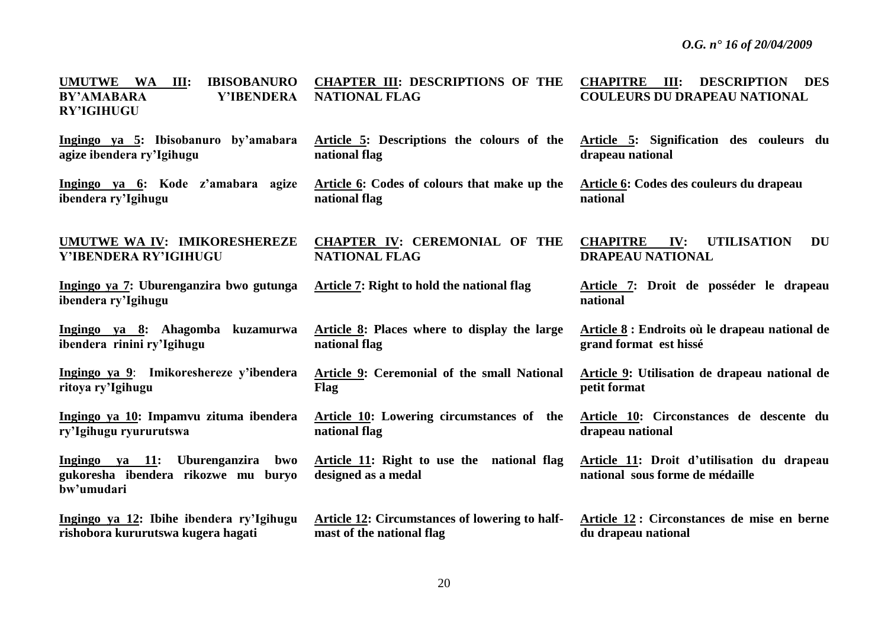| <b>IBISOBANURO</b><br><b>UMUTWE</b><br><b>WA</b><br>III:<br>Y'IBENDERA<br><b>BY'AMABARA</b><br><b>RY'IGIHUGU</b> | <b>CHAPTER III: DESCRIPTIONS OF THE</b><br><b>NATIONAL FLAG</b>   | III:<br><b>CHAPITRE</b><br><b>DESCRIPTION DES</b><br><b>COULEURS DU DRAPEAU NATIONAL</b> |
|------------------------------------------------------------------------------------------------------------------|-------------------------------------------------------------------|------------------------------------------------------------------------------------------|
| Ingingo ya 5: Ibisobanuro by'amabara                                                                             | Article 5: Descriptions the colours of the                        | Article 5: Signification des couleurs du                                                 |
| agize ibendera ry'Igihugu                                                                                        | national flag                                                     | drapeau national                                                                         |
| Ingingo ya 6: Kode z'amabara agize                                                                               | Article 6: Codes of colours that make up the                      | Article 6: Codes des couleurs du drapeau                                                 |
| ibendera ry'Igihugu                                                                                              | national flag                                                     | national                                                                                 |
| UMUTWE WA IV: IMIKORESHEREZE<br>Y'IBENDERA RY'IGIHUGU                                                            | <b>CHAPTER IV: CEREMONIAL OF THE</b><br><b>NATIONAL FLAG</b>      | <b>CHAPITRE</b><br>IV:<br><b>UTILISATION</b><br>DU<br><b>DRAPEAU NATIONAL</b>            |
| Ingingo ya 7: Uburenganzira bwo gutunga<br>ibendera ry'Igihugu                                                   | Article 7: Right to hold the national flag                        | Article 7: Droit de posséder le drapeau<br>national                                      |
| Ingingo ya 8: Ahagomba kuzamurwa                                                                                 | Article 8: Places where to display the large                      | Article 8 : Endroits où le drapeau national de                                           |
| ibendera rinini ry'Igihugu                                                                                       | national flag                                                     | grand format est hissé                                                                   |
| Ingingo ya 9: Imikoreshereze y'ibendera                                                                          | Article 9: Ceremonial of the small National                       | Article 9: Utilisation de drapeau national de                                            |
| ritoya ry'Igihugu                                                                                                | Flag                                                              | petit format                                                                             |
| Ingingo ya 10: Impamvu zituma ibendera                                                                           | Article 10: Lowering circumstances of the                         | Article 10: Circonstances de descente du                                                 |
| ry'Igihugu ryururutswa                                                                                           | national flag                                                     | drapeau national                                                                         |
| Ingingo ya 11: Uburenganzira bwo<br>gukoresha ibendera rikozwe mu buryo<br>bw'umudari                            | Article 11: Right to use the national flag<br>designed as a medal | Article 11: Droit d'utilisation du drapeau<br>national sous forme de médaille            |
| Ingingo ya 12: Ibihe ibendera ry'Igihugu                                                                         | Article 12: Circumstances of lowering to half-                    | Article 12: Circonstances de mise en berne                                               |
| rishobora kururutswa kugera hagati                                                                               | mast of the national flag                                         | du drapeau national                                                                      |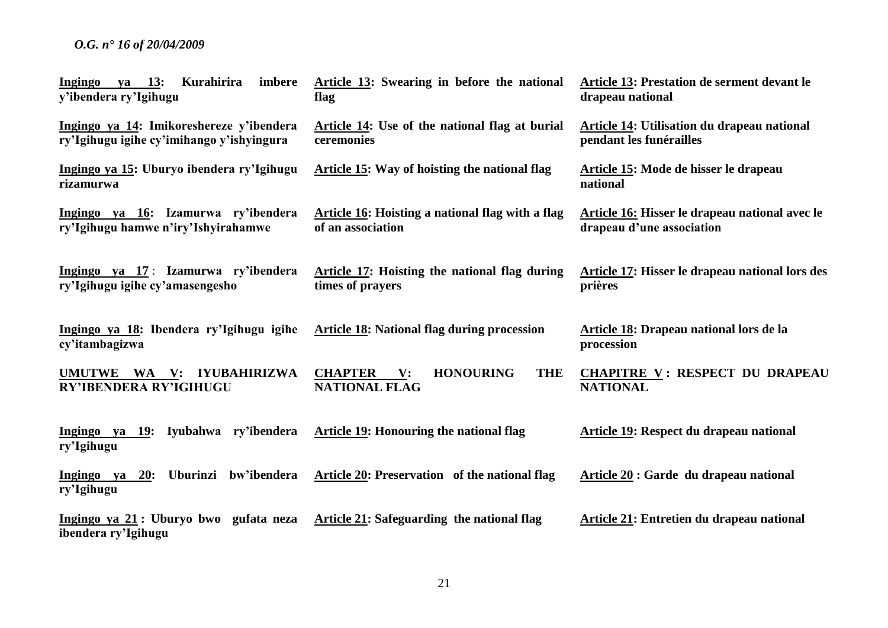| Kurahirira<br>imbere<br>va 13:<br>Ingingo<br>y'ibendera ry'Igihugu                    | Article 13: Swearing in before the national<br>flag                                        | Article 13: Prestation de serment devant le<br>drapeau national                    |
|---------------------------------------------------------------------------------------|--------------------------------------------------------------------------------------------|------------------------------------------------------------------------------------|
| Ingingo ya 14: Imikoreshereze y'ibendera<br>ry'Igihugu igihe cy'imihango y'ishyingura | Article 14: Use of the national flag at burial<br>ceremonies                               | <b>Article 14: Utilisation du drapeau national</b><br>pendant les funérailles      |
| Ingingo ya 15: Uburyo ibendera ry'Igihugu<br>rizamurwa                                | <b>Article 15: Way of hoisting the national flag</b>                                       | Article 15: Mode de hisser le drapeau<br>national                                  |
| Ingingo ya 16: Izamurwa ry'ibendera<br>ry'Igihugu hamwe n'iry'Ishyirahamwe            | <b>Article 16:</b> Hoisting a national flag with a flag<br>of an association               | <b>Article 16: Hisser le drapeau national avec le</b><br>drapeau d'une association |
| Ingingo ya 17: Izamurwa ry'ibendera<br>ry'Igihugu igihe cy'amasengesho                | <b>Article 17: Hoisting the national flag during</b><br>times of prayers                   | Article 17: Hisser le drapeau national lors des<br>prières                         |
| Ingingo ya 18: Ibendera ry'Igihugu igihe<br>cy'itambagizwa                            | <b>Article 18: National flag during procession</b>                                         | Article 18: Drapeau national lors de la<br>procession                              |
| UMUTWE WA V: IYUBAHIRIZWA<br>RY'IBENDERA RY'IGIHUGU                                   | <b>CHAPTER</b><br><b>THE</b><br>$\mathbf{V}$ :<br><b>HONOURING</b><br><b>NATIONAL FLAG</b> | <b>CHAPITRE V: RESPECT DU DRAPEAU</b><br><b>NATIONAL</b>                           |
| Ingingo ya 19: Iyubahwa ry'ibendera<br>ry'Igihugu                                     | <b>Article 19: Honouring the national flag</b>                                             | <b>Article 19: Respect du drapeau national</b>                                     |
| Uburinzi bw'ibendera<br><b>20:</b><br>Ingingo ya<br>ry'Igihugu                        | Article 20: Preservation of the national flag                                              | Article 20 : Garde du drapeau national                                             |
| Ingingo ya 21: Uburyo bwo gufata neza<br>ibendera ry'Igihugu                          | Article 21: Safeguarding the national flag                                                 | Article 21: Entretien du drapeau national                                          |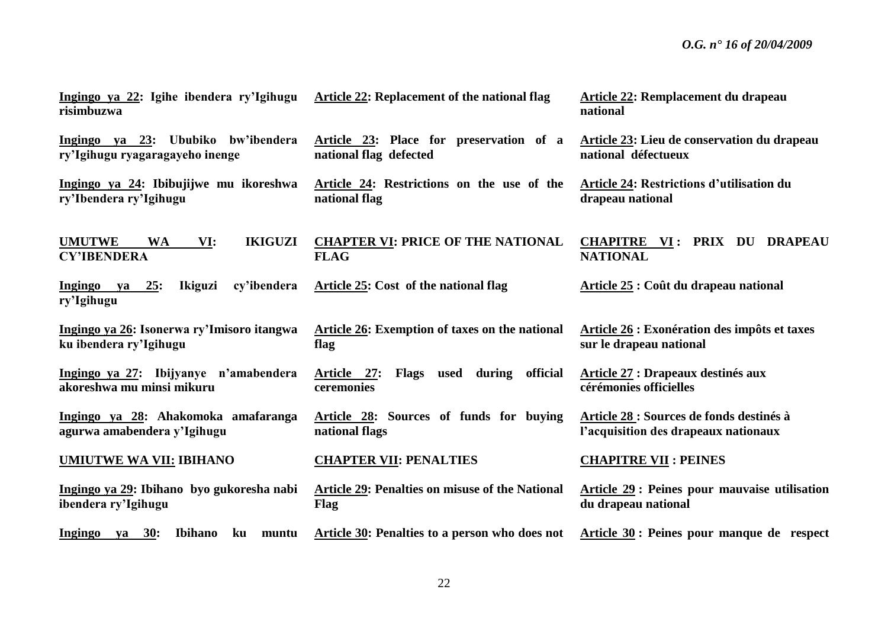| Ingingo ya 22: Igihe ibendera ry'Igihugu<br>risimbuzwa                    | Article 22: Replacement of the national flag                         | <b>Article 22: Remplacement du drapeau</b><br>national                           |
|---------------------------------------------------------------------------|----------------------------------------------------------------------|----------------------------------------------------------------------------------|
| Ingingo ya 23: Ububiko bw'ibendera<br>ry'Igihugu ryagaragayeho inenge     | Article 23: Place for preservation of a<br>national flag defected    | <b>Article 23: Lieu de conservation du drapeau</b><br>national défectueux        |
| Ingingo ya 24: Ibibujijwe mu ikoreshwa<br>ry'Ibendera ry'Igihugu          | Article 24: Restrictions on the use of the<br>national flag          | <b>Article 24: Restrictions d'utilisation du</b><br>drapeau national             |
| <b>IKIGUZI</b><br><b>UMUTWE</b><br><b>WA</b><br>VI:<br><b>CY'IBENDERA</b> | <b>CHAPTER VI: PRICE OF THE NATIONAL</b><br><b>FLAG</b>              | CHAPITRE VI: PRIX DU DRAPEAU<br><b>NATIONAL</b>                                  |
| cy'ibendera<br>Ingingo ya 25:<br><b>Ikiguzi</b><br>ry'Igihugu             | Article 25: Cost of the national flag                                | Article 25 : Coût du drapeau national                                            |
| Ingingo ya 26: Isonerwa ry'Imisoro itangwa<br>ku ibendera ry'Igihugu      | <b>Article 26: Exemption of taxes on the national</b><br>flag        | Article 26 : Exonération des impôts et taxes<br>sur le drapeau national          |
| Ingingo ya 27: Ibijyanye n'amabendera<br>akoreshwa mu minsi mikuru        | official<br>used during<br>Article 27:<br><b>Flags</b><br>ceremonies | Article 27 : Drapeaux destinés aux<br>cérémonies officielles                     |
| Ingingo ya 28: Ahakomoka amafaranga<br>agurwa amabendera y'Igihugu        | Article 28: Sources of funds for buying<br>national flags            | Article 28 : Sources de fonds destinés à<br>l'acquisition des drapeaux nationaux |
| <b>UMIUTWE WA VII: IBIHANO</b>                                            | <b>CHAPTER VII: PENALTIES</b>                                        | <b>CHAPITRE VII : PEINES</b>                                                     |
| Ingingo ya 29: Ibihano byo gukoresha nabi<br>ibendera ry'Igihugu          | <b>Article 29: Penalties on misuse of the National</b><br>Flag       | <b>Article 29: Peines pour mauvaise utilisation</b><br>du drapeau national       |
| Ingingo ya 30:<br><b>Ibihano</b><br>ku<br>muntu                           | <b>Article 30: Penalties to a person who does not</b>                | Article 30 : Peines pour manque de respect                                       |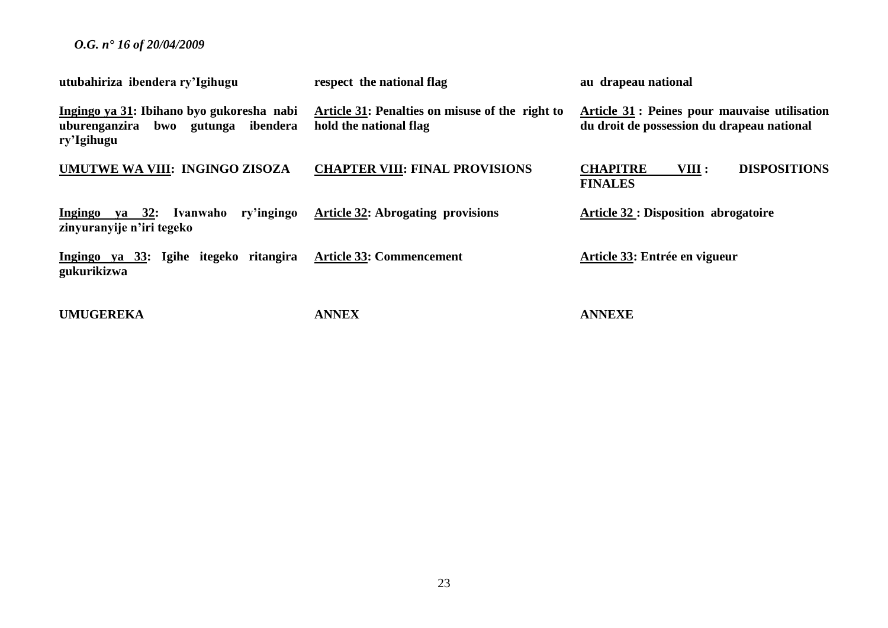| utubahiriza ibendera ry'Igihugu                                                               | respect the national flag                                                 | au drapeau national                                                                               |
|-----------------------------------------------------------------------------------------------|---------------------------------------------------------------------------|---------------------------------------------------------------------------------------------------|
| Ingingo ya 31: Ibihano byo gukoresha nabi<br>uburenganzira bwo gutunga ibendera<br>ry'Igihugu | Article 31: Penalties on misuse of the right to<br>hold the national flag | <b>Article 31: Peines pour mauvaise utilisation</b><br>du droit de possession du drapeau national |
| UMUTWE WA VIII: INGINGO ZISOZA                                                                | <b>CHAPTER VIII: FINAL PROVISIONS</b>                                     | <b>DISPOSITIONS</b><br><b>CHAPITRE</b><br>VIII :<br><b>FINALES</b>                                |
| ry'ingingo<br>Ingingo ya 32: Ivanwaho<br>zinyuranyije n'iri tegeko                            | <b>Article 32: Abrogating provisions</b>                                  | <b>Article 32: Disposition abrogatoire</b>                                                        |
| Ingingo ya 33: Igihe itegeko ritangira<br>gukurikizwa                                         | <b>Article 33: Commencement</b>                                           | Article 33: Entrée en vigueur                                                                     |
| <b>UMUGEREKA</b>                                                                              | <b>ANNEX</b>                                                              | <b>ANNEXE</b>                                                                                     |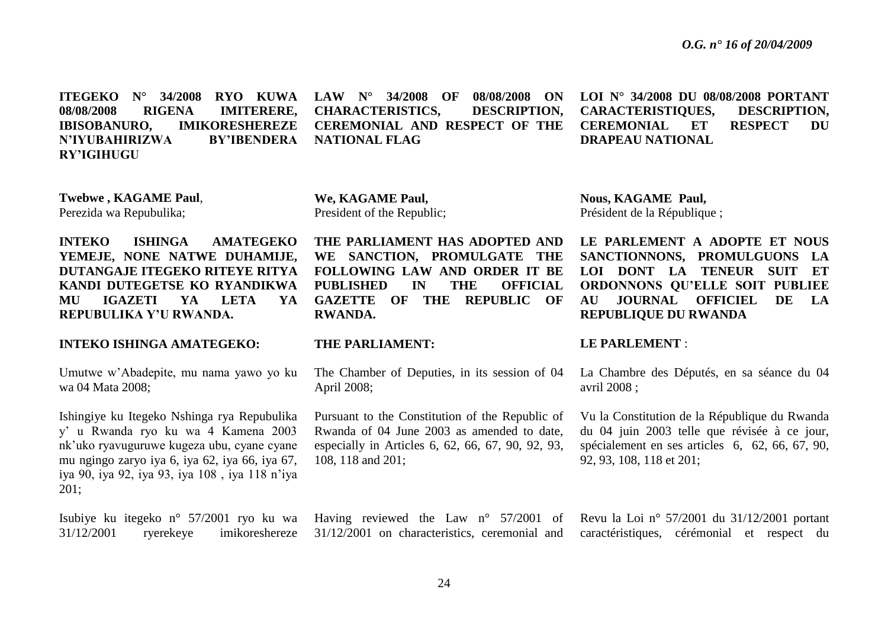**ITEGEKO N° 34/2008 RYO KUWA 08/08/2008 RIGENA IMITERERE, IBISOBANURO, IMIKORESHEREZE N'IYUBAHIRIZWA BY'IBENDERA RY'IGIHUGU LAW N° 34/2008 OF 08/08/2008 ON CHARACTERISTICS, DESCRIPTION, CEREMONIAL AND RESPECT OF THE NATIONAL FLAG LOI N° 34/2008 DU 08/08/2008 PORTANT CARACTERISTIQUES, DESCRIPTION, CEREMONIAL ET RESPECT DU DRAPEAU NATIONAL**

**Twebwe , KAGAME Paul**, Perezida wa Repubulika;

**INTEKO ISHINGA AMATEGEKO YEMEJE, NONE NATWE DUHAMIJE, DUTANGAJE ITEGEKO RITEYE RITYA KANDI DUTEGETSE KO RYANDIKWA MU IGAZETI YA LETA YA REPUBULIKA Y'U RWANDA.**

#### **INTEKO ISHINGA AMATEGEKO:**

Umutwe w'Abadepite, mu nama yawo yo ku wa 04 Mata 2008;

Ishingiye ku Itegeko Nshinga rya Repubulika y' u Rwanda ryo ku wa 4 Kamena 2003 nk'uko ryavuguruwe kugeza ubu, cyane cyane mu ngingo zaryo iya 6, iya 62, iya 66, iya 67, iya 90, iya 92, iya 93, iya 108 , iya 118 n'iya 201;

Isubiye ku itegeko n° 57/2001 ryo ku wa 31/12/2001 ryerekeye imikoreshereze **We, KAGAME Paul,** President of the Republic;

**THE PARLIAMENT HAS ADOPTED AND WE SANCTION, PROMULGATE THE FOLLOWING LAW AND ORDER IT BE PUBLISHED IN THE OFFICIAL GAZETTE OF THE REPUBLIC OF RWANDA.**

#### **THE PARLIAMENT:**

The Chamber of Deputies, in its session of 04 April 2008;

Pursuant to the Constitution of the Republic of Rwanda of 04 June 2003 as amended to date, especially in Articles 6, 62, 66, 67, 90, 92, 93, 108, 118 and 201;

Having reviewed the Law n° 57/2001 of 31/12/2001 on characteristics, ceremonial and

**Nous, KAGAME Paul,**  Président de la République ;

LE PARLEMENT A ADOPTE ET NOUS **SANCTIONNONS, PROMULGUONS LA LOI DONT LA TENEUR SUIT ET ORDONNONS QU'ELLE SOIT PUBLIEE AU JOURNAL OFFICIEL DE LA REPUBLIQUE DU RWANDA**

#### **LE PARLEMENT** :

La Chambre des Députés, en sa séance du 04 avril 2008 ;

Vu la Constitution de la République du Rwanda du 04 juin 2003 telle que révisée à ce jour, spécialement en ses articles 6, 62, 66, 67, 90, 92, 93, 108, 118 et 201;

Revu la Loi n° 57/2001 du 31/12/2001 portant caractéristiques, cérémonial et respect du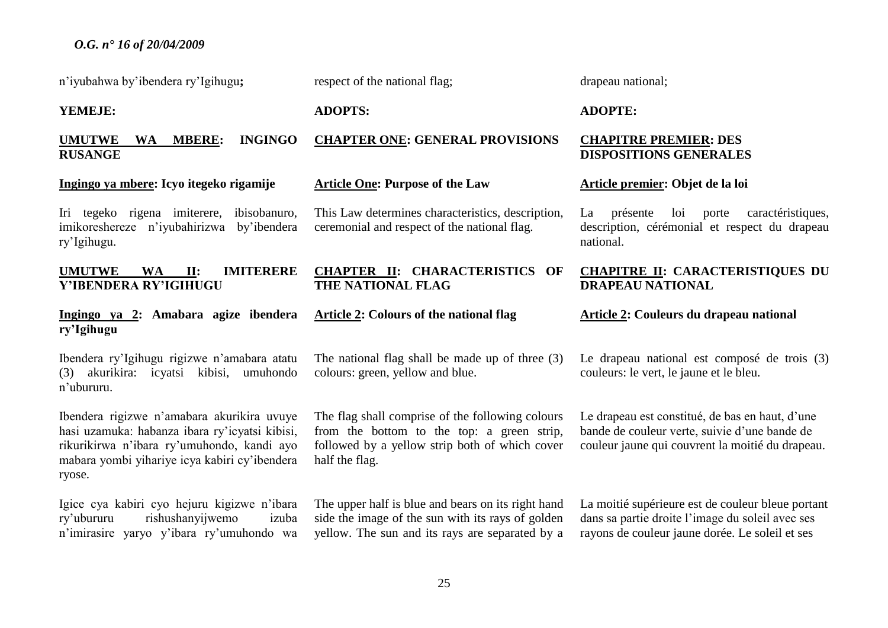n'iyubahwa by'ibendera ry'Igihugu**;**

**YEMEJE:**

# **UMUTWE WA MBERE: INGINGO RUSANGE**

#### **Ingingo ya mbere: Icyo itegeko rigamije**

Iri tegeko rigena imiterere, ibisobanuro, imikoreshereze n'iyubahirizwa by'ibendera ry'Igihugu.

# **UMUTWE WA II: IMITERERE Y'IBENDERA RY'IGIHUGU**

# **Ingingo ya 2: Amabara agize ibendera ry'Igihugu**

Ibendera ry'Igihugu rigizwe n'amabara atatu (3) akurikira: icyatsi kibisi, umuhondo n'ubururu.

Ibendera rigizwe n'amabara akurikira uvuye hasi uzamuka: habanza ibara ry'icyatsi kibisi, rikurikirwa n'ibara ry'umuhondo, kandi ayo mabara yombi yihariye icya kabiri cy'ibendera ryose.

Igice cya kabiri cyo hejuru kigizwe n'ibara ry'ubururu rishushanyijwemo izuba n'imirasire yaryo y'ibara ry'umuhondo wa respect of the national flag;

**ADOPTS:**

# **CHAPTER ONE: GENERAL PROVISIONS**

#### **Article One: Purpose of the Law**

This Law determines characteristics, description, ceremonial and respect of the national flag.

# **CHAPTER II: CHARACTERISTICS OF THE NATIONAL FLAG**

#### **Article 2: Colours of the national flag**

The national flag shall be made up of three (3) colours: green, yellow and blue.

The flag shall comprise of the following colours from the bottom to the top: a green strip, followed by a yellow strip both of which cover half the flag.

The upper half is blue and bears on its right hand side the image of the sun with its rays of golden yellow. The sun and its rays are separated by a drapeau national;

#### **ADOPTE:**

# **CHAPITRE PREMIER: DES DISPOSITIONS GENERALES**

#### **Article premier: Objet de la loi**

La présente loi porte caractéristiques, description, cérémonial et respect du drapeau national.

# **CHAPITRE II: CARACTERISTIQUES DU DRAPEAU NATIONAL**

#### **Article 2: Couleurs du drapeau national**

Le drapeau national est composé de trois  $(3)$ couleurs: le vert, le jaune et le bleu.

Le drapeau est constitué, de bas en haut, d'une bande de couleur verte, suivie d'une bande de couleur jaune qui couvrent la moitié du drapeau.

La moitié supérieure est de couleur bleue portant dans sa partie droite l'image du soleil avec ses rayons de couleur jaune dorée. Le soleil et ses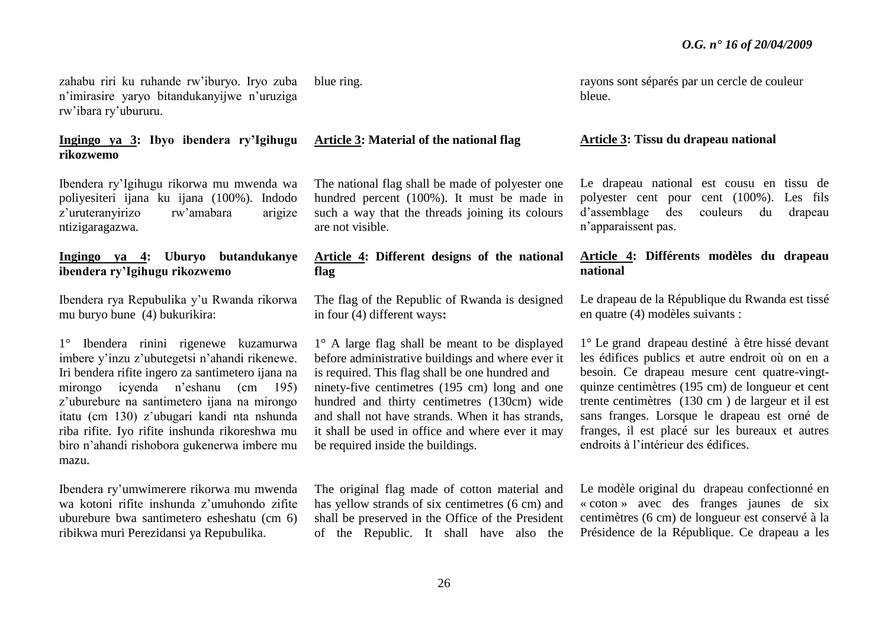zahabu riri ku ruhande rw'iburyo. Iryo zuba n'imirasire yaryo bitandukanyijwe n'uruziga rw'ibara ry'ubururu.

# **Ingingo ya 3: Ibyo ibendera ry'Igihugu rikozwemo**

Ibendera ry'Igihugu rikorwa mu mwenda wa poliyesiteri ijana ku ijana (100%). Indodo z'uruteranyirizo rw'amabara arigize ntizigaragazwa.

# **Ingingo ya 4: Uburyo butandukanye ibendera ry'Igihugu rikozwemo**

Ibendera rya Repubulika y'u Rwanda rikorwa mu buryo bune (4) bukurikira:

1° Ibendera rinini rigenewe kuzamurwa imbere y'inzu z'ubutegetsi n'ahandi rikenewe. Iri bendera rifite ingero za santimetero ijana na mirongo icyenda n'eshanu (cm 195) z'uburebure na santimetero ijana na mirongo itatu (cm 130) z'ubugari kandi nta nshunda riba rifite. Iyo rifite inshunda rikoreshwa mu biro n'ahandi rishobora gukenerwa imbere mu mazu.

Ibendera ry'umwimerere rikorwa mu mwenda wa kotoni rifite inshunda z'umuhondo zifite uburebure bwa santimetero esheshatu (cm 6) ribikwa muri Perezidansi ya Repubulika.

blue ring.

# **Article 3: Material of the national flag**

The national flag shall be made of polyester one hundred percent (100%). It must be made in such a way that the threads joining its colours are not visible.

# **Article 4: Different designs of the national flag**

The flag of the Republic of Rwanda is designed in four (4) different ways**:**

1° A large flag shall be meant to be displayed before administrative buildings and where ever it is required. This flag shall be one hundred and ninety-five centimetres (195 cm) long and one hundred and thirty centimetres (130cm) wide and shall not have strands. When it has strands, it shall be used in office and where ever it may be required inside the buildings.

The original flag made of cotton material and has yellow strands of six centimetres (6 cm) and shall be preserved in the Office of the President of the Republic. It shall have also the

rayons sont séparés par un cercle de couleur bleue.

#### **Article 3: Tissu du drapeau national**

Le drapeau national est cousu en tissu de polyester cent pour cent (100%). Les fils d'assemblage des couleurs du drapeau n'apparaissent pas.

# **Article 4: Différents modèles du drapeau national**

Le drapeau de la République du Rwanda est tissé en quatre (4) modèles suivants :

1° Le grand drapeau destiné à être hissé devant les édifices publics et autre endroit où on en a besoin. Ce drapeau mesure cent quatre-vingtquinze centimètres (195 cm) de longueur et cent trente centimètres (130 cm ) de largeur et il est sans franges. Lorsque le drapeau est orné de franges, il est placé sur les bureaux et autres endroits à l'intérieur des édifices.

Le modèle original du drapeau confectionné en « coton » avec des franges jaunes de six centimètres (6 cm) de longueur est conservé à la Présidence de la République. Ce drapeau a les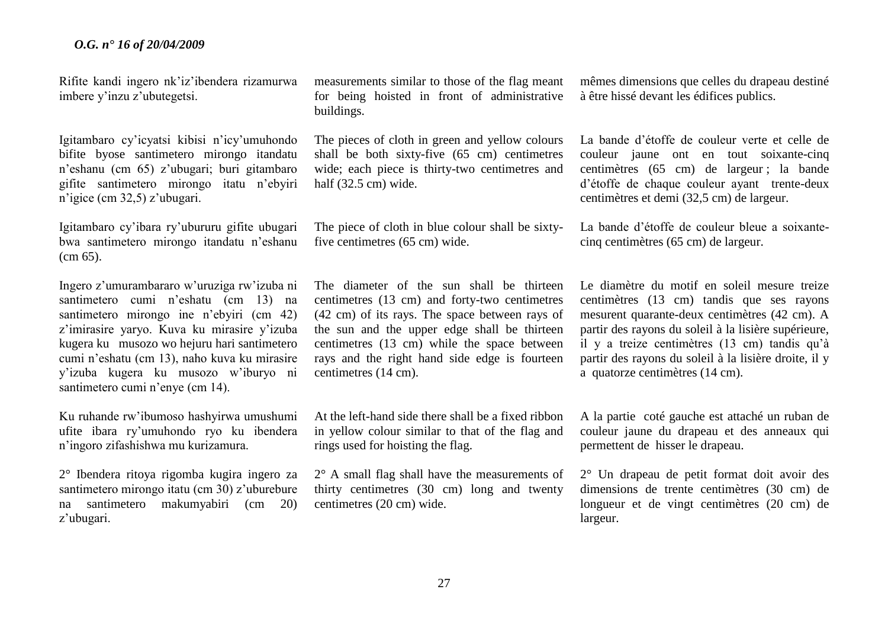Rifite kandi ingero nk'iz'ibendera rizamurwa imbere y'inzu z'ubutegetsi.

Igitambaro cy'icyatsi kibisi n'icy'umuhondo bifite byose santimetero mirongo itandatu n'eshanu (cm 65) z'ubugari; buri gitambaro gifite santimetero mirongo itatu n'ebyiri n'igice (cm 32,5) z'ubugari.

Igitambaro cy'ibara ry'ubururu gifite ubugari bwa santimetero mirongo itandatu n'eshanu (cm 65).

Ingero z'umurambararo w'uruziga rw'izuba ni santimetero cumi n'eshatu (cm 13) na santimetero mirongo ine n'ebyiri (cm 42) z'imirasire yaryo. Kuva ku mirasire y'izuba kugera ku musozo wo hejuru hari santimetero cumi n'eshatu (cm 13), naho kuva ku mirasire y'izuba kugera ku musozo w'iburyo ni santimetero cumi n'enye (cm 14).

Ku ruhande rw'ibumoso hashyirwa umushumi ufite ibara ry'umuhondo ryo ku ibendera n'ingoro zifashishwa mu kurizamura.

2° Ibendera ritoya rigomba kugira ingero za santimetero mirongo itatu (cm 30) z'uburebure na santimetero makumyabiri (cm 20) z'ubugari.

measurements similar to those of the flag meant for being hoisted in front of administrative buildings.

The pieces of cloth in green and yellow colours shall be both sixty-five (65 cm) centimetres wide; each piece is thirty-two centimetres and half (32.5 cm) wide.

The piece of cloth in blue colour shall be sixtyfive centimetres (65 cm) wide.

The diameter of the sun shall be thirteen centimetres (13 cm) and forty-two centimetres (42 cm) of its rays. The space between rays of the sun and the upper edge shall be thirteen centimetres (13 cm) while the space between rays and the right hand side edge is fourteen centimetres (14 cm).

At the left-hand side there shall be a fixed ribbon in yellow colour similar to that of the flag and rings used for hoisting the flag.

2° A small flag shall have the measurements of thirty centimetres (30 cm) long and twenty centimetres (20 cm) wide.

mêmes dimensions que celles du drapeau destiné à être hissé devant les édifices publics.

La bande d'étoffe de couleur verte et celle de couleur jaune ont en tout soixante-cinq centimètres (65 cm) de largeur ; la bande d'étoffe de chaque couleur ayant trente-deux centimètres et demi (32,5 cm) de largeur.

La bande d'étoffe de couleur bleue a soixantecinq centimètres (65 cm) de largeur.

Le diamètre du motif en soleil mesure treize centimètres (13 cm) tandis que ses rayons mesurent quarante-deux centimètres (42 cm). A partir des rayons du soleil à la lisière supérieure, il y a treize centimètres (13 cm) tandis qu'à partir des rayons du soleil à la lisière droite, il y a quatorze centimètres (14 cm).

A la partie coté gauche est attaché un ruban de couleur jaune du drapeau et des anneaux qui permettent de hisser le drapeau.

2° Un drapeau de petit format doit avoir des dimensions de trente centimètres (30 cm) de longueur et de vingt centimètres (20 cm) de largeur.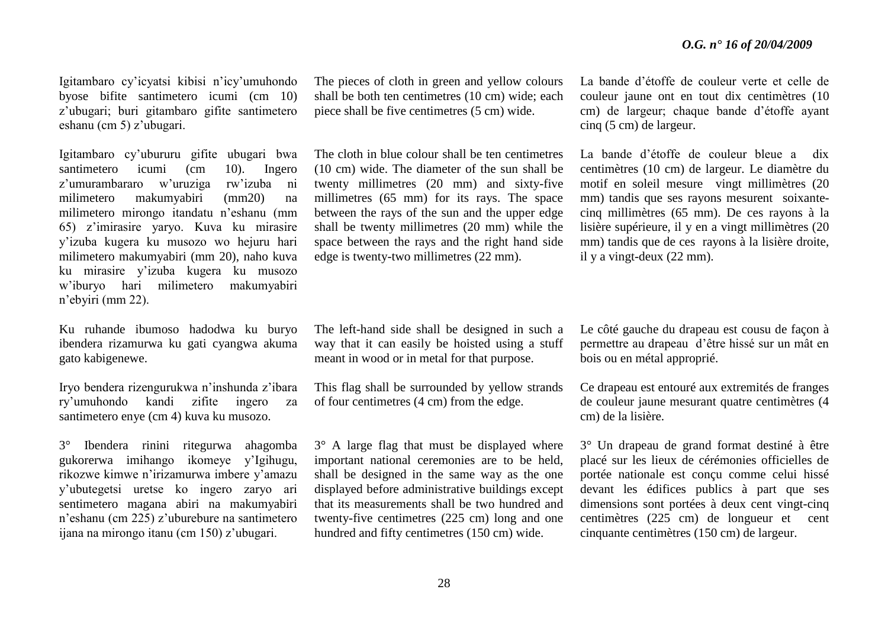Igitambaro cy'icyatsi kibisi n'icy'umuhondo byose bifite santimetero icumi (cm 10) z'ubugari; buri gitambaro gifite santimetero eshanu (cm 5) z'ubugari.

Igitambaro cy'ubururu gifite ubugari bwa santimetero icumi (cm 10). Ingero z'umurambararo w'uruziga rw'izuba ni milimetero makumyabiri (mm20) na milimetero mirongo itandatu n'eshanu (mm 65) z'imirasire yaryo. Kuva ku mirasire y'izuba kugera ku musozo wo hejuru hari milimetero makumyabiri (mm 20), naho kuva ku mirasire y'izuba kugera ku musozo w'iburyo hari milimetero makumyabiri n'ebyiri (mm 22).

Ku ruhande ibumoso hadodwa ku buryo ibendera rizamurwa ku gati cyangwa akuma gato kabigenewe.

Iryo bendera rizengurukwa n'inshunda z'ibara ry'umuhondo kandi zifite ingero za santimetero enye (cm 4) kuva ku musozo.

3° Ibendera rinini ritegurwa ahagomba gukorerwa imihango ikomeye y'Igihugu, rikozwe kimwe n'irizamurwa imbere y'amazu y'ubutegetsi uretse ko ingero zaryo ari sentimetero magana abiri na makumyabiri n'eshanu (cm 225) z'uburebure na santimetero ijana na mirongo itanu (cm 150) z'ubugari.

The pieces of cloth in green and yellow colours shall be both ten centimetres (10 cm) wide; each piece shall be five centimetres (5 cm) wide.

The cloth in blue colour shall be ten centimetres (10 cm) wide. The diameter of the sun shall be twenty millimetres (20 mm) and sixty-five millimetres (65 mm) for its rays. The space between the rays of the sun and the upper edge shall be twenty millimetres (20 mm) while the space between the rays and the right hand side edge is twenty-two millimetres (22 mm).

The left-hand side shall be designed in such a way that it can easily be hoisted using a stuff meant in wood or in metal for that purpose.

This flag shall be surrounded by yellow strands of four centimetres (4 cm) from the edge.

3° A large flag that must be displayed where important national ceremonies are to be held, shall be designed in the same way as the one displayed before administrative buildings except that its measurements shall be two hundred and twenty-five centimetres (225 cm) long and one hundred and fifty centimetres (150 cm) wide.

La bande d'étoffe de couleur verte et celle de couleur jaune ont en tout dix centimètres (10 cm) de largeur; chaque bande d'étoffe ayant cinq (5 cm) de largeur.

La bande d'étoffe de couleur bleue a dix centimètres (10 cm) de largeur. Le diamètre du motif en soleil mesure vingt millimètres (20 mm) tandis que ses rayons mesurent soixantecinq millimètres (65 mm). De ces rayons à la lisière supérieure, il y en a vingt millimètres (20 mm) tandis que de ces rayons à la lisière droite, il y a vingt-deux (22 mm).

Le côté gauche du drapeau est cousu de façon à permettre au drapeau d'être hissé sur un mât en bois ou en métal approprié.

Ce drapeau est entouré aux extremités de franges de couleur jaune mesurant quatre centimètres (4 cm) de la lisière.

3° Un drapeau de grand format destiné à être placé sur les lieux de cérémonies officielles de portée nationale est conçu comme celui hissé devant les édifices publics à part que ses dimensions sont portées à deux cent vingt-cinq centimètres (225 cm) de longueur et cent cinquante centimètres (150 cm) de largeur.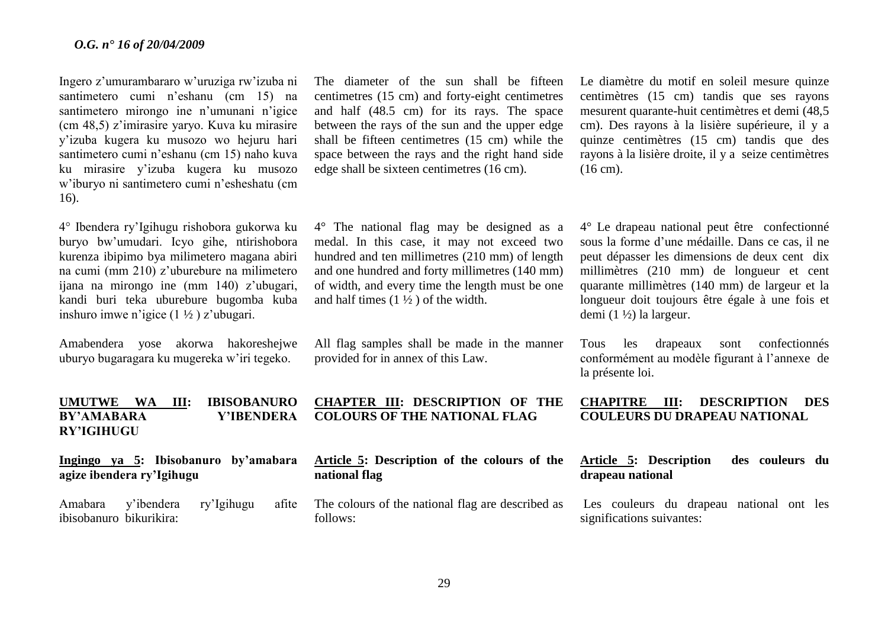Ingero z'umurambararo w'uruziga rw'izuba ni santimetero cumi n'eshanu (cm 15) na santimetero mirongo ine n'umunani n'igice (cm 48,5) z'imirasire yaryo. Kuva ku mirasire y'izuba kugera ku musozo wo hejuru hari santimetero cumi n'eshanu (cm 15) naho kuva ku mirasire y'izuba kugera ku musozo w'iburyo ni santimetero cumi n'esheshatu (cm 16).

4° Ibendera ry'Igihugu rishobora gukorwa ku buryo bw'umudari. Icyo gihe, ntirishobora kurenza ibipimo bya milimetero magana abiri na cumi (mm 210) z'uburebure na milimetero ijana na mirongo ine (mm 140) z'ubugari, kandi buri teka uburebure bugomba kuba inshuro imwe n'igice (1 ½ ) z'ubugari.

Amabendera yose akorwa hakoreshejwe uburyo bugaragara ku mugereka w'iri tegeko.

The diameter of the sun shall be fifteen centimetres (15 cm) and forty-eight centimetres and half (48.5 cm) for its rays. The space between the rays of the sun and the upper edge shall be fifteen centimetres (15 cm) while the space between the rays and the right hand side edge shall be sixteen centimetres (16 cm).

4° The national flag may be designed as a medal. In this case, it may not exceed two hundred and ten millimetres (210 mm) of length and one hundred and forty millimetres (140 mm) of width, and every time the length must be one and half times  $(1 \frac{1}{2})$  of the width.

All flag samples shall be made in the manner provided for in annex of this Law.

**UMUTWE WA III: IBISOBANURO BY'AMABARA Y'IBENDERA RY'IGIHUGU CHAPTER III: DESCRIPTION OF THE COLOURS OF THE NATIONAL FLAG**

**Ingingo ya 5: Ibisobanuro by'amabara agize ibendera ry'Igihugu**

Amabara y'ibendera ry'Igihugu afite ibisobanuro bikurikira:

**Article 5: Description of the colours of the national flag**

The colours of the national flag are described as follows:

Le diamètre du motif en soleil mesure quinze centimètres (15 cm) tandis que ses rayons mesurent quarante-huit centimètres et demi (48,5 cm). Des rayons à la lisière supérieure, il y a quinze centimètres (15 cm) tandis que des rayons à la lisière droite, il y a seize centimètres (16 cm).

4° Le drapeau national peut être confectionné sous la forme d'une médaille. Dans ce cas, il ne peut dépasser les dimensions de deux cent dix millimètres (210 mm) de longueur et cent quarante millimètres (140 mm) de largeur et la longueur doit toujours être égale à une fois et demi (1 ½) la largeur.

Tous les drapeaux sont confectionnés conformément au modèle figurant à l'annexe de la présente loi.

**CHAPITRE III: DESCRIPTION DES COULEURS DU DRAPEAU NATIONAL**

# **Article 5: Description des couleurs du drapeau national**

Les couleurs du drapeau national ont les significations suivantes: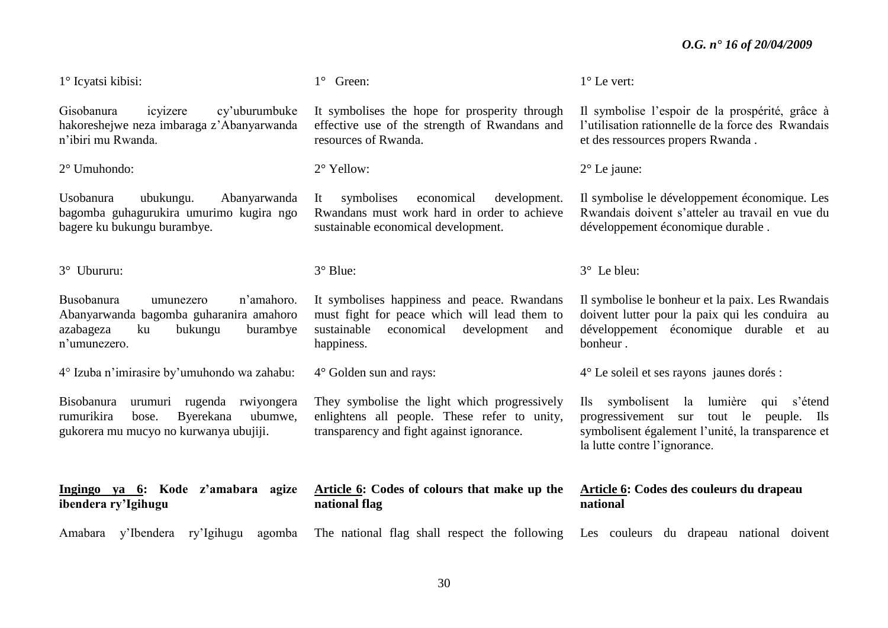1° Icyatsi kibisi:

Gisobanura icyizere cy'uburumbuke hakoreshejwe neza imbaraga z'Abanyarwanda n'ibiri mu Rwanda.

2° Umuhondo:

Usobanura ubukungu. Abanyarwanda bagomba guhagurukira umurimo kugira ngo bagere ku bukungu burambye.

3° Ubururu:

Busobanura umunezero n'amahoro. Abanyarwanda bagomba guharanira amahoro azabageza ku bukungu burambye n'umunezero.

4° Izuba n'imirasire by'umuhondo wa zahabu:

Bisobanura urumuri rugenda rwiyongera rumurikira bose. Byerekana ubumwe, gukorera mu mucyo no kurwanya ubujiji.

**Ingingo ya 6: Kode z'amabara agize ibendera ry'Igihugu**

1° Green:

It symbolises the hope for prosperity through effective use of the strength of Rwandans and resources of Rwanda.

2° Yellow:

It symbolises economical development. Rwandans must work hard in order to achieve sustainable economical development.

3° Blue:

It symbolises happiness and peace. Rwandans must fight for peace which will lead them to sustainable economical development and happiness.

4° Golden sun and rays:

They symbolise the light which progressively enlightens all people. These refer to unity, transparency and fight against ignorance.

**Article 6: Codes of colours that make up the national flag**

Amabara y'Ibendera ry'Igihugu agomba The national flag shall respect the following Les couleurs du drapeau national doivent

1° Le vert:

Il symbolise l'espoir de la prospérité, grâce à l'utilisation rationnelle de la force des Rwandais et des ressources propers Rwanda .

2° Le jaune:

Il symbolise le développement économique. Les Rwandais doivent s'atteler au travail en vue du développement économique durable .

3° Le bleu:

Il symbolise le bonheur et la paix. Les Rwandais doivent lutter pour la paix qui les conduira au développement économique durable et au bonheur .

4° Le soleil et ses rayons jaunes dorés :

Ils symbolisent la lumière qui s'étend progressivement sur tout le peuple. Ils symbolisent également l'unité, la transparence et la lutte contre l'ignorance.

# **Article 6: Codes des couleurs du drapeau national**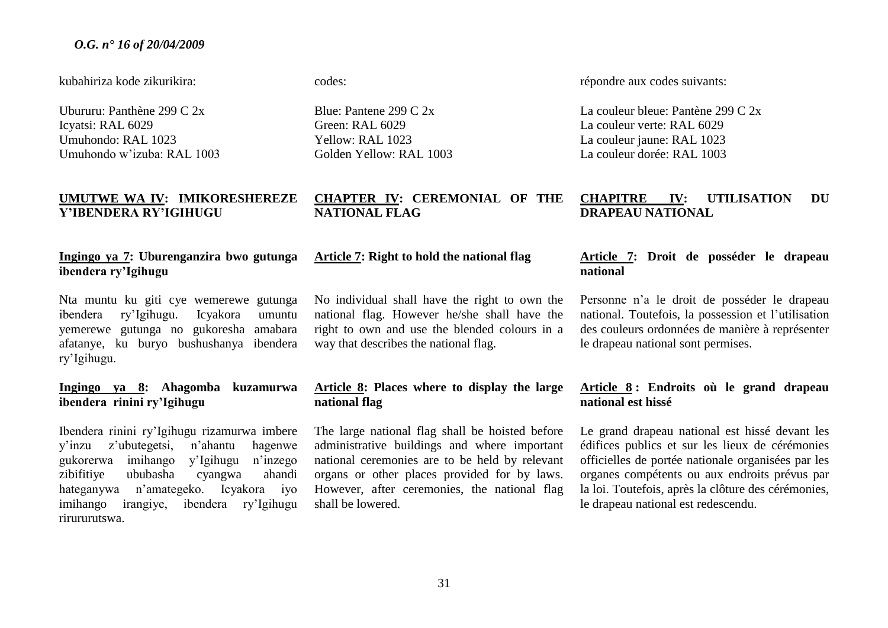kubahiriza kode zikurikira:

Ubururu: Panthène 299 C 2x Icyatsi: RAL 6029 Umuhondo: RAL 1023 Umuhondo w'izuba: RAL 1003

# **UMUTWE WA IV: IMIKORESHEREZE Y'IBENDERA RY'IGIHUGU**

# **Ingingo ya 7: Uburenganzira bwo gutunga ibendera ry'Igihugu**

Nta muntu ku giti cye wemerewe gutunga ibendera ry'Igihugu. Icyakora umuntu yemerewe gutunga no gukoresha amabara afatanye, ku buryo bushushanya ibendera ry'Igihugu.

# **Ingingo ya 8: Ahagomba kuzamurwa ibendera rinini ry'Igihugu**

Ibendera rinini ry'Igihugu rizamurwa imbere y'inzu z'ubutegetsi, n'ahantu hagenwe gukorerwa imihango y'Igihugu n'inzego zibifitiye ububasha cyangwa ahandi hateganywa n'amategeko. Icyakora iyo imihango irangiye, ibendera ry'Igihugu rirururutswa.

#### codes:

Blue: Pantene 299  $C$  2x Green: RAL 6029 Yellow: RAL 1023 Golden Yellow: RAL 1003

# **CHAPTER IV: CEREMONIAL OF THE NATIONAL FLAG**

# **Article 7: Right to hold the national flag**

No individual shall have the right to own the national flag. However he/she shall have the right to own and use the blended colours in a way that describes the national flag.

# **Article 8: Places where to display the large national flag**

The large national flag shall be hoisted before administrative buildings and where important national ceremonies are to be held by relevant organs or other places provided for by laws. However, after ceremonies, the national flag shall be lowered.

répondre aux codes suivants:

La couleur bleue: Pantène 299 C 2x La couleur verte: RAL 6029 La couleur jaune: RAL 1023 La couleur dorée: RAL 1003

# **CHAPITRE IV: UTILISATION DU DRAPEAU NATIONAL**

# **Article 7: Droit de posséder le drapeau national**

Personne n'a le droit de posséder le drapeau national. Toutefois, la possession et l'utilisation des couleurs ordonnées de manière à représenter le drapeau national sont permises.

# **Article 8 : Endroits où le grand drapeau national est hissé**

Le grand drapeau national est hissé devant les édifices publics et sur les lieux de cérémonies officielles de portée nationale organisées par les organes compétents ou aux endroits prévus par la loi. Toutefois, après la clôture des cérémonies, le drapeau national est redescendu.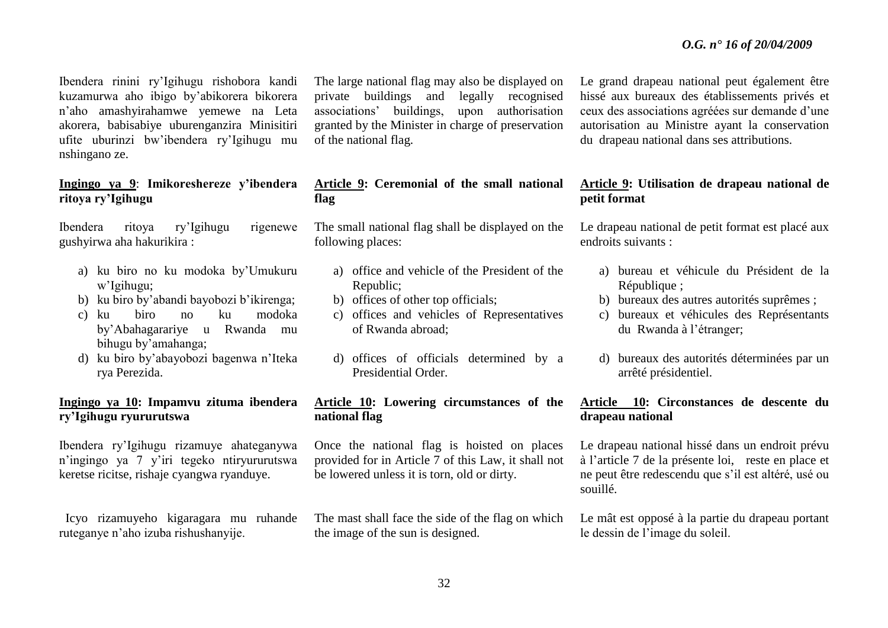Ibendera rinini ry'Igihugu rishobora kandi kuzamurwa aho ibigo by'abikorera bikorera n'aho amashyirahamwe yemewe na Leta akorera, babisabiye uburenganzira Minisitiri ufite uburinzi bw'ibendera ry'Igihugu mu nshingano ze.

# **Ingingo ya 9**: **Imikoreshereze y'ibendera ritoya ry'Igihugu**

Ibendera ritoya ry'Igihugu rigenewe gushyirwa aha hakurikira :

- a) ku biro no ku modoka by'Umukuru w'Igihugu;
- b) ku biro by'abandi bayobozi b'ikirenga;
- c) ku biro no ku modoka by'Abahagarariye u Rwanda mu bihugu by'amahanga;
- d) ku biro by'abayobozi bagenwa n'Iteka rya Perezida.

# **Ingingo ya 10: Impamvu zituma ibendera ry'Igihugu ryururutswa**

Ibendera ry'Igihugu rizamuye ahateganywa n'ingingo ya 7 y'iri tegeko ntiryururutswa keretse ricitse, rishaje cyangwa ryanduye.

 Icyo rizamuyeho kigaragara mu ruhande ruteganye n'aho izuba rishushanyije.

The large national flag may also be displayed on private buildings and legally recognised associations' buildings, upon authorisation granted by the Minister in charge of preservation of the national flag.

# **Article 9: Ceremonial of the small national flag**

The small national flag shall be displayed on the following places:

- a) office and vehicle of the President of the Republic;
- b) offices of other top officials;
- c) offices and vehicles of Representatives of Rwanda abroad;
- d) offices of officials determined by a Presidential Order.

# **Article 10: Lowering circumstances of the national flag**

Once the national flag is hoisted on places provided for in Article 7 of this Law, it shall not be lowered unless it is torn, old or dirty.

The mast shall face the side of the flag on which the image of the sun is designed.

Le grand drapeau national peut également être hissé aux bureaux des établissements privés et ceux des associations agréées sur demande d'une autorisation au Ministre ayant la conservation du drapeau national dans ses attributions.

# **Article 9: Utilisation de drapeau national de petit format**

Le drapeau national de petit format est placé aux endroits suivants :

- a) bureau et véhicule du Président de la République :
- b) bureaux des autres autorités suprêmes ;
- c) bureaux et véhicules des Représentants du Rwanda à l'étranger;
- d) bureaux des autorités déterminées par un arrêté présidentiel.

# **Article 10: Circonstances de descente du drapeau national**

Le drapeau national hissé dans un endroit prévu à l'article 7 de la présente loi, reste en place et ne peut être redescendu que s'il est altéré, usé ou souillé.

Le mât est opposé à la partie du drapeau portant le dessin de l'image du soleil.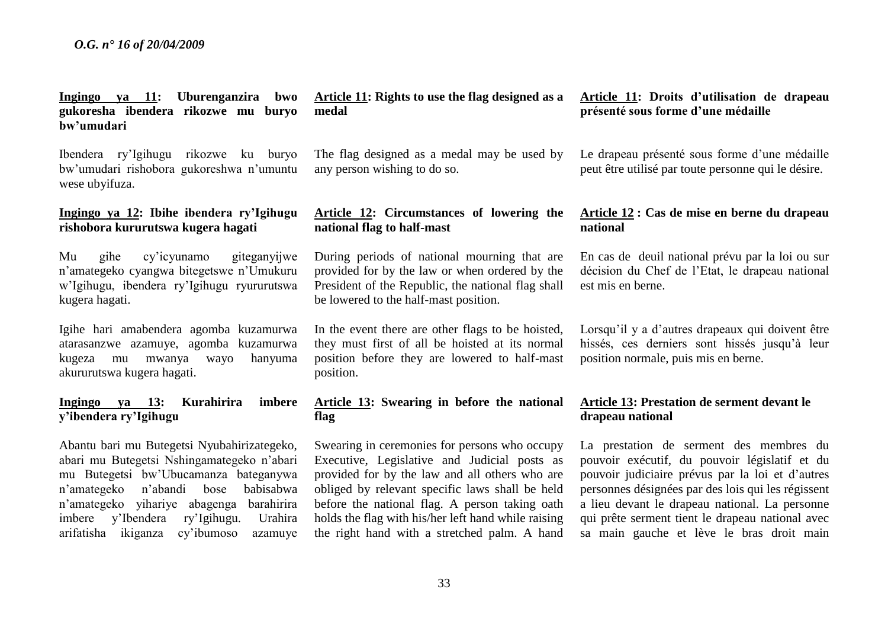**Ingingo ya 11: Uburenganzira bwo gukoresha ibendera rikozwe mu buryo bw'umudari**

Ibendera ry'Igihugu rikozwe ku buryo bw'umudari rishobora gukoreshwa n'umuntu wese ubyifuza.

# **Ingingo ya 12: Ibihe ibendera ry'Igihugu rishobora kururutswa kugera hagati**

Mu gihe cy'icyunamo giteganyijwe n'amategeko cyangwa bitegetswe n'Umukuru w'Igihugu, ibendera ry'Igihugu ryururutswa kugera hagati.

Igihe hari amabendera agomba kuzamurwa atarasanzwe azamuye, agomba kuzamurwa kugeza mu mwanya wayo hanyuma akururutswa kugera hagati.

# **Ingingo ya 13: Kurahirira imbere y'ibendera ry'Igihugu**

Abantu bari mu Butegetsi Nyubahirizategeko, abari mu Butegetsi Nshingamategeko n'abari mu Butegetsi bw'Ubucamanza bateganywa n'amategeko n'abandi bose babisabwa n'amategeko yihariye abagenga barahirira imbere y'Ibendera ry'Igihugu. Urahira arifatisha ikiganza cy'ibumoso azamuye **Article 11: Rights to use the flag designed as a medal**

The flag designed as a medal may be used by any person wishing to do so.

# **Article 12: Circumstances of lowering the national flag to half-mast**

During periods of national mourning that are provided for by the law or when ordered by the President of the Republic, the national flag shall be lowered to the half-mast position.

In the event there are other flags to be hoisted, they must first of all be hoisted at its normal position before they are lowered to half-mast position.

# **Article 13: Swearing in before the national flag**

Swearing in ceremonies for persons who occupy Executive, Legislative and Judicial posts as provided for by the law and all others who are obliged by relevant specific laws shall be held before the national flag. A person taking oath holds the flag with his/her left hand while raising the right hand with a stretched palm. A hand

# **Article 11: Droits d'utilisation de drapeau présenté sous forme d'une médaille**

Le drapeau présenté sous forme d'une médaille peut être utilisé par toute personne qui le désire.

# **Article 12 : Cas de mise en berne du drapeau national**

En cas de deuil national prévu par la loi ou sur décision du Chef de l'Etat, le drapeau national est mis en berne.

Lorsqu'il y a d'autres drapeaux qui doivent être hissés, ces derniers sont hissés jusqu'à leur position normale, puis mis en berne.

# **Article 13: Prestation de serment devant le drapeau national**

La prestation de serment des membres du pouvoir exécutif, du pouvoir législatif et du pouvoir judiciaire prévus par la loi et d'autres personnes désignées par des lois qui les régissent a lieu devant le drapeau national. La personne qui prête serment tient le drapeau national avec sa main gauche et lève le bras droit main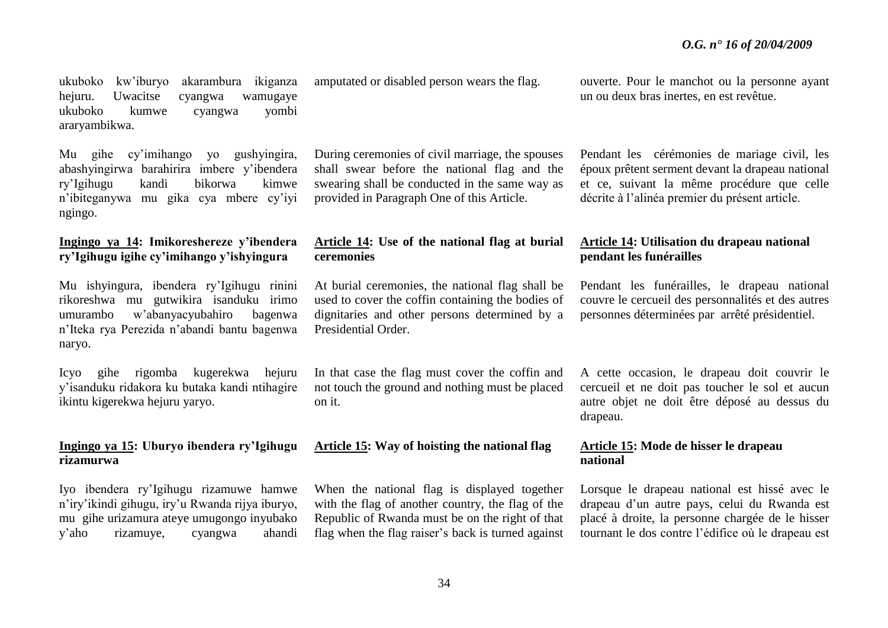ukuboko kw'iburyo akarambura ikiganza hejuru. Uwacitse cyangwa wamugaye ukuboko kumwe cyangwa yombi araryambikwa.

Mu gihe cy'imihango yo gushyingira, abashyingirwa barahirira imbere y'ibendera ry'Igihugu kandi bikorwa kimwe n'ibiteganywa mu gika cya mbere cy'iyi ngingo.

# **Ingingo ya 14: Imikoreshereze y'ibendera ry'Igihugu igihe cy'imihango y'ishyingura**

Mu ishyingura, ibendera ry'Igihugu rinini rikoreshwa mu gutwikira isanduku irimo umurambo w'abanyacyubahiro bagenwa n'Iteka rya Perezida n'abandi bantu bagenwa naryo.

Icyo gihe rigomba kugerekwa hejuru y'isanduku ridakora ku butaka kandi ntihagire ikintu kigerekwa hejuru yaryo.

# **Ingingo ya 15: Uburyo ibendera ry'Igihugu rizamurwa**

Iyo ibendera ry'Igihugu rizamuwe hamwe n'iry'ikindi gihugu, iry'u Rwanda rijya iburyo, mu gihe urizamura ateye umugongo inyubako y'aho rizamuye, cyangwa ahandi amputated or disabled person wears the flag.

During ceremonies of civil marriage, the spouses shall swear before the national flag and the swearing shall be conducted in the same way as provided in Paragraph One of this Article.

# **Article 14: Use of the national flag at burial ceremonies**

At burial ceremonies, the national flag shall be used to cover the coffin containing the bodies of dignitaries and other persons determined by a Presidential Order.

In that case the flag must cover the coffin and not touch the ground and nothing must be placed on it.

# **Article 15: Way of hoisting the national flag**

When the national flag is displayed together with the flag of another country, the flag of the Republic of Rwanda must be on the right of that flag when the flag raiser's back is turned against ouverte. Pour le manchot ou la personne ayant un ou deux bras inertes, en est revêtue.

Pendant les cérémonies de mariage civil, les époux prêtent serment devant la drapeau national et ce, suivant la même procédure que celle décrite à l'alinéa premier du présent article.

# **Article 14: Utilisation du drapeau national pendant les funérailles**

Pendant les funérailles, le drapeau national couvre le cercueil des personnalités et des autres personnes déterminées par arrêté présidentiel.

A cette occasion, le drapeau doit couvrir le cercueil et ne doit pas toucher le sol et aucun autre objet ne doit être déposé au dessus du drapeau.

# **Article 15: Mode de hisser le drapeau national**

Lorsque le drapeau national est hissé avec le drapeau d'un autre pays, celui du Rwanda est placé à droite, la personne chargée de le hisser tournant le dos contre l'édifice où le drapeau est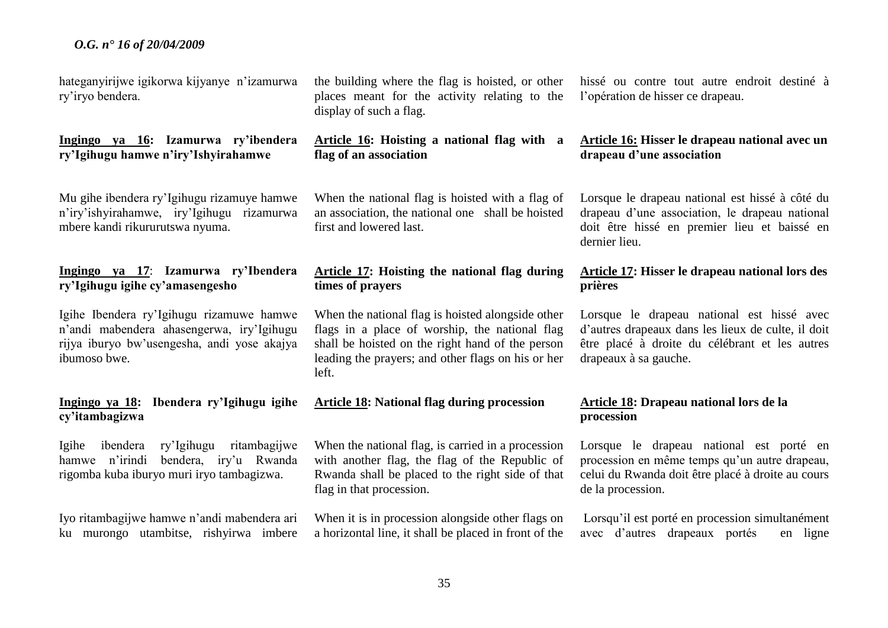hateganyirijwe igikorwa kijyanye n'izamurwa ry'iryo bendera.

# **Ingingo ya 16: Izamurwa ry'ibendera ry'Igihugu hamwe n'iry'Ishyirahamwe**

Mu gihe ibendera ry'Igihugu rizamuye hamwe n'iry'ishyirahamwe, iry'Igihugu rizamurwa mbere kandi rikururutswa nyuma.

# **Ingingo ya 17**: **Izamurwa ry'Ibendera ry'Igihugu igihe cy'amasengesho**

Igihe Ibendera ry'Igihugu rizamuwe hamwe n'andi mabendera ahasengerwa, iry'Igihugu rijya iburyo bw'usengesha, andi yose akajya ibumoso bwe.

# **Ingingo ya 18: Ibendera ry'Igihugu igihe cy'itambagizwa**

Igihe ibendera ry'Igihugu ritambagijwe hamwe n'irindi bendera, iry'u Rwanda rigomba kuba iburyo muri iryo tambagizwa.

Iyo ritambagijwe hamwe n'andi mabendera ari ku murongo utambitse, rishyirwa imbere the building where the flag is hoisted, or other places meant for the activity relating to the display of such a flag.

# **Article 16: Hoisting a national flag with a flag of an association**

When the national flag is hoisted with a flag of an association, the national one shall be hoisted first and lowered last.

# **Article 17: Hoisting the national flag during times of prayers**

When the national flag is hoisted alongside other flags in a place of worship, the national flag shall be hoisted on the right hand of the person leading the prayers; and other flags on his or her left.

#### **Article 18: National flag during procession**

When the national flag, is carried in a procession with another flag, the flag of the Republic of Rwanda shall be placed to the right side of that flag in that procession.

When it is in procession alongside other flags on a horizontal line, it shall be placed in front of the

hissé ou contre tout autre endroit destiné à l'opération de hisser ce drapeau.

# **Article 16: Hisser le drapeau national avec un drapeau d'une association**

Lorsque le drapeau national est hissé à côté du drapeau d'une association, le drapeau national doit être hissé en premier lieu et baissé en dernier lieu.

# **Article 17: Hisser le drapeau national lors des prières**

Lorsque le drapeau national est hissé avec d'autres drapeaux dans les lieux de culte, il doit être placé à droite du célébrant et les autres drapeaux à sa gauche.

# **Article 18: Drapeau national lors de la procession**

Lorsque le drapeau national est porté en procession en même temps qu'un autre drapeau, celui du Rwanda doit être placé à droite au cours de la procession.

Lorsqu'il est porté en procession simultanément avec d'autres drapeaux portés en ligne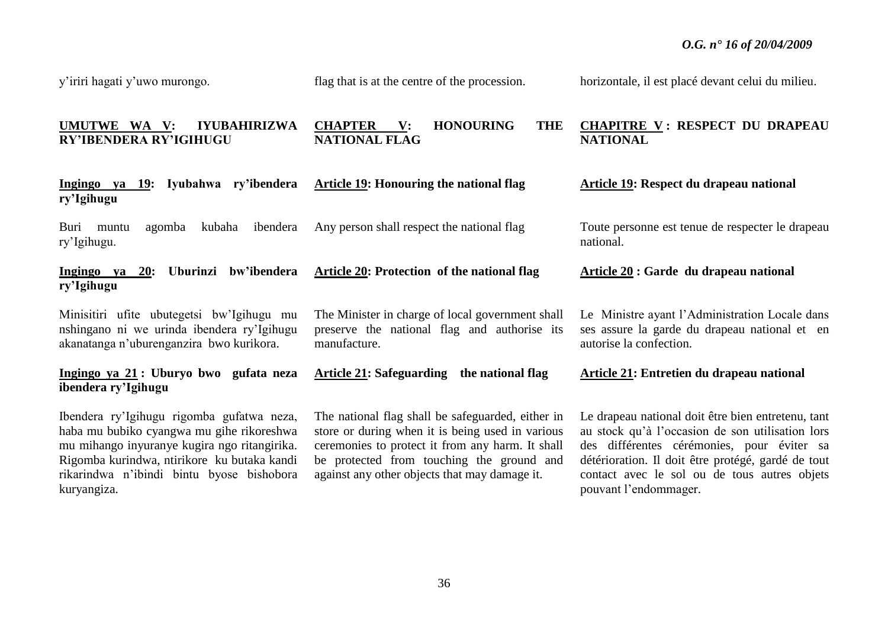y'iriri hagati y'uwo murongo.

flag that is at the centre of the procession.

**Article 19: Honouring the national flag**

Any person shall respect the national flag

**Article 20: Protection of the national flag**

horizontale, il est placé devant celui du milieu.

#### **UMUTWE WA V: IYUBAHIRIZWA RY'IBENDERA RY'IGIHUGU CHAPTER V: HONOURING THE NATIONAL FLAG CHAPITRE V : RESPECT DU DRAPEAU NATIONAL**

**Ingingo ya 19: Iyubahwa ry'ibendera ry'Igihugu**

Buri muntu agomba kubaha ibendera ry'Igihugu.

**Ingingo ya 20: Uburinzi bw'ibendera ry'Igihugu**

Minisitiri ufite ubutegetsi bw'Igihugu mu nshingano ni we urinda ibendera ry'Igihugu akanatanga n'uburenganzira bwo kurikora.

# **Ingingo ya 21 : Uburyo bwo gufata neza ibendera ry'Igihugu**

Ibendera ry'Igihugu rigomba gufatwa neza, haba mu bubiko cyangwa mu gihe rikoreshwa mu mihango inyuranye kugira ngo ritangirika. Rigomba kurindwa, ntirikore ku butaka kandi rikarindwa n'ibindi bintu byose bishobora kuryangiza.

The Minister in charge of local government shall preserve the national flag and authorise its manufacture.

|  | <b>Article 21:</b> Safeguarding the national flag |
|--|---------------------------------------------------|
|  |                                                   |

The national flag shall be safeguarded, either in store or during when it is being used in various ceremonies to protect it from any harm. It shall be protected from touching the ground and against any other objects that may damage it.

**Article 19: Respect du drapeau national**

Toute personne est tenue de respecter le drapeau national.

**Article 20 : Garde du drapeau national**

Le Ministre ayant l'Administration Locale dans ses assure la garde du drapeau national et en autorise la confection.

**Article 21: Entretien du drapeau national**

Le drapeau national doit être bien entretenu, tant au stock qu'à l'occasion de son utilisation lors des différentes cérémonies, pour éviter sa détérioration. Il doit être protégé, gardé de tout contact avec le sol ou de tous autres objets pouvant l'endommager.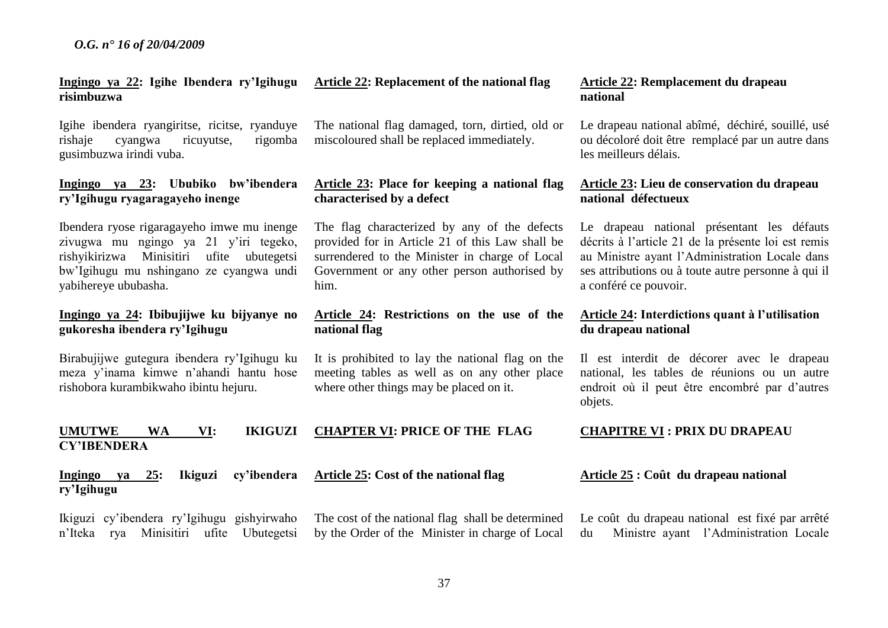The cost of the national flag shall be determined by the Order of the Minister in charge of Local

# **Ingingo ya 22: Igihe Ibendera ry'Igihugu risimbuzwa**

Igihe ibendera ryangiritse, ricitse, ryanduye rishaje cyangwa ricuyutse, rigomba gusimbuzwa irindi vuba.

# **Ingingo ya 23: Ububiko bw'ibendera ry'Igihugu ryagaragayeho inenge**

Ibendera ryose rigaragayeho imwe mu inenge zivugwa mu ngingo ya 21 y'iri tegeko, rishyikirizwa Minisitiri ufite ubutegetsi bw'Igihugu mu nshingano ze cyangwa undi yabihereye ububasha.

# **Ingingo ya 24: Ibibujijwe ku bijyanye no gukoresha ibendera ry'Igihugu**

Birabujijwe gutegura ibendera ry'Igihugu ku meza y'inama kimwe n'ahandi hantu hose rishobora kurambikwaho ibintu hejuru.

#### **UMUTWE WA VI: IKIGUZI CY'IBENDERA CHAPTER VI: PRICE OF THE FLAG**

**Ingingo ya 25: Ikiguzi cy'ibendera ry'Igihugu Article 25: Cost of the national flag**

Ikiguzi cy'ibendera ry'Igihugu gishyirwaho n'Iteka rya Minisitiri ufite Ubutegetsi The national flag damaged, torn, dirtied, old or miscoloured shall be replaced immediately.

# **Article 23: Place for keeping a national flag characterised by a defect**

The flag characterized by any of the defects provided for in Article 21 of this Law shall be surrendered to the Minister in charge of Local Government or any other person authorised by him.

# **Article 24: Restrictions on the use of the national flag**

It is prohibited to lay the national flag on the meeting tables as well as on any other place where other things may be placed on it.

#### **Article 22: Replacement of the national flag Article 22: Remplacement du drapeau national**

Le drapeau national abîmé, déchiré, souillé, usé ou décoloré doit être remplacé par un autre dans les meilleurs délais.

#### **Article 23: Lieu de conservation du drapeau national défectueux**

Le drapeau national présentant les défauts décrits à l'article 21 de la présente loi est remis au Ministre ayant l'Administration Locale dans ses attributions ou à toute autre personne à qui il a conféré ce pouvoir.

# **Article 24: Interdictions quant à l'utilisation du drapeau national**

Il est interdit de décorer avec le drapeau national, les tables de réunions ou un autre endroit où il peut être encombré par d'autres objets.

#### **CHAPITRE VI : PRIX DU DRAPEAU**

#### **Article 25 : Coût du drapeau national**

Le coût du drapeau national est fixé par arrêté du Ministre ayant l'Administration Locale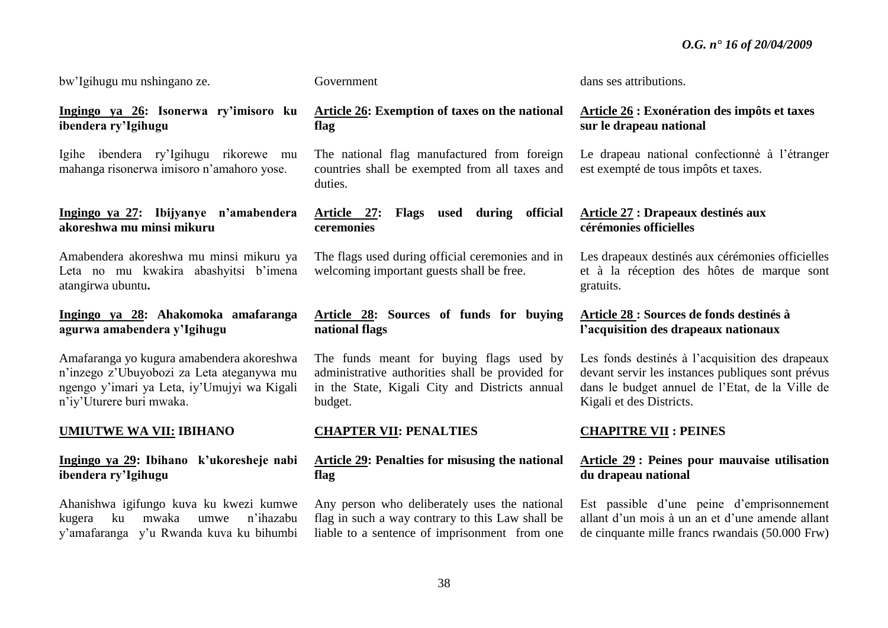bw'Igihugu mu nshingano ze.

# **Ingingo ya 26: Isonerwa ry'imisoro ku ibendera ry'Igihugu**

Igihe ibendera ry'Igihugu rikorewe mu mahanga risonerwa imisoro n'amahoro yose.

# **Ingingo ya 27: Ibijyanye n'amabendera akoreshwa mu minsi mikuru**

Amabendera akoreshwa mu minsi mikuru ya Leta no mu kwakira abashyitsi b'imena atangirwa ubuntu**.**

# **Ingingo ya 28: Ahakomoka amafaranga agurwa amabendera y'Igihugu**

Amafaranga yo kugura amabendera akoreshwa n'inzego z'Ubuyobozi za Leta ateganywa mu ngengo y'imari ya Leta, iy'Umujyi wa Kigali n'iy'Uturere buri mwaka.

# **UMIUTWE WA VII: IBIHANO**

# **Ingingo ya 29: Ibihano k'ukoresheje nabi ibendera ry'Igihugu**

Ahanishwa igifungo kuva ku kwezi kumwe kugera ku mwaka umwe n'ihazabu y'amafaranga y'u Rwanda kuva ku bihumbi Government

# **Article 26: Exemption of taxes on the national flag**

The national flag manufactured from foreign countries shall be exempted from all taxes and duties.

# **Article 27: Flags used during official ceremonies**

The flags used during official ceremonies and in welcoming important guests shall be free.

# **Article 28: Sources of funds for buying national flags**

The funds meant for buying flags used by administrative authorities shall be provided for in the State, Kigali City and Districts annual budget.

# **CHAPTER VII: PENALTIES**

# **Article 29: Penalties for misusing the national flag**

Any person who deliberately uses the national flag in such a way contrary to this Law shall be liable to a sentence of imprisonment from one dans ses attributions.

# **Article 26 : Exonération des impôts et taxes sur le drapeau national**

Le drapeau national confectionné à l'étranger est exempté de tous impôts et taxes.

# **Article 27 : Drapeaux destinés aux cérémonies officielles**

Les drapeaux destinés aux cérémonies officielles et à la réception des hôtes de marque sont gratuits.

# **Article 28 : Sources de fonds destinés à l'acquisition des drapeaux nationaux**

Les fonds destinés à l'acquisition des drapeaux devant servir les instances publiques sont prévus dans le budget annuel de l'Etat, de la Ville de Kigali et des Districts.

# **CHAPITRE VII : PEINES**

# **Article 29 : Peines pour mauvaise utilisation du drapeau national**

Est passible d'une peine d'emprisonnement allant d'un mois à un an et d'une amende allant de cinquante mille francs rwandais (50.000 Frw)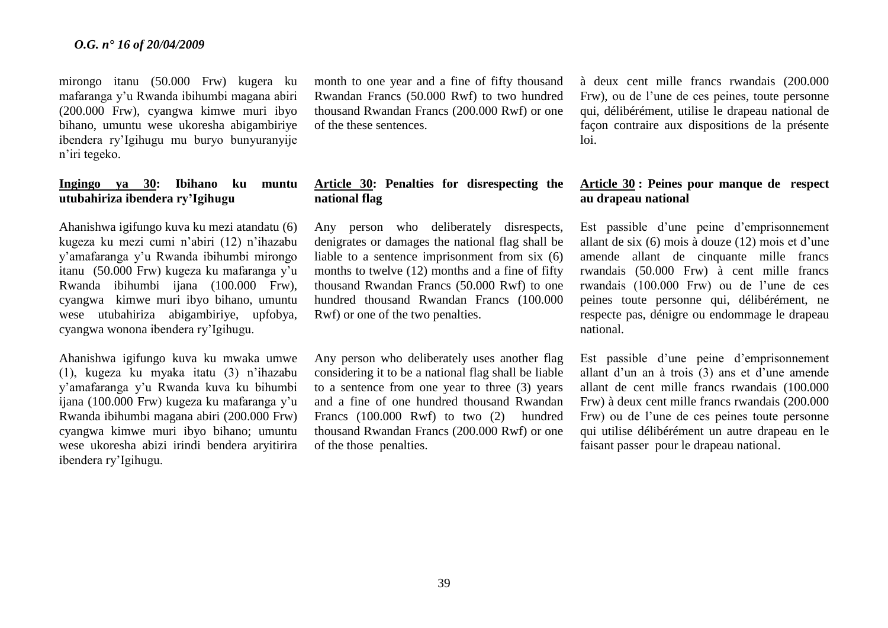mirongo itanu (50.000 Frw) kugera ku mafaranga y'u Rwanda ibihumbi magana abiri (200.000 Frw), cyangwa kimwe muri ibyo bihano, umuntu wese ukoresha abigambiriye ibendera ry'Igihugu mu buryo bunyuranyije n'iri tegeko.

# **Ingingo ya 30: Ibihano ku muntu utubahiriza ibendera ry'Igihugu**

Ahanishwa igifungo kuva ku mezi atandatu (6) kugeza ku mezi cumi n'abiri (12) n'ihazabu y'amafaranga y'u Rwanda ibihumbi mirongo itanu (50.000 Frw) kugeza ku mafaranga y'u Rwanda ibihumbi ijana (100.000 Frw), cyangwa kimwe muri ibyo bihano, umuntu wese utubahiriza abigambiriye, upfobya, cyangwa wonona ibendera ry'Igihugu.

Ahanishwa igifungo kuva ku mwaka umwe (1), kugeza ku myaka itatu (3) n'ihazabu y'amafaranga y'u Rwanda kuva ku bihumbi ijana (100.000 Frw) kugeza ku mafaranga y'u Rwanda ibihumbi magana abiri (200.000 Frw) cyangwa kimwe muri ibyo bihano; umuntu wese ukoresha abizi irindi bendera aryitirira ibendera ry'Igihugu.

month to one year and a fine of fifty thousand Rwandan Francs (50.000 Rwf) to two hundred thousand Rwandan Francs (200.000 Rwf) or one of the these sentences.

# **Article 30: Penalties for disrespecting the national flag**

Any person who deliberately disrespects, denigrates or damages the national flag shall be liable to a sentence imprisonment from six (6) months to twelve (12) months and a fine of fifty thousand Rwandan Francs (50.000 Rwf) to one hundred thousand Rwandan Francs (100.000 Rwf) or one of the two penalties.

Any person who deliberately uses another flag considering it to be a national flag shall be liable to a sentence from one year to three (3) years and a fine of one hundred thousand Rwandan Francs (100.000 Rwf) to two (2) hundred thousand Rwandan Francs (200.000 Rwf) or one of the those penalties.

à deux cent mille francs rwandais (200.000 Frw), ou de l'une de ces peines, toute personne qui, délibérément, utilise le drapeau national de façon contraire aux dispositions de la présente loi.

#### **Article 30 : Peines pour manque de respect au drapeau national**

Est passible d'une peine d'emprisonnement allant de six (6) mois à douze (12) mois et d'une amende allant de cinquante mille francs rwandais (50.000 Frw) à cent mille francs rwandais (100.000 Frw) ou de l'une de ces peines toute personne qui, délibérément, ne respecte pas, dénigre ou endommage le drapeau national.

Est passible d'une peine d'emprisonnement allant d'un an à trois (3) ans et d'une amende allant de cent mille francs rwandais (100.000 Frw) à deux cent mille francs rwandais (200.000 Frw) ou de l'une de ces peines toute personne qui utilise délibérément un autre drapeau en le faisant passer pour le drapeau national.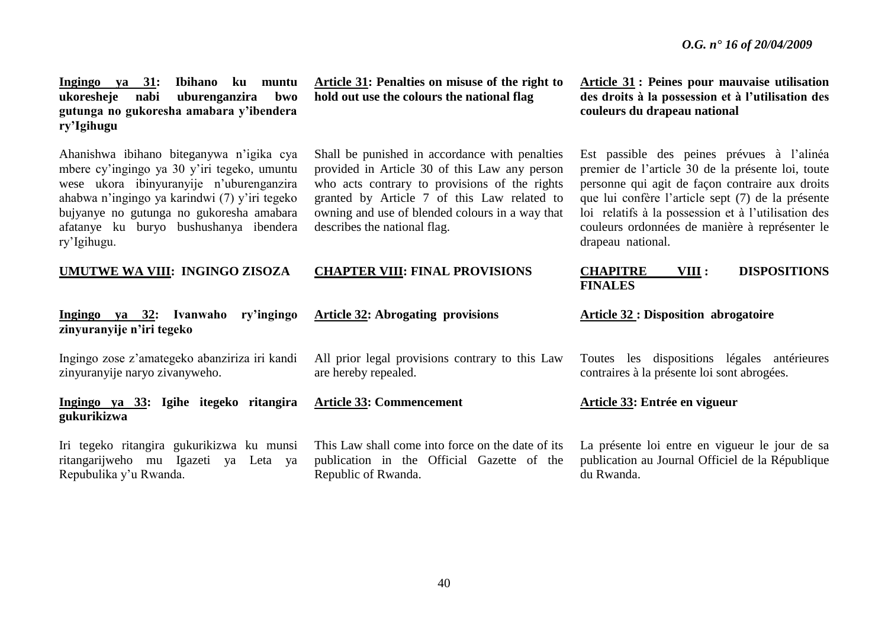**Ingingo ya 31: Ibihano ku muntu ukoresheje nabi uburenganzira bwo gutunga no gukoresha amabara y'ibendera ry'Igihugu**

Ahanishwa ibihano biteganywa n'igika cya mbere cy'ingingo ya 30 y'iri tegeko, umuntu wese ukora ibinyuranyije n'uburenganzira ahabwa n'ingingo ya karindwi (7) y'iri tegeko bujyanye no gutunga no gukoresha amabara afatanye ku buryo bushushanya ibendera ry'Igihugu.

#### **UMUTWE WA VIII: INGINGO ZISOZA**

#### **Ingingo ya 32: Ivanwaho ry'ingingo zinyuranyije n'iri tegeko**

Ingingo zose z'amategeko abanziriza iri kandi zinyuranyije naryo zivanyweho.

**Ingingo ya 33: Igihe itegeko ritangira gukurikizwa**

Iri tegeko ritangira gukurikizwa ku munsi ritangarijweho mu Igazeti ya Leta ya Repubulika y'u Rwanda.

**Article 31: Penalties on misuse of the right to hold out use the colours the national flag**

Shall be punished in accordance with penalties provided in Article 30 of this Law any person who acts contrary to provisions of the rights granted by Article 7 of this Law related to owning and use of blended colours in a way that describes the national flag.

#### **CHAPTER VIII: FINAL PROVISIONS**

#### **Article 32: Abrogating provisions**

All prior legal provisions contrary to this Law are hereby repealed.

#### **Article 33: Commencement**

This Law shall come into force on the date of its publication in the Official Gazette of the Republic of Rwanda.

**Article 31 : Peines pour mauvaise utilisation des droits à la possession et à l'utilisation des couleurs du drapeau national**

Est passible des peines prévues à l'alinéa premier de l'article 30 de la présente loi, toute personne qui agit de façon contraire aux droits que lui confère l'article sept (7) de la présente loi relatifs à la possession et à l'utilisation des couleurs ordonnées de manière à représenter le drapeau national.

#### **CHAPITRE VIII : DISPOSITIONS FINALES**

#### **Article 32 : Disposition abrogatoire**

Toutes les dispositions légales antérieures contraires à la présente loi sont abrogées.

#### **Article 33: Entrée en vigueur**

La présente loi entre en vigueur le jour de sa publication au Journal Officiel de la République du Rwanda.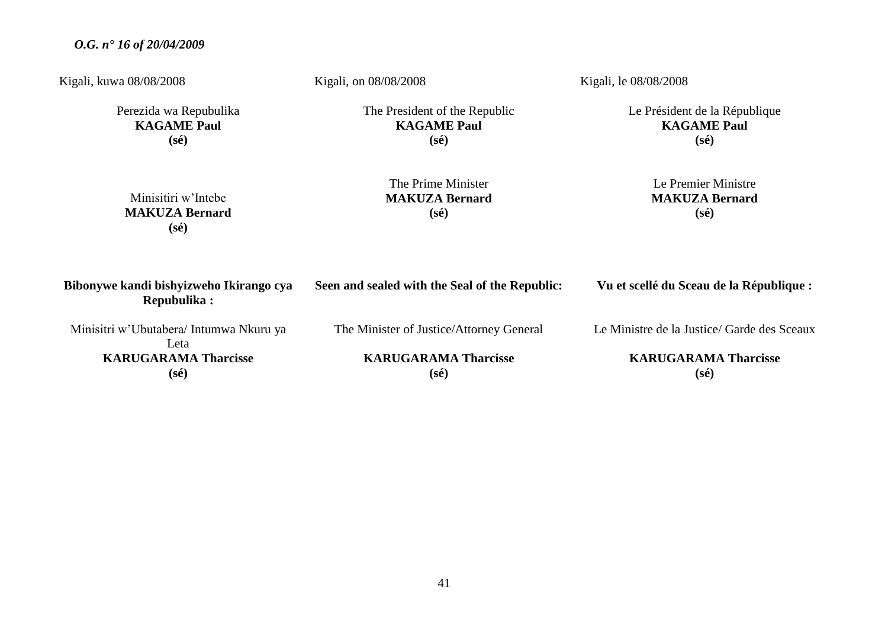Kigali, kuwa 08/08/2008

Perezida wa Repubulika **KAGAME Paul (sé)**

Kigali, on 08/08/2008

The President of the Republic **KAGAME Paul (sé)**

Kigali, le 08/08/2008

Le Président de la République **KAGAME Paul (sé)**

| Minisitiri w'Intebe   |
|-----------------------|
| <b>MAKUZA Bernard</b> |
| $(s\acute{e})$        |

The Prime Minister **MAKUZA Bernard (sé)**

# Le Premier Ministre **MAKUZA Bernard (sé)**

| Bibonywe kandi bishyizweho Ikirango cya<br>Repubulika: | Seen and sealed with the Seal of the Republic: | Vu et scellé du Sceau de la République :    |  |  |
|--------------------------------------------------------|------------------------------------------------|---------------------------------------------|--|--|
| Minisitri w'Ubutabera/Intumwa Nkuru ya<br>Leta         | The Minister of Justice/Attorney General       | Le Ministre de la Justice/ Garde des Sceaux |  |  |
| <b>KARUGARAMA Tharcisse</b>                            | <b>KARUGARAMA Tharcisse</b>                    | <b>KARUGARAMA Tharcisse</b>                 |  |  |
| $(s\acute{e})$                                         | $(s\acute{e})$                                 | $(s\acute{e})$                              |  |  |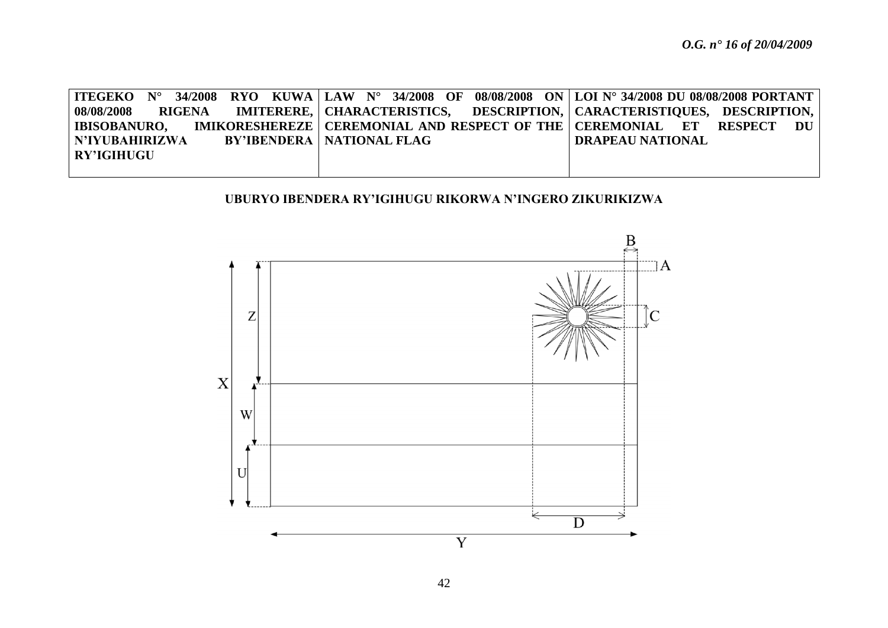| ITEGEKO   N°   34/2008   RYO   KUWA   LAW   N°   34/2008   OF   08/08/2008   ON   LOI N° 34/2008 DU 08/08/2008 PORTANT |  |                                    |  |  |  |                         |  |  |
|------------------------------------------------------------------------------------------------------------------------|--|------------------------------------|--|--|--|-------------------------|--|--|
| 08/08/2008        RIGENA        IMITERERE,   CHARACTERISTICS,      DESCRIPTION,   CARACTERISTIOUES,   DESCRIPTION,     |  |                                    |  |  |  |                         |  |  |
| IBISOBANURO,      IMIKORESHEREZE   CEREMONIAL  AND RESPECT OF THE   CEREMONIAL     ET     RESPECT     DU               |  |                                    |  |  |  |                         |  |  |
| N'IYUBAHIRIZWA                                                                                                         |  | <b>BY'IBENDERA   NATIONAL FLAG</b> |  |  |  | <b>DRAPEAU NATIONAL</b> |  |  |
| RY'IGIHUGU                                                                                                             |  |                                    |  |  |  |                         |  |  |
|                                                                                                                        |  |                                    |  |  |  |                         |  |  |

# **UBURYO IBENDERA RY'IGIHUGU RIKORWA N'INGERO ZIKURIKIZWA**

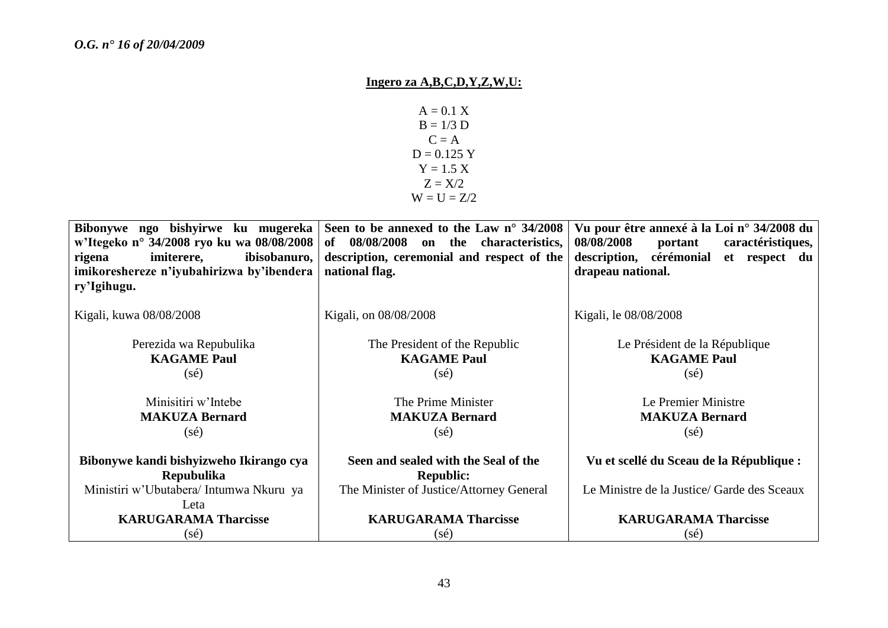# **Ingero za A,B,C,D,Y,Z,W,U:**

 $A = 0.1 X$  $B = 1/3 D$  $C = A$  $D = 0.125$  Y  $Y = 1.5 X$  $Z = X/2$  $W = U = Z/2$ 

|                                           | Bibonywe ngo bishyirwe ku mugereka Seen to be annexed to the Law $n^{\circ}$ 34/2008 | Vu pour être annexé à la Loi n° 34/2008 du  |  |
|-------------------------------------------|--------------------------------------------------------------------------------------|---------------------------------------------|--|
| w'Itegeko n° 34/2008 ryo ku wa 08/08/2008 | of 08/08/2008 on the characteristics,                                                | 08/08/2008<br>caractéristiques,<br>portant  |  |
| ibisobanuro,<br>imiterere,<br>rigena      | description, ceremonial and respect of the                                           | description, cérémonial et respect du       |  |
| imikoreshereze n'iyubahirizwa by'ibendera | national flag.                                                                       | drapeau national.                           |  |
| ry'Igihugu.                               |                                                                                      |                                             |  |
|                                           |                                                                                      |                                             |  |
| Kigali, kuwa 08/08/2008                   | Kigali, on 08/08/2008                                                                | Kigali, le 08/08/2008                       |  |
| Perezida wa Repubulika                    | The President of the Republic                                                        | Le Président de la République               |  |
| <b>KAGAME Paul</b>                        | <b>KAGAME Paul</b>                                                                   | <b>KAGAME Paul</b>                          |  |
| $(s\acute{e})$                            | $(s\acute{e})$                                                                       | $(s\acute{e})$                              |  |
|                                           |                                                                                      |                                             |  |
| Minisitiri w'Intebe                       | The Prime Minister                                                                   | Le Premier Ministre                         |  |
| <b>MAKUZA Bernard</b>                     | <b>MAKUZA Bernard</b>                                                                | <b>MAKUZA Bernard</b>                       |  |
| $(s\acute{e})$                            | $(s\acute{e})$                                                                       | $(s\acute{e})$                              |  |
|                                           |                                                                                      |                                             |  |
| Bibonywe kandi bishyizweho Ikirango cya   | Seen and sealed with the Seal of the                                                 | Vu et scellé du Sceau de la République :    |  |
| <b>Repubulika</b>                         | <b>Republic:</b>                                                                     |                                             |  |
| Ministiri w'Ubutabera/ Intumwa Nkuru ya   | The Minister of Justice/Attorney General                                             | Le Ministre de la Justice/ Garde des Sceaux |  |
| Leta                                      |                                                                                      |                                             |  |
| <b>KARUGARAMA Tharcisse</b>               | <b>KARUGARAMA Tharcisse</b>                                                          | <b>KARUGARAMA Tharcisse</b>                 |  |
| $(s\acute{e})$                            | (sé)                                                                                 | (sé)                                        |  |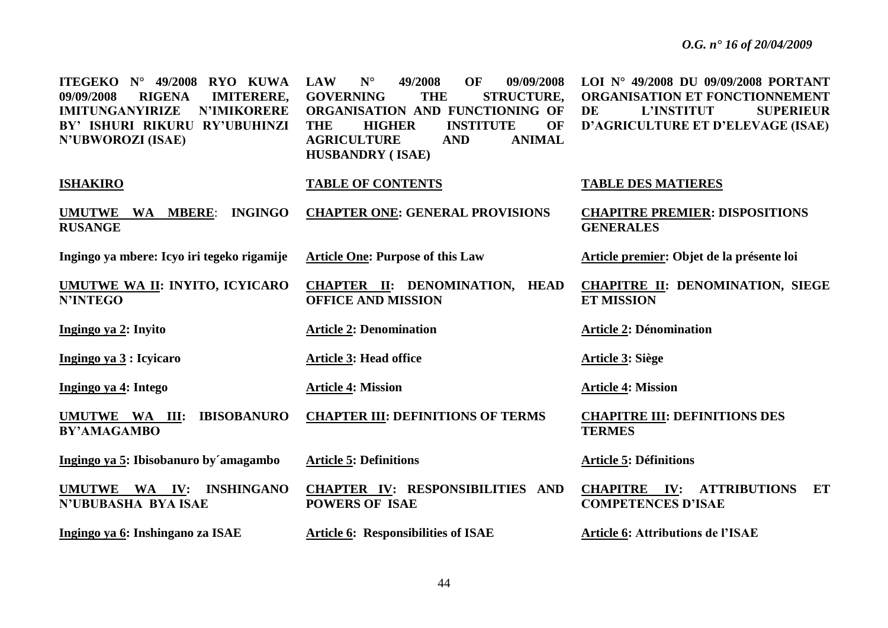| ITEGEKO $N^{\circ}$ 49/2008<br><b>RYO KUWA</b><br>09/09/2008<br><b>RIGENA</b><br><b>IMITERERE,</b><br><b>IMITUNGANYIRIZE</b><br><b>N'IMIKORERE</b><br>BY' ISHURI RIKURU RY'UBUHINZI<br><b>N'UBWOROZI (ISAE)</b> | $N^{\circ}$<br>OF<br><b>LAW</b><br>49/2008<br>09/09/2008<br><b>GOVERNING</b><br><b>STRUCTURE,</b><br><b>THE</b><br>ORGANISATION AND FUNCTIONING OF<br><b>INSTITUTE</b><br><b>THE</b><br><b>HIGHER</b><br>OF<br><b>AGRICULTURE</b><br><b>ANIMAL</b><br><b>AND</b><br><b>HUSBANDRY (ISAE)</b> | LOI N° 49/2008 DU 09/09/2008 PORTANT<br><b>ORGANISATION ET FONCTIONNEMENT</b><br>DE<br>L'INSTITUT<br><b>SUPERIEUR</b><br>D'AGRICULTURE ET D'ELEVAGE (ISAE) |
|-----------------------------------------------------------------------------------------------------------------------------------------------------------------------------------------------------------------|---------------------------------------------------------------------------------------------------------------------------------------------------------------------------------------------------------------------------------------------------------------------------------------------|------------------------------------------------------------------------------------------------------------------------------------------------------------|
| <b>ISHAKIRO</b>                                                                                                                                                                                                 | <b>TABLE OF CONTENTS</b>                                                                                                                                                                                                                                                                    | <b>TABLE DES MATIERES</b>                                                                                                                                  |
| UMUTWE WA MBERE:<br><b>INGINGO</b><br><b>RUSANGE</b>                                                                                                                                                            | <b>CHAPTER ONE: GENERAL PROVISIONS</b>                                                                                                                                                                                                                                                      | <b>CHAPITRE PREMIER: DISPOSITIONS</b><br><b>GENERALES</b>                                                                                                  |
| Ingingo ya mbere: Icyo iri tegeko rigamije                                                                                                                                                                      | <b>Article One: Purpose of this Law</b>                                                                                                                                                                                                                                                     | Article premier: Objet de la présente loi                                                                                                                  |
| <b>UMUTWE WA II: INYITO, ICYICARO</b><br><b>N'INTEGO</b>                                                                                                                                                        | <b>CHAPTER II: DENOMINATION, HEAD</b><br><b>OFFICE AND MISSION</b>                                                                                                                                                                                                                          | <b>CHAPITRE II: DENOMINATION, SIEGE</b><br><b>ET MISSION</b>                                                                                               |
| Ingingo ya 2: Inyito                                                                                                                                                                                            | <b>Article 2: Denomination</b>                                                                                                                                                                                                                                                              | <b>Article 2: Dénomination</b>                                                                                                                             |
| Ingingo ya 3 : Icyicaro                                                                                                                                                                                         | <b>Article 3: Head office</b>                                                                                                                                                                                                                                                               | Article 3: Siège                                                                                                                                           |
| Ingingo ya 4: Intego                                                                                                                                                                                            | <b>Article 4: Mission</b>                                                                                                                                                                                                                                                                   | <b>Article 4: Mission</b>                                                                                                                                  |
| <b>IBISOBANURO</b><br>UMUTWE WA III:<br><b>BY'AMAGAMBO</b>                                                                                                                                                      | <b>CHAPTER III: DEFINITIONS OF TERMS</b>                                                                                                                                                                                                                                                    | <b>CHAPITRE III: DEFINITIONS DES</b><br><b>TERMES</b>                                                                                                      |
| Ingingo ya 5: Ibisobanuro by'amagambo                                                                                                                                                                           | <b>Article 5: Definitions</b>                                                                                                                                                                                                                                                               | <b>Article 5: Définitions</b>                                                                                                                              |
| UMUTWE WA IV: INSHINGANO<br><b>N'UBUBASHA BYAISAE</b>                                                                                                                                                           | <b>CHAPTER IV: RESPONSIBILITIES AND</b><br><b>POWERS OF ISAE</b>                                                                                                                                                                                                                            | <b>CHAPITRE IV: ATTRIBUTIONS</b><br>ET<br><b>COMPETENCES D'ISAE</b>                                                                                        |
| Ingingo ya 6: Inshingano za ISAE                                                                                                                                                                                | <b>Article 6: Responsibilities of ISAE</b>                                                                                                                                                                                                                                                  | <b>Article 6: Attributions de l'ISAE</b>                                                                                                                   |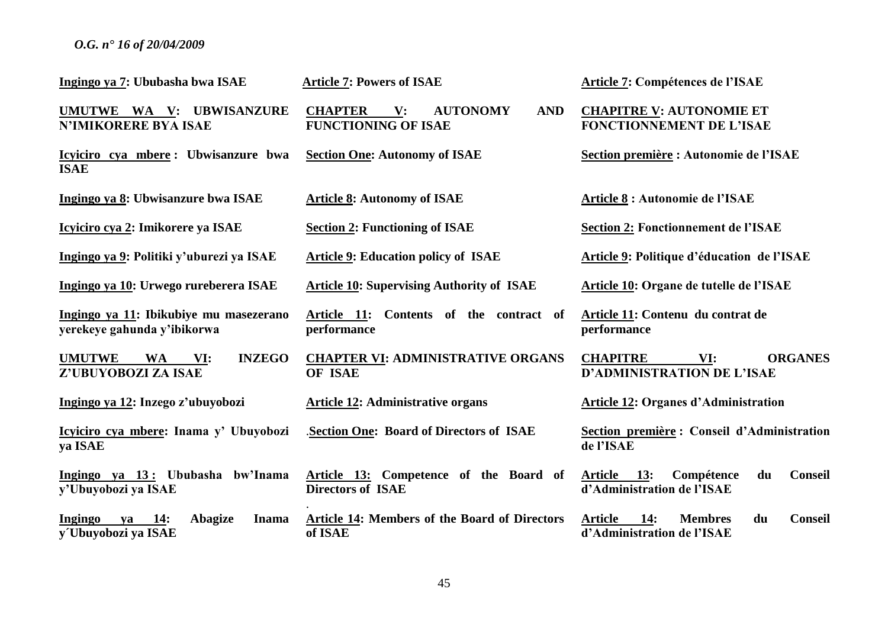| Ingingo ya 7: Ububasha bwa ISAE                                           | <b>Article 7: Powers of ISAE</b>                                                                | Article 7: Compétences de l'ISAE                                                              |
|---------------------------------------------------------------------------|-------------------------------------------------------------------------------------------------|-----------------------------------------------------------------------------------------------|
| UMUTWE WA V: UBWISANZURE<br><b>N'IMIKORERE BYA ISAE</b>                   | <b>CHAPTER</b><br><b>AUTONOMY</b><br><b>AND</b><br>$\mathbf{V}$ :<br><b>FUNCTIONING OF ISAE</b> | <b>CHAPITRE V: AUTONOMIE ET</b><br><b>FONCTIONNEMENT DE L'ISAE</b>                            |
| Icyiciro cya mbere: Ubwisanzure bwa<br><b>ISAE</b>                        | <b>Section One: Autonomy of ISAE</b>                                                            | Section première : Autonomie de l'ISAE                                                        |
| Ingingo ya 8: Ubwisanzure bwa ISAE                                        | <b>Article 8: Autonomy of ISAE</b>                                                              | Article 8 : Autonomie de l'ISAE                                                               |
| Icyiciro cya 2: Imikorere ya ISAE                                         | <b>Section 2: Functioning of ISAE</b>                                                           | <b>Section 2: Fonctionnement de l'ISAE</b>                                                    |
| Ingingo ya 9: Politiki y'uburezi ya ISAE                                  | <b>Article 9: Education policy of ISAE</b>                                                      | Article 9: Politique d'éducation de l'ISAE                                                    |
| Ingingo ya 10: Urwego rureberera ISAE                                     | <b>Article 10: Supervising Authority of ISAE</b>                                                | Article 10: Organe de tutelle de l'ISAE                                                       |
| Ingingo ya 11: Ibikubiye mu masezerano<br>yerekeye gahunda y'ibikorwa     | Article 11: Contents of the contract of<br>performance                                          | Article 11: Contenu du contrat de<br>performance                                              |
| <b>UMUTWE</b><br><b>INZEGO</b><br><b>WA</b><br>VI:<br>Z'UBUYOBOZI ZA ISAE | <b>CHAPTER VI: ADMINISTRATIVE ORGANS</b><br>OF ISAE                                             | <b>CHAPITRE</b><br><b>ORGANES</b><br>VI:<br><b>D'ADMINISTRATION DE L'ISAE</b>                 |
| Ingingo ya 12: Inzego z'ubuyobozi                                         | <b>Article 12: Administrative organs</b>                                                        | <b>Article 12: Organes d'Administration</b>                                                   |
| Icyiciro cya mbere: Inama y' Ubuyobozi<br>ya ISAE                         | Section One: Board of Directors of ISAE                                                         | Section première : Conseil d'Administration<br>de l'ISAE                                      |
| Ingingo ya 13: Ububasha bw'Inama<br>y'Ubuyobozi ya ISAE                   | Article 13: Competence of the Board of<br><b>Directors of ISAE</b>                              | <b>Conseil</b><br><b>Article</b><br>13:<br>Compétence<br>du<br>d'Administration de l'ISAE     |
| Abagize<br>Ingingo<br>$ya$ 14:<br><b>Inama</b><br>y Ubuyobozi ya ISAE     | Article 14: Members of the Board of Directors<br>of ISAE                                        | <b>Article</b><br>14:<br><b>Membres</b><br><b>Conseil</b><br>du<br>d'Administration de l'ISAE |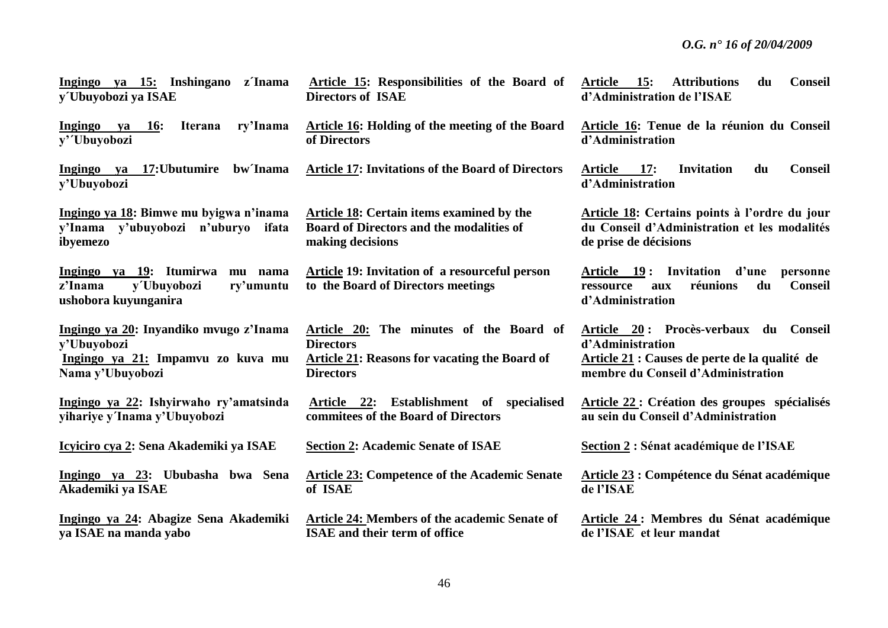| Ingingo ya 15: Inshingano z'Inama<br>y Ubuyobozi ya ISAE                                          | Article 15: Responsibilities of the Board of<br><b>Directors of ISAE</b>             | 15:<br><b>Conseil</b><br><b>Attributions</b><br>du<br><b>Article</b><br>d'Administration de l'ISAE                      |
|---------------------------------------------------------------------------------------------------|--------------------------------------------------------------------------------------|-------------------------------------------------------------------------------------------------------------------------|
| Ingingo ya 16:<br><b>Iterana</b><br>ry'Inama<br>y'Ubuyobozi                                       | <b>Article 16: Holding of the meeting of the Board</b><br>of Directors               | Article 16: Tenue de la réunion du Conseil<br>d'Administration                                                          |
| Ingingo ya 17: Ubutumire<br>bw Tnama<br>y'Ubuyobozi                                               | <b>Article 17: Invitations of the Board of Directors</b>                             | Article 17:<br><b>Invitation</b><br>du<br><b>Conseil</b><br>d'Administration                                            |
| Ingingo ya 18: Bimwe mu byigwa n'inama                                                            | <b>Article 18:</b> Certain items examined by the                                     | Article 18: Certains points à l'ordre du jour                                                                           |
| y'Inama y'ubuyobozi n'uburyo ifata                                                                | <b>Board of Directors and the modalities of</b>                                      | du Conseil d'Administration et les modalités                                                                            |
| ibyemezo                                                                                          | making decisions                                                                     | de prise de décisions                                                                                                   |
| Ingingo ya 19: Itumirwa<br>mu nama<br>y'Ubuyobozi<br>z'Inama<br>ry'umuntu<br>ushobora kuyunganira | Article 19: Invitation of a resourceful person<br>to the Board of Directors meetings | Article 19: Invitation<br>d'une<br>personne<br>du<br><b>Conseil</b><br>réunions<br>ressource<br>aux<br>d'Administration |
| Ingingo ya 20: Inyandiko mvugo z'Inama                                                            | Article 20: The minutes of the Board of                                              | Article 20: Procès-verbaux du Conseil                                                                                   |
| y'Ubuyobozi                                                                                       | <b>Directors</b>                                                                     | d'Administration                                                                                                        |
| Ingingo ya 21: Impamvu zo kuva mu                                                                 | Article 21: Reasons for vacating the Board of                                        | Article 21 : Causes de perte de la qualité de                                                                           |
| Nama y'Ubuyobozi                                                                                  | <b>Directors</b>                                                                     | membre du Conseil d'Administration                                                                                      |
| Ingingo ya 22: Ishyirwaho ry'amatsinda                                                            | Article 22: Establishment of specialised                                             | Article 22: Création des groupes spécialisés                                                                            |
| yihariye y'Inama y'Ubuyobozi                                                                      | commitees of the Board of Directors                                                  | au sein du Conseil d'Administration                                                                                     |
| Icyiciro cya 2: Sena Akademiki ya ISAE                                                            | <b>Section 2: Academic Senate of ISAE</b>                                            | Section 2 : Sénat académique de l'ISAE                                                                                  |
| Ingingo ya 23: Ububasha bwa Sena                                                                  | <b>Article 23: Competence of the Academic Senate</b>                                 | Article 23 : Compétence du Sénat académique                                                                             |
| Akademiki ya ISAE                                                                                 | of ISAE                                                                              | de l'ISAE                                                                                                               |
| Ingingo ya 24: Abagize Sena Akademiki                                                             | Article 24: Members of the academic Senate of                                        | Article 24 : Membres du Sénat académique                                                                                |
| va ISAE na manda yabo                                                                             | <b>ISAE</b> and their term of office                                                 | de l'ISAE et leur mandat                                                                                                |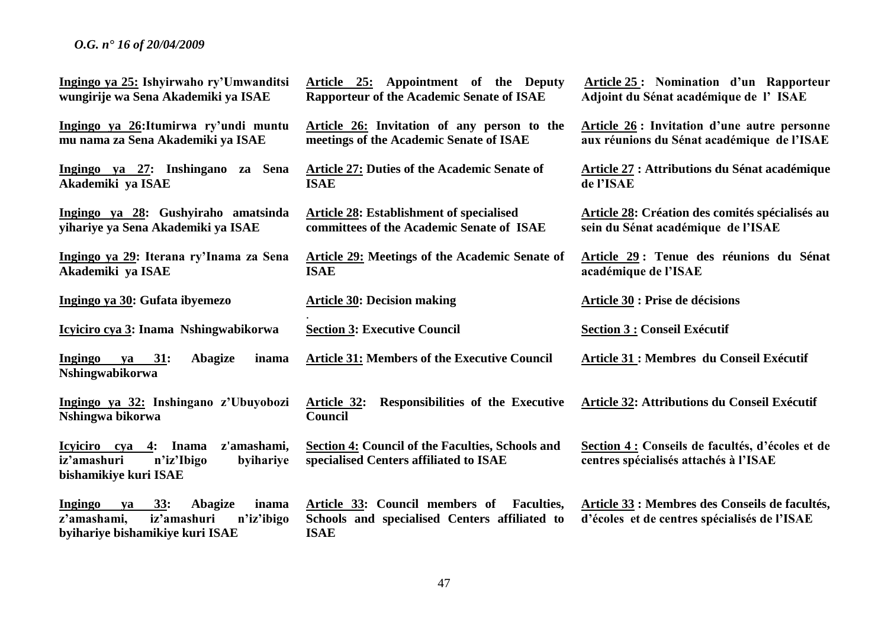| Ingingo ya 25: Ishyirwaho ry'Umwanditsi<br>wungirije wa Sena Akademiki ya ISAE                                                 | Article 25: Appointment of the Deputy<br><b>Rapporteur of the Academic Senate of ISAE</b>                           | Article 25: Nomination d'un Rapporteur<br>Adjoint du Sénat académique de l'ISAE                |
|--------------------------------------------------------------------------------------------------------------------------------|---------------------------------------------------------------------------------------------------------------------|------------------------------------------------------------------------------------------------|
| Ingingo ya 26: Itumirwa ry'undi muntu<br>mu nama za Sena Akademiki ya ISAE                                                     | Article 26: Invitation of any person to the<br>meetings of the Academic Senate of ISAE                              | Article 26: Invitation d'une autre personne<br>aux réunions du Sénat académique de l'ISAE      |
| Ingingo ya 27: Inshingano za Sena<br>Akademiki ya ISAE                                                                         | <b>Article 27: Duties of the Academic Senate of</b><br><b>ISAE</b>                                                  | Article 27 : Attributions du Sénat académique<br>de l'ISAE                                     |
| Ingingo ya 28: Gushyiraho amatsinda<br>yihariye ya Sena Akademiki ya ISAE                                                      | <b>Article 28: Establishment of specialised</b><br>committees of the Academic Senate of ISAE                        | Article 28: Création des comités spécialisés au<br>sein du Sénat académique de l'ISAE          |
| Ingingo ya 29: Iterana ry'Inama za Sena<br>Akademiki ya ISAE                                                                   | <b>Article 29: Meetings of the Academic Senate of</b><br><b>ISAE</b>                                                | Article 29 : Tenue des réunions du Sénat<br>académique de l'ISAE                               |
| Ingingo ya 30: Gufata ibyemezo                                                                                                 | <b>Article 30: Decision making</b>                                                                                  | <b>Article 30 : Prise de décisions</b>                                                         |
| Icyiciro cya 3: Inama Nshingwabikorwa                                                                                          | <b>Section 3: Executive Council</b>                                                                                 | <b>Section 3 : Conseil Exécutif</b>                                                            |
| <b>Ingingo</b><br>ya 31:<br>Abagize<br>inama<br>Nshingwabikorwa                                                                | <b>Article 31: Members of the Executive Council</b>                                                                 | Article 31 : Membres du Conseil Exécutif                                                       |
| Ingingo ya 32: Inshingano z'Ubuyobozi<br>Nshingwa bikorwa                                                                      | Responsibilities of the Executive<br><u>Article 32:</u><br><b>Council</b>                                           | Article 32: Attributions du Conseil Exécutif                                                   |
| Icyiciro cya 4: Inama<br>z'amashami,<br>iz'amashuri<br>n'iz'Ibigo<br>byihariye<br>bishamikiye kuri ISAE                        | Section 4: Council of the Faculties, Schools and<br>specialised Centers affiliated to ISAE                          | Section 4 : Conseils de facultés, d'écoles et de<br>centres spécialisés attachés à l'ISAE      |
| 33:<br>Abagize<br>inama<br><b>Ingingo</b><br>ya<br>iz'amashuri<br>z'amashami,<br>n'iz'ibigo<br>byihariye bishamikiye kuri ISAE | Article 33: Council members of<br><b>Faculties,</b><br>Schools and specialised Centers affiliated to<br><b>ISAE</b> | Article 33 : Membres des Conseils de facultés,<br>d'écoles et de centres spécialisés de l'ISAE |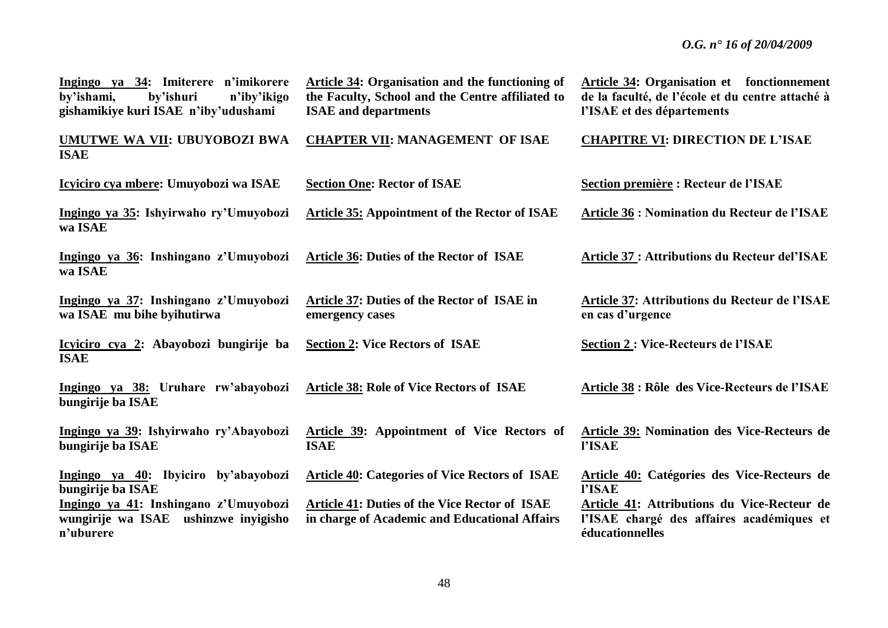| Ingingo ya 34: Imiterere n'imikorere<br>by'ishami,<br>by'ishuri<br>n'iby'ikigo<br>gishamikiye kuri ISAE n'iby'udushami | <b>Article 34: Organisation and the functioning of</b><br>the Faculty, School and the Centre affiliated to<br><b>ISAE</b> and departments | <b>Article 34: Organisation et</b> fonctionnement<br>de la faculté, de l'école et du centre attaché à<br>l'ISAE et des départements |
|------------------------------------------------------------------------------------------------------------------------|-------------------------------------------------------------------------------------------------------------------------------------------|-------------------------------------------------------------------------------------------------------------------------------------|
| <b>UMUTWE WA VII: UBUYOBOZI BWA</b><br><b>ISAE</b>                                                                     | <b>CHAPTER VII: MANAGEMENT OF ISAE</b>                                                                                                    | <b>CHAPITRE VI: DIRECTION DE L'ISAE</b>                                                                                             |
| Icyiciro cya mbere: Umuyobozi wa ISAE                                                                                  | <b>Section One: Rector of ISAE</b>                                                                                                        | Section première : Recteur de l'ISAE                                                                                                |
| Ingingo ya 35: Ishyirwaho ry'Umuyobozi<br>wa ISAE                                                                      | <b>Article 35: Appointment of the Rector of ISAE</b>                                                                                      | <b>Article 36 : Nomination du Recteur de l'ISAE</b>                                                                                 |
| Ingingo ya 36: Inshingano z'Umuyobozi<br>wa ISAE                                                                       | <b>Article 36: Duties of the Rector of ISAE</b>                                                                                           | <b>Article 37 : Attributions du Recteur del'ISAE</b>                                                                                |
| Ingingo ya 37: Inshingano z'Umuyobozi<br>wa ISAE mu bihe byihutirwa                                                    | Article 37: Duties of the Rector of ISAE in<br>emergency cases                                                                            | Article 37: Attributions du Recteur de l'ISAE<br>en cas d'urgence                                                                   |
| Icyiciro cya 2: Abayobozi bungirije ba<br><b>ISAE</b>                                                                  | <b>Section 2: Vice Rectors of ISAE</b>                                                                                                    | <b>Section 2: Vice-Recteurs de l'ISAE</b>                                                                                           |
| Ingingo ya 38: Uruhare rw'abayobozi<br>bungirije ba ISAE                                                               | <b>Article 38: Role of Vice Rectors of ISAE</b>                                                                                           | Article 38 : Rôle des Vice-Recteurs de l'ISAE                                                                                       |
| Ingingo ya 39: Ishyirwaho ry'Abayobozi<br>bungirije ba ISAE                                                            | Article 39: Appointment of Vice Rectors of<br><b>ISAE</b>                                                                                 | <b>Article 39: Nomination des Vice-Recteurs de</b><br>l'ISAE                                                                        |
| Ingingo ya 40: Ibyiciro by'abayobozi<br>bungirije ba ISAE                                                              | <b>Article 40: Categories of Vice Rectors of ISAE</b>                                                                                     | Article 40: Catégories des Vice-Recteurs de<br><b>l'ISAE</b>                                                                        |
| Ingingo ya 41: Inshingano z'Umuyobozi<br>wungirije wa ISAE ushinzwe inyigisho<br>n'uburere                             | <b>Article 41: Duties of the Vice Rector of ISAE</b><br>in charge of Academic and Educational Affairs                                     | Article 41: Attributions du Vice-Recteur de<br>l'ISAE chargé des affaires académiques et<br>éducationnelles                         |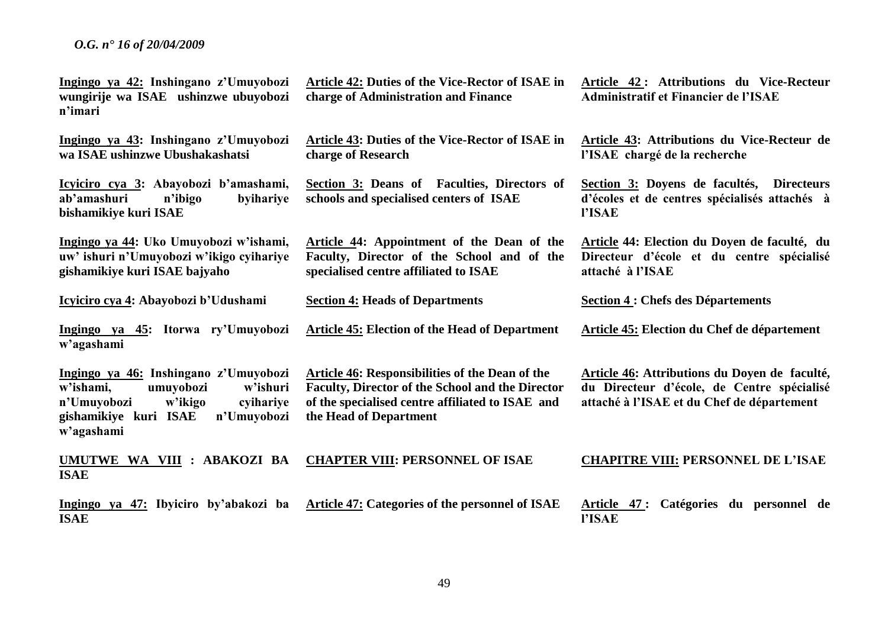| Ingingo ya 42: Inshingano z'Umuyobozi<br>wungirije wa ISAE ushinzwe ubuyobozi<br>n'imari                                                                                 | Article 42: Duties of the Vice-Rector of ISAE in<br>charge of Administration and Finance                                                                                                 | Article 42: Attributions du Vice-Recteur<br><b>Administratif et Financier de l'ISAE</b>                                                   |
|--------------------------------------------------------------------------------------------------------------------------------------------------------------------------|------------------------------------------------------------------------------------------------------------------------------------------------------------------------------------------|-------------------------------------------------------------------------------------------------------------------------------------------|
| Ingingo ya 43: Inshingano z'Umuyobozi<br>wa ISAE ushinzwe Ubushakashatsi                                                                                                 | Article 43: Duties of the Vice-Rector of ISAE in<br>charge of Research                                                                                                                   | Article 43: Attributions du Vice-Recteur de<br>l'ISAE chargé de la recherche                                                              |
| Icyiciro cya 3: Abayobozi b'amashami,<br>ab'amashuri<br>n'ibigo<br>byihariye<br>bishamikiye kuri ISAE                                                                    | Section 3: Deans of Faculties, Directors of<br>schools and specialised centers of ISAE                                                                                                   | Section 3: Doyens de facultés, Directeurs<br>d'écoles et de centres spécialisés attachés à<br>l'ISAE                                      |
| Ingingo ya 44: Uko Umuyobozi w'ishami,<br>uw' ishuri n'Umuyobozi w'ikigo cyihariye<br>gishamikiye kuri ISAE bajyaho                                                      | Article 44: Appointment of the Dean of the<br>Faculty, Director of the School and of the<br>specialised centre affiliated to ISAE                                                        | Article 44: Election du Doyen de faculté, du<br>Directeur d'école et du centre spécialisé<br>attaché à l'ISAE                             |
| Icyiciro cya 4: Abayobozi b'Udushami                                                                                                                                     | <b>Section 4: Heads of Departments</b>                                                                                                                                                   | <b>Section 4 : Chefs des Départements</b>                                                                                                 |
| Ingingo ya 45: Itorwa ry'Umuyobozi<br>w'agashami                                                                                                                         | <b>Article 45: Election of the Head of Department</b>                                                                                                                                    | Article 45: Election du Chef de département                                                                                               |
| Ingingo ya 46: Inshingano z'Umuyobozi<br>w'ishami,<br>umuyobozi<br>w'ishuri<br>n'Umuyobozi<br>w'ikigo<br>cyihariye<br>gishamikiye kuri ISAE<br>n'Umuyobozi<br>w'agashami | <b>Article 46: Responsibilities of the Dean of the</b><br>Faculty, Director of the School and the Director<br>of the specialised centre affiliated to ISAE and<br>the Head of Department | Article 46: Attributions du Doyen de faculté,<br>du Directeur d'école, de Centre spécialisé<br>attaché à l'ISAE et du Chef de département |
| UMUTWE WA VIII : ABAKOZI BA<br><b>ISAE</b>                                                                                                                               | <b>CHAPTER VIII: PERSONNEL OF ISAE</b>                                                                                                                                                   | <b>CHAPITRE VIII: PERSONNEL DE L'ISAE</b>                                                                                                 |
| Ingingo ya 47: Ibyiciro by'abakozi ba<br><b>ISAE</b>                                                                                                                     | Article 47: Categories of the personnel of ISAE                                                                                                                                          | Catégories du personnel de<br>Article 47 :<br>l'ISAE                                                                                      |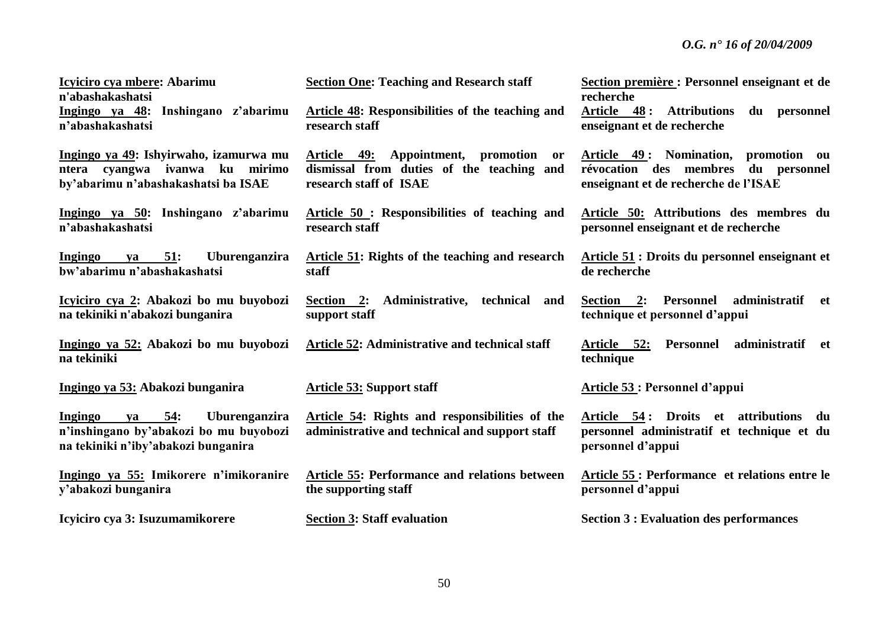| Icyiciro cya mbere: Abarimu<br>n'abashakashatsi                                                                                   | <b>Section One: Teaching and Research staff</b>                                                              | Section première : Personnel enseignant et de<br>recherche                                                          |
|-----------------------------------------------------------------------------------------------------------------------------------|--------------------------------------------------------------------------------------------------------------|---------------------------------------------------------------------------------------------------------------------|
| Ingingo ya 48: Inshingano z'abarimu<br>n'abashakashatsi                                                                           | <b>Article 48: Responsibilities of the teaching and</b><br>research staff                                    | Article 48: Attributions<br>du personnel<br>enseignant et de recherche                                              |
| Ingingo ya 49: Ishyirwaho, izamurwa mu<br>ntera cyangwa ivanwa ku mirimo<br>by'abarimu n'abashakashatsi ba ISAE                   | Article 49: Appointment, promotion or<br>dismissal from duties of the teaching and<br>research staff of ISAE | Article 49: Nomination, promotion ou<br>révocation des membres du personnel<br>enseignant et de recherche de l'ISAE |
| Ingingo ya 50: Inshingano z'abarimu<br>n'abashakashatsi                                                                           | Article 50 : Responsibilities of teaching and<br>research staff                                              | Article 50: Attributions des membres du<br>personnel enseignant et de recherche                                     |
| 51:<br><b>Uburenganzira</b><br>Ingingo<br><b>va</b><br>bw'abarimu n'abashakashatsi                                                | Article 51: Rights of the teaching and research<br>staff                                                     | Article 51 : Droits du personnel enseignant et<br>de recherche                                                      |
| Icyiciro cya 2: Abakozi bo mu buyobozi<br>na tekiniki n'abakozi bunganira                                                         | Section 2: Administrative, technical and<br>support staff                                                    | Section 2: Personnel<br>administratif et<br>technique et personnel d'appui                                          |
| Ingingo ya 52: Abakozi bo mu buyobozi<br>na tekiniki                                                                              | Article 52: Administrative and technical staff                                                               | administratif et<br>Article 52:<br>Personnel<br>technique                                                           |
| Ingingo ya 53: Abakozi bunganira                                                                                                  | <b>Article 53: Support staff</b>                                                                             | Article 53 : Personnel d'appui                                                                                      |
| <b>Ingingo</b><br>ya 54:<br><b>Uburenganzira</b><br>n'inshingano by'abakozi bo mu buyobozi<br>na tekiniki n'iby'abakozi bunganira | Article 54: Rights and responsibilities of the<br>administrative and technical and support staff             | Article 54: Droits et attributions<br>du<br>personnel administratif et technique et du<br>personnel d'appui         |
| Ingingo ya 55: Imikorere n'imikoranire<br>y'abakozi bunganira                                                                     | Article 55: Performance and relations between<br>the supporting staff                                        | Article 55 : Performance et relations entre le<br>personnel d'appui                                                 |
| Icyiciro cya 3: Isuzumamikorere                                                                                                   | <b>Section 3: Staff evaluation</b>                                                                           | <b>Section 3 : Evaluation des performances</b>                                                                      |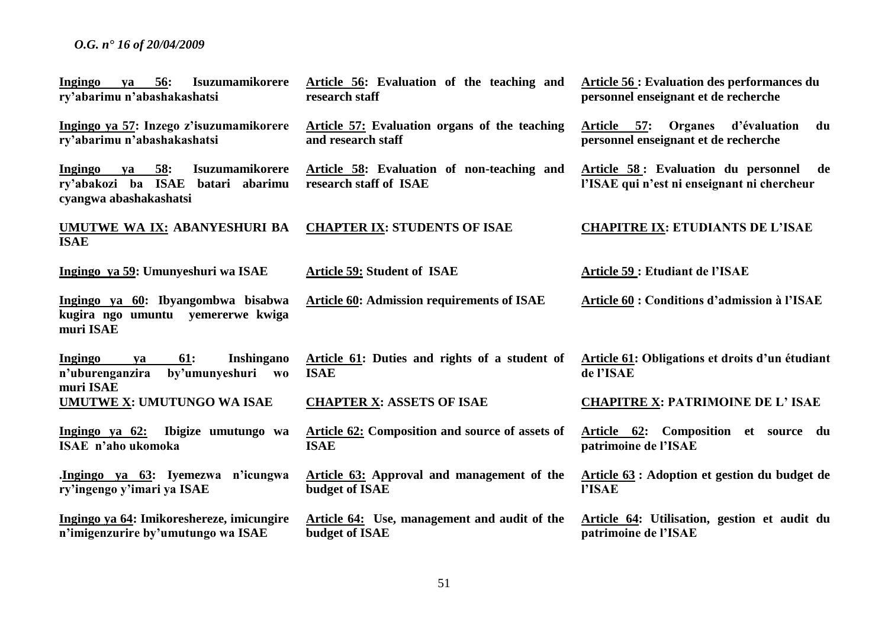| Ingingo<br>va 56:<br><b>Isuzumamikorere</b><br>ry'abarimu n'abashakashatsi                                                        | Article 56: Evaluation of the teaching and<br>research staff          | <b>Article 56: Evaluation des performances du</b><br>personnel enseignant et de recherche |
|-----------------------------------------------------------------------------------------------------------------------------------|-----------------------------------------------------------------------|-------------------------------------------------------------------------------------------|
| Ingingo ya 57: Inzego z'isuzumamikorere<br>ry'abarimu n'abashakashatsi                                                            | Article 57: Evaluation organs of the teaching<br>and research staff   | Article 57: Organes d'évaluation<br>du<br>personnel enseignant et de recherche            |
| 58:<br><b>Isuzumamikorere</b><br>Ingingo<br>$\mathbf{v}\mathbf{a}$<br>ry'abakozi ba ISAE batari abarimu<br>cyangwa abashakashatsi | Article 58: Evaluation of non-teaching and<br>research staff of ISAE  | Article 58: Evaluation du personnel de<br>l'ISAE qui n'est ni enseignant ni chercheur     |
| UMUTWE WA IX: ABANYESHURI BA<br><b>ISAE</b>                                                                                       | <b>CHAPTER IX: STUDENTS OF ISAE</b>                                   | <b>CHAPITRE IX: ETUDIANTS DE L'ISAE</b>                                                   |
| Ingingo ya 59: Umunyeshuri wa ISAE                                                                                                | <b>Article 59: Student of ISAE</b>                                    | Article 59 : Etudiant de l'ISAE                                                           |
| Ingingo ya 60: Ibyangombwa bisabwa<br>kugira ngo umuntu yemererwe kwiga<br>muri ISAE                                              | <b>Article 60: Admission requirements of ISAE</b>                     | <b>Article 60 : Conditions d'admission à l'ISAE</b>                                       |
| <b>61:</b><br>Inshingano<br>Ingingo<br>ya<br>by'umunyeshuri<br>n'uburenganzira<br>W <sub>0</sub><br>muri ISAE                     | Article 61: Duties and rights of a student of<br><b>ISAE</b>          | Article 61: Obligations et droits d'un étudiant<br>de l'ISAE                              |
| UMUTWE X: UMUTUNGO WA ISAE                                                                                                        | <b>CHAPTER X: ASSETS OF ISAE</b>                                      | <b>CHAPITRE X: PATRIMOINE DE L'ISAE</b>                                                   |
| Ingingo ya 62:<br>Ibigize umutungo wa<br>ISAE n'aho ukomoka                                                                       | <b>Article 62: Composition and source of assets of</b><br><b>ISAE</b> | Article 62: Composition et source du<br>patrimoine de l'ISAE                              |
| Ingingo ya 63: Iyemezwa n'icungwa<br>ry'ingengo y'imari ya ISAE                                                                   | <b>Article 63:</b> Approval and management of the<br>budget of ISAE   | Article 63 : Adoption et gestion du budget de<br>l'ISAE                                   |
| Ingingo ya 64: Imikoreshereze, imicungire<br>n'imigenzurire by'umutungo wa ISAE                                                   | <b>Article 64:</b> Use, management and audit of the<br>budget of ISAE | Article 64: Utilisation, gestion et audit du<br>patrimoine de l'ISAE                      |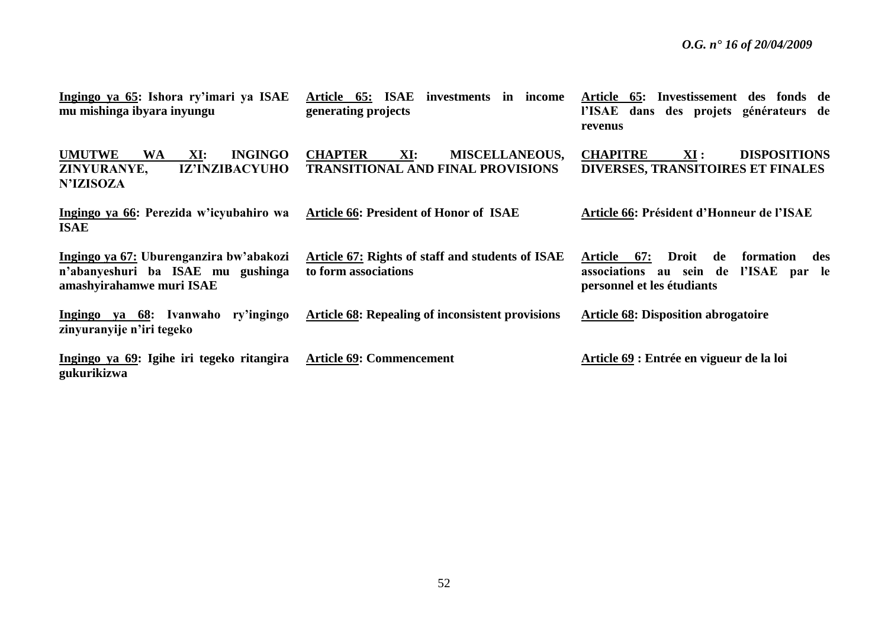| Ingingo ya 65: Ishora ry'imari ya ISAE<br>mu mishinga ibyara inyungu                                            | Article 65: ISAE investments in income<br>generating projects                              | Article 65: Investissement des fonds de<br>l'ISAE dans des projets générateurs de<br>revenus                                             |
|-----------------------------------------------------------------------------------------------------------------|--------------------------------------------------------------------------------------------|------------------------------------------------------------------------------------------------------------------------------------------|
| <b>UMUTWE</b><br><b>INGINGO</b><br><b>WA</b><br>XI:<br><b>IZ'INZIBACYUHO</b><br>ZINYURANYE,<br><b>N'IZISOZA</b> | <b>CHAPTER</b><br>XI:<br><b>MISCELLANEOUS,</b><br><b>TRANSITIONAL AND FINAL PROVISIONS</b> | <b>CHAPITRE</b><br><b>DISPOSITIONS</b><br>XI:<br>DIVERSES, TRANSITOIRES ET FINALES                                                       |
| Ingingo ya 66: Perezida w'icyubahiro wa<br><b>ISAE</b>                                                          | <b>Article 66: President of Honor of ISAE</b>                                              | Article 66: Président d'Honneur de l'ISAE                                                                                                |
| Ingingo ya 67: Uburenganzira bw'abakozi<br>n'abanyeshuri ba ISAE mu gushinga<br>amashyirahamwe muri ISAE        | <b>Article 67: Rights of staff and students of ISAE</b><br>to form associations            | <b>Droit</b><br>67:<br>de<br>Article<br>formation<br>des<br>l'ISAE<br>associations<br>au sein de<br>par le<br>personnel et les étudiants |
| Ingingo ya 68: Ivanwaho ry'ingingo<br>zinyuranyije n'iri tegeko                                                 | <b>Article 68: Repealing of inconsistent provisions</b>                                    | <b>Article 68: Disposition abrogatoire</b>                                                                                               |
| Ingingo ya 69: Igihe iri tegeko ritangira<br>gukurikizwa                                                        | <b>Article 69: Commencement</b>                                                            | Article 69 : Entrée en vigueur de la loi                                                                                                 |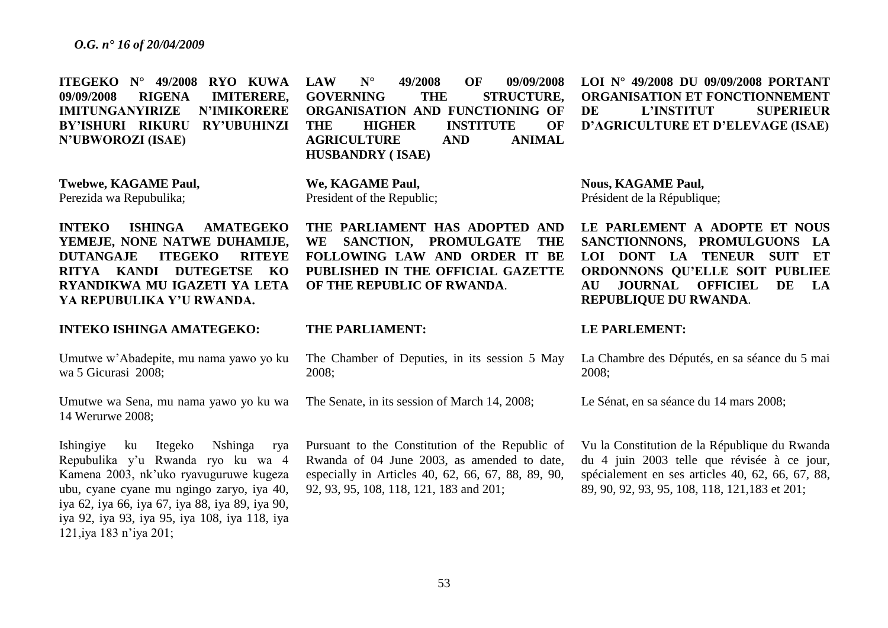**ITEGEKO N° 49/2008 RYO KUWA 09/09/2008 RIGENA IMITERERE, IMITUNGANYIRIZE N'IMIKORERE BY'ISHURI RIKURU RY'UBUHINZI N'UBWOROZI (ISAE) LAW N° 49/2008 OF 09/09/2008 GOVERNING THE STRUCTURE, ORGANISATION AND FUNCTIONING OF THE HIGHER INSTITUTE OF AGRICULTURE AND ANIMAL HUSBANDRY ( ISAE) LOI N° 49/2008 DU 09/09/2008 PORTANT ORGANISATION ET FONCTIONNEMENT DE L'INSTITUT SUPERIEUR D'AGRICULTURE ET D'ELEVAGE (ISAE)**

> **THE PARLIAMENT HAS ADOPTED AND WE SANCTION, PROMULGATE THE FOLLOWING LAW AND ORDER IT BE PUBLISHED IN THE OFFICIAL GAZETTE**

**Twebwe, KAGAME Paul,** Perezida wa Repubulika;

**We, KAGAME Paul,**  President of the Republic;

**INTEKO ISHINGA AMATEGEKO YEMEJE, NONE NATWE DUHAMIJE, DUTANGAJE ITEGEKO RITEYE RITYA KANDI DUTEGETSE KO RYANDIKWA MU IGAZETI YA LETA YA REPUBULIKA Y'U RWANDA.**

#### **INTEKO ISHINGA AMATEGEKO:**

Umutwe w'Abadepite, mu nama yawo yo ku wa 5 Gicurasi 2008;

Umutwe wa Sena, mu nama yawo yo ku wa 14 Werurwe 2008;

Ishingiye ku Itegeko Nshinga rya Repubulika y'u Rwanda ryo ku wa 4 Kamena 2003, nk'uko ryavuguruwe kugeza ubu, cyane cyane mu ngingo zaryo, iya 40, iya 62, iya 66, iya 67, iya 88, iya 89, iya 90, iya 92, iya 93, iya 95, iya 108, iya 118, iya 121,iya 183 n'iya 201;

# **THE PARLIAMENT:**

The Chamber of Deputies, in its session 5 May 2008;

The Senate, in its session of March 14, 2008;

**OF THE REPUBLIC OF RWANDA**.

Pursuant to the Constitution of the Republic of Rwanda of 04 June 2003, as amended to date, especially in Articles 40, 62, 66, 67, 88, 89, 90, 92, 93, 95, 108, 118, 121, 183 and 201;

**Nous, KAGAME Paul,** Président de la République;

**LE PARLEMENT A ADOPTE ET NOUS SANCTIONNONS, PROMULGUONS LA LOI DONT LA TENEUR SUIT ET ORDONNONS QU'ELLE SOIT PUBLIEE AU JOURNAL OFFICIEL DE LA REPUBLIQUE DU RWANDA**.

#### **LE PARLEMENT:**

La Chambre des Députés, en sa séance du 5 mai 2008;

Le Sénat, en sa séance du 14 mars 2008;

Vu la Constitution de la République du Rwanda du 4 juin 2003 telle que révisée à ce jour, spécialement en ses articles 40, 62, 66, 67, 88, 89, 90, 92, 93, 95, 108, 118, 121,183 et 201;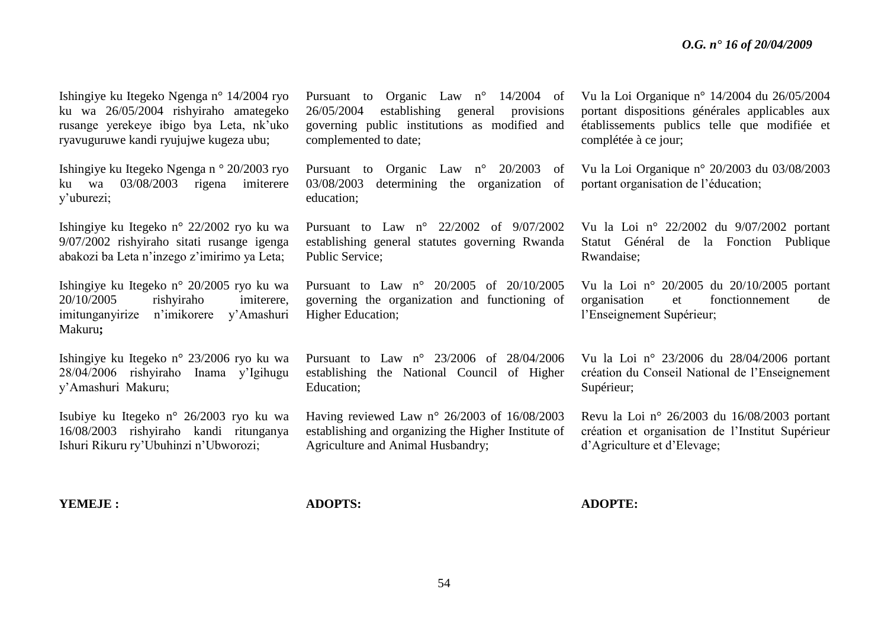Ishingiye ku Itegeko Ngenga n° 14/2004 ryo ku wa 26/05/2004 rishyiraho amategeko rusange yerekeye ibigo bya Leta, nk'uko ryavuguruwe kandi ryujujwe kugeza ubu;

Ishingiye ku Itegeko Ngenga n ° 20/2003 ryo ku wa 03/08/2003 rigena imiterere y'uburezi;

Ishingiye ku Itegeko n° 22/2002 ryo ku wa 9/07/2002 rishyiraho sitati rusange igenga abakozi ba Leta n'inzego z'imirimo ya Leta;

Ishingiye ku Itegeko n° 20/2005 ryo ku wa 20/10/2005 rishyiraho imiterere, imitunganyirize n'imikorere y'Amashuri Makuru**;**

Ishingiye ku Itegeko n° 23/2006 ryo ku wa 28/04/2006 rishyiraho Inama y'Igihugu y'Amashuri Makuru;

Isubiye ku Itegeko n° 26/2003 ryo ku wa 16/08/2003 rishyiraho kandi ritunganya Ishuri Rikuru ry'Ubuhinzi n'Ubworozi;

Pursuant to Organic Law n° 14/2004 of 26/05/2004 establishing general provisions governing public institutions as modified and complemented to date;

Pursuant to Organic Law n° 20/2003 of 03/08/2003 determining the organization of education;

Pursuant to Law n° 22/2002 of 9/07/2002 establishing general statutes governing Rwanda Public Service;

Pursuant to Law n° 20/2005 of 20/10/2005 governing the organization and functioning of Higher Education;

Pursuant to Law n° 23/2006 of 28/04/2006 establishing the National Council of Higher Education;

Having reviewed Law n° 26/2003 of 16/08/2003 establishing and organizing the Higher Institute of Agriculture and Animal Husbandry;

Vu la Loi Organique n° 14/2004 du 26/05/2004 portant dispositions générales applicables aux établissements publics telle que modifiée et complétée à ce jour;

Vu la Loi Organique n° 20/2003 du 03/08/2003 portant organisation de l'éducation;

Vu la Loi n° 22/2002 du 9/07/2002 portant Statut Général de la Fonction Publique Rwandaise;

Vu la Loi n° 20/2005 du 20/10/2005 portant organisation et fonctionnement de l'Enseignement Supérieur;

Vu la Loi n° 23/2006 du 28/04/2006 portant création du Conseil National de l'Enseignement Supérieur;

Revu la Loi n° 26/2003 du 16/08/2003 portant création et organisation de l'Institut Supérieur d'Agriculture et d'Elevage;

**YEMEJE :**

**ADOPTS:**

**ADOPTE:**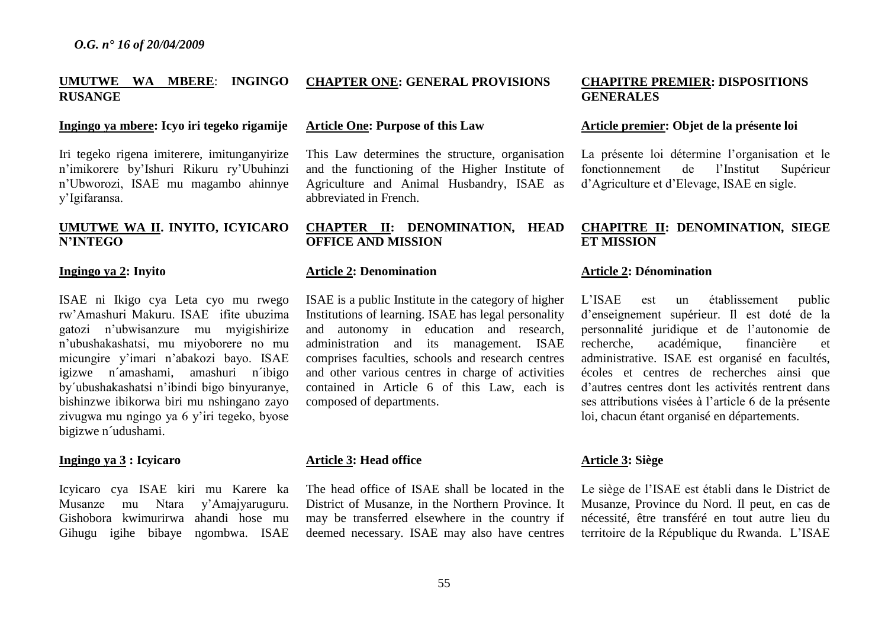#### **UMUTWE WA MBERE**: **INGINGO RUSANGE CHAPTER ONE: GENERAL PROVISIONS**

#### **Ingingo ya mbere: Icyo iri tegeko rigamije**

Iri tegeko rigena imiterere, imitunganyirize n'imikorere by'Ishuri Rikuru ry'Ubuhinzi n'Ubworozi, ISAE mu magambo ahinnye y'Igifaransa.

## **UMUTWE WA II. INYITO, ICYICARO N'INTEGO**

#### **Ingingo ya 2: Inyito**

ISAE ni Ikigo cya Leta cyo mu rwego rw'Amashuri Makuru. ISAE ifite ubuzima gatozi n'ubwisanzure mu myigishirize n'ubushakashatsi, mu miyoborere no mu micungire y'imari n'abakozi bayo. ISAE igizwe n´amashami, amashuri n´ibigo by´ubushakashatsi n'ibindi bigo binyuranye, bishinzwe ibikorwa biri mu nshingano zayo zivugwa mu ngingo ya 6 y'iri tegeko, byose bigizwe n´udushami.

#### **Ingingo ya 3 : Icyicaro**

Icyicaro cya ISAE kiri mu Karere ka Musanze mu Ntara y'Amajyaruguru. Gishobora kwimurirwa ahandi hose mu Gihugu igihe bibaye ngombwa. ISAE

#### **Article One: Purpose of this Law**

This Law determines the structure, organisation and the functioning of the Higher Institute of Agriculture and Animal Husbandry, ISAE as abbreviated in French.

#### **CHAPTER II: DENOMINATION, HEAD OFFICE AND MISSION**

#### **Article 2: Denomination**

ISAE is a public Institute in the category of higher Institutions of learning. ISAE has legal personality and autonomy in education and research, administration and its management. ISAE comprises faculties, schools and research centres and other various centres in charge of activities contained in Article 6 of this Law, each is composed of departments.

#### **Article 3: Head office**

The head office of ISAE shall be located in the District of Musanze, in the Northern Province. It may be transferred elsewhere in the country if deemed necessary. ISAE may also have centres

#### **CHAPITRE PREMIER: DISPOSITIONS GENERALES**

#### **Article premier: Objet de la présente loi**

La présente loi détermine l'organisation et le fonctionnement de l'Institut Supérieur d'Agriculture et d'Elevage, ISAE en sigle.

#### **CHAPITRE II: DENOMINATION, SIEGE ET MISSION**

#### **Article 2: Dénomination**

L'ISAE est un établissement public d'enseignement supérieur. Il est doté de la personnalité juridique et de l'autonomie de recherche, académique, financière et administrative. ISAE est organisé en facultés, écoles et centres de recherches ainsi que d'autres centres dont les activités rentrent dans ses attributions visées à l'article 6 de la présente loi, chacun étant organisé en départements.

# **Article 3: Siège**

Le siège de l'ISAE est établi dans le District de Musanze, Province du Nord. Il peut, en cas de nécessité, être transféré en tout autre lieu du territoire de la République du Rwanda. L'ISAE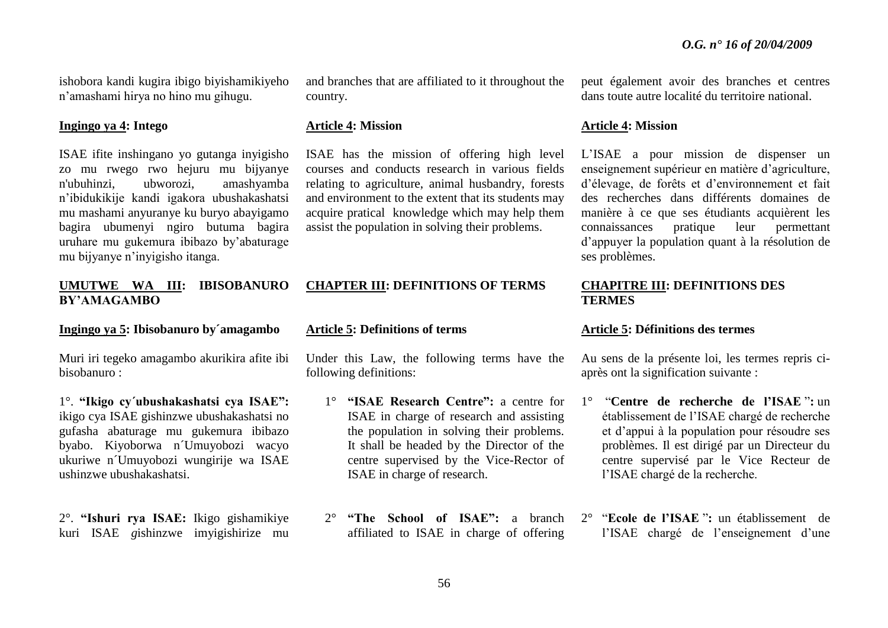ishobora kandi kugira ibigo biyishamikiyeho n'amashami hirya no hino mu gihugu.

#### **Ingingo ya 4: Intego**

ISAE ifite inshingano yo gutanga inyigisho zo mu rwego rwo hejuru mu bijyanye n'ubuhinzi, ubworozi, amashyamba n'ibidukikije kandi igakora ubushakashatsi mu mashami anyuranye ku buryo abayigamo bagira ubumenyi ngiro butuma bagira uruhare mu gukemura ibibazo by'abaturage mu bijyanye n'inyigisho itanga.

#### **UMUTWE WA III: IBISOBANURO BY'AMAGAMBO**

#### **Ingingo ya 5: Ibisobanuro by´amagambo**

Muri iri tegeko amagambo akurikira afite ibi bisobanuro :

1°. **"Ikigo cy´ubushakashatsi cya ISAE":** ikigo cya ISAE gishinzwe ubushakashatsi no gufasha abaturage mu gukemura ibibazo byabo. Kiyoborwa n´Umuyobozi wacyo ukuriwe n´Umuyobozi wungirije wa ISAE ushinzwe ubushakashatsi.

2°. **"Ishuri rya ISAE:** Ikigo gishamikiye kuri ISAE *g*ishinzwe imyigishirize mu and branches that are affiliated to it throughout the country.

#### **Article 4: Mission**

ISAE has the mission of offering high level courses and conducts research in various fields relating to agriculture, animal husbandry, forests and environment to the extent that its students may acquire pratical knowledge which may help them assist the population in solving their problems.

# **CHAPTER III: DEFINITIONS OF TERMS**

#### **Article 5: Definitions of terms**

Under this Law, the following terms have the following definitions:

- 1° **"ISAE Research Centre":** a centre for ISAE in charge of research and assisting the population in solving their problems. It shall be headed by the Director of the centre supervised by the Vice-Rector of ISAE in charge of research.
- 2° **"The School of ISAE":** a branch affiliated to ISAE in charge of offering

peut également avoir des branches et centres dans toute autre localité du territoire national.

#### **Article 4: Mission**

L'ISAE a pour mission de dispenser un enseignement supérieur en matière d'agriculture, d'élevage, de forêts et d'environnement et fait des recherches dans différents domaines de manière à ce que ses étudiants acquièrent les connaissances pratique leur permettant d'appuyer la population quant à la résolution de ses problèmes.

#### **CHAPITRE III: DEFINITIONS DES TERMES**

#### **Article 5: Définitions des termes**

Au sens de la présente loi, les termes repris ciaprès ont la signification suivante :

- 1° "**Centre de recherche de l'ISAE** "**:** un établissement de l'ISAE chargé de recherche et d'appui à la population pour résoudre ses problèmes. Il est dirigé par un Directeur du centre supervisé par le Vice Recteur de l'ISAE chargé de la recherche.
- 2° "**Ecole de l'ISAE** "**:** un établissement de l'ISAE chargé de l'enseignement d'une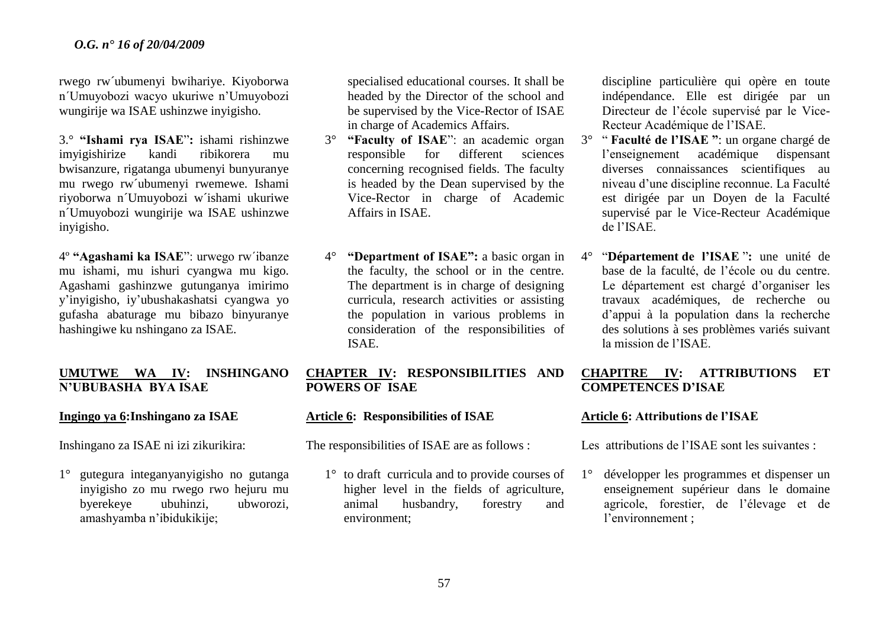rwego rw´ubumenyi bwihariye. Kiyoborwa n´Umuyobozi wacyo ukuriwe n'Umuyobozi wungirije wa ISAE ushinzwe inyigisho.

3.° **"Ishami rya ISAE**"**:** ishami rishinzwe imyigishirize kandi ribikorera mu bwisanzure, rigatanga ubumenyi bunyuranye mu rwego rw´ubumenyi rwemewe. Ishami riyoborwa n´Umuyobozi w´ishami ukuriwe n´Umuyobozi wungirije wa ISAE ushinzwe inyigisho.

4º **"Agashami ka ISAE**": urwego rw´ibanze mu ishami, mu ishuri cyangwa mu kigo. Agashami gashinzwe gutunganya imirimo y'inyigisho, iy'ubushakashatsi cyangwa yo gufasha abaturage mu bibazo binyuranye hashingiwe ku nshingano za ISAE.

# **UMUTWE WA IV: INSHINGANO N'UBUBASHA BYA ISAE**

# **Ingingo ya 6:Inshingano za ISAE**

Inshingano za ISAE ni izi zikurikira:

1° gutegura integanyanyigisho no gutanga inyigisho zo mu rwego rwo hejuru mu byerekeye ubuhinzi, ubworozi, amashyamba n'ibidukikije;

specialised educational courses. It shall be headed by the Director of the school and be supervised by the Vice-Rector of ISAE in charge of Academics Affairs.

- 3° **"Faculty of ISAE**": an academic organ responsible for different sciences concerning recognised fields. The faculty is headed by the Dean supervised by the Vice-Rector in charge of Academic Affairs in ISAE.
- 4° **"Department of ISAE":** a basic organ in the faculty, the school or in the centre. The department is in charge of designing curricula, research activities or assisting the population in various problems in consideration of the responsibilities of ISAE.

# **CHAPTER IV: RESPONSIBILITIES AND POWERS OF ISAE**

# **Article 6: Responsibilities of ISAE**

The responsibilities of ISAE are as follows :

1° to draft curricula and to provide courses of higher level in the fields of agriculture, animal husbandry, forestry and environment;

discipline particulière qui opère en toute indépendance. Elle est dirigée par un Directeur de l'école supervisé par le Vice-Recteur Académique de l'ISAE.

- 3° " **Faculté de l'ISAE "**: un organe chargé de l'enseignement académique dispensant diverses connaissances scientifiques au niveau d'une discipline reconnue. La Faculté est dirigée par un Doyen de la Faculté supervisé par le Vice-Recteur Académique de l'ISAE.
- 4° "**Département de l'ISAE** "**:** une unité de base de la faculté, de l'école ou du centre. Le département est chargé d'organiser les travaux académiques, de recherche ou d'appui à la population dans la recherche des solutions à ses problèmes variés suivant la mission de l'ISAE.

# **CHAPITRE IV: ATTRIBUTIONS ET COMPETENCES D'ISAE**

# **Article 6: Attributions de l'ISAE**

Les attributions de l'ISAE sont les suivantes :

1° développer les programmes et dispenser un enseignement supérieur dans le domaine agricole, forestier, de l'élevage et de l'environnement ;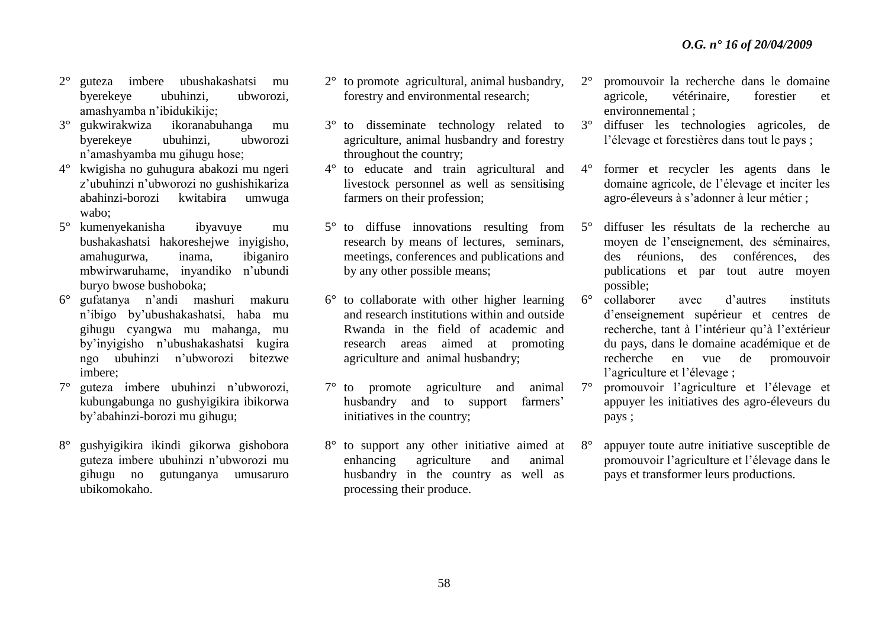- 2° guteza imbere ubushakashatsi mu byerekeye ubuhinzi, ubworozi, amashyamba n'ibidukikije;
- 3° gukwirakwiza ikoranabuhanga mu byerekeye ubuhinzi, ubworozi n'amashyamba mu gihugu hose;
- 4° kwigisha no guhugura abakozi mu ngeri z'ubuhinzi n'ubworozi no gushishikariza abahinzi-borozi kwitabira umwuga wabo;
- 5° kumenyekanisha ibyavuye mu bushakashatsi hakoreshejwe inyigisho, amahugurwa, inama, ibiganiro mbwirwaruhame, inyandiko n'ubundi buryo bwose bushoboka;
- 6° gufatanya n'andi mashuri makuru n'ibigo by'ubushakashatsi, haba mu gihugu cyangwa mu mahanga, mu by'inyigisho n'ubushakashatsi kugira ngo ubuhinzi n'ubworozi bitezwe imbere;
- 7° guteza imbere ubuhinzi n'ubworozi, kubungabunga no gushyigikira ibikorwa by'abahinzi-borozi mu gihugu;
- 8° gushyigikira ikindi gikorwa gishobora guteza imbere ubuhinzi n'ubworozi mu gihugu no gutunganya umusaruro ubikomokaho.
- 2° to promote agricultural, animal husbandry, forestry and environmental research;
- 3° to disseminate technology related to agriculture, animal husbandry and forestry throughout the country;
- 4° to educate and train agricultural and livestock personnel as well as sensiti**s**ing farmers on their profession;
- 5° to diffuse innovations resulting from research by means of lectures, seminars, meetings, conferences and publications and by any other possible means;
- 6° to collaborate with other higher learning and research institutions within and outside Rwanda in the field of academic and research areas aimed at promoting agriculture and animal husbandry;
- 7° to promote agriculture and animal husbandry and to support farmers' initiatives in the country;
- 8° to support any other initiative aimed at enhancing agriculture and animal husbandry in the country as well as processing their produce.
- 2° promouvoir la recherche dans le domaine agricole, vétérinaire, forestier et environnemental ;
- 3° diffuser les technologies agricoles, de l'élevage et forestières dans tout le pays ;
- 4° former et recycler les agents dans le domaine agricole, de l'élevage et inciter les agro-éleveurs à s'adonner à leur métier ;
- 5° diffuser les résultats de la recherche au moyen de l'enseignement, des séminaires, des réunions, des conférences, des publications et par tout autre moyen possible;
- 6° collaborer avec d'autres instituts d'enseignement supérieur et centres de recherche, tant à l'intérieur qu'à l'extérieur du pays, dans le domaine académique et de recherche en vue de promouvoir l'agriculture et l'élevage ;
- 7° promouvoir l'agriculture et l'élevage et appuyer les initiatives des agro-éleveurs du pays ;
- 8° appuyer toute autre initiative susceptible de promouvoir l'agriculture et l'élevage dans le pays et transformer leurs productions.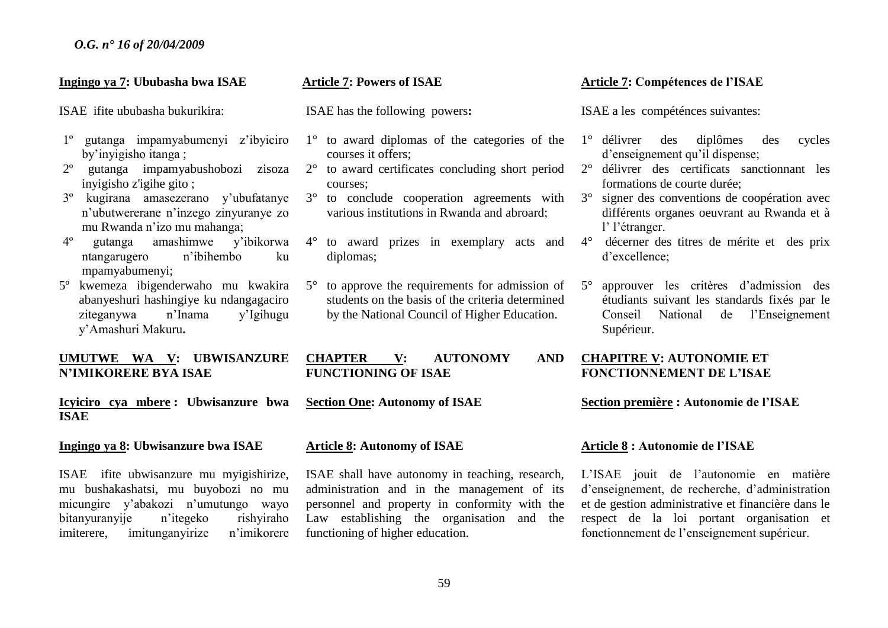#### **Ingingo ya 7: Ububasha bwa ISAE**

ISAEifite ububasha bukurikira:

- 1º gutanga impamyabumenyi z'ibyiciro by'inyigisho itanga ;
- 2º gutanga impamyabushobozi zisoza inyigisho z'igihe gito ;
- 3º kugirana amasezerano y'ubufatanye n'ubutwererane n'inzego zinyuranye zo mu Rwanda n'izo mu mahanga;
- 4º gutanga amashimwe y'ibikorwa ntangarugero n'ibihembo ku mpamyabumenyi;
- 5º kwemeza ibigenderwaho mu kwakira abanyeshuri hashingiye ku ndangagaciro ziteganywa n'Inama y'Igihugu y'Amashuri Makuru**.**

#### **UMUTWE WA V: UBWISANZURE N'IMIKORERE BYA ISAE**

**Icyiciro cya mbere : Ubwisanzure bwa ISAE** 

#### **Ingingo ya 8: Ubwisanzure bwa ISAE**

ISAE ifite ubwisanzure mu myigishirize, mu bushakashatsi, mu buyobozi no mu micungire y'abakozi n'umutungo wayo bitanyuranyije n'itegeko rishyiraho imiterere, imitunganyirize n'imikorere

#### **Article 7: Powers of ISAE**

ISAE has the following powers**:**

- 1° to award diplomas of the categories of the courses it offers;
- 2° to award certificates concluding short period courses;
- 3° to conclude cooperation agreements with various institutions in Rwanda and abroard;
- 4° to award prizes in exemplary acts and diplomas;
- 5° to approve the requirements for admission of students on the basis of the criteria determined by the National Council of Higher Education.

# **CHAPTER V: AUTONOMY AND FUNCTIONING OF ISAE**

**Section One: Autonomy of ISAE**

#### **Article 8: Autonomy of ISAE**

ISAE shall have autonomy in teaching, research, administration and in the management of its personnel and property in conformity with the Law establishing the organisation and the functioning of higher education.

#### **Article 7: Compétences de l'ISAE**

ISAE a les compéténces suivantes:

- 1° délivrer des diplômes des cycles d'enseignement qu'il dispense;
- 2° délivrer des certificats sanctionnant les formations de courte durée;
- 3° signer des conventions de coopération avec différents organes oeuvrant au Rwanda et à l' l'étranger.
- 4° décerner des titres de mérite et des prix d'excellence;
- 5° approuver les critères d'admission des étudiants suivant les standards fixés par le Conseil National de l'Enseignement Supérieur.

#### **CHAPITRE V: AUTONOMIE ET FONCTIONNEMENT DE L'ISAE**

#### **Section première : Autonomie de l'ISAE**

#### **Article 8 : Autonomie de l'ISAE**

L'ISAE jouit de l'autonomie en matière d'enseignement, de recherche, d'administration et de gestion administrative et financière dans le respect de la loi portant organisation et fonctionnement de l'enseignement supérieur.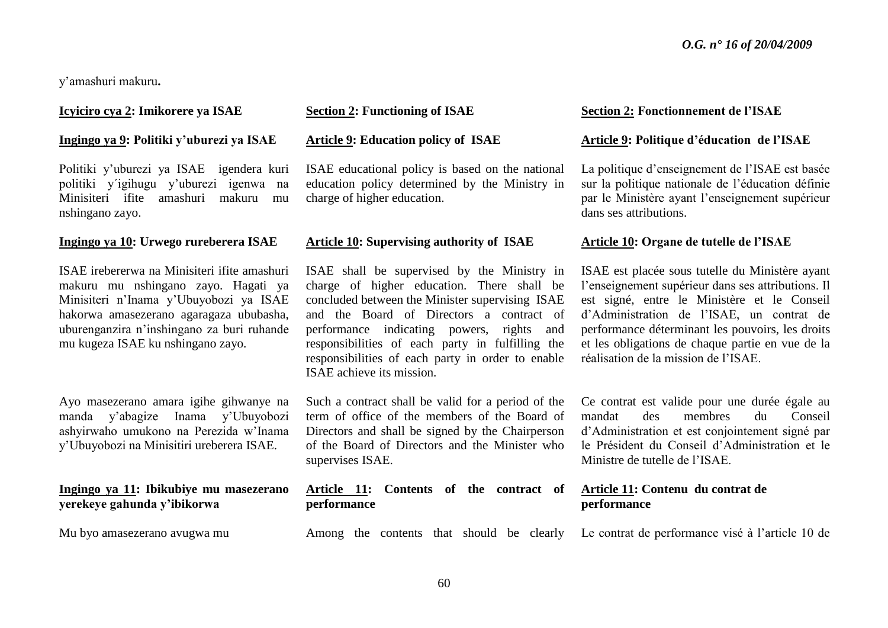y'amashuri makuru**.**

#### **Icyiciro cya 2: Imikorere ya ISAE**

#### **Ingingo ya 9: Politiki y'uburezi ya ISAE**

Politiki y'uburezi ya ISAE igendera kuri politiki y´igihugu y'uburezi igenwa na Minisiteri ifite amashuri makuru mu nshingano zayo.

#### **Ingingo ya 10: Urwego rureberera ISAE**

ISAE irebererwa na Minisiteri ifite amashuri makuru mu nshingano zayo. Hagati ya Minisiteri n'Inama y'Ubuyobozi ya ISAE hakorwa amasezerano agaragaza ububasha, uburenganzira n'inshingano za buri ruhande mu kugeza ISAE ku nshingano zayo.

Ayo masezerano amara igihe gihwanye na manda y'abagize Inama y'Ubuyobozi ashyirwaho umukono na Perezida w'Inama y'Ubuyobozi na Minisitiri ureberera ISAE.

#### **Ingingo ya 11: Ibikubiye mu masezerano yerekeye gahunda y'ibikorwa**

Mu byo amasezerano avugwa mu

# **Section 2: Functioning of ISAE**

#### **Article 9: Education policy of ISAE**

ISAE educational policy is based on the national education policy determined by the Ministry in charge of higher education.

#### **Article 10: Supervising authority of ISAE**

ISAE shall be supervised by the Ministry in charge of higher education. There shall be concluded between the Minister supervising ISAE and the Board of Directors a contract of performance indicating powers, rights and responsibilities of each party in fulfilling the responsibilities of each party in order to enable ISAE achieve its mission.

Such a contract shall be valid for a period of the term of office of the members of the Board of Directors and shall be signed by the Chairperson of the Board of Directors and the Minister who supervises ISAE.

#### **Article 11: Contents of the contract of performance**

#### **Section 2: Fonctionnement de l'ISAE**

#### **Article 9: Politique d'éducation de l'ISAE**

La politique d'enseignement de l'ISAE est basée sur la politique nationale de l'éducation définie par le Ministère ayant l'enseignement supérieur dans ses attributions.

#### **Article 10: Organe de tutelle de l'ISAE**

ISAE est placée sous tutelle du Ministère ayant l'enseignement supérieur dans ses attributions. Il est signé, entre le Ministère et le Conseil d'Administration de l'ISAE, un contrat de performance déterminant les pouvoirs, les droits et les obligations de chaque partie en vue de la réalisation de la mission de l'ISAE.

Ce contrat est valide pour une durée égale au mandat des membres du Conseil d'Administration et est conjointement signé par le Président du Conseil d'Administration et le Ministre de tutelle de l'ISAE.

# **Article 11: Contenu du contrat de performance**

Among the contents that should be clearly Le contrat de performance visé à l'article 10 de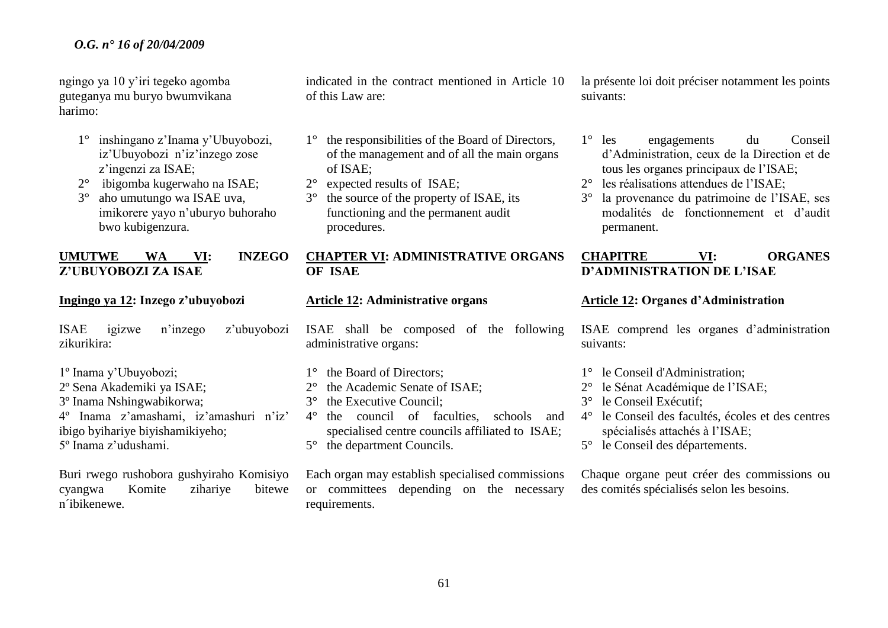ngingo ya 10 y'iri tegeko agomba guteganya mu buryo bwumvikana harimo:

- 1° inshingano z'Inama y'Ubuyobozi, iz'Ubuyobozi n'iz'inzego zose z'ingenzi za ISAE;
- 2° ibigomba kugerwaho na ISAE;
- 3° aho umutungo wa ISAE uva, imikorere yayo n'uburyo buhoraho bwo kubigenzura.

# **UMUTWE WA VI: INZEGO Z'UBUYOBOZI ZA ISAE**

#### **Ingingo ya 12: Inzego z'ubuyobozi**

ISAE igizwe n'inzego z'ubuyobozi zikurikira:

- 1º Inama y'Ubuyobozi; 2º Sena Akademiki ya ISAE; 3º Inama Nshingwabikorwa; 4º Inama z'amashami, iz'amashuri n'iz'
- ibigo byihariye biyishamikiyeho; 5º Inama z'udushami.

Buri rwego rushobora gushyiraho Komisiyo cyangwa Komite zihariye bitewe n´ibikenewe.

indicated in the contract mentioned in Article 10 of this Law are:

- 1° the responsibilities of the Board of Directors, of the management and of all the main organs of ISAE;
- 2° expected results of ISAE;
- 3° the source of the property of ISAE, its functioning and the permanent audit procedures.

# **CHAPTER VI: ADMINISTRATIVE ORGANS OF ISAE**

#### **Article 12: Administrative organs**

ISAE shall be composed of the following administrative organs:

- 1<sup>°</sup> the Board of Directors:
- 2° the Academic Senate of ISAE;
- 3° the Executive Council;
- 4° the council of faculties, schools and specialised centre councils affiliated to ISAE;
- 5° the department Councils.

Each organ may establish specialised commissions or committees depending on the necessary requirements.

la présente loi doit préciser notamment les points suivants:

- 1° les engagements du Conseil d'Administration, ceux de la Direction et de tous les organes principaux de l'ISAE;
- 2° les réalisations attendues de l'ISAE;
- 3° la provenance du patrimoine de l'ISAE, ses modalités de fonctionnement et d'audit permanent.

# **CHAPITRE VI: ORGANES D'ADMINISTRATION DE L'ISAE**

#### **Article 12: Organes d'Administration**

ISAE comprend les organes d'administration suivants:

- 1° le Conseil d'Administration;
- 2° le Sénat Académique de l'ISAE;
- 3° le Conseil Exécutif;
- 4° le Conseil des facultés, écoles et des centres spécialisés attachés à l'ISAE;
- 5° le Conseil des départements.

Chaque organe peut créer des commissions ou des comités spécialisés selon les besoins.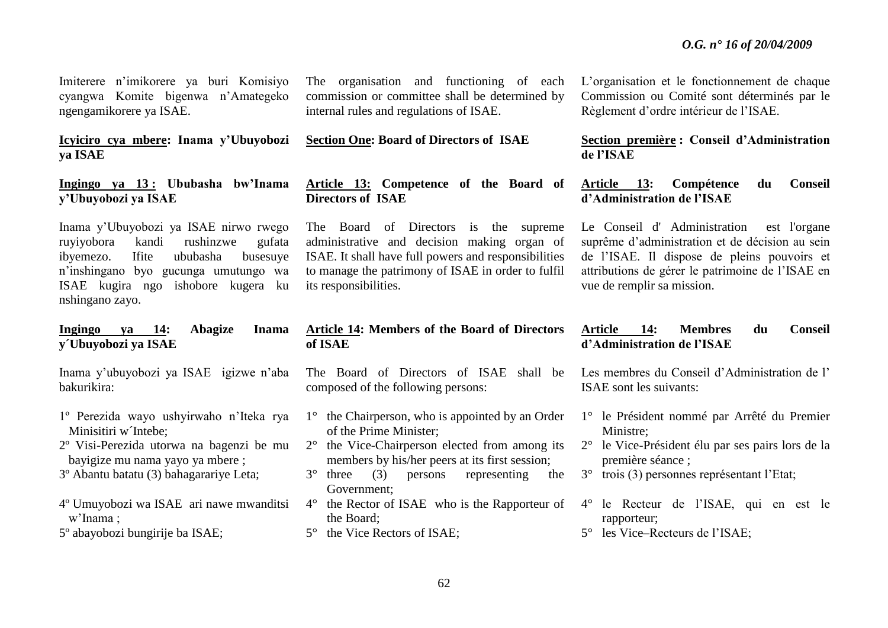Imiterere n'imikorere ya buri Komisiyo cyangwa Komite bigenwa n'Amategeko ngengamikorere ya ISAE.

# **Icyiciro cya mbere: Inama y'Ubuyobozi ya ISAE**

#### **Ingingo ya 13 : Ububasha bw'Inama y'Ubuyobozi ya ISAE**

Inama y'Ubuyobozi ya ISAE nirwo rwego ruyiyobora kandi rushinzwe gufata ibyemezo. Ifite ububasha busesuye n'inshingano byo gucunga umutungo wa ISAE kugira ngo ishobore kugera ku nshingano zayo.

#### **Ingingo ya 14: Abagize Inama y´Ubuyobozi ya ISAE**

Inama y'ubuyobozi ya ISAE igizwe n'aba bakurikira:

- 1º Perezida wayo ushyirwaho n'Iteka rya Minisitiri w´Intebe;
- 2º Visi-Perezida utorwa na bagenzi be mu bayigize mu nama yayo ya mbere ;
- 3º Abantu batatu (3) bahagarariye Leta;
- 4º Umuyobozi wa ISAE ari nawe mwanditsi w'Inama ;

5º abayobozi bungirije ba ISAE;

The organisation and functioning of each commission or committee shall be determined by internal rules and regulations of ISAE.

#### **Section One: Board of Directors of ISAE**

# **Article 13: Competence of the Board of Directors of ISAE**

The Board of Directors is the supreme administrative and decision making organ of ISAE. It shall have full powers and responsibilities to manage the patrimony of ISAE in order to fulfil its responsibilities.

#### **Article 14: Members of the Board of Directors of ISAE**

The Board of Directors of ISAE shall be composed of the following persons:

- 1° the Chairperson, who is appointed by an Order of the Prime Minister;
- 2° the Vice-Chairperson elected from among its members by his/her peers at its first session;
- 3° three (3) persons representing the Government;
- 4° the Rector of ISAE who is the Rapporteur of the Board;
- 5° the Vice Rectors of ISAE;

L'organisation et le fonctionnement de chaque Commission ou Comité sont déterminés par le Règlement d'ordre intérieur de l'ISAE.

**Section première : Conseil d'Administration de l'ISAE**

**Article 13: Compétence du Conseil d'Administration de l'ISAE**

Le Conseil d' Administration est l'organe suprême d'administration et de décision au sein de l'ISAE. Il dispose de pleins pouvoirs et attributions de gérer le patrimoine de l'ISAE en vue de remplir sa mission.

#### **Article 14: Membres du Conseil d'Administration de l'ISAE**

Les membres du Conseil d'Administration de l' ISAE sont les suivants:

- 1° le Président nommé par Arrêté du Premier Ministre;
- 2° le Vice-Président élu par ses pairs lors de la première séance ;
- 3° trois (3) personnes représentant l'Etat;
- 4° le Recteur de l'ISAE, qui en est le rapporteur;
- 5° les Vice–Recteurs de l'ISAE;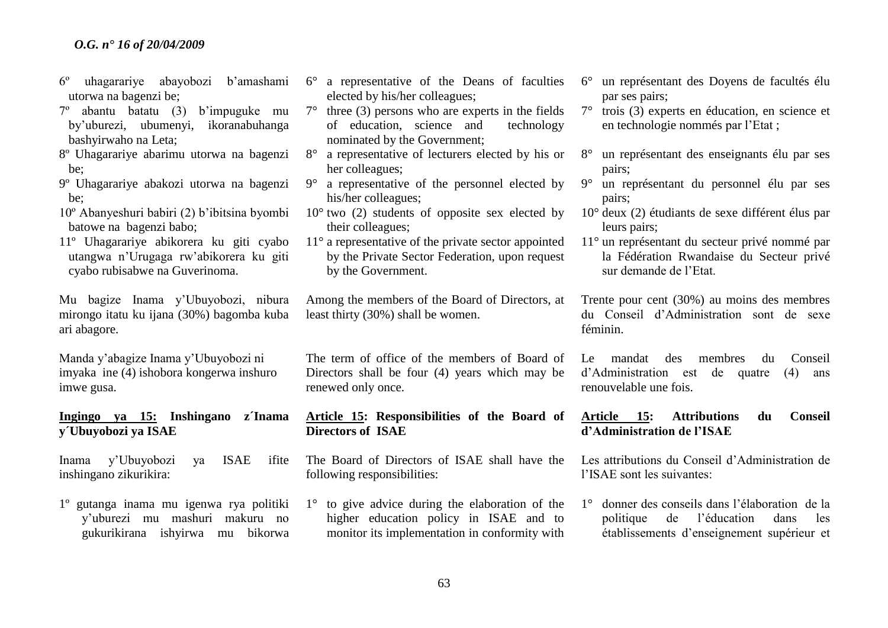- 6º uhagarariye abayobozi b'amashami utorwa na bagenzi be;
- 7º abantu batatu (3) b'impuguke mu by'uburezi, ubumenyi, ikoranabuhanga bashyirwaho na Leta;
- 8º Uhagarariye abarimu utorwa na bagenzi be;
- 9º Uhagarariye abakozi utorwa na bagenzi be;
- 10º Abanyeshuri babiri (2) b'ibitsina byombi batowe na bagenzi babo;
- 11º Uhagarariye abikorera ku giti cyabo utangwa n'Urugaga rw'abikorera ku giti cyabo rubisabwe na Guverinoma.

Mu bagize Inama y'Ubuyobozi, nibura mirongo itatu ku ijana (30%) bagomba kuba ari abagore.

Manda y'abagize Inama y'Ubuyobozi ni imyaka ine (4) ishobora kongerwa inshuro imwe gusa.

# **Ingingo ya 15: Inshingano z´Inama y´Ubuyobozi ya ISAE**

Inama y'Ubuyobozi ya ISAE ifite inshingano zikurikira:

1º gutanga inama mu igenwa rya politiki y'uburezi mu mashuri makuru no gukurikirana ishyirwa mu bikorwa

- 6° a representative of the Deans of faculties elected by his/her colleagues;
- $7^\circ$  three (3) persons who are experts in the fields of education, science and technology nominated by the Government;
- 8° a representative of lecturers elected by his or her colleagues;
- 9° a representative of the personnel elected by his/her colleagues;
- $10^{\circ}$  two (2) students of opposite sex elected by their colleagues;
- 11° a representative of the private sector appointed by the Private Sector Federation, upon request by the Government.

Among the members of the Board of Directors, at least thirty (30%) shall be women.

The term of office of the members of Board of Directors shall be four (4) years which may be renewed only once.

# **Article 15: Responsibilities of the Board of Directors of ISAE**

The Board of Directors of ISAE shall have the following responsibilities:

1° to give advice during the elaboration of the higher education policy in ISAE and to monitor its implementation in conformity with

- 6° un représentant des Doyens de facultés élu par ses pairs;
- 7° trois (3) experts en éducation, en science et en technologie nommés par l'Etat ;
- 8° un représentant des enseignants élu par ses pairs;
- 9° un représentant du personnel élu par ses pairs;
- 10° deux (2) étudiants de sexe différent élus par leurs pairs;
- 11° un représentant du secteur privé nommé par la Fédération Rwandaise du Secteur privé sur demande de l'Etat.

Trente pour cent (30%) au moins des membres du Conseil d'Administration sont de sexe féminin.

Le mandat des membres du Conseil d'Administration est de quatre (4) ans renouvelable une fois.

# **Article 15: Attributions du Conseil d'Administration de l'ISAE**

Les attributions du Conseil d'Administration de l'ISAE sont les suivantes:

1° donner des conseils dans l'élaboration de la politique de l'éducation dans les établissements d'enseignement supérieur et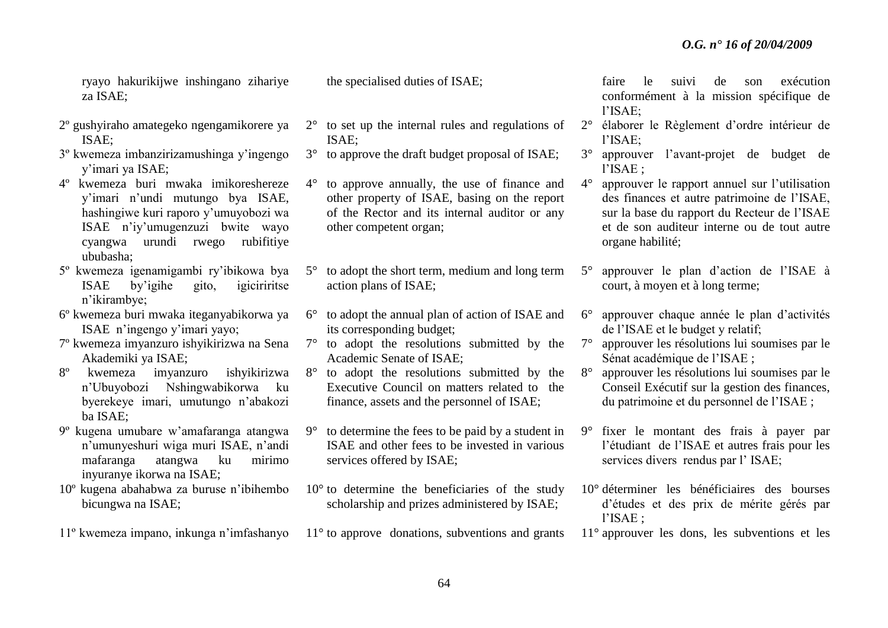ryayo hakurikijwe inshingano zihariye za ISAE;

- 2º gushyiraho amategeko ngengamikorere ya ISAE;
- 3º kwemeza imbanzirizamushinga y'ingengo y'imari ya ISAE;
- 4º kwemeza buri mwaka imikoreshereze y'imari n'undi mutungo bya ISAE, hashingiwe kuri raporo y'umuyobozi wa ISAE n'iy'umugenzuzi bwite wayo cyangwa urundi rwego rubifitiye ububasha;
- 5º kwemeza igenamigambi ry'ibikowa bya ISAE by'igihe gito, igiciriritse n'ikirambye;
- 6º kwemeza buri mwaka iteganyabikorwa ya ISAE n'ingengo y'imari yayo;
- 7º kwemeza imyanzuro ishyikirizwa na Sena Akademiki ya ISAE;
- 8º kwemeza imyanzuro ishyikirizwa n'Ubuyobozi Nshingwabikorwa ku byerekeye imari, umutungo n'abakozi ba ISAE;
- 9º kugena umubare w'amafaranga atangwa n'umunyeshuri wiga muri ISAE, n'andi mafaranga atangwa ku mirimo inyuranye ikorwa na ISAE;
- 10º kugena abahabwa za buruse n'ibihembo bicungwa na ISAE;
- 11º kwemeza impano, inkunga n'imfashanyo

the specialised duties of ISAE;

- 2° to set up the internal rules and regulations of ISAE;
- 3° to approve the draft budget proposal of ISAE;
- 4° to approve annually, the use of finance and other property of ISAE, basing on the report of the Rector and its internal auditor or any other competent organ;
- 5° to adopt the short term, medium and long term action plans of ISAE;
- 6° to adopt the annual plan of action of ISAE and its corresponding budget;
- 7° to adopt the resolutions submitted by the Academic Senate of ISAE;
- 8° to adopt the resolutions submitted by the Executive Council on matters related to the finance, assets and the personnel of ISAE;
- 9° to determine the fees to be paid by a student in ISAE and other fees to be invested in various services offered by ISAE;
- 10° to determine the beneficiaries of the study scholarship and prizes administered by ISAE;
- 11<sup>°</sup> to approve donations, subventions and grants

faire le suivi de son exécution conformément à la mission spécifique de l'ISAE;

- 2° élaborer le Règlement d'ordre intérieur de l'ISAE;
- 3° approuver l'avant-projet de budget de l'ISAE ;
- 4° approuver le rapport annuel sur l'utilisation des finances et autre patrimoine de l'ISAE, sur la base du rapport du Recteur de l'ISAE et de son auditeur interne ou de tout autre organe habilité;
- 5° approuver le plan d'action de l'ISAE à court, à moyen et à long terme;
- 6° approuver chaque année le plan d'activités de l'ISAE et le budget y relatif;
- 7° approuver les résolutions lui soumises par le Sénat académique de l'ISAE ;
- 8° approuver les résolutions lui soumises par le Conseil Exécutif sur la gestion des finances, du patrimoine et du personnel de l'ISAE ;
- 9° fixer le montant des frais à payer par l'étudiant de l'ISAE et autres frais pour les services divers rendus par l' ISAE;
- 10° déterminer les bénéficiaires des bourses d'études et des prix de mérite gérés par l'ISAE ;
- 11° approuver les dons, les subventions et les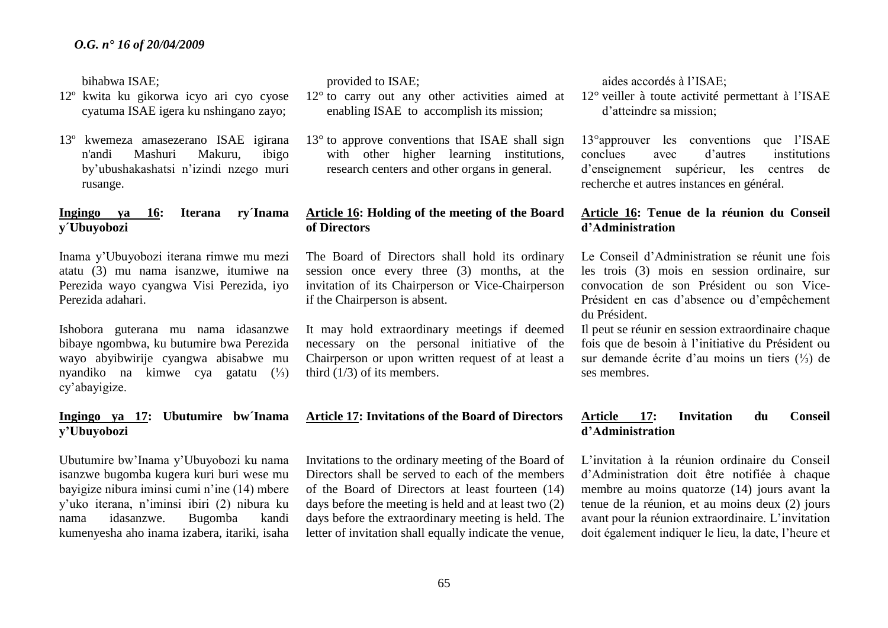bihabwa ISAE;

- 12º kwita ku gikorwa icyo ari cyo cyose cyatuma ISAE igera ku nshingano zayo;
- 13º kwemeza amasezerano ISAE igirana n'andi Mashuri Makuru, ibigo by'ubushakashatsi n'izindi nzego muri rusange.

# **Ingingo ya 16: Iterana ry´Inama y´Ubuyobozi**

Inama y'Ubuyobozi iterana rimwe mu mezi atatu (3) mu nama isanzwe, itumiwe na Perezida wayo cyangwa Visi Perezida, iyo Perezida adahari.

Ishobora guterana mu nama idasanzwe bibaye ngombwa, ku butumire bwa Perezida wayo abyibwirije cyangwa abisabwe mu nyandiko na kimwe cya gatatu (⅓) cy'abayigize.

# **Ingingo ya 17: Ubutumire bw´Inama y'Ubuyobozi**

Ubutumire bw'Inama y'Ubuyobozi ku nama isanzwe bugomba kugera kuri buri wese mu bayigize nibura iminsi cumi n'ine (14) mbere y'uko iterana, n'iminsi ibiri (2) nibura ku nama idasanzwe. Bugomba kandi kumenyesha aho inama izabera, itariki, isaha

provided to ISAE;

- 12° to carry out any other activities aimed at enabling ISAE to accomplish its mission;
- $13<sup>°</sup>$  to approve conventions that ISAE shall sign with other higher learning institutions, research centers and other organs in general.

# **Article 16: Holding of the meeting of the Board of Directors**

The Board of Directors shall hold its ordinary session once every three (3) months, at the invitation of its Chairperson or Vice-Chairperson if the Chairperson is absent.

It may hold extraordinary meetings if deemed necessary on the personal initiative of the Chairperson or upon written request of at least a third (1/3) of its members.

# **Article 17: Invitations of the Board of Directors**

Invitations to the ordinary meeting of the Board of Directors shall be served to each of the members of the Board of Directors at least fourteen (14) days before the meeting is held and at least two (2) days before the extraordinary meeting is held. The letter of invitation shall equally indicate the venue, aides accordés à l'ISAE;

12° veiller à toute activité permettant à l'ISAE d'atteindre sa mission;

13°approuver les conventions que l'ISAE conclues avec d'autres institutions d'enseignement supérieur, les centres de recherche et autres instances en général.

# **Article 16: Tenue de la réunion du Conseil d'Administration**

Le Conseil d'Administration se réunit une fois les trois (3) mois en session ordinaire, sur convocation de son Président ou son Vice-Président en cas d'absence ou d'empêchement du Président.

Il peut se réunir en session extraordinaire chaque fois que de besoin à l'initiative du Président ou sur demande écrite d'au moins un tiers (⅓) de ses membres.

# **Article 17: Invitation du Conseil d'Administration**

L'invitation à la réunion ordinaire du Conseil d'Administration doit être notifiée à chaque membre au moins quatorze (14) jours avant la tenue de la réunion, et au moins deux (2) jours avant pour la réunion extraordinaire. L'invitation doit également indiquer le lieu, la date, l'heure et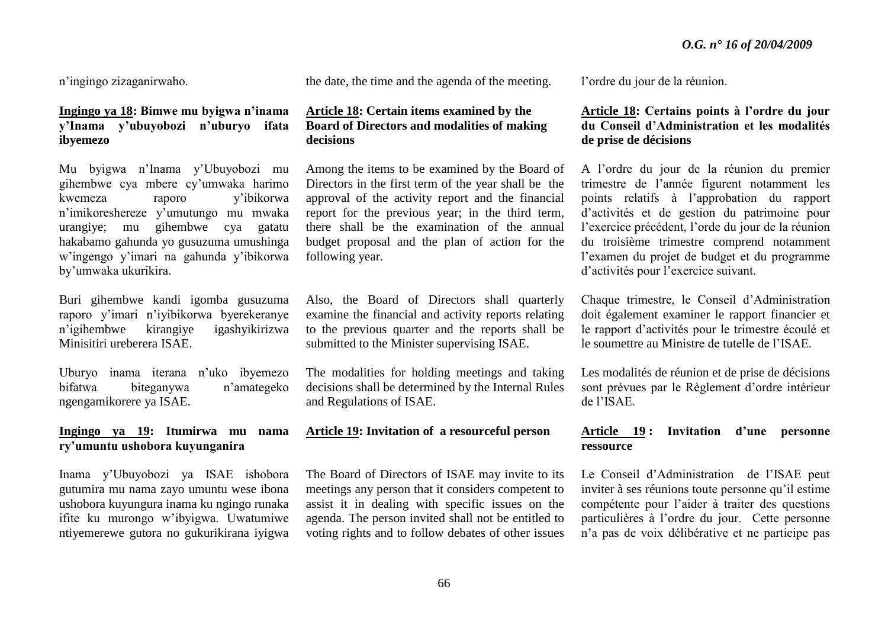n'ingingo zizaganirwaho.

# **Ingingo ya 18: Bimwe mu byigwa n'inama y'Inama y'ubuyobozi n'uburyo ifata ibyemezo**

Mu byigwa n'Inama y'Ubuyobozi mu gihembwe cya mbere cy'umwaka harimo kwemeza raporo y'ibikorwa n'imikoreshereze y'umutungo mu mwaka urangiye; mu gihembwe cya gatatu hakabamo gahunda yo gusuzuma umushinga w'ingengo y'imari na gahunda y'ibikorwa by'umwaka ukurikira.

Buri gihembwe kandi igomba gusuzuma raporo y'imari n'iyibikorwa byerekeranye n'igihembwe kirangiye igashyikirizwa Minisitiri ureberera ISAE.

Uburyo inama iterana n'uko ibyemezo bifatwa biteganywa n'amategeko ngengamikorere ya ISAE.

# **Ingingo ya 19: Itumirwa mu nama ry'umuntu ushobora kuyunganira**

Inama y'Ubuyobozi ya ISAE ishobora gutumira mu nama zayo umuntu wese ibona ushobora kuyungura inama ku ngingo runaka ifite ku murongo w'ibyigwa. Uwatumiwe ntiyemerewe gutora no gukurikirana iyigwa the date, the time and the agenda of the meeting.

#### **Article 18: Certain items examined by the Board of Directors and modalities of making decisions**

Among the items to be examined by the Board of Directors in the first term of the year shall be the approval of the activity report and the financial report for the previous year; in the third term, there shall be the examination of the annual budget proposal and the plan of action for the following year.

Also, the Board of Directors shall quarterly examine the financial and activity reports relating to the previous quarter and the reports shall be submitted to the Minister supervising ISAE.

The modalities for holding meetings and taking decisions shall be determined by the Internal Rules and Regulations of ISAE.

#### **Article 19: Invitation of a resourceful person**

The Board of Directors of ISAE may invite to its meetings any person that it considers competent to assist it in dealing with specific issues on the agenda. The person invited shall not be entitled to voting rights and to follow debates of other issues l'ordre du jour de la réunion.

# **Article 18: Certains points à l'ordre du jour du Conseil d'Administration et les modalités de prise de décisions**

A l'ordre du jour de la réunion du premier trimestre de l'année figurent notamment les points relatifs à l'approbation du rapport d'activités et de gestion du patrimoine pour l'exercice précédent, l'orde du jour de la réunion du troisième trimestre comprend notamment l'examen du projet de budget et du programme d'activités pour l'exercice suivant.

Chaque trimestre, le Conseil d'Administration doit également examiner le rapport financier et le rapport d'activités pour le trimestre écoulé et le soumettre au Ministre de tutelle de l'ISAE.

Les modalités de réunion et de prise de décisions sont prévues par le Règlement d'ordre intérieur de l'ISAE.

# **Article 19 : Invitation d'une personne ressource**

Le Conseil d'Administration de l'ISAE peut inviter à ses réunions toute personne qu'il estime compétente pour l'aider à traiter des questions particulières à l'ordre du jour. Cette personne n'a pas de voix délibérative et ne participe pas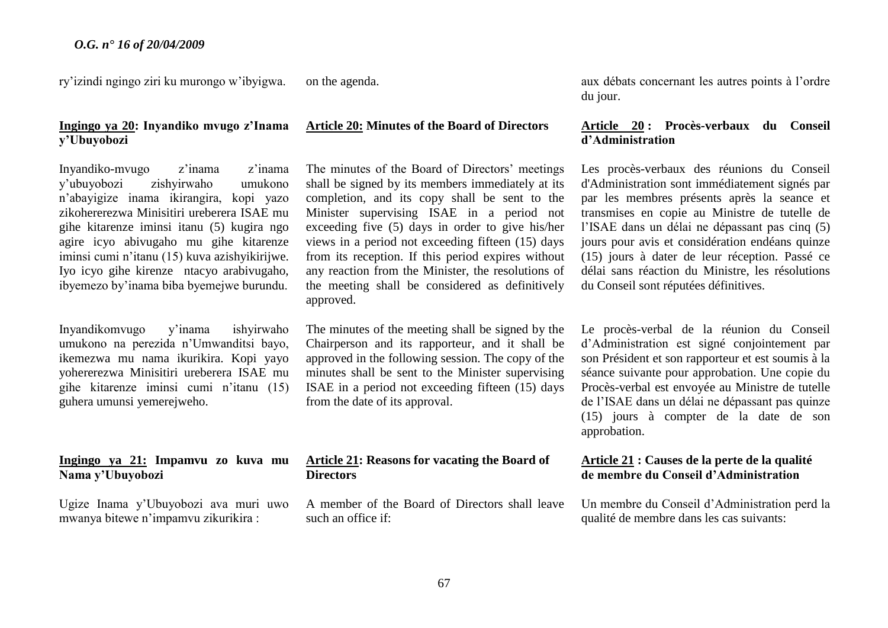ry'izindi ngingo ziri ku murongo w'ibyigwa.

# **Ingingo ya 20: Inyandiko mvugo z'Inama y'Ubuyobozi**

Inyandiko-mvugo z'inama z'inama y'ubuyobozi zishyirwaho umukono n'abayigize inama ikirangira, kopi yazo zikohererezwa Minisitiri ureberera ISAE mu gihe kitarenze iminsi itanu (5) kugira ngo agire icyo abivugaho mu gihe kitarenze iminsi cumi n'itanu (15) kuva azishyikirijwe. Iyo icyo gihe kirenze ntacyo arabivugaho, ibyemezo by'inama biba byemejwe burundu.

Inyandikomvugo y'inama ishyirwaho umukono na perezida n'Umwanditsi bayo, ikemezwa mu nama ikurikira. Kopi yayo yohererezwa Minisitiri ureberera ISAE mu gihe kitarenze iminsi cumi n'itanu (15) guhera umunsi yemerejweho.

#### **Ingingo ya 21: Impamvu zo kuva mu Nama y'Ubuyobozi**

Ugize Inama y'Ubuyobozi ava muri uwo mwanya bitewe n'impamvu zikurikira :

on the agenda.

# **Article 20: Minutes of the Board of Directors**

The minutes of the Board of Directors' meetings shall be signed by its members immediately at its completion, and its copy shall be sent to the Minister supervising ISAE in a period not exceeding five (5) days in order to give his/her views in a period not exceeding fifteen (15) days from its reception. If this period expires without any reaction from the Minister, the resolutions of the meeting shall be considered as definitively approved.

The minutes of the meeting shall be signed by the Chairperson and its rapporteur, and it shall be approved in the following session. The copy of the minutes shall be sent to the Minister supervising ISAE in a period not exceeding fifteen (15) days from the date of its approval.

#### **Article 21: Reasons for vacating the Board of Directors**

A member of the Board of Directors shall leave such an office if:

aux débats concernant les autres points à l'ordre du jour.

# **Article 20 : Procès-verbaux du Conseil d'Administration**

Les procès-verbaux des réunions du Conseil d'Administration sont immédiatement signés par par les membres présents après la seance et transmises en copie au Ministre de tutelle de l'ISAE dans un délai ne dépassant pas cinq (5) jours pour avis et considération endéans quinze (15) jours à dater de leur réception. Passé ce délai sans réaction du Ministre, les résolutions du Conseil sont réputées définitives.

Le procès-verbal de la réunion du Conseil d'Administration est signé conjointement par son Président et son rapporteur et est soumis à la séance suivante pour approbation. Une copie du Procès-verbal est envoyée au Ministre de tutelle de l'ISAE dans un délai ne dépassant pas quinze (15) jours à compter de la date de son approbation.

# **Article 21 : Causes de la perte de la qualité de membre du Conseil d'Administration**

Un membre du Conseil d'Administration perd la qualité de membre dans les cas suivants: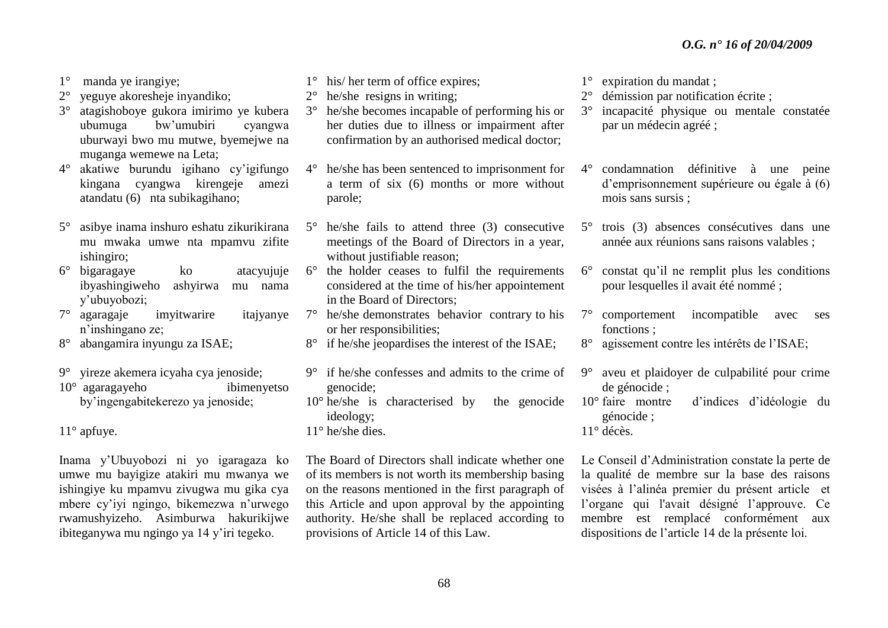- 1° manda ye irangiye;
- 2° yeguye akoresheje inyandiko;
- 3° atagishoboye gukora imirimo ye kubera ubumuga bw'umubiri cyangwa uburwayi bwo mu mutwe, byemejwe na muganga wemewe na Leta;
- 4° akatiwe burundu igihano cy'igifungo kingana cyangwa kirengeje amezi atandatu (6) nta subikagihano;
- 5° asibye inama inshuro eshatu zikurikirana mu mwaka umwe nta mpamvu zifite ishingiro;
- 6° bigaragaye ko atacyujuje ibyashingiweho ashyirwa mu nama y'ubuyobozi;
- 7° agaragaje imyitwarire itajyanye n'inshingano ze;
- 8° abangamira inyungu za ISAE;
- 9° yireze akemera icyaha cya jenoside;
- 10° agaragayeho ibimenyetso by'ingengabitekerezo ya jenoside;

11° apfuye.

Inama y'Ubuyobozi ni yo igaragaza ko umwe mu bayigize atakiri mu mwanya we ishingiye ku mpamvu zivugwa mu gika cya mbere cy'iyi ngingo, bikemezwa n'urwego rwamushyizeho. Asimburwa hakurikijwe ibiteganywa mu ngingo ya 14 y'iri tegeko.

- 1° his/ her term of office expires;
- 2° he/she resigns in writing;
- 3° he/she becomes incapable of performing his or her duties due to illness or impairment after confirmation by an authorised medical doctor;
- 4° he/she has been sentenced to imprisonment for a term of six (6) months or more without parole;
- 5° he/she fails to attend three (3) consecutive meetings of the Board of Directors in a year, without justifiable reason:
- 6° the holder ceases to fulfil the requirements considered at the time of his/her appointement in the Board of Directors;
- 7° he/she demonstrates behavior contrary to his or her responsibilities;
- 8° if he/she jeopardises the interest of the ISAE;
- 9° if he/she confesses and admits to the crime of genocide;
- 10° he/she is characterised by the genocide ideology;
- 11° he/she dies.

The Board of Directors shall indicate whether one of its members is not worth its membership basing on the reasons mentioned in the first paragraph of this Article and upon approval by the appointing authority. He/she shall be replaced according to provisions of Article 14 of this Law.

- 1° expiration du mandat ;
- 2° démission par notification écrite ;
- 3° incapacité physique ou mentale constatée par un médecin agréé ;
- 4° condamnation définitive à une peine d'emprisonnement supérieure ou égale à (6) mois sans sursis ;
- 5° trois (3) absences consécutives dans une année aux réunions sans raisons valables ;
- 6° constat qu'il ne remplit plus les conditions pour lesquelles il avait été nommé ;
- 7° comportement incompatible avec ses fonctions ;
- 8° agissement contre les intérêts de l'ISAE;
- 9° aveu et plaidoyer de culpabilité pour crime de génocide ;
- 10° faire montre d'indices d'idéologie du génocide ;
- 11° décès.

Le Conseil d'Administration constate la perte de la qualité de membre sur la base des raisons visées à l'alinéa premier du présent article et l'organe qui l'avait désigné l'approuve. Ce membre est remplacé conformément aux dispositions de l'article 14 de la présente loi.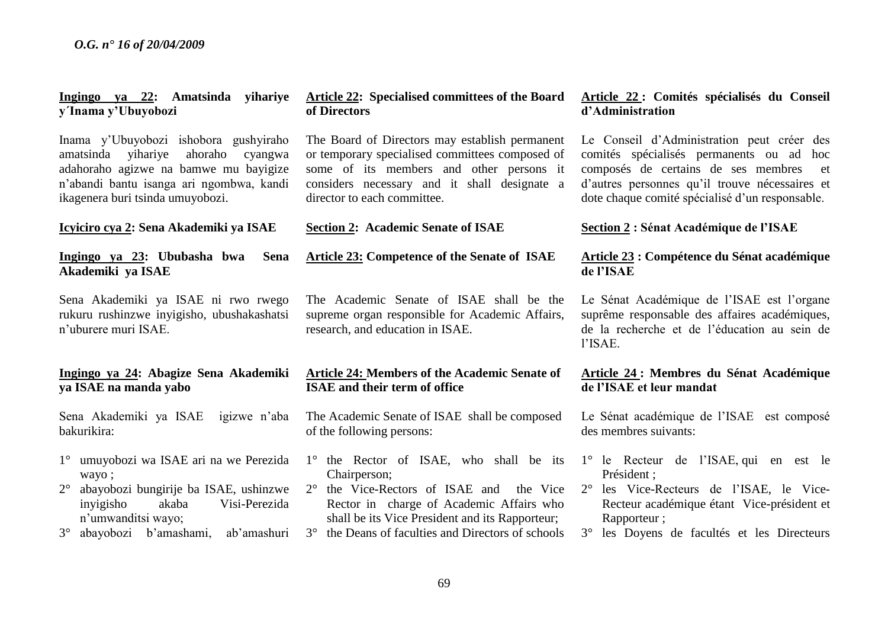# **Ingingo ya 22: Amatsinda yihariye y´Inama y'Ubuyobozi**

Inama y'Ubuyobozi ishobora gushyiraho amatsinda yihariye ahoraho cyangwa adahoraho agizwe na bamwe mu bayigize n'abandi bantu isanga ari ngombwa, kandi ikagenera buri tsinda umuyobozi.

**Icyiciro cya 2: Sena Akademiki ya ISAE** 

# **Ingingo ya 23: Ububasha bwa Sena Akademiki ya ISAE**

Sena Akademiki ya ISAE ni rwo rwego rukuru rushinzwe inyigisho, ubushakashatsi n'uburere muri ISAE.

## **Ingingo ya 24: Abagize Sena Akademiki ya ISAE na manda yabo**

Sena Akademiki ya ISAE igizwe n'aba bakurikira:

- 1° umuyobozi wa ISAE ari na we Perezida wayo ;
- 2° abayobozi bungirije ba ISAE, ushinzwe inyigisho akaba Visi-Perezida n'umwanditsi wayo;
- 3° abayobozi b'amashami, ab'amashuri

#### **Article 22: Specialised committees of the Board of Directors**

The Board of Directors may establish permanent or temporary specialised committees composed of some of its members and other persons it considers necessary and it shall designate a director to each committee.

#### **Section 2: Academic Senate of ISAE**

**Article 23: Competence of the Senate of ISAE** 

The Academic Senate of ISAE shall be the supreme organ responsible for Academic Affairs, research, and education in ISAE.

#### **Article 24: Members of the Academic Senate of ISAE and their term of office**

The Academic Senate of ISAE shall be composed of the following persons:

- 1° the Rector of ISAE, who shall be its Chairperson;
- 2° the Vice-Rectors of ISAE and the Vice Rector in charge of Academic Affairs who shall be its Vice President and its Rapporteur;
- 3° the Deans of faculties and Directors of schools

# **Article 22 : Comités spécialisés du Conseil d'Administration**

Le Conseil d'Administration peut créer des comités spécialisés permanents ou ad hoc composés de certains de ses membres et d'autres personnes qu'il trouve nécessaires et dote chaque comité spécialisé d'un responsable.

#### **Section 2 : Sénat Académique de l'ISAE**

#### **Article 23 : Compétence du Sénat académique de l'ISAE**

Le Sénat Académique de l'ISAE est l'organe suprême responsable des affaires académiques, de la recherche et de l'éducation au sein de l'ISAE.

#### **Article 24 : Membres du Sénat Académique de l'ISAE et leur mandat**

Le Sénat académique de l'ISAE est composé des membres suivants:

- 1° le Recteur de l'ISAE, qui en est le Président ;
- 2° les Vice-Recteurs de l'ISAE, le Vice-Recteur académique étant Vice-président et Rapporteur ;
- 3° les Doyens de facultés et les Directeurs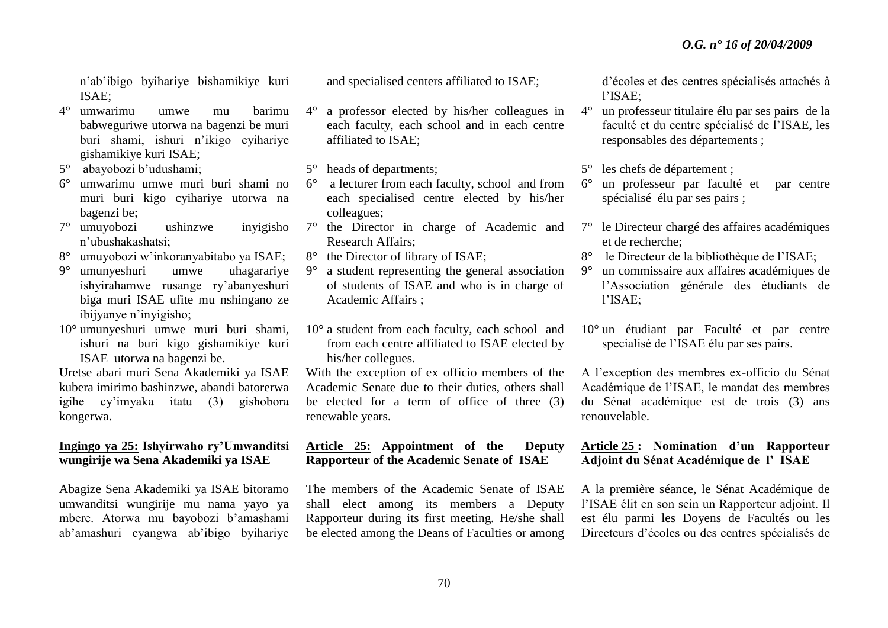n'ab'ibigo byihariye bishamikiye kuri ISAE;

- 4° umwarimu umwe mu barimu babweguriwe utorwa na bagenzi be muri buri shami, ishuri n'ikigo cyihariye gishamikiye kuri ISAE;
- 5° abayobozi b'udushami;
- 6° umwarimu umwe muri buri shami no muri buri kigo cyihariye utorwa na bagenzi be;
- 7° umuyobozi ushinzwe inyigisho n'ubushakashatsi;
- 8° umuyobozi w'inkoranyabitabo ya ISAE;
- 9° umunyeshuri umwe uhagarariye ishyirahamwe rusange ry'abanyeshuri biga muri ISAE ufite mu nshingano ze ibijyanye n'inyigisho;
- 10° umunyeshuri umwe muri buri shami, ishuri na buri kigo gishamikiye kuri ISAE utorwa na bagenzi be.

Uretse abari muri Sena Akademiki ya ISAE kubera imirimo bashinzwe, abandi batorerwa igihe cy'imyaka itatu (3) gishobora kongerwa.

# **Ingingo ya 25: Ishyirwaho ry'Umwanditsi wungirije wa Sena Akademiki ya ISAE**

Abagize Sena Akademiki ya ISAE bitoramo umwanditsi wungirije mu nama yayo ya mbere. Atorwa mu bayobozi b'amashami ab'amashuri cyangwa ab'ibigo byihariye and specialised centers affiliated to ISAE;

4° a professor elected by his/her colleagues in each faculty, each school and in each centre affiliated to ISAE;

5° heads of departments;

- 6° a lecturer from each faculty, school and from each specialised centre elected by his/her colleagues;
- 7° the Director in charge of Academic and Research Affairs;
- 8° the Director of library of ISAE;
- 9° a student representing the general association of students of ISAE and who is in charge of Academic Affairs ;
- 10° a student from each faculty, each school and from each centre affiliated to ISAE elected by his/her collegues.

With the exception of ex officio members of the Academic Senate due to their duties, others shall be elected for a term of office of three (3) renewable years.

# **Article 25: Appointment of the Deputy Rapporteur of the Academic Senate of ISAE**

The members of the Academic Senate of ISAE shall elect among its members a Deputy Rapporteur during its first meeting. He/she shall be elected among the Deans of Faculties or among

d'écoles et des centres spécialisés attachés à l'ISAE;

- 4° un professeur titulaire élu par ses pairs de la faculté et du centre spécialisé de l'ISAE, les responsables des départements ;
- 5° les chefs de département ;
- 6° un professeur par faculté et par centre spécialisé élu par ses pairs ;
- 7° le Directeur chargé des affaires académiques et de recherche;
- 8° le Directeur de la bibliothèque de l'ISAE;
- 9° un commissaire aux affaires académiques de l'Association générale des étudiants de l'ISAE;
- 10° un étudiant par Faculté et par centre specialisé de l'ISAE élu par ses pairs.

A l'exception des membres ex-officio du Sénat Académique de l'ISAE, le mandat des membres du Sénat académique est de trois (3) ans renouvelable.

# **Article 25 : Nomination d'un Rapporteur Adjoint du Sénat Académique de l' ISAE**

A la première séance, le Sénat Académique de l'ISAE élit en son sein un Rapporteur adjoint. Il est élu parmi les Doyens de Facultés ou les Directeurs d'écoles ou des centres spécialisés de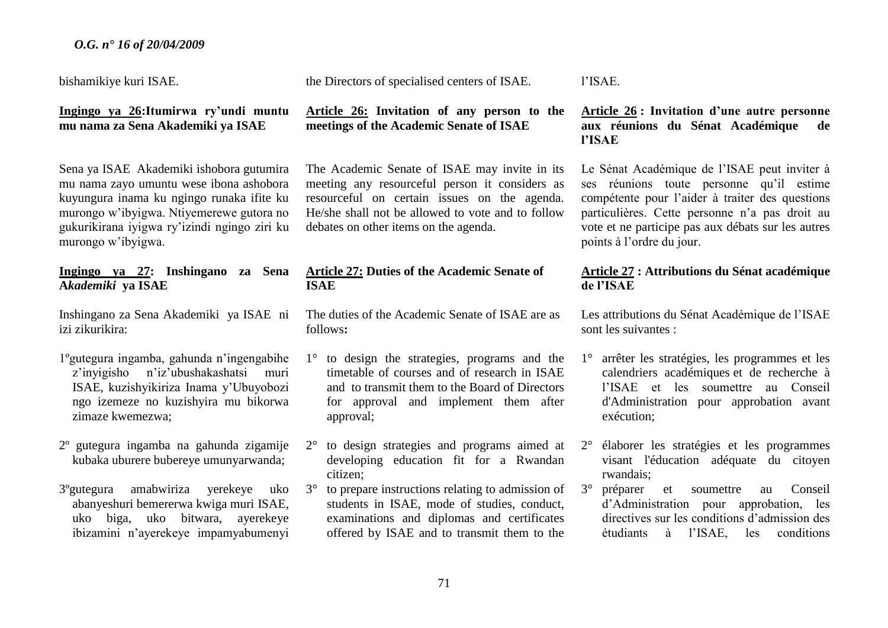bishamikiye kuri ISAE.

## **Ingingo ya 26:Itumirwa ry'undi muntu mu nama za Sena Akademiki ya ISAE**

Sena ya ISAE Akademiki ishobora gutumira mu nama zayo umuntu wese ibona ashobora kuyungura inama ku ngingo runaka ifite ku murongo w'ibyigwa. Ntiyemerewe gutora no gukurikirana iyigwa ry'izindi ngingo ziri ku murongo w'ibyigwa.

## **Ingingo ya 27: Inshingano za Sena A***kademiki* **ya ISAE**

Inshingano za Sena Akademiki ya ISAE ni izi zikurikira:

- 1ºgutegura ingamba, gahunda n'ingengabihe z'inyigisho n'iz'ubushakashatsi muri ISAE, kuzishyikiriza Inama y'Ubuyobozi ngo izemeze no kuzishyira mu bikorwa zimaze kwemezwa;
- 2º gutegura ingamba na gahunda zigamije kubaka uburere bubereye umunyarwanda;
- 3ºgutegura amabwiriza yerekeye uko abanyeshuri bemererwa kwiga muri ISAE, uko biga, uko bitwara, ayerekeye ibizamini n'ayerekeye impamyabumenyi

the Directors of specialised centers of ISAE.

# **Article 26: Invitation of any person to the meetings of the Academic Senate of ISAE**

The Academic Senate of ISAE may invite in its meeting any resourceful person it considers as resourceful on certain issues on the agenda. He/she shall not be allowed to vote and to follow debates on other items on the agenda.

# **Article 27: Duties of the Academic Senate of ISAE**

The duties of the Academic Senate of ISAE are as follows**:**

- 1° to design the strategies, programs and the timetable of courses and of research in ISAE and to transmit them to the Board of Directors for approval and implement them after approval;
- 2° to design strategies and programs aimed at developing education fit for a Rwandan citizen;
- 3° to prepare instructions relating to admission of students in ISAE, mode of studies, conduct, examinations and diplomas and certificates offered by ISAE and to transmit them to the

l'ISAE.

# **Article 26 : Invitation d'une autre personne aux réunions du Sénat Académique de l'ISAE**

Le Sénat Académique de l'ISAE peut inviter à ses réunions toute personne qu'il estime compétente pour l'aider à traiter des questions particulières. Cette personne n'a pas droit au vote et ne participe pas aux débats sur les autres points à l'ordre du jour.

# **Article 27 : Attributions du Sénat académique de l'ISAE**

Les attributions du Sénat Académique de l'ISAE sont les suivantes :

- 1° arrêter les stratégies, les programmes et les calendriers académiques et de recherche à l'ISAE et les soumettre au Conseil d'Administration pour approbation avant exécution;
- 2° élaborer les stratégies et les programmes visant l'éducation adéquate du citoyen rwandais;
- 3° préparer et soumettre au Conseil d'Administration pour approbation, les directives sur les conditions d'admission des étudiants à l'ISAE, les conditions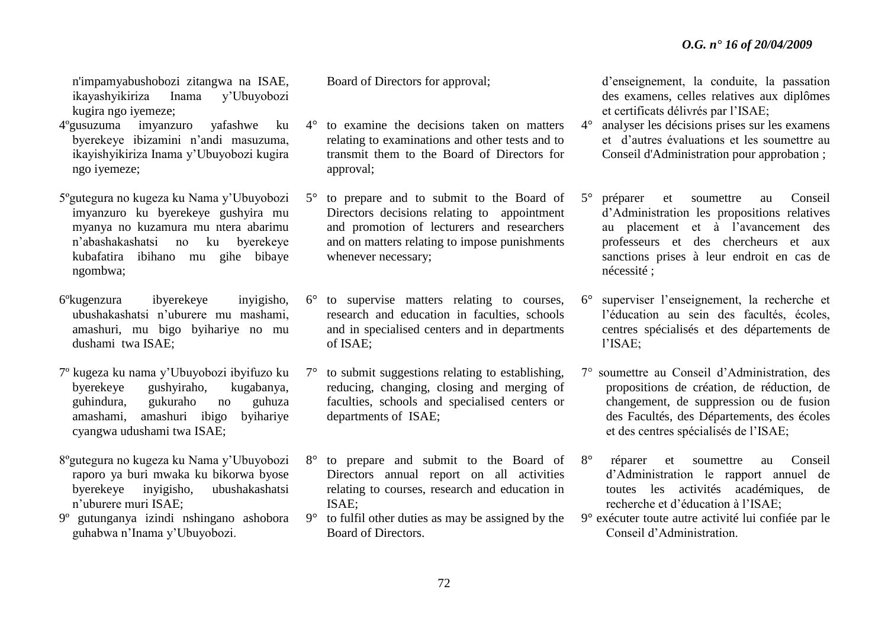n'impamyabushobozi zitangwa na ISAE, ikayashyikiriza Inama y'Ubuyobozi kugira ngo iyemeze;

- 4ºgusuzuma imyanzuro yafashwe ku byerekeye ibizamini n'andi masuzuma, ikayishyikiriza Inama y'Ubuyobozi kugira ngo iyemeze;
- 5ºgutegura no kugeza ku Nama y'Ubuyobozi imyanzuro ku byerekeye gushyira mu myanya no kuzamura mu ntera abarimu n'abashakashatsi no ku byerekeye kubafatira ibihano mu gihe bibaye ngombwa;
- 6ºkugenzura ibyerekeye inyigisho, ubushakashatsi n'uburere mu mashami, amashuri, mu bigo byihariye no mu dushami twa ISAE;
- 7º kugeza ku nama y'Ubuyobozi ibyifuzo ku byerekeye gushyiraho, kugabanya, guhindura, gukuraho no guhuza amashami, amashuri ibigo byihariye cyangwa udushami twa ISAE;
- 8ºgutegura no kugeza ku Nama y'Ubuyobozi raporo ya buri mwaka ku bikorwa byose byerekeye inyigisho, ubushakashatsi n'uburere muri ISAE;
- 9º gutunganya izindi nshingano ashobora guhabwa n'Inama y'Ubuyobozi.

Board of Directors for approval;

- 4° to examine the decisions taken on matters relating to examinations and other tests and to transmit them to the Board of Directors for approval;
- 5° to prepare and to submit to the Board of Directors decisions relating to appointment and promotion of lecturers and researchers and on matters relating to impose punishments whenever necessary;
- 6° to supervise matters relating to courses, research and education in faculties, schools and in specialised centers and in departments of ISAE;
- 7° to submit suggestions relating to establishing, reducing, changing, closing and merging of faculties, schools and specialised centers or departments of ISAE;
- 8° to prepare and submit to the Board of Directors annual report on all activities relating to courses, research and education in ISAE;
- 9° to fulfil other duties as may be assigned by the Board of Directors.

d'enseignement, la conduite, la passation des examens, celles relatives aux diplômes et certificats délivrés par l'ISAE;

- 4° analyser les décisions prises sur les examens et d'autres évaluations et les soumettre au Conseil d'Administration pour approbation ;
- 5° préparer et soumettre au Conseil d'Administration les propositions relatives au placement et à l'avancement des professeurs et des chercheurs et aux sanctions prises à leur endroit en cas de nécessité ;
- 6° superviser l'enseignement, la recherche et l'éducation au sein des facultés, écoles, centres spécialisés et des départements de l'ISAE;
- 7° soumettre au Conseil d'Administration, des propositions de création, de réduction, de changement, de suppression ou de fusion des Facultés, des Départements, des écoles et des centres spécialisés de l'ISAE;
- 8° réparer et soumettre au Conseil d'Administration le rapport annuel de toutes les activités académiques, de recherche et d'éducation à l'ISAE;
- 9° exécuter toute autre activité lui confiée par le Conseil d'Administration.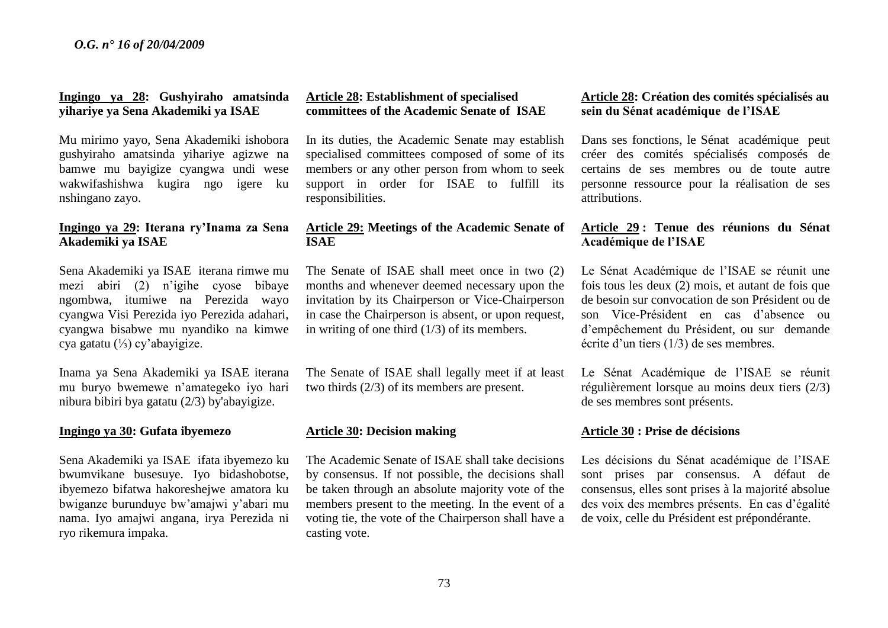## **Ingingo ya 28: Gushyiraho amatsinda yihariye ya Sena Akademiki ya ISAE**

Mu mirimo yayo, Sena Akademiki ishobora gushyiraho amatsinda yihariye agizwe na bamwe mu bayigize cyangwa undi wese wakwifashishwa kugira ngo igere ku nshingano zayo.

## **Ingingo ya 29: Iterana ry'Inama za Sena Akademiki ya ISAE**

Sena Akademiki ya ISAE iterana rimwe mu mezi abiri (2) n'igihe cyose bibaye ngombwa, itumiwe na Perezida wayo cyangwa Visi Perezida iyo Perezida adahari, cyangwa bisabwe mu nyandiko na kimwe cya gatatu (⅓) cy'abayigize.

Inama ya Sena Akademiki ya ISAE iterana mu buryo bwemewe n'amategeko iyo hari nibura bibiri bya gatatu (2/3) by'abayigize.

#### **Ingingo ya 30: Gufata ibyemezo**

Sena Akademiki ya ISAEifata ibyemezo ku bwumvikane busesuye. Iyo bidashobotse, ibyemezo bifatwa hakoreshejwe amatora ku bwiganze burunduye bw'amajwi y'abari mu nama. Iyo amajwi angana, irya Perezida ni ryo rikemura impaka.

## **Article 28: Establishment of specialised committees of the Academic Senate of ISAE**

In its duties, the Academic Senate may establish specialised committees composed of some of its members or any other person from whom to seek support in order for ISAE to fulfill its responsibilities.

## **Article 29: Meetings of the Academic Senate of ISAE**

The Senate of ISAE shall meet once in two (2) months and whenever deemed necessary upon the invitation by its Chairperson or Vice-Chairperson in case the Chairperson is absent, or upon request, in writing of one third (1/3) of its members.

The Senate of ISAE shall legally meet if at least two thirds (2/3) of its members are present.

#### **Article 30: Decision making**

The Academic Senate of ISAE shall take decisions by consensus. If not possible, the decisions shall be taken through an absolute majority vote of the members present to the meeting. In the event of a voting tie, the vote of the Chairperson shall have a casting vote.

## **Article 28: Création des comités spécialisés au sein du Sénat académique de l'ISAE**

Dans ses fonctions, le Sénat académique peut créer des comités spécialisés composés de certains de ses membres ou de toute autre personne ressource pour la réalisation de ses attributions.

## **Article 29 : Tenue des réunions du Sénat Académique de l'ISAE**

Le Sénat Académique de l'ISAE se réunit une fois tous les deux (2) mois, et autant de fois que de besoin sur convocation de son Président ou de son Vice-Président en cas d'absence ou d'empêchement du Président, ou sur demande écrite d'un tiers (1/3) de ses membres.

Le Sénat Académique de l'ISAE se réunit régulièrement lorsque au moins deux tiers (2/3) de ses membres sont présents.

#### **Article 30 : Prise de décisions**

Les décisions du Sénat académique de l'ISAE sont prises par consensus. A défaut de consensus, elles sont prises à la majorité absolue des voix des membres présents. En cas d'égalité de voix, celle du Président est prépondérante.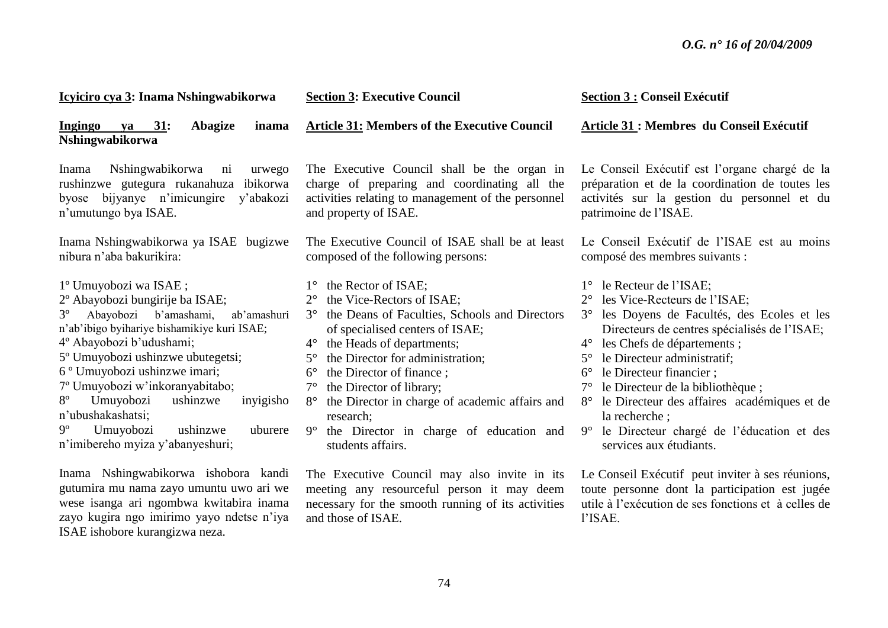| Icyiciro cya 3: Inama Nshingwabikorwa                                                                                                                                                                                                                                                                                                                                                                                                                                           | <b>Section 3: Executive Council</b>                                                                                                                                                                                                                                                                                                                                                                                                                                                                                      | <b>Section 3 : Conseil Exécutif</b>                                                                                                                                                                                                                                                                                                                                                                                                                                                                                                          |
|---------------------------------------------------------------------------------------------------------------------------------------------------------------------------------------------------------------------------------------------------------------------------------------------------------------------------------------------------------------------------------------------------------------------------------------------------------------------------------|--------------------------------------------------------------------------------------------------------------------------------------------------------------------------------------------------------------------------------------------------------------------------------------------------------------------------------------------------------------------------------------------------------------------------------------------------------------------------------------------------------------------------|----------------------------------------------------------------------------------------------------------------------------------------------------------------------------------------------------------------------------------------------------------------------------------------------------------------------------------------------------------------------------------------------------------------------------------------------------------------------------------------------------------------------------------------------|
| ya 31:<br>Abagize<br>Ingingo<br>inama<br>Nshingwabikorwa                                                                                                                                                                                                                                                                                                                                                                                                                        | <b>Article 31: Members of the Executive Council</b>                                                                                                                                                                                                                                                                                                                                                                                                                                                                      | Article 31 : Membres du Conseil Exécutif                                                                                                                                                                                                                                                                                                                                                                                                                                                                                                     |
| Nshingwabikorwa<br>urwego<br>Inama<br>ni<br>rushinzwe gutegura rukanahuza ibikorwa<br>byose bijyanye n'imicungire y'abakozi<br>n'umutungo bya ISAE.                                                                                                                                                                                                                                                                                                                             | The Executive Council shall be the organ in<br>charge of preparing and coordinating all the<br>activities relating to management of the personnel<br>and property of ISAE.                                                                                                                                                                                                                                                                                                                                               | Le Conseil Exécutif est l'organe chargé de la<br>préparation et de la coordination de toutes les<br>activités sur la gestion du personnel et du<br>patrimoine de l'ISAE.                                                                                                                                                                                                                                                                                                                                                                     |
| Inama Nshingwabikorwa ya ISAE bugizwe<br>nibura n'aba bakurikira:                                                                                                                                                                                                                                                                                                                                                                                                               | The Executive Council of ISAE shall be at least<br>composed of the following persons:                                                                                                                                                                                                                                                                                                                                                                                                                                    | Le Conseil Exécutif de l'ISAE est au moins<br>composé des membres suivants :                                                                                                                                                                                                                                                                                                                                                                                                                                                                 |
| 1º Umuyobozi wa ISAE;<br>2º Abayobozi bungirije ba ISAE;<br>Abayobozi b'amashami,<br>ab'amashuri<br>$3^{\circ}$<br>n'ab'ibigo byihariye bishamikiye kuri ISAE;<br>4º Abayobozi b'udushami;<br>5° Umuyobozi ushinzwe ubutegetsi;<br>6 <sup>°</sup> Umuyobozi ushinzwe imari;<br>7º Umuyobozi w'inkoranyabitabo;<br>$8^{\circ}$<br>Umuyobozi<br>ushinzwe<br>inyigisho<br>n'ubushakashatsi;<br>$9^{\circ}$<br>Umuyobozi<br>ushinzwe<br>uburere<br>n'imibereho myiza y'abanyeshuri; | $1^\circ$ the Rector of ISAE;<br>the Vice-Rectors of ISAE;<br>$2^{\circ}$<br>the Deans of Faculties, Schools and Directors<br>$3^\circ$<br>of specialised centers of ISAE;<br>the Heads of departments;<br>$4^{\circ}$<br>the Director for administration;<br>$5^\circ$<br>$6^{\circ}$<br>the Director of finance;<br>the Director of library;<br>$7^{\circ}$<br>the Director in charge of academic affairs and<br>$8^{\circ}$<br>research;<br>$9^\circ$<br>the Director in charge of education and<br>students affairs. | le Recteur de l'ISAE;<br>$1^{\circ}$<br>les Vice-Recteurs de l'ISAE;<br>$2^{\circ}$<br>les Doyens de Facultés, des Ecoles et les<br>$3^\circ$<br>Directeurs de centres spécialisés de l'ISAE;<br>les Chefs de départements ;<br>$4^{\circ}$<br>le Directeur administratif;<br>$5^{\circ}$<br>le Directeur financier ;<br>$6^{\circ}$<br>le Directeur de la bibliothèque;<br>$7^{\circ}$<br>le Directeur des affaires académiques et de<br>la recherche;<br>le Directeur chargé de l'éducation et des<br>$9^\circ$<br>services aux étudiants. |
| Inama Nshingwabikorwa ishobora kandi<br>gutumira mu nama zayo umuntu uwo ari we<br>wese isanga ari ngombwa kwitabira inama<br>zayo kugira ngo imirimo yayo ndetse n'iya<br>ISAE ishobore kurangizwa neza.                                                                                                                                                                                                                                                                       | The Executive Council may also invite in its<br>meeting any resourceful person it may deem<br>necessary for the smooth running of its activities<br>and those of ISAE.                                                                                                                                                                                                                                                                                                                                                   | Le Conseil Exécutif peut inviter à ses réunions,<br>toute personne dont la participation est jugée<br>utile à l'exécution de ses fonctions et à celles de<br>l'ISAE.                                                                                                                                                                                                                                                                                                                                                                         |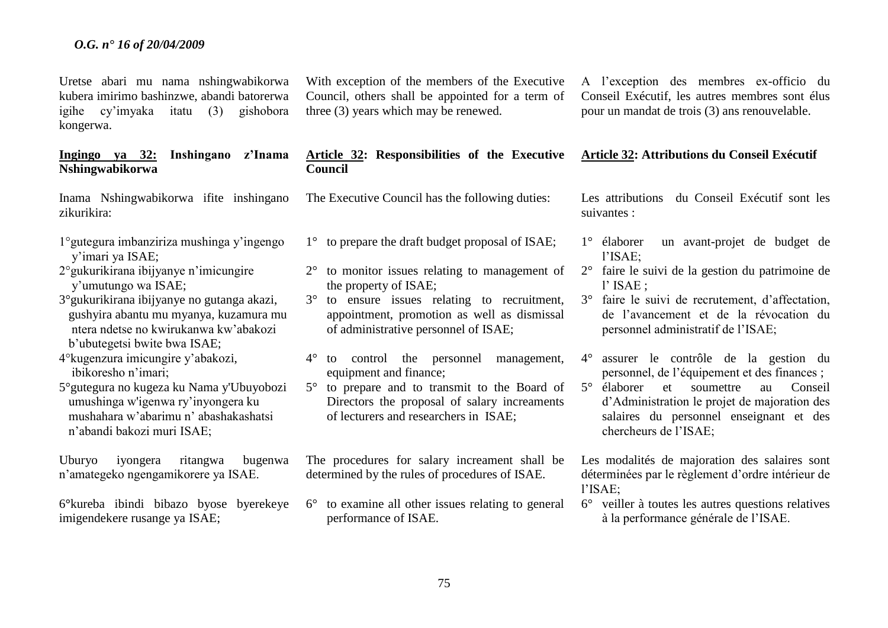Uretse abari mu nama nshingwabikorwa kubera imirimo bashinzwe, abandi batorerwa igihe cy'imyaka itatu (3) gishobora kongerwa.

## **Ingingo ya 32: Inshingano z'Inama Nshingwabikorwa**

Inama Nshingwabikorwa ifite inshingano zikurikira:

- 1°gutegura imbanziriza mushinga y'ingengo y'imari ya ISAE;
- 2°gukurikirana ibijyanye n'imicungire y'umutungo wa ISAE;
- 3°gukurikirana ibijyanye no gutanga akazi, gushyira abantu mu myanya, kuzamura mu ntera ndetse no kwirukanwa kw'abakozi b'ubutegetsi bwite bwa ISAE;
- 4°kugenzura imicungire y'abakozi, ibikoresho n'imari;

5°gutegura no kugeza ku Nama y'Ubuyobozi umushinga w'igenwa ry'inyongera ku mushahara w'abarimu n' abashakashatsi n'abandi bakozi muri ISAE;

Uburyo iyongera ritangwa bugenwa n'amategeko ngengamikorere ya ISAE.

6**°**kureba ibindi bibazo byose byerekeye imigendekere rusange ya ISAE;

With exception of the members of the Executive Council, others shall be appointed for a term of three (3) years which may be renewed.

#### **Article 32: Responsibilities of the Executive Council**

The Executive Council has the following duties:

- 1° to prepare the draft budget proposal of ISAE;
- 2° to monitor issues relating to management of the property of ISAE;
- 3° to ensure issues relating to recruitment, appointment, promotion as well as dismissal of administrative personnel of ISAE;
- 4° to control the personnel management, equipment and finance;
- 5° to prepare and to transmit to the Board of Directors the proposal of salary increaments of lecturers and researchers in ISAE;

The procedures for salary increament shall be determined by the rules of procedures of ISAE.

6° to examine all other issues relating to general performance of ISAE.

A l'exception des membres ex-officio du Conseil Exécutif, les autres membres sont élus pour un mandat de trois (3) ans renouvelable.

#### **Article 32: Attributions du Conseil Exécutif**

Les attributions du Conseil Exécutif sont les suivantes :

- 1° élaborer un avant-projet de budget de l'ISAE;
- 2° faire le suivi de la gestion du patrimoine de l' ISAE ;
- 3° faire le suivi de recrutement, d'affectation, de l'avancement et de la révocation du personnel administratif de l'ISAE;
- 4° assurer le contrôle de la gestion du personnel, de l'équipement et des finances ;
- 5° élaborer et soumettre au Conseil d'Administration le projet de majoration des salaires du personnel enseignant et des chercheurs de l'ISAE;

Les modalités de majoration des salaires sont déterminées par le règlement d'ordre intérieur de l'ISAE;

6° veiller à toutes les autres questions relatives à la performance générale de l'ISAE.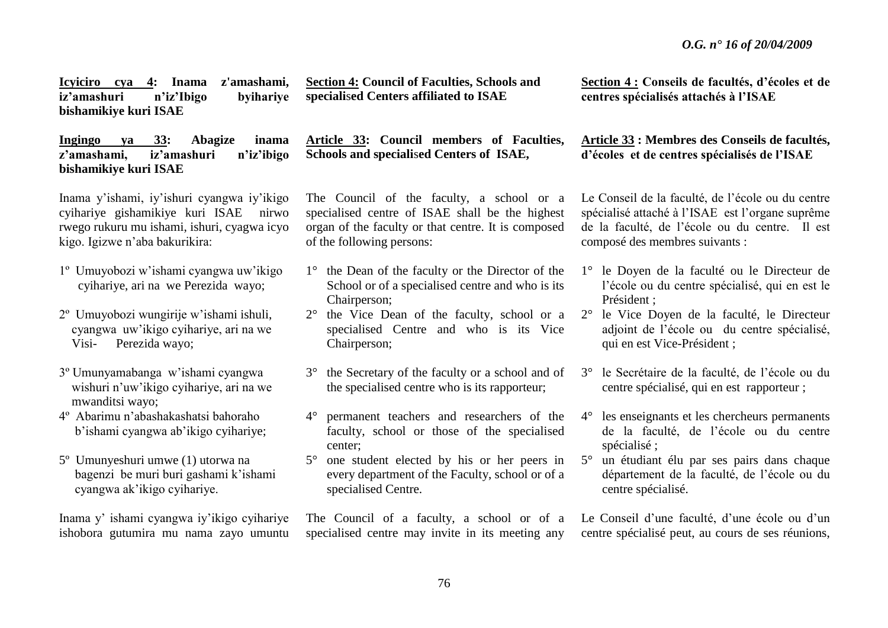**Icyiciro cya 4: Inama z'amashami, iz'amashuri n'iz'Ibigo byihariye bishamikiye kuri ISAE**

**Ingingo ya 33: Abagize inama z'amashami, iz'amashuri n'iz'ibigo bishamikiye kuri ISAE** 

Inama y'ishami, iy'ishuri cyangwa iy'ikigo cyihariye gishamikiye kuri ISAEnirwo rwego rukuru mu ishami, ishuri, cyagwa icyo kigo. Igizwe n'aba bakurikira:

- 1º Umuyobozi w'ishami cyangwa uw'ikigo cyihariye, ari na we Perezida wayo;
- 2º Umuyobozi wungirije w'ishami ishuli, cyangwa uw'ikigo cyihariye, ari na we Visi- Perezida wayo;
- 3º Umunyamabanga w'ishami cyangwa wishuri n'uw'ikigo cyihariye, ari na we mwanditsi wayo;
- 4º Abarimu n'abashakashatsi bahoraho b'ishami cyangwa ab'ikigo cyihariye;
- 5º Umunyeshuri umwe (1) utorwa na bagenzi be muri buri gashami k'ishami cyangwa ak'ikigo cyihariye.

Inama y' ishami cyangwa iy'ikigo cyihariye ishobora gutumira mu nama zayo umuntu **Section 4: Council of Faculties, Schools and speciali**s**ed Centers affiliated to ISAE**

**Article 33: Council members of Faculties, Schools and speciali**s**ed Centers of ISAE,** 

The Council of the faculty, a school or a specialised centre of ISAE shall be the highest organ of the faculty or that centre. It is composed of the following persons:

- 1° the Dean of the faculty or the Director of the School or of a specialised centre and who is its Chairperson;
- 2° the Vice Dean of the faculty, school or a specialised Centre and who is its Vice Chairperson;
- 3° the Secretary of the faculty or a school and of the specialised centre who is its rapporteur;
- 4° permanent teachers and researchers of the faculty, school or those of the specialised center;
- 5° one student elected by his or her peers in every department of the Faculty, school or of a specialised Centre.

The Council of a faculty, a school or of a specialised centre may invite in its meeting any

**Section 4 : Conseils de facultés, d'écoles et de centres spécialisés attachés à l'ISAE**

# **Article 33 : Membres des Conseils de facultés, d'écoles et de centres spécialisés de l'ISAE**

Le Conseil de la faculté, de l'école ou du centre spécialisé attaché à l'ISAE est l'organe suprême de la faculté, de l'école ou du centre. Il est composé des membres suivants :

- 1° le Doyen de la faculté ou le Directeur de l'école ou du centre spécialisé, qui en est le Président ;
- 2° le Vice Doyen de la faculté, le Directeur adjoint de l'école ou du centre spécialisé, qui en est Vice-Président ;
- 3° le Secrétaire de la faculté, de l'école ou du centre spécialisé, qui en est rapporteur ;
- 4° les enseignants et les chercheurs permanents de la faculté, de l'école ou du centre spécialisé ;
- 5° un étudiant élu par ses pairs dans chaque département de la faculté, de l'école ou du centre spécialisé.

Le Conseil d'une faculté, d'une école ou d'un centre spécialisé peut, au cours de ses réunions,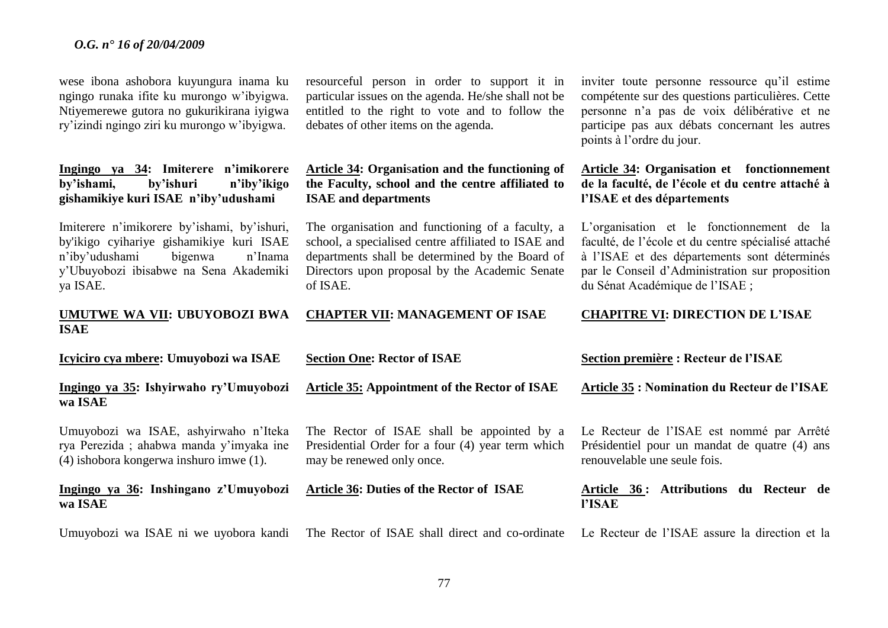wese ibona ashobora kuyungura inama ku ngingo runaka ifite ku murongo w'ibyigwa. Ntiyemerewe gutora no gukurikirana iyigwa ry'izindi ngingo ziri ku murongo w'ibyigwa.

## **Ingingo ya 34: Imiterere n'imikorere by'ishami, by'ishuri n'iby'ikigo gishamikiye kuri ISAE n'iby'udushami**

Imiterere n'imikorere by'ishami, by'ishuri, by'ikigo cyihariye gishamikiye kuri ISAE n'iby'udushami bigenwa n'Inama y'Ubuyobozi ibisabwe na Sena Akademiki ya ISAE.

## **UMUTWE WA VII: UBUYOBOZI BWA ISAE**

Umuyobozi wa ISAE ni we uyobora kandi

resourceful person in order to support it in particular issues on the agenda. He/she shall not be entitled to the right to vote and to follow the debates of other items on the agenda.

**Article 34: Organi**s**ation and the functioning of the Faculty, school and the centre affiliated to ISAE and departments** 

The organisation and functioning of a faculty, a school, a specialised centre affiliated to ISAE and departments shall be determined by the Board of Directors upon proposal by the Academic Senate of ISAE.

#### **CHAPTER VII: MANAGEMENT OF ISAE**

inviter toute personne ressource qu'il estime compétente sur des questions particulières. Cette personne n'a pas de voix délibérative et ne participe pas aux débats concernant les autres points à l'ordre du jour.

## **Article 34: Organisation et fonctionnement de la faculté, de l'école et du centre attaché à l'ISAE et des départements**

L'organisation et le fonctionnement de la faculté, de l'école et du centre spécialisé attaché à l'ISAE et des départements sont déterminés par le Conseil d'Administration sur proposition du Sénat Académique de l'ISAE ;

### **CHAPITRE VI: DIRECTION DE L'ISAE**

| Icyiciro cya mbere: Umuyobozi wa ISAE                                                                                       | <b>Section One: Rector of ISAE</b>                                                                                           | Section première : Recteur de l'ISAE                                                                                       |
|-----------------------------------------------------------------------------------------------------------------------------|------------------------------------------------------------------------------------------------------------------------------|----------------------------------------------------------------------------------------------------------------------------|
| Ingingo ya 35: Ishyirwaho ry'Umuyobozi<br>wa ISAE                                                                           | Article 35: Appointment of the Rector of ISAE                                                                                | <b>Article 35 : Nomination du Recteur de l'ISAE</b>                                                                        |
| Umuyobozi wa ISAE, ashyirwaho n'Iteka<br>rya Perezida; ahabwa manda y'imyaka ine<br>(4) ishobora kongerwa inshuro imwe (1). | The Rector of ISAE shall be appointed by a<br>Presidential Order for a four (4) year term which<br>may be renewed only once. | Le Recteur de l'ISAE est nommé par Arrêté<br>Présidentiel pour un mandat de quatre (4) ans<br>renouvelable une seule fois. |
| Ingingo ya 36: Inshingano z'Umuyobozi<br>wa ISAE                                                                            | Article 36: Duties of the Rector of ISAE                                                                                     | 36: Attributions du Recteur de<br>Article<br><b>PISAE</b>                                                                  |

77

The Rector of ISAE shall direct and co-ordinate Le Recteur de l'ISAE assure la direction et la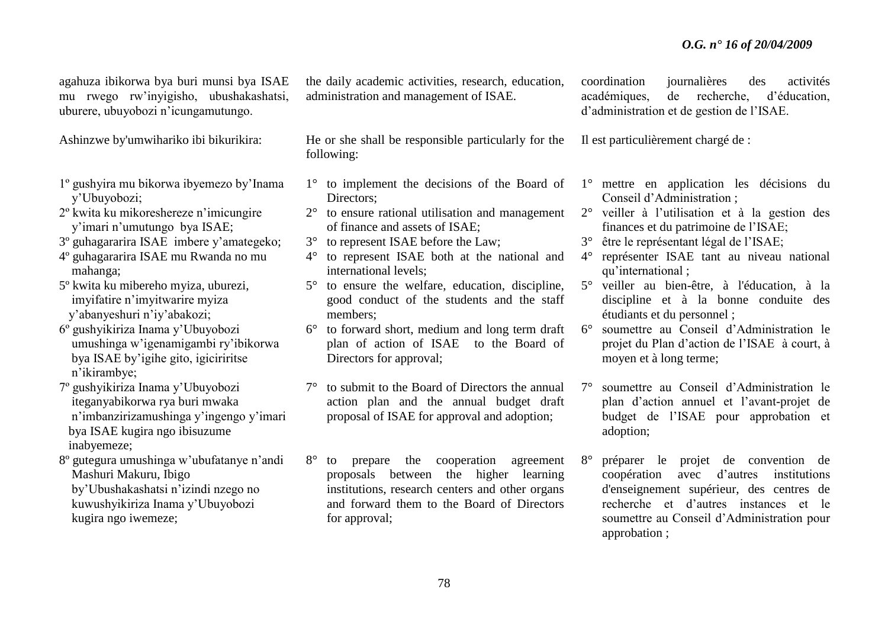agahuza ibikorwa bya buri munsi bya ISAE mu rwego rw'inyigisho, ubushakashatsi, uburere, ubuyobozi n'icungamutungo.

Ashinzwe by'umwihariko ibi bikurikira:

- 1º gushyira mu bikorwa ibyemezo by'Inama y'Ubuyobozi;
- 2º kwita ku mikoreshereze n'imicungire y'imari n'umutungo bya ISAE;
- 3º guhagararira ISAE imbere y'amategeko; 4º guhagararira ISAE mu Rwanda no mu
- mahanga;
- 5º kwita ku mibereho myiza, uburezi, imyifatire n'imyitwarire myiza y'abanyeshuri n'iy'abakozi;
- 6º gushyikiriza Inama y'Ubuyobozi umushinga w'igenamigambi ry'ibikorwa bya ISAE by'igihe gito, igiciriritse n'ikirambye;
- 7º gushyikiriza Inama y'Ubuyobozi iteganyabikorwa rya buri mwaka n'imbanzirizamushinga y'ingengo y'imari bya ISAE kugira ngo ibisuzume inabyemeze;
- 8º gutegura umushinga w'ubufatanye n'andi Mashuri Makuru, Ibigo by'Ubushakashatsi n'izindi nzego no kuwushyikiriza Inama y'Ubuyobozi kugira ngo iwemeze;

the daily academic activities, research, education, administration and management of ISAE.

He or she shall be responsible particularly for the following:

- 1° to implement the decisions of the Board of Directors:
- 2° to ensure rational utilisation and management of finance and assets of ISAE;
- 3° to represent ISAE before the Law;
- 4° to represent ISAE both at the national and international levels;
- 5° to ensure the welfare, education, discipline, good conduct of the students and the staff members;
- 6° to forward short, medium and long term draft plan of action of ISAE to the Board of Directors for approval;
- 7° to submit to the Board of Directors the annual action plan and the annual budget draft proposal of ISAE for approval and adoption;
- 8° to prepare the cooperation agreement proposals between the higher learning institutions, research centers and other organs and forward them to the Board of Directors for approval;

coordination journalières des activités académiques, de recherche, d'éducation, d'administration et de gestion de l'ISAE.

Il est particulièrement chargé de :

- 1° mettre en application les décisions du Conseil d'Administration ;
- 2° veiller à l'utilisation et à la gestion des finances et du patrimoine de l'ISAE;
- 3° être le représentant légal de l'ISAE;
- 4° représenter ISAE tant au niveau national qu'international ;
- 5° veiller au bien-être, à l'éducation, à la discipline et à la bonne conduite des étudiants et du personnel ;
- 6° soumettre au Conseil d'Administration le projet du Plan d'action de l'ISAE à court, à moyen et à long terme;
- 7° soumettre au Conseil d'Administration le plan d'action annuel et l'avant-projet de budget de l'ISAE pour approbation et adoption;
- 8° préparer le projet de convention de coopération avec d'autres institutions d'enseignement supérieur, des centres de recherche et d'autres instances et le soumettre au Conseil d'Administration pour approbation ;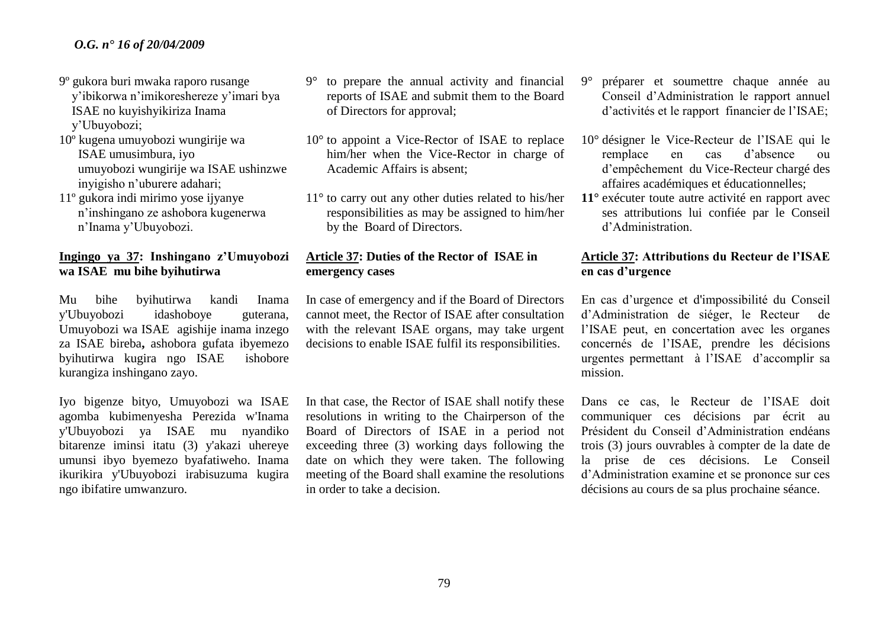- 9º gukora buri mwaka raporo rusange y'ibikorwa n'imikoreshereze y'imari bya ISAE no kuyishyikiriza Inama y'Ubuyobozi;
- 10º kugena umuyobozi wungirije wa ISAE umusimbura, iyo umuyobozi wungirije wa ISAE ushinzwe inyigisho n'uburere adahari;
- 11º gukora indi mirimo yose ijyanye n'inshingano ze ashobora kugenerwa n'Inama y'Ubuyobozi.

## **Ingingo ya 37: Inshingano z'Umuyobozi wa ISAE mu bihe byihutirwa**

Mu bihe byihutirwa kandi Inama y'Ubuyobozi idashoboye guterana, Umuyobozi wa ISAEagishije inama inzego za ISAE bireba**,** ashobora gufata ibyemezo byihutirwa kugira ngo ISAE ishobore kurangiza inshingano zayo.

Iyo bigenze bityo, Umuyobozi wa ISAE agomba kubimenyesha Perezida w'Inama y'Ubuyobozi ya ISAE mu nyandiko bitarenze iminsi itatu (3) y'akazi uhereye umunsi ibyo byemezo byafatiweho. Inama ikurikira y'Ubuyobozi irabisuzuma kugira ngo ibifatire umwanzuro.

- 9° to prepare the annual activity and financial reports of ISAE and submit them to the Board of Directors for approval;
- 10° to appoint a Vice-Rector of ISAE to replace him/her when the Vice-Rector in charge of Academic Affairs is absent;
- 11° to carry out any other duties related to his/her responsibilities as may be assigned to him/her by the Board of Directors.

## **Article 37: Duties of the Rector of ISAE in emergency cases**

In case of emergency and if the Board of Directors cannot meet, the Rector of ISAE after consultation with the relevant ISAE organs, may take urgent decisions to enable ISAE fulfil its responsibilities.

In that case, the Rector of ISAE shall notify these resolutions in writing to the Chairperson of the Board of Directors of ISAE in a period not exceeding three (3) working days following the date on which they were taken. The following meeting of the Board shall examine the resolutions in order to take a decision.

- 9° préparer et soumettre chaque année au Conseil d'Administration le rapport annuel d'activités et le rapport financier de l'ISAE;
- 10° désigner le Vice-Recteur de l'ISAE qui le remplace en cas d'absence ou d'empêchement du Vice-Recteur chargé des affaires académiques et éducationnelles;
- **11°** exécuter toute autre activité en rapport avec ses attributions lui confiée par le Conseil d'Administration.

## **Article 37: Attributions du Recteur de l'ISAE en cas d'urgence**

En cas d'urgence et d'impossibilité du Conseil d'Administration de siéger, le Recteur de l'ISAE peut, en concertation avec les organes concernés de l'ISAE, prendre les décisions urgentes permettant à l'ISAE d'accomplir sa mission.

Dans ce cas, le Recteur de l'ISAE doit communiquer ces décisions par écrit au Président du Conseil d'Administration endéans trois (3) jours ouvrables à compter de la date de la prise de ces décisions. Le Conseil d'Administration examine et se prononce sur ces décisions au cours de sa plus prochaine séance.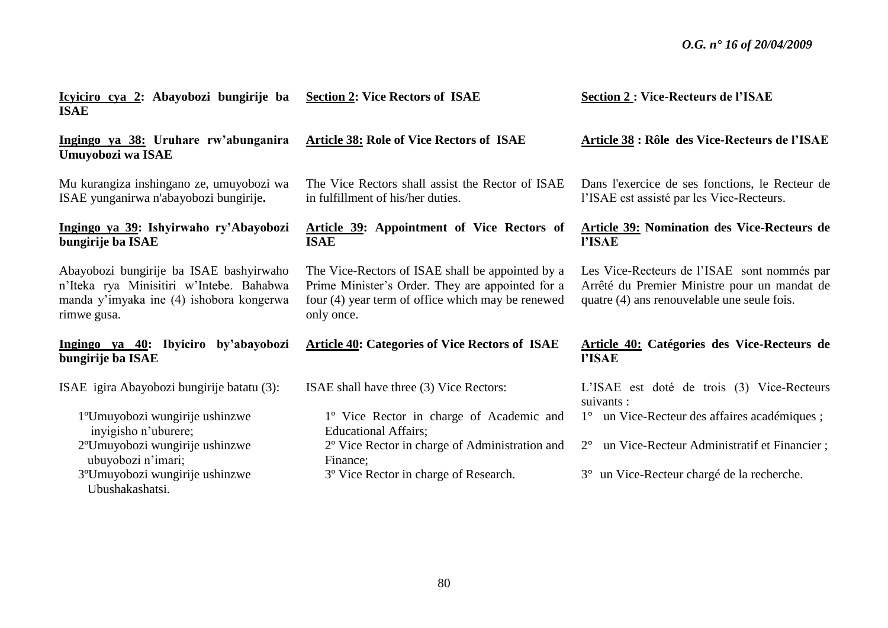| Icyiciro cya 2: Abayobozi bungirije ba<br><b>ISAE</b>                                                                                          | <b>Section 2: Vice Rectors of ISAE</b>                                                                                                                                  | <b>Section 2: Vice-Recteurs de l'ISAE</b>                                                                                                  |
|------------------------------------------------------------------------------------------------------------------------------------------------|-------------------------------------------------------------------------------------------------------------------------------------------------------------------------|--------------------------------------------------------------------------------------------------------------------------------------------|
| Ingingo ya 38: Uruhare rw'abunganira<br>Umuyobozi wa ISAE                                                                                      | <b>Article 38: Role of Vice Rectors of ISAE</b>                                                                                                                         | Article 38 : Rôle des Vice-Recteurs de l'ISAE                                                                                              |
| Mu kurangiza inshingano ze, umuyobozi wa<br>ISAE yunganirwa n'abayobozi bungirije.                                                             | The Vice Rectors shall assist the Rector of ISAE<br>in fulfillment of his/her duties.                                                                                   | Dans l'exercice de ses fonctions, le Recteur de<br>l'ISAE est assisté par les Vice-Recteurs.                                               |
| Ingingo ya 39: Ishyirwaho ry'Abayobozi<br>bungirije ba ISAE                                                                                    | Article 39: Appointment of Vice Rectors of<br><b>ISAE</b>                                                                                                               | <b>Article 39: Nomination des Vice-Recteurs de</b><br><b>l'ISAE</b>                                                                        |
| Abayobozi bungirije ba ISAE bashyirwaho<br>n'Iteka rya Minisitiri w'Intebe. Bahabwa<br>manda y'imyaka ine (4) ishobora kongerwa<br>rimwe gusa. | The Vice-Rectors of ISAE shall be appointed by a<br>Prime Minister's Order. They are appointed for a<br>four (4) year term of office which may be renewed<br>only once. | Les Vice-Recteurs de l'ISAE sont nommés par<br>Arrêté du Premier Ministre pour un mandat de<br>quatre (4) ans renouvelable une seule fois. |
| Ingingo ya 40: Ibyiciro by'abayobozi<br>bungirije ba ISAE                                                                                      | <b>Article 40: Categories of Vice Rectors of ISAE</b>                                                                                                                   | Article 40: Catégories des Vice-Recteurs de<br>l'ISAE                                                                                      |
| ISAE igira Abayobozi bungirije batatu (3):                                                                                                     | ISAE shall have three (3) Vice Rectors:                                                                                                                                 | L'ISAE est doté de trois (3) Vice-Recteurs<br>suivants :                                                                                   |
| 1°Umuyobozi wungirije ushinzwe                                                                                                                 | 1° Vice Rector in charge of Academic and                                                                                                                                | 1° un Vice-Recteur des affaires académiques;                                                                                               |
| invigisho n'uburere;<br>2 <sup>o</sup> Umuyobozi wungirije ushinzwe<br>ubuyobozi n'imari;                                                      | <b>Educational Affairs;</b><br>2° Vice Rector in charge of Administration and<br>Finance;                                                                               | un Vice-Recteur Administratif et Financier;<br>$2^{\circ}$                                                                                 |
| 3 <sup>o</sup> Umuyobozi wungirije ushinzwe<br>Ubushakashatsi.                                                                                 | 3° Vice Rector in charge of Research.                                                                                                                                   | 3° un Vice-Recteur chargé de la recherche.                                                                                                 |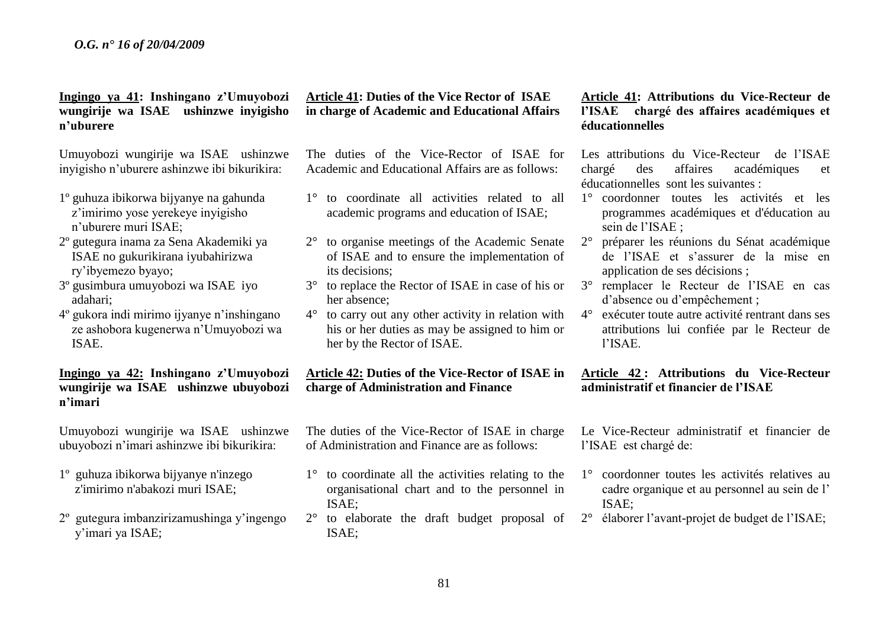**Ingingo ya 41: Inshingano z'Umuyobozi wungirije wa ISAE ushinzwe inyigisho n'uburere**

Umuyobozi wungirije wa ISAE ushinzwe inyigisho n'uburere ashinzwe ibi bikurikira:

- 1º guhuza ibikorwa bijyanye na gahunda z'imirimo yose yerekeye inyigisho n'uburere muri ISAE;
- 2º gutegura inama za Sena Akademiki ya ISAE no gukurikirana iyubahirizwa ry'ibyemezo byayo;
- 3º gusimbura umuyobozi wa ISAE iyo adahari;
- 4º gukora indi mirimo ijyanye n'inshingano ze ashobora kugenerwa n'Umuyobozi wa ISAE.

## **Ingingo ya 42: Inshingano z'Umuyobozi wungirije wa ISAE ushinzwe ubuyobozi n'imari**

Umuyobozi wungirije wa ISAE ushinzwe ubuyobozi n'imari ashinzwe ibi bikurikira:

- 1º guhuza ibikorwa bijyanye n'inzego z'imirimo n'abakozi muri ISAE;
- 2º gutegura imbanzirizamushinga y'ingengo y'imari ya ISAE;

## **Article 41: Duties of the Vice Rector of ISAE in charge of Academic and Educational Affairs**

The duties of the Vice-Rector of ISAE for Academic and Educational Affairs are as follows:

- 1° to coordinate all activities related to all academic programs and education of ISAE;
- 2° to organise meetings of the Academic Senate of ISAE and to ensure the implementation of its decisions;
- 3° to replace the Rector of ISAE in case of his or her absence;
- 4° to carry out any other activity in relation with his or her duties as may be assigned to him or her by the Rector of ISAE.

## **Article 42: Duties of the Vice-Rector of ISAE in charge of Administration and Finance**

The duties of the Vice-Rector of ISAE in charge of Administration and Finance are as follows:

- 1° to coordinate all the activities relating to the organisational chart and to the personnel in ISAE;
- 2° to elaborate the draft budget proposal of ISAE;

## **Article 41: Attributions du Vice-Recteur de l'ISAE chargé des affaires académiques et éducationnelles**

Les attributions du Vice-Recteur de l'ISAE chargé des affaires académiques et éducationnelles sont les suivantes :

- 1° coordonner toutes les activités et les programmes académiques et d'éducation au sein de l'ISAE ;
- 2° préparer les réunions du Sénat académique de l'ISAE et s'assurer de la mise en application de ses décisions ;
- 3° remplacer le Recteur de l'ISAE en cas d'absence ou d'empêchement ;
- 4° exécuter toute autre activité rentrant dans ses attributions lui confiée par le Recteur de l'ISAE.

## **Article 42 : Attributions du Vice-Recteur administratif et financier de l'ISAE**

Le Vice-Recteur administratif et financier de l'ISAE est chargé de:

- 1° coordonner toutes les activités relatives au cadre organique et au personnel au sein de l' ISAE;
- 2° élaborer l'avant-projet de budget de l'ISAE;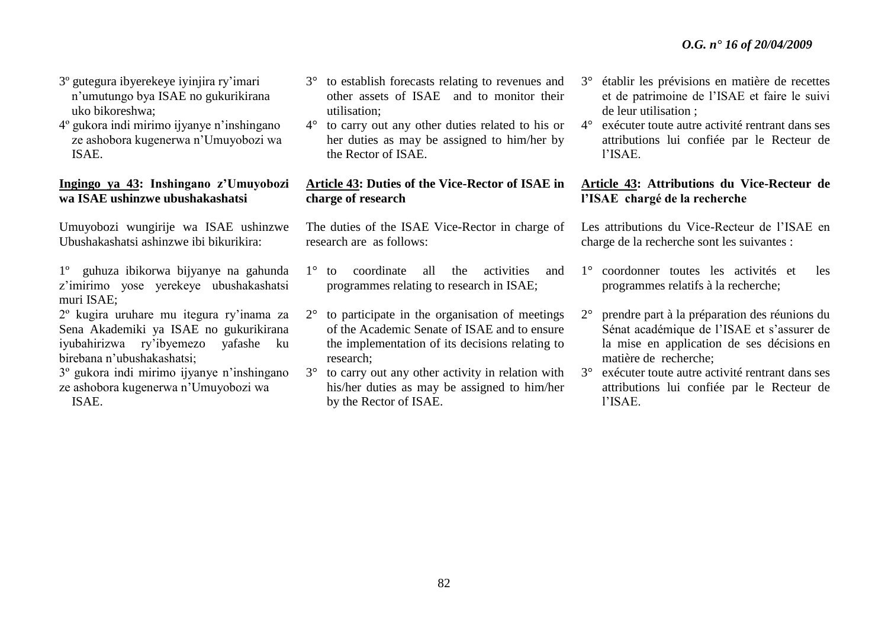- 3º gutegura ibyerekeye iyinjira ry'imari n'umutungo bya ISAE no gukurikirana uko bikoreshwa;
- 4º gukora indi mirimo ijyanye n'inshingano ze ashobora kugenerwa n'Umuyobozi wa ISAE.

## **Ingingo ya 43: Inshingano z'Umuyobozi wa ISAE ushinzwe ubushakashatsi**

Umuyobozi wungirije wa ISAE ushinzwe Ubushakashatsi ashinzwe ibi bikurikira:

- 1º guhuza ibikorwa bijyanye na gahunda z'imirimo yose yerekeye ubushakashatsi muri ISAE;
- 2º kugira uruhare mu itegura ry'inama za Sena Akademiki ya ISAE no gukurikirana iyubahirizwa ry'ibyemezo yafashe ku birebana n'ubushakashatsi;

3º gukora indi mirimo ijyanye n'inshingano ze ashobora kugenerwa n'Umuyobozi wa

ISAE.

- 3° to establish forecasts relating to revenues and other assets of ISAE and to monitor their utilisation;
- 4° to carry out any other duties related to his or her duties as may be assigned to him/her by the Rector of ISAE.

## **Article 43: Duties of the Vice-Rector of ISAE in charge of research**

The duties of the ISAE Vice-Rector in charge of research are as follows:

- 1° to coordinate all the activities and programmes relating to research in ISAE;
- 2° to participate in the organisation of meetings of the Academic Senate of ISAE and to ensure the implementation of its decisions relating to research;
- 3° to carry out any other activity in relation with his/her duties as may be assigned to him/her by the Rector of ISAE.
- 3° établir les prévisions en matière de recettes et de patrimoine de l'ISAE et faire le suivi de leur utilisation ;
- 4° exécuter toute autre activité rentrant dans ses attributions lui confiée par le Recteur de l'ISAE.

## **Article 43: Attributions du Vice-Recteur de l'ISAE chargé de la recherche**

Les attributions du Vice-Recteur de l'ISAE en charge de la recherche sont les suivantes :

- 1° coordonner toutes les activités et les programmes relatifs à la recherche;
- 2° prendre part à la préparation des réunions du Sénat académique de l'ISAE et s'assurer de la mise en application de ses décisions en matière de recherche;
- 3° exécuter toute autre activité rentrant dans ses attributions lui confiée par le Recteur de l'ISAE.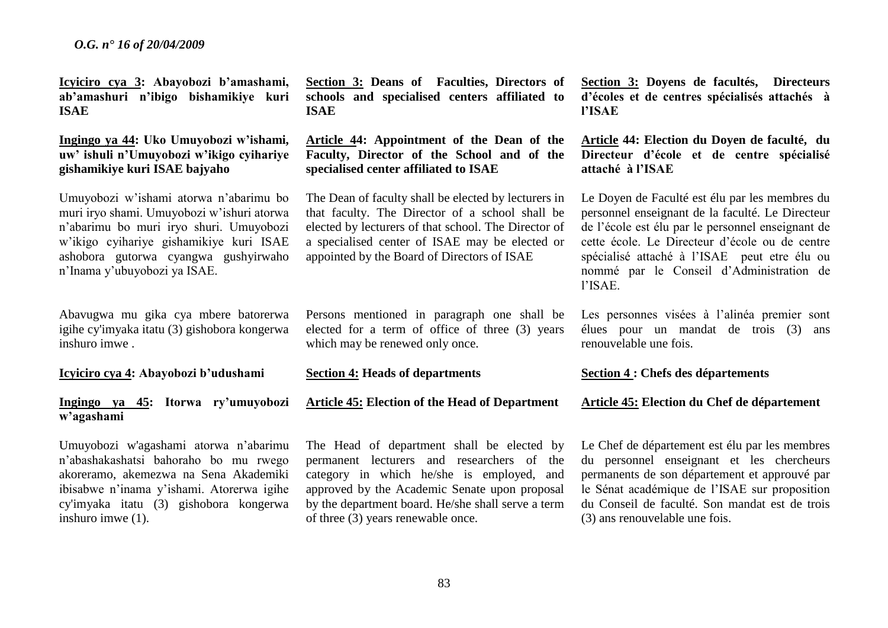**Icyiciro cya 3: Abayobozi b'amashami, ab'amashuri n'ibigo bishamikiye kuri ISAE** 

## **Ingingo ya 44: Uko Umuyobozi w'ishami, uw' ishuli n'Umuyobozi w'ikigo cyihariye gishamikiye kuri ISAE bajyaho**

Umuyobozi w'ishami atorwa n'abarimu bo muri iryo shami. Umuyobozi w'ishuri atorwa n'abarimu bo muri iryo shuri. Umuyobozi w'ikigo cyihariye gishamikiye kuri ISAE ashobora gutorwa cyangwa gushyirwaho n'Inama y'ubuyobozi ya ISAE.

Abavugwa mu gika cya mbere batorerwa igihe cy'imyaka itatu (3) gishobora kongerwa inshuro imwe .

**Icyiciro cya 4: Abayobozi b'udushami**

#### **Ingingo ya 45: Itorwa ry'umuyobozi w'agashami**

Umuyobozi w'agashami atorwa n'abarimu n'abashakashatsi bahoraho bo mu rwego akoreramo, akemezwa na Sena Akademiki ibisabwe n'inama y'ishami. Atorerwa igihe cy'imyaka itatu (3) gishobora kongerwa inshuro imwe (1).

**Section 3: Deans of Faculties, Directors of schools and specialised centers affiliated to ISAE** 

**Article 44: Appointment of the Dean of the Faculty, Director of the School and of the specialised center affiliated to ISAE**

The Dean of faculty shall be elected by lecturers in that faculty. The Director of a school shall be elected by lecturers of that school. The Director of a specialised center of ISAE may be elected or appointed by the Board of Directors of ISAE

Persons mentioned in paragraph one shall be elected for a term of office of three (3) years which may be renewed only once.

#### **Section 4: Heads of departments**

**Article 45: Election of the Head of Department**

The Head of department shall be elected by permanent lecturers and researchers of the category in which he/she is employed, and approved by the Academic Senate upon proposal by the department board. He/she shall serve a term of three (3) years renewable once.

**Section 3: Doyens de facultés, Directeurs d'écoles et de centres spécialisés attachés à l'ISAE**

**Article 44: Election du Doyen de faculté, du Directeur d'école et de centre spécialisé attaché à l'ISAE**

Le Doyen de Faculté est élu par les membres du personnel enseignant de la faculté. Le Directeur de l'école est élu par le personnel enseignant de cette école. Le Directeur d'école ou de centre spécialisé attaché à l'ISAE peut etre élu ou nommé par le Conseil d'Administration de l'ISAE.

Les personnes visées à l'alinéa premier sont élues pour un mandat de trois (3) ans renouvelable une fois.

#### **Section 4 : Chefs des départements**

#### **Article 45: Election du Chef de département**

Le Chef de département est élu par les membres du personnel enseignant et les chercheurs permanents de son département et approuvé par le Sénat académique de l'ISAE sur proposition du Conseil de faculté. Son mandat est de trois (3) ans renouvelable une fois.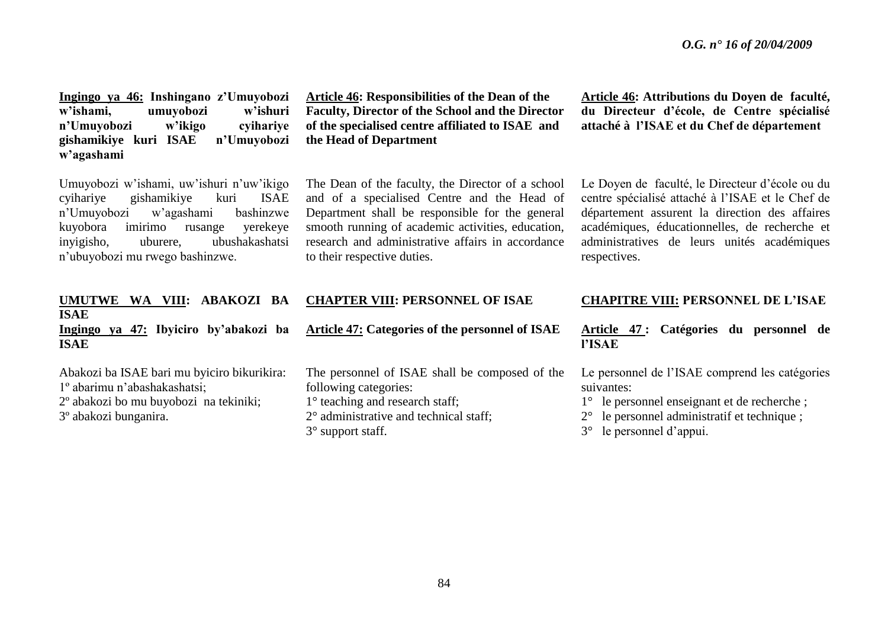**Ingingo ya 46: Inshingano z'Umuyobozi w'ishami, umuyobozi w'ishuri n'Umuyobozi w'ikigo cyihariye gishamikiye kuri ISAE n'Umuyobozi w'agashami**

Umuyobozi w'ishami, uw'ishuri n'uw'ikigo cyihariye gishamikiye kuri ISAE n'Umuyobozi w'agashami bashinzwe kuyobora imirimo rusange yerekeye inyigisho, uburere, ubushakashatsi n'ubuyobozi mu rwego bashinzwe.

**Article 46: Responsibilities of the Dean of the Faculty, Director of the School and the Director of the specialised centre affiliated to ISAE and the Head of Department**

The Dean of the faculty, the Director of a school and of a specialised Centre and the Head of Department shall be responsible for the general smooth running of academic activities, education, research and administrative affairs in accordance to their respective duties.

**Article 46: Attributions du Doyen de faculté, du Directeur d'école, de Centre spécialisé attaché à l'ISAE et du Chef de département**

Le Doyen de faculté, le Directeur d'école ou du centre spécialisé attaché à l'ISAE et le Chef de département assurent la direction des affaires académiques, éducationnelles, de recherche et administratives de leurs unités académiques respectives.

| <b>ABAKOZI</b><br><b>UMUTWE</b><br>BA<br>WA VIII:  | <b>CHAPTER VIII: PERSONNEL OF ISAE</b>                 | <b>CHAPITRE VIII: PERSONNEL DE L'ISAE</b>             |
|----------------------------------------------------|--------------------------------------------------------|-------------------------------------------------------|
| <b>ISAE</b>                                        |                                                        |                                                       |
| ya 47: Ibyiciro by'abakozi ba<br>Ingingo           | <b>Article 47: Categories of the personnel of ISAE</b> | 47 : Catégories du personnel de<br>Article            |
| <b>ISAE</b>                                        |                                                        | <b>l'ISAE</b>                                         |
| Abakozi ba ISAE bari mu byiciro bikurikira:        | The personnel of ISAE shall be composed of the         | Le personnel de l'ISAE comprend les catégories        |
| 1 <sup>°</sup> abarimu n'abashakashatsi;           | following categories:                                  | suivantes:                                            |
| 2 <sup>°</sup> abakozi bo mu buyobozi na tekiniki; | $1^\circ$ teaching and research staff;                 | 1° le personnel enseignant et de recherche;           |
| 3 <sup>°</sup> abakozi bunganira.                  | $2^{\circ}$ administrative and technical staff;        | $2^{\circ}$ le personnel administratif et technique ; |
|                                                    | $3^\circ$ support staff.                               | $3^{\circ}$ le personnel d'appui.                     |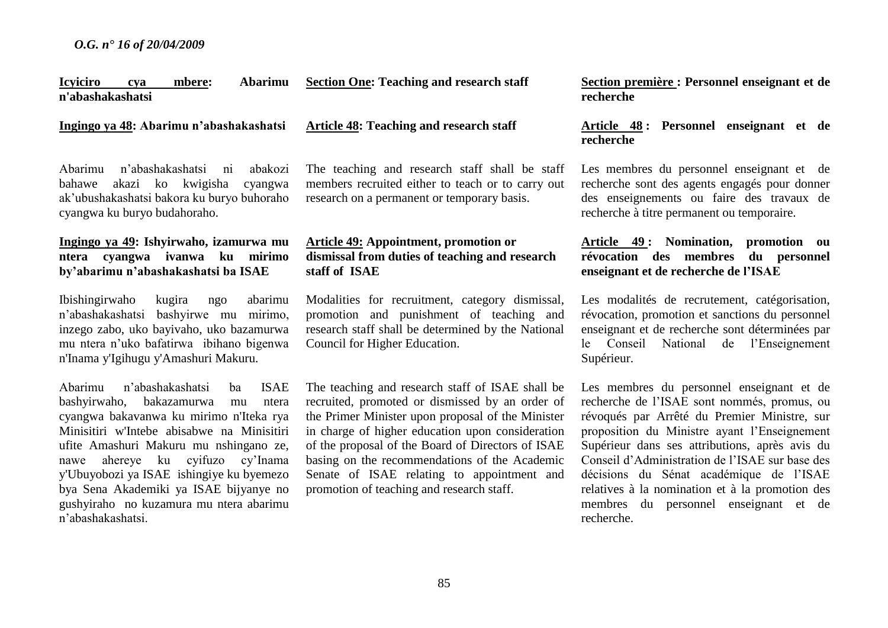#### **Icyiciro cya mbere: Abarimu n'abashakashatsi Section One: Teaching and research staff**

**Ingingo ya 48: Abarimu n'abashakashatsi**

Abarimu n'abashakashatsi ni abakozi bahawe akazi ko kwigisha cyangwa ak'ubushakashatsi bakora ku buryo buhoraho cyangwa ku buryo budahoraho.

## **Ingingo ya 49: Ishyirwaho, izamurwa mu ntera cyangwa ivanwa ku mirimo by'abarimu n'abashakashatsi ba ISAE**

Ibishingirwaho kugira ngo abarimu n'abashakashatsi bashyirwe mu mirimo, inzego zabo, uko bayivaho, uko bazamurwa mu ntera n'uko bafatirwa ibihano bigenwa n'Inama y'Igihugu y'Amashuri Makuru.

Abarimu n'abashakashatsi ba ISAE bashyirwaho, bakazamurwa mu ntera cyangwa bakavanwa ku mirimo n'Iteka rya Minisitiri w'Intebe abisabwe na Minisitiri ufite Amashuri Makuru mu nshingano ze, nawe ahereye ku cyifuzo cy'Inama y'Ubuyobozi ya ISAEishingiye ku byemezo bya Sena Akademiki ya ISAE bijyanye no gushyiraho no kuzamura mu ntera abarimu n'abashakashatsi.

## **Article 48: Teaching and research staff**

The teaching and research staff shall be staff members recruited either to teach or to carry out research on a permanent or temporary basis.

## **Article 49: Appointment, promotion or dismissal from duties of teaching and research staff of ISAE**

Modalities for recruitment, category dismissal, promotion and punishment of teaching and research staff shall be determined by the National Council for Higher Education.

The teaching and research staff of ISAE shall be recruited, promoted or dismissed by an order of the Primer Minister upon proposal of the Minister in charge of higher education upon consideration of the proposal of the Board of Directors of ISAE basing on the recommendations of the Academic Senate of ISAE relating to appointment and promotion of teaching and research staff.

**Section première : Personnel enseignant et de recherche**

#### **Article 48 : Personnel enseignant et de recherche**

Les membres du personnel enseignant et de recherche sont des agents engagés pour donner des enseignements ou faire des travaux de recherche à titre permanent ou temporaire.

## **Article 49 : Nomination, promotion ou révocation des membres du personnel enseignant et de recherche de l'ISAE**

Les modalités de recrutement, catégorisation, révocation, promotion et sanctions du personnel enseignant et de recherche sont déterminées par le Conseil National de l'Enseignement Supérieur.

Les membres du personnel enseignant et de recherche de l'ISAE sont nommés, promus, ou révoqués par Arrêté du Premier Ministre, sur proposition du Ministre ayant l'Enseignement Supérieur dans ses attributions, après avis du Conseil d'Administration de l'ISAE sur base des décisions du Sénat académique de l'ISAE relatives à la nomination et à la promotion des membres du personnel enseignant et de recherche.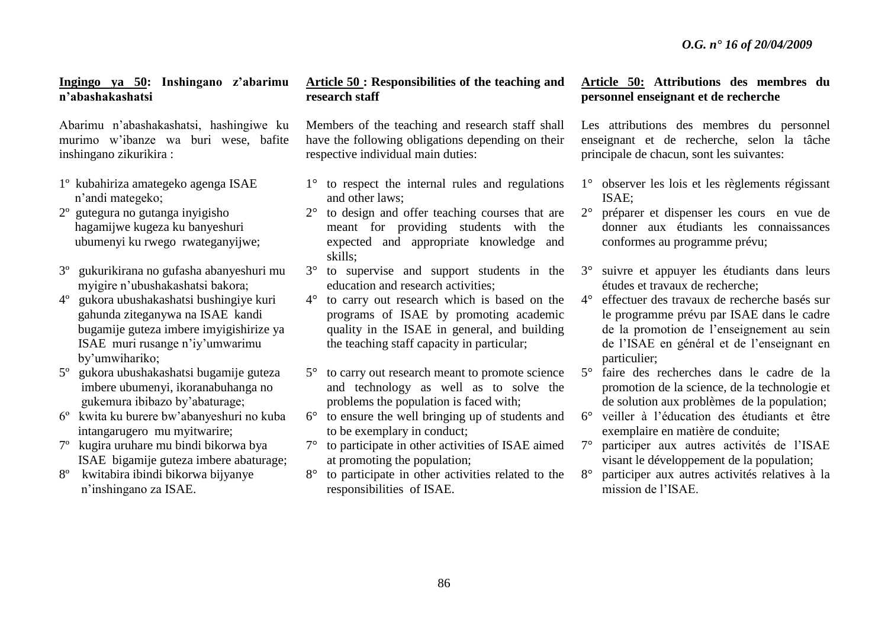#### **Ingingo ya 50: Inshingano z'abarimu n'abashakashatsi**

Abarimu n'abashakashatsi, hashingiwe ku murimo w'ibanze wa buri wese, bafite inshingano zikurikira :

- 1º kubahiriza amategeko agenga ISAE n'andi mategeko;
- 2º gutegura no gutanga inyigisho hagamijwe kugeza ku banyeshuri ubumenyi ku rwego rwateganyijwe;
- 3º gukurikirana no gufasha abanyeshuri mu myigire n'ubushakashatsi bakora;
- 4º gukora ubushakashatsi bushingiye kuri gahunda ziteganywa na ISAEkandi bugamije guteza imbere imyigishirize ya ISAE muri rusange n'iy'umwarimu by'umwihariko;
- 5º gukora ubushakashatsi bugamije guteza imbere ubumenyi, ikoranabuhanga no gukemura ibibazo by'abaturage;
- 6º kwita ku burere bw'abanyeshuri no kuba intangarugero mu myitwarire;
- 7º kugira uruhare mu bindi bikorwa bya ISAE bigamije guteza imbere abaturage;
- 8º kwitabira ibindi bikorwa bijyanye n'inshingano za ISAE.

## **Article 50 : Responsibilities of the teaching and research staff**

Members of the teaching and research staff shall have the following obligations depending on their respective individual main duties:

- 1° to respect the internal rules and regulations and other laws;
- 2° to design and offer teaching courses that are meant for providing students with the expected and appropriate knowledge and skills;
- 3° to supervise and support students in the education and research activities;
- 4° to carry out research which is based on the programs of ISAE by promoting academic quality in the ISAE in general, and building the teaching staff capacity in particular;
- 5° to carry out research meant to promote science and technology as well as to solve the problems the population is faced with;
- 6° to ensure the well bringing up of students and to be exemplary in conduct;
- 7° to participate in other activities of ISAE aimed at promoting the population;
- 8° to participate in other activities related to the responsibilities of ISAE.

## **Article 50: Attributions des membres du personnel enseignant et de recherche**

Les attributions des membres du personnel enseignant et de recherche, selon la tâche principale de chacun, sont les suivantes:

- 1° observer les lois et les règlements régissant ISAE;
- 2° préparer et dispenser les cours en vue de donner aux étudiants les connaissances conformes au programme prévu;
- 3° suivre et appuyer les étudiants dans leurs études et travaux de recherche;
- 4° effectuer des travaux de recherche basés sur le programme prévu par ISAE dans le cadre de la promotion de l'enseignement au sein de l'ISAE en général et de l'enseignant en particulier;
- 5° faire des recherches dans le cadre de la promotion de la science, de la technologie et de solution aux problèmes de la population;
- 6° veiller à l'éducation des étudiants et être exemplaire en matière de conduite;
- 7° participer aux autres activités de l'ISAE visant le développement de la population;
- 8° participer aux autres activités relatives à la mission de l'ISAE.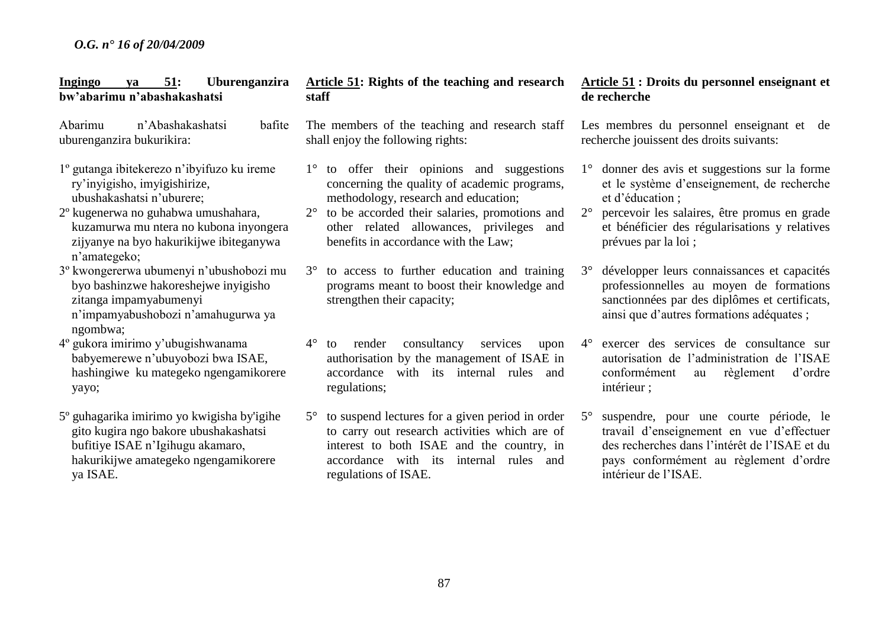| 51:<br>Uburenganzira<br>Ingingo<br>ya<br>bw'abarimu n'abashakashatsi                                                                                                                                                                                                                                                                                                         | Article 51: Rights of the teaching and research<br>staff                                                                                                                                                                                                                                                                                                                                                                           | Article 51: Droits du personnel enseignant et<br>de recherche                                                                                                                                                                                                                                                                                                                                                               |
|------------------------------------------------------------------------------------------------------------------------------------------------------------------------------------------------------------------------------------------------------------------------------------------------------------------------------------------------------------------------------|------------------------------------------------------------------------------------------------------------------------------------------------------------------------------------------------------------------------------------------------------------------------------------------------------------------------------------------------------------------------------------------------------------------------------------|-----------------------------------------------------------------------------------------------------------------------------------------------------------------------------------------------------------------------------------------------------------------------------------------------------------------------------------------------------------------------------------------------------------------------------|
| n'Abashakashatsi<br>Abarimu<br>bafite<br>uburenganzira bukurikira:                                                                                                                                                                                                                                                                                                           | The members of the teaching and research staff<br>shall enjoy the following rights:                                                                                                                                                                                                                                                                                                                                                | Les membres du personnel enseignant et de<br>recherche jouissent des droits suivants:                                                                                                                                                                                                                                                                                                                                       |
| 1º gutanga ibitekerezo n'ibyifuzo ku ireme<br>ry'inyigisho, imyigishirize,<br>ubushakashatsi n'uburere;<br>2º kugenerwa no guhabwa umushahara,<br>kuzamurwa mu ntera no kubona inyongera<br>zijyanye na byo hakurikijwe ibiteganywa<br>n'amategeko;<br>3 <sup>°</sup> kwongererwa ubumenyi n'ubushobozi mu<br>byo bashinzwe hakoreshejwe inyigisho<br>zitanga impamyabumenyi | 1° to offer their opinions and suggestions<br>concerning the quality of academic programs,<br>methodology, research and education;<br>to be accorded their salaries, promotions and<br>$2^{\circ}$<br>other related allowances, privileges<br>and<br>benefits in accordance with the Law;<br>to access to further education and training<br>$3^\circ$<br>programs meant to boost their knowledge and<br>strengthen their capacity; | donner des avis et suggestions sur la forme<br>$1^{\circ}$<br>et le système d'enseignement, de recherche<br>et d'éducation ;<br>$2^{\circ}$<br>percevoir les salaires, être promus en grade<br>et bénéficier des régularisations y relatives<br>prévues par la loi;<br>développer leurs connaissances et capacités<br>$3^\circ$<br>professionnelles au moyen de formations<br>sanctionnées par des diplômes et certificats, |
| n'impamyabushobozi n'amahugurwa ya<br>ngombwa;<br>4° gukora imirimo y'ubugishwanama<br>babyemerewe n'ubuyobozi bwa ISAE,<br>hashingiwe ku mategeko ngengamikorere<br>yayo;                                                                                                                                                                                                   | consultancy<br>$4^{\circ}$<br>render<br>services<br>upon<br>to<br>authorisation by the management of ISAE in<br>accordance with its internal rules and<br>regulations;                                                                                                                                                                                                                                                             | ainsi que d'autres formations adéquates ;<br>exercer des services de consultance sur<br>$4^{\circ}$<br>autorisation de l'administration de l'ISAE<br>conformément<br>règlement<br>d'ordre<br>au<br>intérieur ;                                                                                                                                                                                                              |
| 5° guhagarika imirimo yo kwigisha by'igihe<br>gito kugira ngo bakore ubushakashatsi<br>bufitiye ISAE n'Igihugu akamaro,<br>hakurikijwe amategeko ngengamikorere<br>ya ISAE.                                                                                                                                                                                                  | to suspend lectures for a given period in order<br>$5^{\circ}$<br>to carry out research activities which are of<br>interest to both ISAE and the country, in<br>accordance with its internal rules and<br>regulations of ISAE.                                                                                                                                                                                                     | suspendre, pour une courte période, le<br>$5^{\circ}$<br>travail d'enseignement en vue d'effectuer<br>des recherches dans l'intérêt de l'ISAE et du<br>pays conformément au règlement d'ordre<br>intérieur de l'ISAE.                                                                                                                                                                                                       |
|                                                                                                                                                                                                                                                                                                                                                                              |                                                                                                                                                                                                                                                                                                                                                                                                                                    |                                                                                                                                                                                                                                                                                                                                                                                                                             |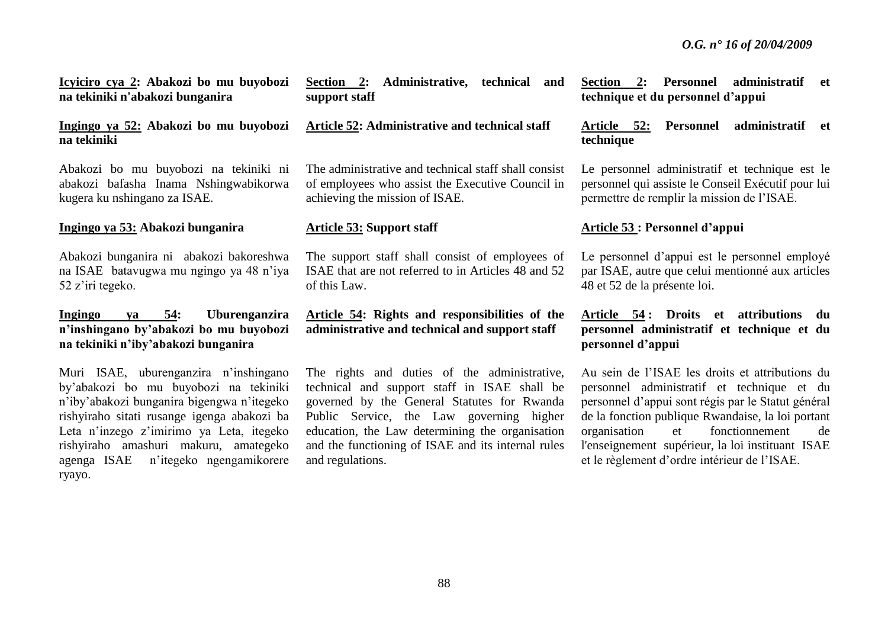**Icyiciro cya 2: Abakozi bo mu buyobozi na tekiniki n'abakozi bunganira**

#### **Ingingo ya 52: Abakozi bo mu buyobozi na tekiniki**

Abakozi bo mu buyobozi na tekiniki ni abakozi bafasha Inama Nshingwabikorwa kugera ku nshingano za ISAE.

#### **Ingingo ya 53: Abakozi bunganira**

Abakozi bunganira ni abakozi bakoreshwa na ISAEbatavugwa mu ngingo ya 48 n'iya 52 z'iri tegeko.

## **Ingingo ya 54: Uburenganzira n'inshingano by'abakozi bo mu buyobozi na tekiniki n'iby'abakozi bunganira**

Muri ISAE, uburenganzira n'inshingano by'abakozi bo mu buyobozi na tekiniki n'iby'abakozi bunganira bigengwa n'itegeko rishyiraho sitati rusange igenga abakozi ba Leta n'inzego z'imirimo ya Leta, itegeko rishyiraho amashuri makuru, amategeko agenga ISAE n'itegeko ngengamikorere ryayo.

**Section 2: Administrative, technical and support staff**

#### **Article 52: Administrative and technical staff**

The administrative and technical staff shall consist of employees who assist the Executive Council in achieving the mission of ISAE.

#### **Article 53: Support staff**

The support staff shall consist of employees of ISAE that are not referred to in Articles 48 and 52 of this Law.

**Article 54: Rights and responsibilities of the administrative and technical and support staff**

The rights and duties of the administrative, technical and support staff in ISAE shall be governed by the General Statutes for Rwanda Public Service, the Law governing higher education, the Law determining the organisation and the functioning of ISAE and its internal rules and regulations.

**Section 2: Personnel administratif et technique et du personnel d'appui**

#### **Article 52: Personnel administratif et technique**

Le personnel administratif et technique est le personnel qui assiste le Conseil Exécutif pour lui permettre de remplir la mission de l'ISAE.

#### **Article 53 : Personnel d'appui**

Le personnel d'appui est le personnel employé par ISAE, autre que celui mentionné aux articles 48 et 52 de la présente loi.

## **Article 54 : Droits et attributions du personnel administratif et technique et du personnel d'appui**

Au sein de l'ISAE les droits et attributions du personnel administratif et technique et du personnel d'appui sont régis par le Statut général de la fonction publique Rwandaise, la loi portant organisation et fonctionnement de l'enseignement supérieur, la loi instituant ISAE et le règlement d'ordre intérieur de l'ISAE.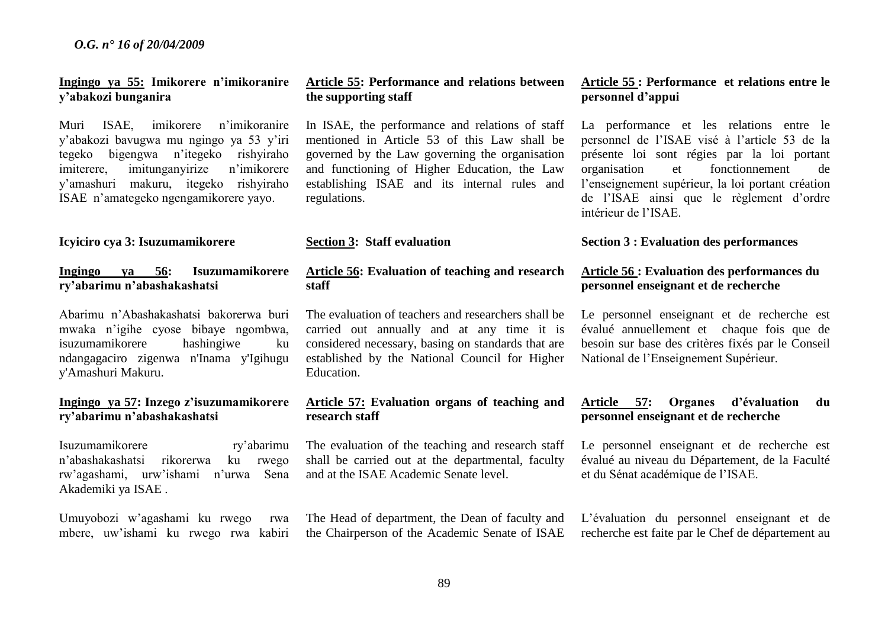## **Ingingo ya 55: Imikorere n'imikoranire y'abakozi bunganira**

Muri ISAE, imikorere n'imikoranire y'abakozi bavugwa mu ngingo ya 53 y'iri tegeko bigengwa n'itegeko rishyiraho<br>imiterere imitunganyirize n'imikorere imiterere, imitunganyirize y'amashuri makuru, itegeko rishyiraho ISAEn'amategeko ngengamikorere yayo.

#### **Icyiciro cya 3: Isuzumamikorere**

**Ingingo ya 56: Isuzumamikorere ry'abarimu n'abashakashatsi**

Abarimu n'Abashakashatsi bakorerwa buri mwaka n'igihe cyose bibaye ngombwa, isuzumamikorere hashingiwe ku ndangagaciro zigenwa n'Inama y'Igihugu y'Amashuri Makuru.

## **Ingingo ya 57: Inzego z'isuzumamikorere ry'abarimu n'abashakashatsi**

Isuzumamikorere ry'abarimu n'abashakashatsi rikorerwa ku rwego rw'agashami, urw'ishami n'urwa Sena Akademiki ya ISAE .

Umuyobozi w'agashami ku rwego rwa mbere, uw'ishami ku rwego rwa kabiri

#### **Article 55: Performance and relations between the supporting staff**

In ISAE, the performance and relations of staff mentioned in Article 53 of this Law shall be governed by the Law governing the organisation and functioning of Higher Education, the Law establishing ISAE and its internal rules and regulations.

#### **Section 3: Staff evaluation**

## **Article 56: Evaluation of teaching and research staff**

The evaluation of teachers and researchers shall be carried out annually and at any time it is considered necessary, basing on standards that are established by the National Council for Higher Education.

#### **Article 57: Evaluation organs of teaching and research staff**

The evaluation of the teaching and research staff shall be carried out at the departmental, faculty and at the ISAE Academic Senate level.

The Head of department, the Dean of faculty and the Chairperson of the Academic Senate of ISAE

## **Article 55 : Performance et relations entre le personnel d'appui**

La performance et les relations entre le personnel de l'ISAE visé à l'article 53 de la présente loi sont régies par la loi portant organisation et fonctionnement de l'enseignement supérieur, la loi portant création de l'ISAE ainsi que le règlement d'ordre intérieur de l'ISAE.

#### **Section 3 : Evaluation des performances**

## **Article 56 : Evaluation des performances du personnel enseignant et de recherche**

Le personnel enseignant et de recherche est évalué annuellement et chaque fois que de besoin sur base des critères fixés par le Conseil National de l'Enseignement Supérieur.

## **Article 57: Organes d'évaluation du personnel enseignant et de recherche**

Le personnel enseignant et de recherche est évalué au niveau du Département, de la Faculté et du Sénat académique de l'ISAE.

L'évaluation du personnel enseignant et de recherche est faite par le Chef de département au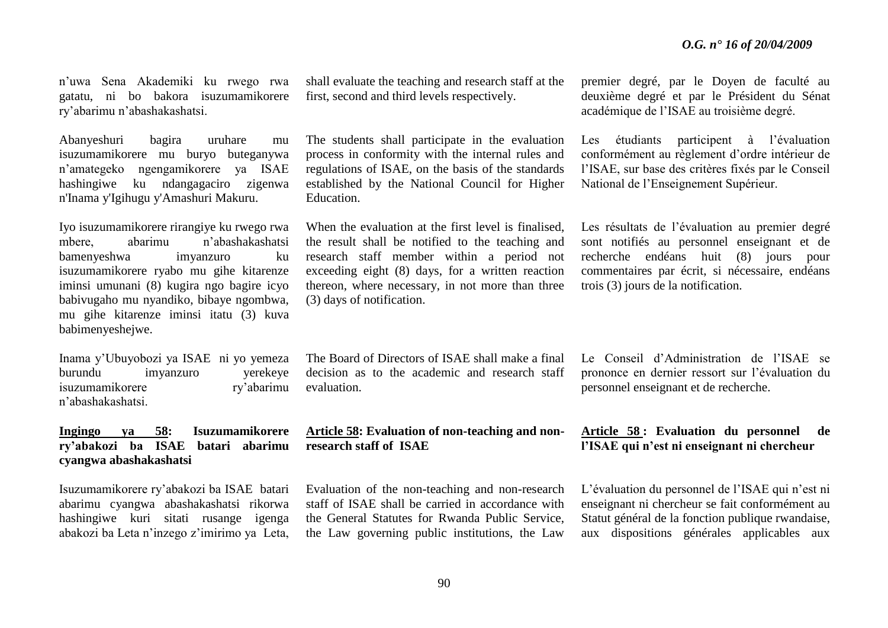n'uwa Sena Akademiki ku rwego rwa gatatu, ni bo bakora isuzumamikorere ry'abarimu n'abashakashatsi.

Abanyeshuri bagira uruhare mu isuzumamikorere mu buryo buteganywa n'amategeko ngengamikorere ya ISAE hashingiwe ku ndangagaciro zigenwa n'Inama y'Igihugu y'Amashuri Makuru.

Iyo isuzumamikorere rirangiye ku rwego rwa mbere, abarimu n'abashakashatsi bamenyeshwa imyanzuro ku isuzumamikorere ryabo mu gihe kitarenze iminsi umunani (8) kugira ngo bagire icyo babivugaho mu nyandiko, bibaye ngombwa, mu gihe kitarenze iminsi itatu (3) kuva babimenyeshejwe.

Inama y'Ubuyobozi ya ISAEni yo yemeza burundu imyanzuro yerekeye isuzumamikorere ry'abarimu n'abashakashatsi.

#### **Ingingo ya 58: Isuzumamikorere ry'abakozi ba ISAE batari abarimu cyangwa abashakashatsi**

Isuzumamikorere ry'abakozi ba ISAE batari abarimu cyangwa abashakashatsi rikorwa hashingiwe kuri sitati rusange igenga abakozi ba Leta n'inzego z'imirimo ya Leta,

shall evaluate the teaching and research staff at the first, second and third levels respectively.

The students shall participate in the evaluation process in conformity with the internal rules and regulations of ISAE, on the basis of the standards established by the National Council for Higher Education.

When the evaluation at the first level is finalised, the result shall be notified to the teaching and research staff member within a period not exceeding eight (8) days, for a written reaction thereon, where necessary, in not more than three (3) days of notification.

The Board of Directors of ISAE shall make a final decision as to the academic and research staff evaluation.

**Article 58: Evaluation of non-teaching and nonresearch staff of ISAE**

Evaluation of the non-teaching and non-research staff of ISAE shall be carried in accordance with the General Statutes for Rwanda Public Service, the Law governing public institutions, the Law premier degré, par le Doyen de faculté au deuxième degré et par le Président du Sénat académique de l'ISAE au troisième degré.

Les étudiants participent à l'évaluation conformément au règlement d'ordre intérieur de l'ISAE, sur base des critères fixés par le Conseil National de l'Enseignement Supérieur.

Les résultats de l'évaluation au premier degré sont notifiés au personnel enseignant et de recherche endéans huit (8) jours pour commentaires par écrit, si nécessaire, endéans trois (3) jours de la notification.

Le Conseil d'Administration de l'ISAE se prononce en dernier ressort sur l'évaluation du personnel enseignant et de recherche.

#### **Article 58 : Evaluation du personnel de l'ISAE qui n'est ni enseignant ni chercheur**

L'évaluation du personnel de l'ISAE qui n'est ni enseignant ni chercheur se fait conformément au Statut général de la fonction publique rwandaise, aux dispositions générales applicables aux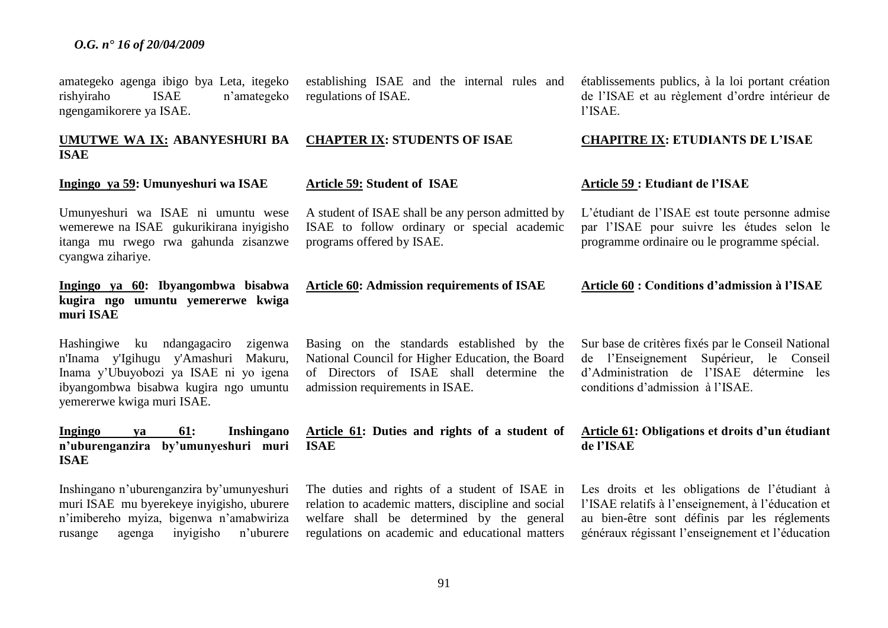amategeko agenga ibigo bya Leta, itegeko rishyiraho ISAE n'amategeko ngengamikorere ya ISAE.

## **UMUTWE WA IX: ABANYESHURI BA ISAE**

#### **Ingingo ya 59: Umunyeshuri wa ISAE**

Umunyeshuri wa ISAE ni umuntu wese wemerewe na ISAEgukurikirana inyigisho itanga mu rwego rwa gahunda zisanzwe cyangwa zihariye.

## **Ingingo ya 60: Ibyangombwa bisabwa kugira ngo umuntu yemererwe kwiga muri ISAE**

Hashingiwe ku ndangagaciro zigenwa n'Inama y'Igihugu y'Amashuri Makuru, Inama y'Ubuyobozi ya ISAE ni yo igena ibyangombwa bisabwa kugira ngo umuntu yemererwe kwiga muri ISAE.

#### **Ingingo ya 61: Inshingano n'uburenganzira by'umunyeshuri muri ISAE**

Inshingano n'uburenganzira by'umunyeshuri muri ISAE mu byerekeye inyigisho, uburere n'imibereho myiza, bigenwa n'amabwiriza rusange agenga inyigisho n'uburere

establishing ISAE and the internal rules and regulations of ISAE.

#### **CHAPTER IX: STUDENTS OF ISAE**

#### **Article 59: Student of ISAE**

A student of ISAE shall be any person admitted by ISAE to follow ordinary or special academic programs offered by ISAE.

**Article 60: Admission requirements of ISAE**

Basing on the standards established by the National Council for Higher Education, the Board of Directors of ISAE shall determine the admission requirements in ISAE.

**Article 61: Duties and rights of a student of ISAE**

The duties and rights of a student of ISAE in relation to academic matters, discipline and social welfare shall be determined by the general regulations on academic and educational matters établissements publics, à la loi portant création de l'ISAE et au règlement d'ordre intérieur de l'ISAE.

#### **CHAPITRE IX: ETUDIANTS DE L'ISAE**

#### **Article 59 : Etudiant de l'ISAE**

L'étudiant de l'ISAE est toute personne admise par l'ISAE pour suivre les études selon le programme ordinaire ou le programme spécial.

**Article 60 : Conditions d'admission à l'ISAE** 

Sur base de critères fixés par le Conseil National de l'Enseignement Supérieur, le Conseil d'Administration de l'ISAE détermine les conditions d'admission à l'ISAE.

#### **Article 61: Obligations et droits d'un étudiant de l'ISAE**

Les droits et les obligations de l'étudiant à l'ISAE relatifs à l'enseignement, à l'éducation et au bien-être sont définis par les réglements généraux régissant l'enseignement et l'éducation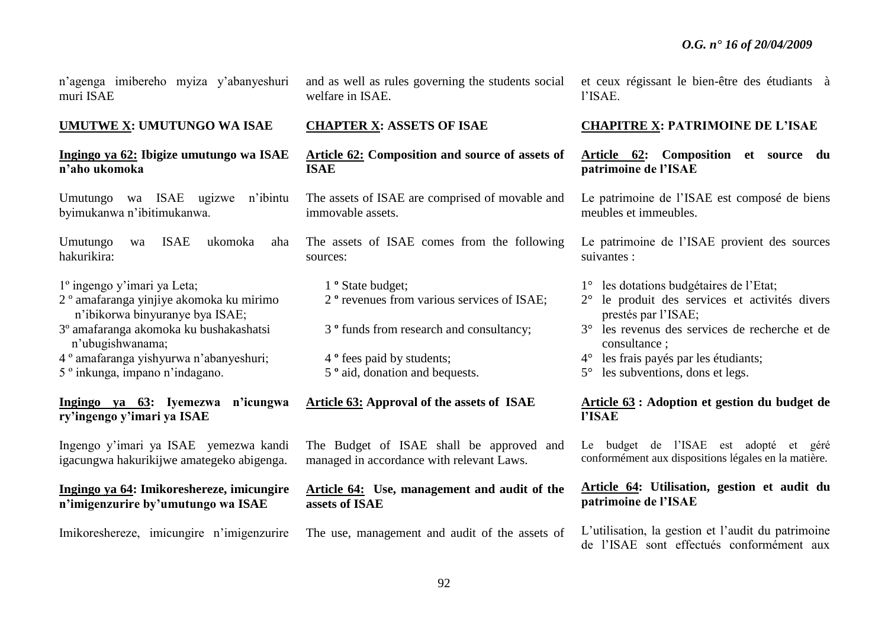n'agenga imibereho myiza y'abanyeshuri muri ISAE

#### **UMUTWE X: UMUTUNGO WA ISAE**

#### **Ingingo ya 62: Ibigize umutungo wa ISAE n'aho ukomoka**

Umutungo wa ISAE ugizwe n'ibintu byimukanwa n'ibitimukanwa.

Umutungo wa ISAE ukomoka aha hakurikira:

- 1º ingengo y'imari ya Leta;
- 2 º amafaranga yinjiye akomoka ku mirimo n'ibikorwa binyuranye bya ISAE;
- 3º amafaranga akomoka ku bushakashatsi n'ubugishwanama;
- 4 º amafaranga yishyurwa n'abanyeshuri;
- 5 º inkunga, impano n'indagano.

## **Ingingo ya 63: Iyemezwa n'icungwa ry'ingengo y'imari ya ISAE**

Ingengo y'imari ya ISAE yemezwa kandi igacungwa hakurikijwe amategeko abigenga.

## **Ingingo ya 64: Imikoreshereze, imicungire n'imigenzurire by'umutungo wa ISAE**

Imikoreshereze, imicungire n'imigenzurire

and as well as rules governing the students social welfare in ISAE.

#### **CHAPTER X: ASSETS OF ISAE**

**Article 62: Composition and source of assets of ISAE**

The assets of ISAE are comprised of movable and immovable assets.

The assets of ISAE comes from the following sources:

- 1 **º** State budget; 2 **º** revenues from various services of ISAE;
- 3 **º** funds from research and consultancy;
- 4 **º** fees paid by students; 5 **º** aid, donation and bequests.

#### **Article 63: Approval of the assets of ISAE**

The Budget of ISAE shall be approved and managed in accordance with relevant Laws.

#### **Article 64: Use, management and audit of the assets of ISAE**

The use, management and audit of the assets of

et ceux régissant le bien-être des étudiants à l'ISAE.

#### **CHAPITRE X: PATRIMOINE DE L'ISAE**

**Article 62: Composition et source du patrimoine de l'ISAE**

Le patrimoine de l'ISAE est composé de biens meubles et immeubles.

Le patrimoine de l'ISAE provient des sources suivantes :

- 1° les dotations budgétaires de l'Etat;
- 2° le produit des services et activités divers prestés par l'ISAE;
- 3° les revenus des services de recherche et de consultance ;
- 4° les frais payés par les étudiants;
- 5° les subventions, dons et legs.

#### **Article 63 : Adoption et gestion du budget de l'ISAE**

Le budget de l'ISAE est adopté et géré conformément aux dispositions légales en la matière.

## **Article 64: Utilisation, gestion et audit du patrimoine de l'ISAE**

L'utilisation, la gestion et l'audit du patrimoine de l'ISAE sont effectués conformément aux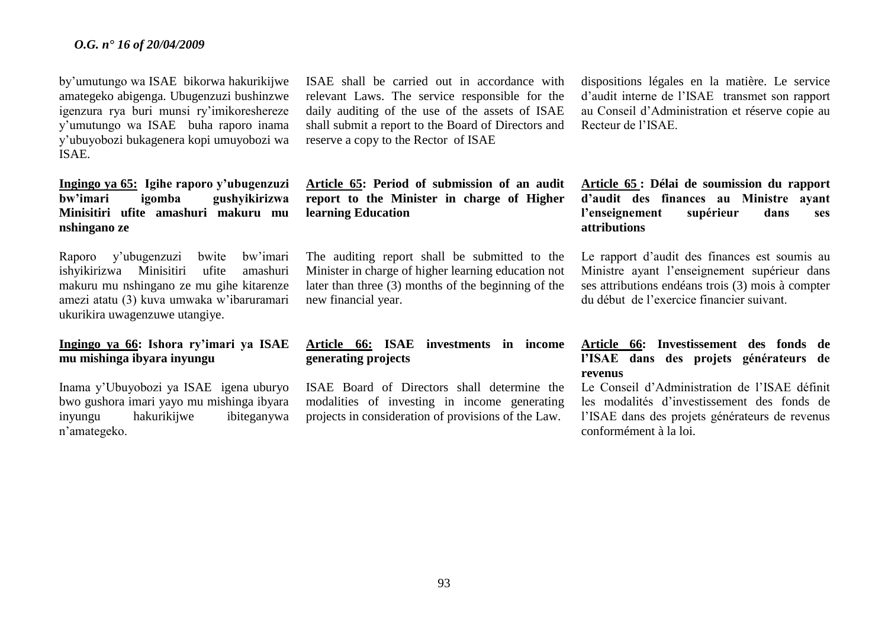by'umutungo wa ISAEbikorwa hakurikijwe amategeko abigenga. Ubugenzuzi bushinzwe igenzura rya buri munsi ry'imikoreshereze y'umutungo wa ISAEbuha raporo inama y'ubuyobozi bukagenera kopi umuyobozi wa ISAE.

## **Ingingo ya 65: Igihe raporo y'ubugenzuzi bw'imari igomba gushyikirizwa Minisitiri ufite amashuri makuru mu nshingano ze**

Raporo y'ubugenzuzi bwite bw'imari ishyikirizwa Minisitiri ufite amashuri makuru mu nshingano ze mu gihe kitarenze amezi atatu (3) kuva umwaka w'ibaruramari ukurikira uwagenzuwe utangiye.

## **Ingingo ya 66: Ishora ry'imari ya ISAE mu mishinga ibyara inyungu**

Inama y'Ubuyobozi ya ISAEigena uburyo bwo gushora imari yayo mu mishinga ibyara inyungu hakurikijwe ibiteganywa n'amategeko.

ISAE shall be carried out in accordance with relevant Laws. The service responsible for the daily auditing of the use of the assets of ISAE shall submit a report to the Board of Directors and reserve a copy to the Rector of ISAE

**Article 65: Period of submission of an audit report to the Minister in charge of Higher learning Education**

The auditing report shall be submitted to the Minister in charge of higher learning education not later than three (3) months of the beginning of the new financial year.

## **Article 66: ISAE investments in income generating projects**

ISAE Board of Directors shall determine the modalities of investing in income generating projects in consideration of provisions of the Law.

dispositions légales en la matière. Le service d'audit interne de l'ISAE transmet son rapport au Conseil d'Administration et réserve copie au Recteur de l'ISAE.

**Article 65 : Délai de soumission du rapport d'audit des finances au Ministre ayant l'enseignement supérieur dans ses attributions**

Le rapport d'audit des finances est soumis au Ministre ayant l'enseignement supérieur dans ses attributions endéans trois (3) mois à compter du début de l'exercice financier suivant.

## **Article 66: Investissement des fonds de l'ISAE dans des projets générateurs de revenus**

Le Conseil d'Administration de l'ISAE définit les modalités d'investissement des fonds de l'ISAE dans des projets générateurs de revenus conformément à la loi.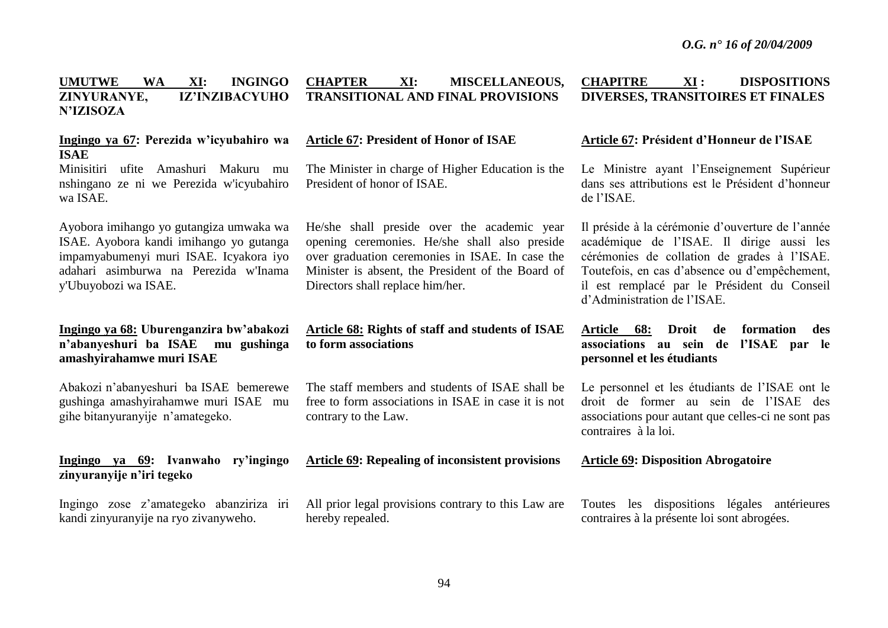#### **UMUTWE WA XI: INGINGO ZINYURANYE, IZ'INZIBACYUHO N'IZISOZA CHAPTER XI: MISCELLANEOUS, TRANSITIONAL AND FINAL PROVISIONS CHAPITRE XI : DISPOSITIONS DIVERSES, TRANSITOIRES ET FINALES**

## **Ingingo ya 67: Perezida w'icyubahiro wa ISAE**

Minisitiri ufite Amashuri Makuru mu nshingano ze ni we Perezida w'icyubahiro wa ISAE.

Ayobora imihango yo gutangiza umwaka wa ISAE. Ayobora kandi imihango yo gutanga impamyabumenyi muri ISAE. Icyakora iyo adahari asimburwa na Perezida w'Inama y'Ubuyobozi wa ISAE.

## **Ingingo ya 68: Uburenganzira bw'abakozi n'abanyeshuri ba ISAE mu gushinga amashyirahamwe muri ISAE**

Abakozi n'abanyeshuri ba ISAE bemerewe gushinga amashyirahamwe muri ISAEmu gihe bitanyuranyije n'amategeko.

## **Ingingo ya 69: Ivanwaho ry'ingingo zinyuranyije n'iri tegeko**

Ingingo zose z'amategeko abanziriza iri kandi zinyuranyije na ryo zivanyweho.

#### **Article 67: President of Honor of ISAE**

The Minister in charge of Higher Education is the President of honor of ISAE.

He/she shall preside over the academic year opening ceremonies. He/she shall also preside over graduation ceremonies in ISAE. In case the Minister is absent, the President of the Board of Directors shall replace him/her.

## **Article 68: Rights of staff and students of ISAE to form associations**

The staff members and students of ISAE shall be free to form associations in ISAE in case it is not contrary to the Law.

**Article 69: Repealing of inconsistent provisions** 

All prior legal provisions contrary to this Law are hereby repealed.

## **Article 67: Président d'Honneur de l'ISAE**

Le Ministre ayant l'Enseignement Supérieur dans ses attributions est le Président d'honneur de l'ISAE.

Il préside à la cérémonie d'ouverture de l'année académique de l'ISAE. Il dirige aussi les cérémonies de collation de grades à l'ISAE. Toutefois, en cas d'absence ou d'empêchement, il est remplacé par le Président du Conseil d'Administration de l'ISAE.

## **Article 68: Droit de formation des associations au sein de l'ISAE par le personnel et les étudiants**

Le personnel et les étudiants de l'ISAE ont le droit de former au sein de l'ISAE des associations pour autant que celles-ci ne sont pas contraires à la loi.

#### **Article 69: Disposition Abrogatoire**

Toutes les dispositions légales antérieures contraires à la présente loi sont abrogées.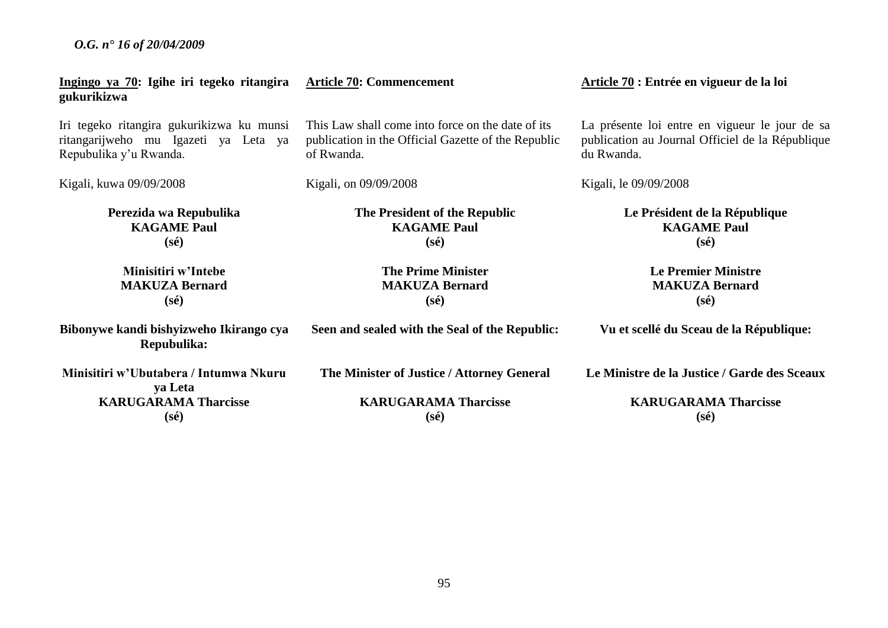| Ingingo ya 70: Igihe iri tegeko ritangira<br>gukurikizwa | <b>Article 70: Commencement</b>                     | Article 70 : Entrée en vigueur de la loi         |
|----------------------------------------------------------|-----------------------------------------------------|--------------------------------------------------|
| Iri tegeko ritangira gukurikizwa ku munsi                | This Law shall come into force on the date of its   | La présente loi entre en vigueur le jour de sa   |
| ritangarijweho mu Igazeti ya Leta ya                     | publication in the Official Gazette of the Republic | publication au Journal Officiel de la République |
| Repubulika y'u Rwanda.                                   | of Rwanda.                                          | du Rwanda.                                       |
| Kigali, kuwa 09/09/2008                                  | Kigali, on 09/09/2008                               | Kigali, le 09/09/2008                            |
| Perezida wa Repubulika                                   | The President of the Republic                       | Le Président de la République                    |
| <b>KAGAME Paul</b>                                       | <b>KAGAME Paul</b>                                  | <b>KAGAME Paul</b>                               |
| $(s\acute{e})$                                           | $(s\acute{e})$                                      | $(s\acute{e})$                                   |
| Minisitiri w'Intebe                                      | <b>The Prime Minister</b>                           | <b>Le Premier Ministre</b>                       |
| <b>MAKUZA Bernard</b>                                    | <b>MAKUZA Bernard</b>                               | <b>MAKUZA Bernard</b>                            |
| $(s\acute{e})$                                           | $(s\acute{e})$                                      | $(s\acute{e})$                                   |
| Bibonywe kandi bishyizweho Ikirango cya<br>Repubulika:   | Seen and sealed with the Seal of the Republic:      | Vu et scellé du Sceau de la République:          |
| Minisitiri w'Ubutabera / Intumwa Nkuru<br>ya Leta        | The Minister of Justice / Attorney General          | Le Ministre de la Justice / Garde des Sceaux     |
| <b>KARUGARAMA Tharcisse</b>                              | <b>KARUGARAMA Tharcisse</b>                         | <b>KARUGARAMA Tharcisse</b>                      |
| $(s\acute{e})$                                           | $(s\acute{e})$                                      | $(s\acute{e})$                                   |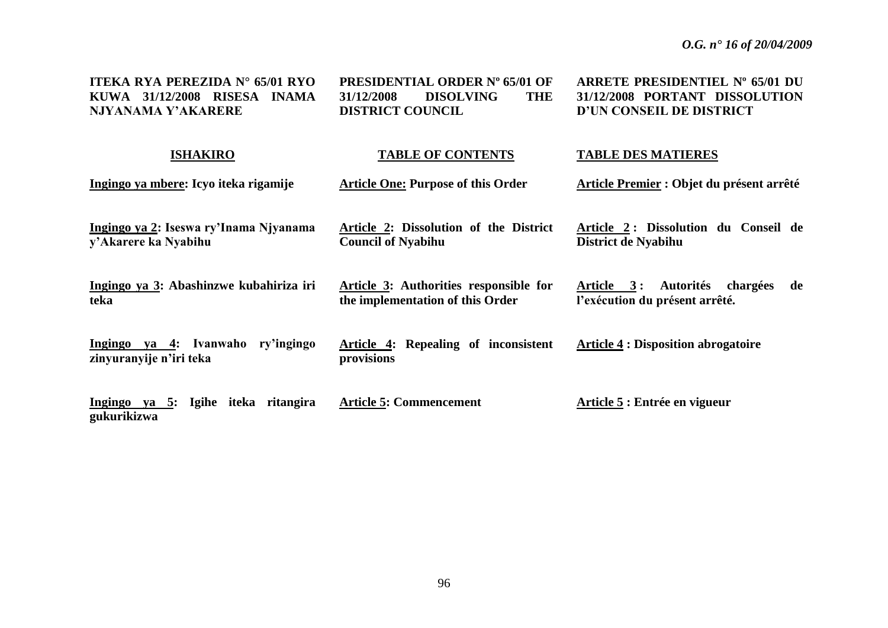| ITEKA RYA PEREZIDA N° 65/01 RYO<br>KUWA 31/12/2008 RISESA INAMA<br>NJYANAMA Y'AKARERE | <b>PRESIDENTIAL ORDER Nº 65/01 OF</b><br><b>DISOLVING</b><br>31/12/2008<br><b>THE</b><br><b>DISTRICT COUNCIL</b> | ARRETE PRESIDENTIEL Nº 65/01 DU<br>31/12/2008 PORTANT DISSOLUTION<br>D'UN CONSEIL DE DISTRICT |
|---------------------------------------------------------------------------------------|------------------------------------------------------------------------------------------------------------------|-----------------------------------------------------------------------------------------------|
| <b>ISHAKIRO</b>                                                                       | <b>TABLE OF CONTENTS</b>                                                                                         | <b>TABLE DES MATIERES</b>                                                                     |
| Ingingo ya mbere: Icyo iteka rigamije                                                 | <b>Article One: Purpose of this Order</b>                                                                        | Article Premier : Objet du présent arrêté                                                     |
| Ingingo ya 2: Iseswa ry'Inama Njyanama<br>y'Akarere ka Nyabihu                        | Article 2: Dissolution of the District<br><b>Council of Nyabihu</b>                                              | Article 2: Dissolution du Conseil de<br>District de Nyabihu                                   |
| Ingingo ya 3: Abashinzwe kubahiriza iri<br>teka                                       | <b>Article 3:</b> Authorities responsible for<br>the implementation of this Order                                | Article 3: Autorités chargées<br>de<br>l'exécution du présent arrêté.                         |
| Ingingo ya 4: Ivanwaho ry'ingingo<br>zinyuranyije n'iri teka                          | Article 4: Repealing of inconsistent<br>provisions                                                               | <b>Article 4 : Disposition abrogatoire</b>                                                    |
| Ingingo ya 5: Igihe iteka ritangira<br>gukurikizwa                                    | <b>Article 5: Commencement</b>                                                                                   | Article 5 : Entrée en vigueur                                                                 |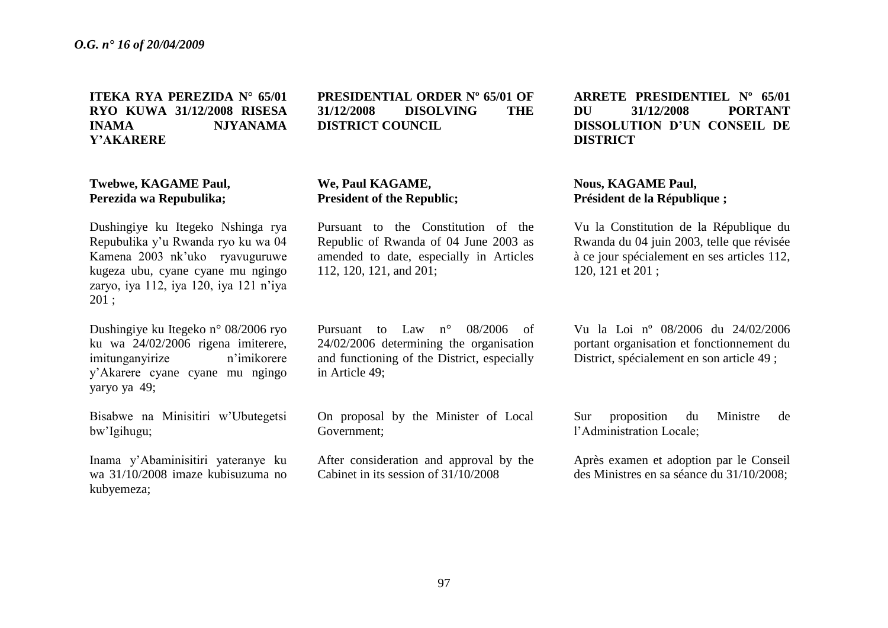**ITEKA RYA PEREZIDA N° 65/01 RYO KUWA 31/12/2008 RISESA INAMA NJYANAMA Y'AKARERE**

## **Twebwe, KAGAME Paul, Perezida wa Repubulika;**

Dushingiye ku Itegeko Nshinga rya Repubulika y'u Rwanda ryo ku wa 04 Kamena 2003 nk'uko ryavuguruwe kugeza ubu, cyane cyane mu ngingo zaryo, iya 112, iya 120, iya 121 n'iya 201 ;

Dushingiye ku Itegeko n° 08/2006 ryo ku wa 24/02/2006 rigena imiterere, imitunganyirize n'imikorere y'Akarere cyane cyane mu ngingo yaryo ya 49;

Bisabwe na Minisitiri w'Ubutegetsi bw'Igihugu;

Inama y'Abaminisitiri yateranye ku wa 31/10/2008 imaze kubisuzuma no kubyemeza;

## **PRESIDENTIAL ORDER Nº 65/01 OF 31/12/2008 DISOLVING THE DISTRICT COUNCIL**

## **We, Paul KAGAME, President of the Republic;**

Pursuant to the Constitution of the Republic of Rwanda of 04 June 2003 as amended to date, especially in Articles 112, 120, 121, and 201;

Pursuant to Law n° 08/2006 of 24/02/2006 determining the organisation and functioning of the District, especially in Article 49;

On proposal by the Minister of Local Government;

After consideration and approval by the Cabinet in its session of 31/10/2008

**ARRETE PRESIDENTIEL Nº 65/01 DU 31/12/2008 PORTANT DISSOLUTION D'UN CONSEIL DE DISTRICT**

## **Nous, KAGAME Paul, Président de la République ;**

Vu la Constitution de la République du Rwanda du 04 juin 2003, telle que révisée à ce jour spécialement en ses articles 112, 120, 121 et 201 ;

Vu la Loi nº 08/2006 du 24/02/2006 portant organisation et fonctionnement du District, spécialement en son article 49 ;

Sur proposition du Ministre de l'Administration Locale;

Après examen et adoption par le Conseil des Ministres en sa séance du 31/10/2008;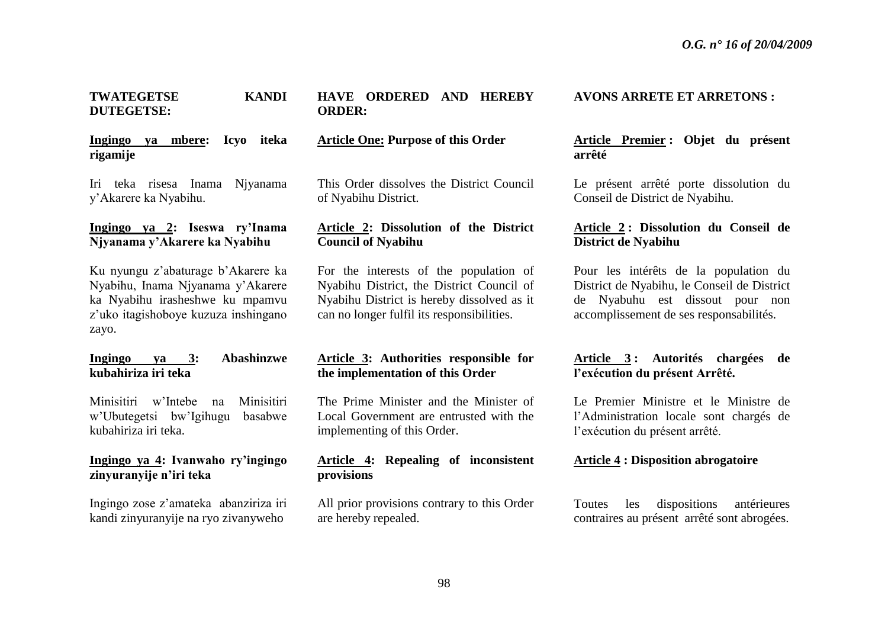#### **TWATEGETSE KANDI DUTEGETSE:**

## **Ingingo ya mbere: Icyo iteka rigamije**

Iri teka risesa Inama Njyanama y'Akarere ka Nyabihu.

#### **Ingingo ya 2: Iseswa ry'Inama Njyanama y'Akarere ka Nyabihu**

Ku nyungu z'abaturage b'Akarere ka Nyabihu, Inama Njyanama y'Akarere ka Nyabihu irasheshwe ku mpamvu z'uko itagishoboye kuzuza inshingano zayo.

#### **Ingingo ya 3: Abashinzwe kubahiriza iri teka**

Minisitiri w'Intebe na Minisitiri w'Ubutegetsi bw'Igihugu basabwe kubahiriza iri teka.

## **Ingingo ya 4: Ivanwaho ry'ingingo zinyuranyije n'iri teka**

Ingingo zose z'amateka abanziriza iri kandi zinyuranyije na ryo zivanyweho

## **HAVE ORDERED AND HEREBY ORDER:**

#### **Article One: Purpose of this Order**

This Order dissolves the District Council of Nyabihu District.

## **Article 2: Dissolution of the District Council of Nyabihu**

For the interests of the population of Nyabihu District, the District Council of Nyabihu District is hereby dissolved as it can no longer fulfil its responsibilities.

## **Article 3: Authorities responsible for the implementation of this Order**

The Prime Minister and the Minister of Local Government are entrusted with the implementing of this Order.

## **Article 4: Repealing of inconsistent provisions**

All prior provisions contrary to this Order are hereby repealed.

#### **AVONS ARRETE ET ARRETONS :**

**Article Premier : Objet du présent arrêté**

Le présent arrêté porte dissolution du Conseil de District de Nyabihu.

## **Article 2 : Dissolution du Conseil de District de Nyabihu**

Pour les intérêts de la population du District de Nyabihu, le Conseil de District de Nyabuhu est dissout pour non accomplissement de ses responsabilités.

## **Article 3 : Autorités chargées de l'exécution du présent Arrêté.**

Le Premier Ministre et le Ministre de l'Administration locale sont chargés de l'exécution du présent arrêté.

#### **Article 4 : Disposition abrogatoire**

Toutes les dispositions antérieures contraires au présent arrêté sont abrogées.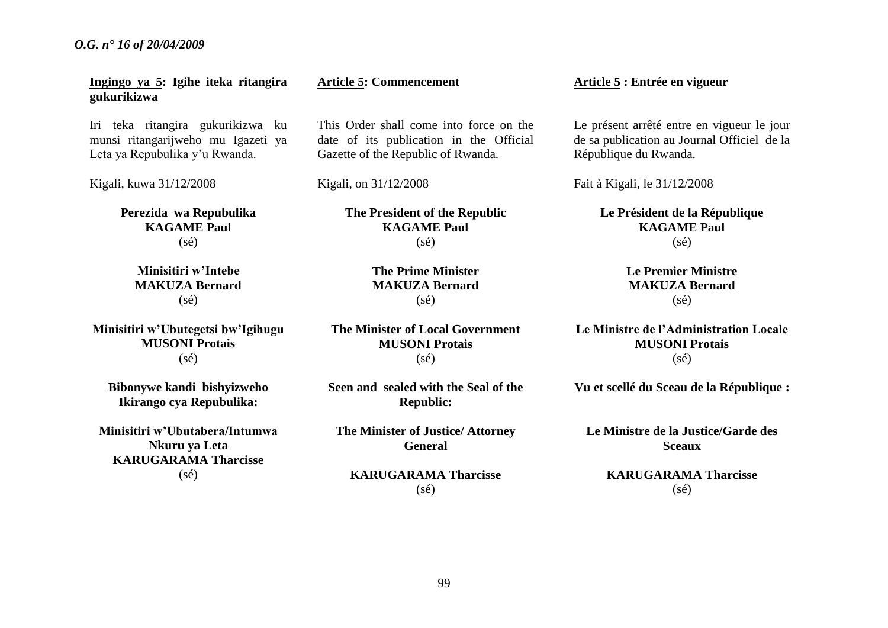**Ingingo ya 5: Igihe iteka ritangira gukurikizwa**

Iri teka ritangira gukurikizwa ku munsi ritangarijweho mu Igazeti ya Leta ya Repubulika y'u Rwanda.

Kigali, kuwa 31/12/2008

**Perezida wa Repubulika KAGAME Paul**  $(s<sub>ef</sub>)$ 

> **Minisitiri w'Intebe MAKUZA Bernard**  $(s\acute{e})$

**Minisitiri w'Ubutegetsi bw'Igihugu MUSONI Protais** (sé)

**Bibonywe kandi bishyizweho Ikirango cya Repubulika:**

**Minisitiri w'Ubutabera/Intumwa Nkuru ya Leta KARUGARAMA Tharcisse** (sé)

#### **Article 5: Commencement**

This Order shall come into force on the date of its publication in the Official Gazette of the Republic of Rwanda.

Kigali, on 31/12/2008

**The President of the Republic KAGAME Paul** (sé)

> **The Prime Minister MAKUZA Bernard** (sé)

**The Minister of Local Government MUSONI Protais**  $(sé)$ 

**Seen and sealed with the Seal of the Republic:**

**The Minister of Justice/ Attorney General**

**KARUGARAMA Tharcisse** (sé)

**Article 5 : Entrée en vigueur**

Le présent arrêté entre en vigueur le jour de sa publication au Journal Officiel de la République du Rwanda.

Fait à Kigali, le 31/12/2008

**Le Président de la République KAGAME Paul**  $(s<sub>ef</sub>)$ 

> **Le Premier Ministre MAKUZA Bernard** (sé)

**Le Ministre de l'Administration Locale MUSONI Protais**  $(sé)$ 

**Vu et scellé du Sceau de la République :**

**Le Ministre de la Justice/Garde des Sceaux**

> **KARUGARAMA Tharcisse** (sé)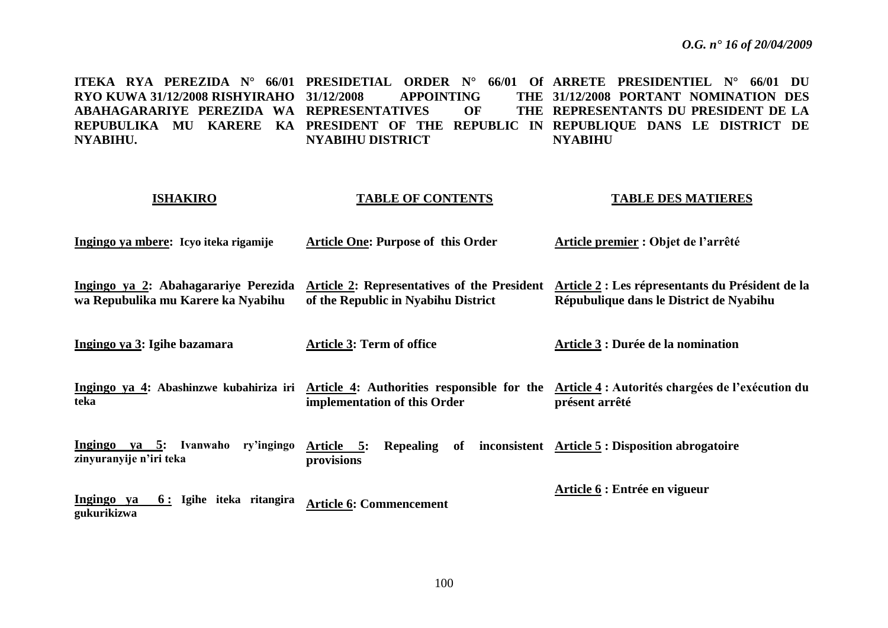**ITEKA RYA PEREZIDA N° 66/01 PRESIDETIAL ORDER N° 66/01 Of ARRETE PRESIDENTIEL N° 66/01 DU RYO KUWA 31/12/2008 RISHYIRAHO ABAHAGARARIYE PEREZIDA WA REPRESENTATIVES OF THE REPUBULIKA MU KARERE KA PRESIDENT OF THE REPUBLIC IN REPUBLIQUE DANS LE DISTRICT DE NYABIHU. APPOINTING NYABIHU DISTRICT 31/12/2008 PORTANT NOMINATION DES REPRESENTANTS DU PRESIDENT DE LA NYABIHU**

## **ISHAKIRO**

#### **TABLE OF CONTENTS**

#### **TABLE DES MATIERES**

- **Ingingo ya mbere: Icyo iteka rigamije Article One: Purpose of this Order Article premier : Objet de l'arrêté**
- **Ingingo ya 2: Abahagarariye Perezida wa Repubulika mu Karere ka Nyabihu Article 2: Representatives of the President Article 2 : Les répresentants du Président de la of the Republic in Nyabihu District Répubulique dans le District de Nyabihu**

**Ingingo ya 3: Igihe bazamara Article 3: Term of office Article 3 : Durée de la nomination**

**Ingingo ya 4: Abashinzwe kubahiriza iri Article 4: Authorities responsible for the teka implementation of this Order Article 4 : Autorités chargées de l'exécution du présent arrêté**

**Ingingo ya 5: Ivanwaho ry'ingingo zinyuranyije n'iri teka Article 5: Repealing of inconsistent Article 5 : Disposition abrogatoire provisions** 

**Article 6 : Entrée en vigueur** 

**Ingingo ya 6 : Igihe iteka ritangira gukurikizwa Article 6: Commencement**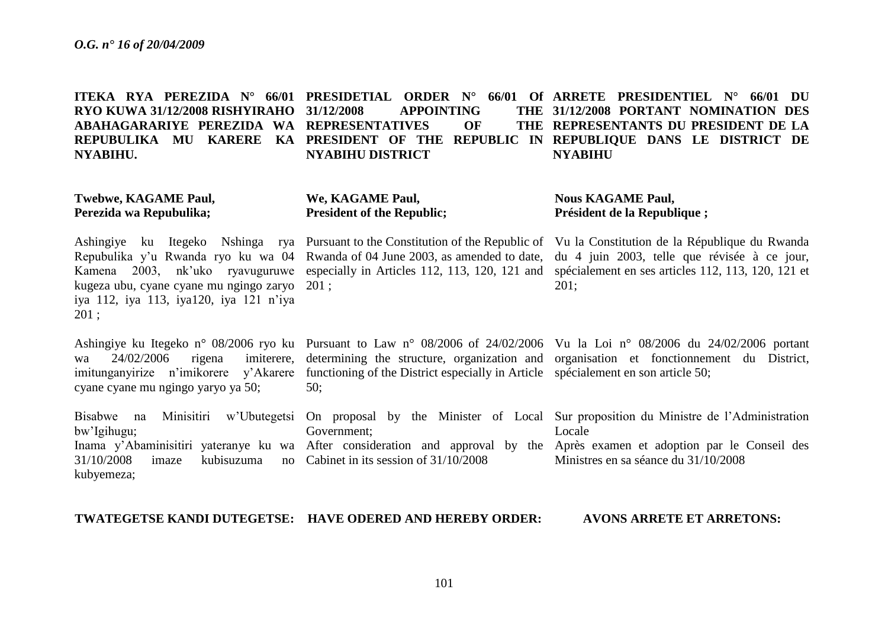**ITEKA RYA PEREZIDA N° 66/01 PRESIDETIAL ORDER N° 66/01 Of ARRETE PRESIDENTIEL N° 66/01 DU RYO KUWA 31/12/2008 RISHYIRAHO ABAHAGARARIYE PEREZIDA WA REPRESENTATIVES OF THE REPUBULIKA MU KARERE KA PRESIDENT OF THE REPUBLIC IN REPUBLIQUE DANS LE DISTRICT DE NYABIHU. APPOINTING NYABIHU DISTRICT 31/12/2008 PORTANT NOMINATION DES REPRESENTANTS DU PRESIDENT DE LA NYABIHU**

| <b>Twebwe, KAGAME Paul,</b><br>Perezida wa Repubulika;                                             | We, KAGAME Paul,<br><b>President of the Republic;</b>                                                                             | <b>Nous KAGAME Paul,</b><br>Président de la Republique;                                                                                                                                                                                                                                                                                                                                                   |
|----------------------------------------------------------------------------------------------------|-----------------------------------------------------------------------------------------------------------------------------------|-----------------------------------------------------------------------------------------------------------------------------------------------------------------------------------------------------------------------------------------------------------------------------------------------------------------------------------------------------------------------------------------------------------|
| kugeza ubu, cyane cyane mu ngingo zaryo 201;<br>iya 112, iya 113, iya120, iya 121 n'iya<br>$201$ ; |                                                                                                                                   | Ashingiye ku Itegeko Nshinga rya Pursuant to the Constitution of the Republic of Vu la Constitution de la République du Rwanda<br>Repubulika y'u Rwanda ryo ku wa 04 Rwanda of 04 June 2003, as amended to date, du 4 juin 2003, telle que révisée à ce jour,<br>Kamena 2003, nk'uko ryavuguruwe especially in Articles 112, 113, 120, 121 and spécialement en ses articles 112, 113, 120, 121 et<br>201: |
| 24/02/2006<br>wa<br>cyane cyane mu ngingo yaryo ya 50;                                             | imitunganyirize n'imikorere y'Akarere functioning of the District especially in Article spécialement en son article 50;<br>$50$ ; | Ashingiye ku Itegeko n° 08/2006 ryo ku Pursuant to Law n° 08/2006 of 24/02/2006 Vu la Loi n° 08/2006 du 24/02/2006 portant<br>rigena imiterere, determining the structure, organization and organisation et fonctionnement du District,                                                                                                                                                                   |
| bw'Igihugu;<br>31/10/2008<br>imaze<br>kubyemeza;                                                   | Government;<br>kubisuzuma no Cabinet in its session of $31/10/2008$                                                               | Bisabwe na Minisitiri w'Ubutegetsi On proposal by the Minister of Local Sur-proposition du Ministre de l'Administration<br>Locale<br>Inama y'Abaminisitiri yateranye ku wa After consideration and approval by the Après examen et adoption par le Conseil des<br>Ministres en sa séance du 31/10/2008                                                                                                    |

**TWATEGETSE KANDI DUTEGETSE: HAVE ODERED AND HEREBY ORDER:**

**AVONS ARRETE ET ARRETONS:**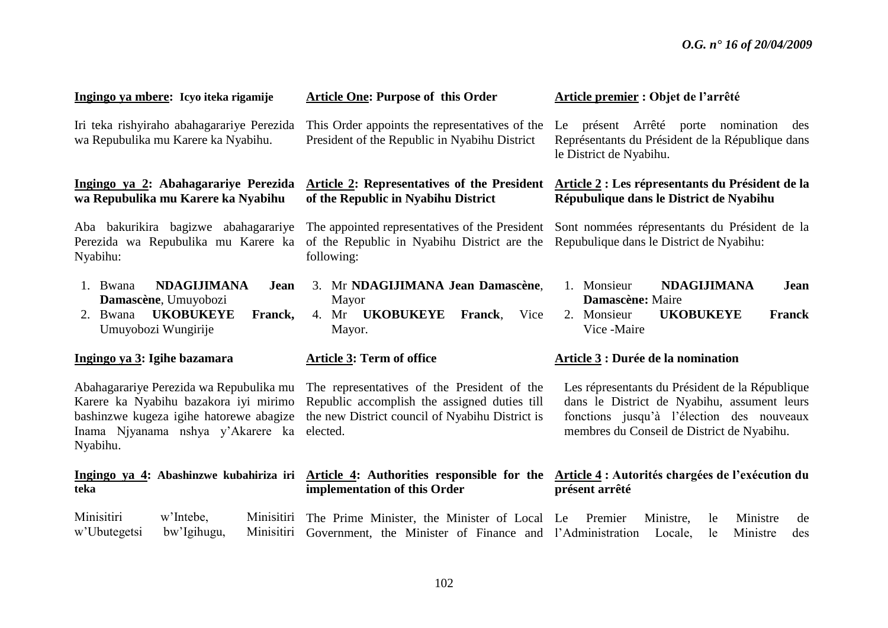| Ingingo ya mbere: Icyo iteka rigamije                                                                                                                                        | <b>Article One: Purpose of this Order</b>                                                                                                                  | Article premier : Objet de l'arrêté                                                                                                                                                       |
|------------------------------------------------------------------------------------------------------------------------------------------------------------------------------|------------------------------------------------------------------------------------------------------------------------------------------------------------|-------------------------------------------------------------------------------------------------------------------------------------------------------------------------------------------|
| Iri teka rishyiraho abahagarariye Perezida<br>wa Repubulika mu Karere ka Nyabihu.                                                                                            | This Order appoints the representatives of the<br>President of the Republic in Nyabihu District                                                            | Le présent Arrêté porte<br>nomination<br>des<br>Représentants du Président de la République dans<br>le District de Nyabihu.                                                               |
| Ingingo ya 2: Abahagarariye Perezida<br>wa Repubulika mu Karere ka Nyabihu                                                                                                   | Article 2: Representatives of the President<br>of the Republic in Nyabihu District                                                                         | Article 2 : Les répresentants du Président de la<br>Répubulique dans le District de Nyabihu                                                                                               |
| Aba bakurikira bagizwe abahagarariye<br>Perezida wa Repubulika mu Karere ka<br>Nyabihu:                                                                                      | The appointed representatives of the President<br>of the Republic in Nyabihu District are the<br>following:                                                | Sont nommées répresentants du Président de la<br>Repubulique dans le District de Nyabihu:                                                                                                 |
| <b>NDAGIJIMANA</b><br>1. Bwana<br>Jean<br>Damascène, Umuyobozi<br><b>UKOBUKEYE</b><br>2. Bwana<br>Franck,<br>Umuyobozi Wungirije                                             | 3. Mr NDAGIJIMANA Jean Damascène,<br>Mayor<br>4. Mr <b>UKOBUKEYE</b><br>Vice<br><b>Franck,</b><br>Mayor.                                                   | 1. Monsieur<br><b>NDAGIJIMANA</b><br>Jean<br>Damascène: Maire<br><b>UKOBUKEYE</b><br><b>Franck</b><br>2. Monsieur<br>Vice -Maire                                                          |
| Ingingo ya 3: Igihe bazamara                                                                                                                                                 | <b>Article 3: Term of office</b>                                                                                                                           | Article 3 : Durée de la nomination                                                                                                                                                        |
| Abahagarariye Perezida wa Repubulika mu<br>Karere ka Nyabihu bazakora iyi mirimo<br>bashinzwe kugeza igihe hatorewe abagize<br>Inama Njyanama nshya y'Akarere ka<br>Nyabihu. | The representatives of the President of the<br>Republic accomplish the assigned duties till<br>the new District council of Nyabihu District is<br>elected. | Les répresentants du Président de la République<br>dans le District de Nyabihu, assument leurs<br>fonctions jusqu'à l'élection des nouveaux<br>membres du Conseil de District de Nyabihu. |
| Ingingo ya 4: Abashinzwe kubahiriza iri<br>teka                                                                                                                              | Article 4: Authorities responsible for the<br>implementation of this Order                                                                                 | Article 4 : Autorités chargées de l'exécution du<br>présent arrêté                                                                                                                        |
| Minisitiri<br>w'Intebe,<br>Minisitiri<br>w'Ubutegetsi<br>bw'Igihugu,<br>Minisitiri                                                                                           | The Prime Minister, the Minister of Local Le<br>Government, the Minister of Finance and l'Administration                                                   | Ministre<br>Premier<br>Ministre,<br>le<br>de<br>Ministre<br>Locale,<br>le<br>des                                                                                                          |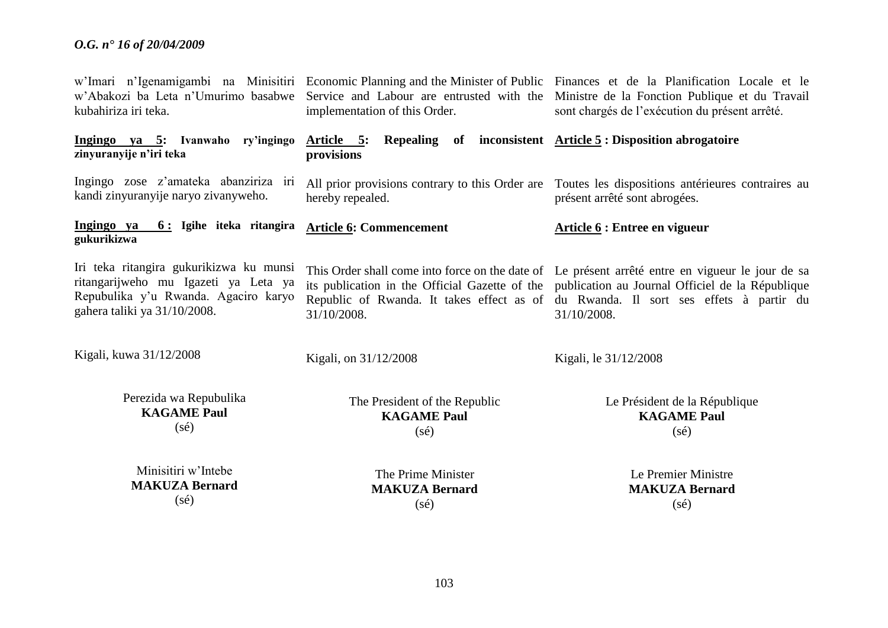| w'Abakozi ba Leta n'Umurimo basabwe<br>kubahiriza iri teka.                                                                                             | implementation of this Order.                                         | w'Imari n'Igenamigambi na Minisitiri Economic Planning and the Minister of Public Finances et de la Planification Locale et le<br>Service and Labour are entrusted with the Ministre de la Fonction Publique et du Travail<br>sont chargés de l'exécution du présent arrêté.                              |
|---------------------------------------------------------------------------------------------------------------------------------------------------------|-----------------------------------------------------------------------|-----------------------------------------------------------------------------------------------------------------------------------------------------------------------------------------------------------------------------------------------------------------------------------------------------------|
| Ingingo ya 5: Ivanwaho ry'ingingo<br>zinyuranyije n'iri teka                                                                                            | Article 5:<br>provisions                                              | Repealing of inconsistent <u>Article 5</u> : Disposition abrogatoire                                                                                                                                                                                                                                      |
| Ingingo zose z'amateka abanziriza iri<br>kandi zinyuranyije naryo zivanyweho.                                                                           | hereby repealed.                                                      | All prior provisions contrary to this Order are Toutes les dispositions antérieures contraires au<br>présent arrêté sont abrogées.                                                                                                                                                                        |
| Ingingo ya<br>6: Igihe iteka ritangira<br>gukurikizwa                                                                                                   | <b>Article 6: Commencement</b>                                        | Article 6 : Entree en vigueur                                                                                                                                                                                                                                                                             |
| Iri teka ritangira gukurikizwa ku munsi<br>ritangarijweho mu Igazeti ya Leta ya<br>Repubulika y'u Rwanda. Agaciro karyo<br>gahera taliki ya 31/10/2008. | 31/10/2008.                                                           | This Order shall come into force on the date of Le présent arrêté entre en vigueur le jour de sa<br>its publication in the Official Gazette of the publication au Journal Officiel de la République<br>Republic of Rwanda. It takes effect as of du Rwanda. Il sort ses effets à partir du<br>31/10/2008. |
| Kigali, kuwa 31/12/2008                                                                                                                                 | Kigali, on 31/12/2008                                                 | Kigali, le 31/12/2008                                                                                                                                                                                                                                                                                     |
| Perezida wa Repubulika<br><b>KAGAME Paul</b><br>$(s\acute{e})$                                                                                          | The President of the Republic<br><b>KAGAME Paul</b><br>$(s\acute{e})$ | Le Président de la République<br><b>KAGAME Paul</b><br>$(s\acute{e})$                                                                                                                                                                                                                                     |
| Minisitiri w'Intebe<br><b>MAKUZA Bernard</b><br>$(s\acute{e})$                                                                                          | The Prime Minister<br><b>MAKUZA Bernard</b><br>$(s\acute{e})$         | Le Premier Ministre<br><b>MAKUZA Bernard</b><br>$(s\acute{e})$                                                                                                                                                                                                                                            |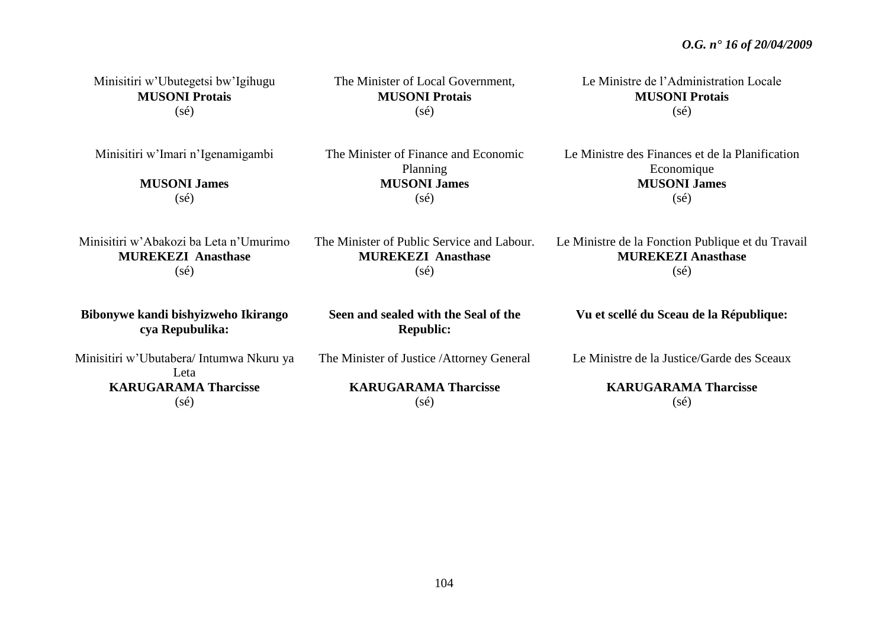| Minisitiri w'Ubutegetsi bw'Igihugu                                         | The Minister of Local Government,                                                         | Le Ministre de l'Administration Locale                                                                 |
|----------------------------------------------------------------------------|-------------------------------------------------------------------------------------------|--------------------------------------------------------------------------------------------------------|
| <b>MUSONI Protais</b>                                                      | <b>MUSONI Protais</b>                                                                     | <b>MUSONI Protais</b>                                                                                  |
| $(s\acute{e})$                                                             | $(s\acute{e})$                                                                            | $(s\acute{e})$                                                                                         |
| Minisitiri w'Imari n'Igenamigambi<br><b>MUSONI James</b><br>$(s\acute{e})$ | The Minister of Finance and Economic<br>Planning<br><b>MUSONI James</b><br>$(s\acute{e})$ | Le Ministre des Finances et de la Planification<br>Economique<br><b>MUSONI James</b><br>$(s\acute{e})$ |
| Minisitiri w'Abakozi ba Leta n'Umurimo                                     | The Minister of Public Service and Labour.                                                | Le Ministre de la Fonction Publique et du Travail                                                      |
| <b>MUREKEZI Anasthase</b>                                                  | <b>MUREKEZI Anasthase</b>                                                                 | <b>MUREKEZI Anasthase</b>                                                                              |
| $(s\acute{e})$                                                             | $(s\acute{e})$                                                                            | $(s\acute{e})$                                                                                         |
| Bibonywe kandi bishyizweho Ikirango<br>cya Repubulika:                     | Seen and sealed with the Seal of the<br><b>Republic:</b>                                  | Vu et scellé du Sceau de la République:                                                                |
| Minisitiri w'Ubutabera/Intumwa Nkuru ya<br>Leta                            | The Minister of Justice / Attorney General                                                | Le Ministre de la Justice/Garde des Sceaux                                                             |
| <b>KARUGARAMA Tharcisse</b>                                                | <b>KARUGARAMA Tharcisse</b>                                                               | <b>KARUGARAMA Tharcisse</b>                                                                            |
| $(s\acute{e})$                                                             | $(s\acute{e})$                                                                            | $(s\acute{e})$                                                                                         |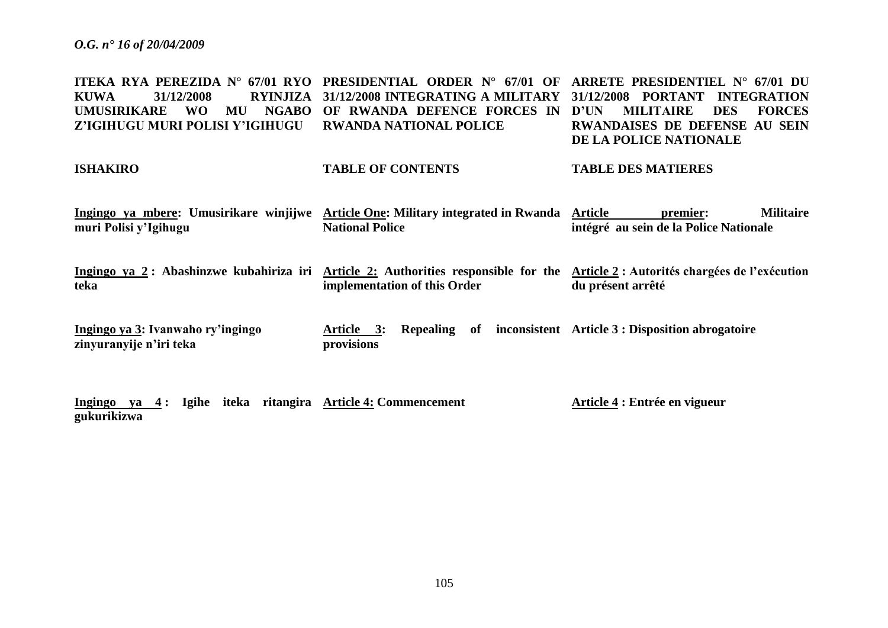**ITEKA RYA PEREZIDA N° 67/01 RYO PRESIDENTIAL ORDER N° 67/01 OF ARRETE PRESIDENTIEL N° 67/01 DU KUWA 31/12/2008 RYINJIZA 31/12/2008 INTEGRATING A MILITARY 31/12/2008 PORTANT INTEGRATION UMUSIRIKARE WO MU NGABO OF RWANDA DEFENCE FORCES IN Z'IGIHUGU MURI POLISI Y'IGIHUGU RWANDA NATIONAL POLICE MILITAIRE DES FORCES RWANDAISES DE DEFENSE AU SEIN DE LA POLICE NATIONALE**

#### **ISHAKIRO TABLE OF CONTENTS TABLE DES MATIERES**

**Ingingo ya mbere: Umusirikare winjijwe Article One: Military integrated in Rwanda muri Polisi y'Igihugu National Police Premier:** Militaire **intégré au sein de la Police Nationale**

Ingingo ya 2 : Abashinzwe kubahiriza iri Article 2: Authorities responsible for the Article 2 : Autorités chargées de l'exécution **teka implementation of this Order du présent arrêté**

**Ingingo ya 3: Ivanwaho ry'ingingo zinyuranyije n'iri teka Article 3: Repealing of inconsistent Article 3 : Disposition abrogatoire provisions** 

**Ingingo ya 4 : Igihe iteka ritangira Article 4: Commencement gukurikizwa Article 4 : Entrée en vigueur**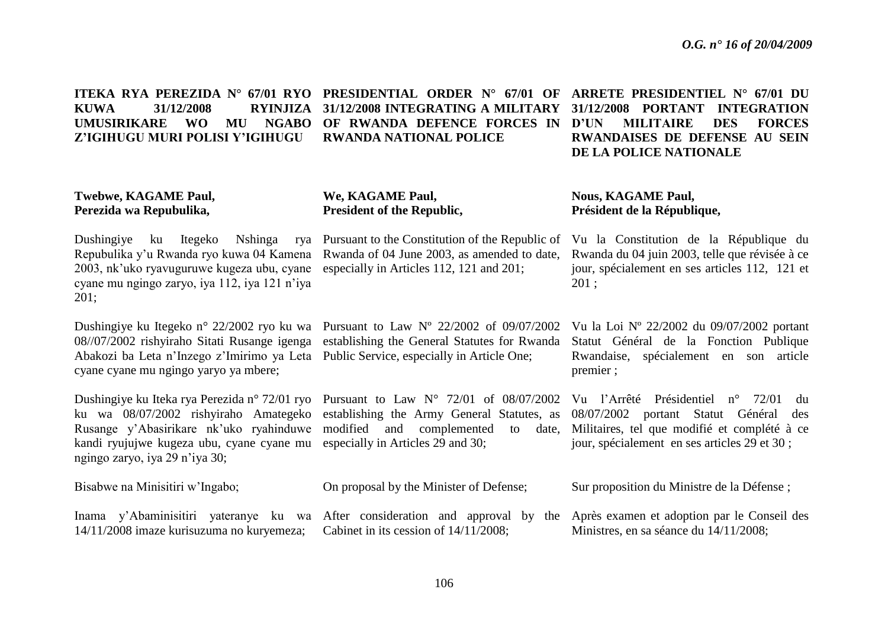| 31/12/2008<br><b>RYINJIZA</b><br><b>KUWA</b><br><b>UMUSIRIKARE</b><br><b>NGABO</b><br><b>WO</b><br>MU<br>Z'IGIHUGU MURI POLISI Y'IGIHUGU                                                                         | 31/12/2008 INTEGRATING A MILITARY<br>OF RWANDA DEFENCE FORCES IN<br><b>RWANDA NATIONAL POLICE</b>                                                                              | 31/12/2008 PORTANT INTEGRATION<br><b>FORCES</b><br>D'UN<br><b>MILITAIRE</b><br><b>DES</b><br><b>RWANDAISES DE DEFENSE AU SEIN</b><br>DE LA POLICE NATIONALE                                     |
|------------------------------------------------------------------------------------------------------------------------------------------------------------------------------------------------------------------|--------------------------------------------------------------------------------------------------------------------------------------------------------------------------------|-------------------------------------------------------------------------------------------------------------------------------------------------------------------------------------------------|
| <b>Twebwe, KAGAME Paul,</b><br>Perezida wa Repubulika,                                                                                                                                                           | We, KAGAME Paul,<br>President of the Republic,                                                                                                                                 | <b>Nous, KAGAME Paul,</b><br>Président de la République,                                                                                                                                        |
| Dushingiye<br>ku Itegeko<br>Nshinga<br>rya<br>Repubulika y'u Rwanda ryo kuwa 04 Kamena<br>2003, nk'uko ryavuguruwe kugeza ubu, cyane<br>cyane mu ngingo zaryo, iya 112, iya 121 n'iya<br>201;                    | Pursuant to the Constitution of the Republic of<br>Rwanda of 04 June 2003, as amended to date,<br>especially in Articles 112, 121 and 201;                                     | Vu la Constitution de la République du<br>Rwanda du 04 juin 2003, telle que révisée à ce<br>jour, spécialement en ses articles 112, 121 et<br>201;                                              |
| Dushingiye ku Itegeko n° 22/2002 ryo ku wa<br>08//07/2002 rishyiraho Sitati Rusange igenga<br>Abakozi ba Leta n'Inzego z'Imirimo ya Leta<br>cyane cyane mu ngingo yaryo ya mbere;                                | Pursuant to Law $N^{\circ}$ 22/2002 of 09/07/2002<br>establishing the General Statutes for Rwanda<br>Public Service, especially in Article One;                                | Vu la Loi Nº 22/2002 du 09/07/2002 portant<br>Statut Général de la Fonction Publique<br>Rwandaise, spécialement en son article<br>premier;                                                      |
| Dushingiye ku Iteka rya Perezida n° 72/01 ryo<br>ku wa 08/07/2002 rishyiraho Amategeko<br>Rusange y'Abasirikare nk'uko ryahinduwe<br>kandi ryujujwe kugeza ubu, cyane cyane mu<br>ngingo zaryo, iya 29 n'iya 30; | Pursuant to Law $N^{\circ}$ 72/01 of 08/07/2002<br>establishing the Army General Statutes, as<br>modified and complemented<br>to<br>date,<br>especially in Articles 29 and 30; | Vu l'Arrêté Présidentiel<br>$n^{\circ}$ 72/01<br>du<br>08/07/2002 portant Statut Général<br>des<br>Militaires, tel que modifié et complété à ce<br>jour, spécialement en ses articles 29 et 30; |
| Bisabwe na Minisitiri w'Ingabo;                                                                                                                                                                                  | On proposal by the Minister of Defense;                                                                                                                                        | Sur proposition du Ministre de la Défense;                                                                                                                                                      |
| Inama y'Abaminisitiri yateranye ku wa<br>14/11/2008 imaze kurisuzuma no kuryemeza;                                                                                                                               | After consideration and approval by the<br>Cabinet in its cession of 14/11/2008;                                                                                               | Après examen et adoption par le Conseil des<br>Ministres, en sa séance du 14/11/2008;                                                                                                           |

**ITEKA RYA PEREZIDA N° 67/01 RYO PRESIDENTIAL ORDER N° 67/01 OF ARRETE PRESIDENTIEL N° 67/01 DU**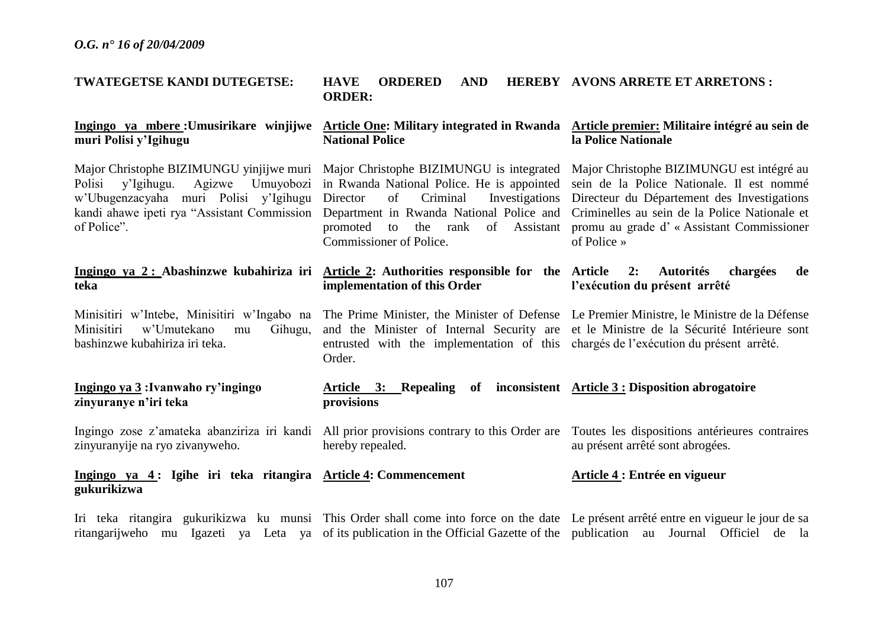| TWATEGETSE KANDI DUTEGETSE:                                                                                                    | <b>HAVE</b><br><b>ORDERED</b><br><b>AND</b><br><b>ORDER:</b>                                                                                                                                                                                                                                                                   | <b>HEREBY AVONS ARRETE ET ARRETONS:</b>                                                                                                                                                                                                            |
|--------------------------------------------------------------------------------------------------------------------------------|--------------------------------------------------------------------------------------------------------------------------------------------------------------------------------------------------------------------------------------------------------------------------------------------------------------------------------|----------------------------------------------------------------------------------------------------------------------------------------------------------------------------------------------------------------------------------------------------|
| muri Polisi y'Igihugu                                                                                                          | Ingingo ya mbere : Umusirikare winjijwe Article One: Military integrated in Rwanda Article premier: Militaire intégré au sein de<br><b>National Police</b>                                                                                                                                                                     | la Police Nationale                                                                                                                                                                                                                                |
| Umuyobozi<br>Polisi<br>y'Igihugu.<br>Agizwe<br>w'Ubugenzacyaha muri Polisi y'Igihugu Director<br>of Police".                   | Major Christophe BIZIMUNGU yinjijwe muri Major Christophe BIZIMUNGU is integrated<br>in Rwanda National Police. He is appointed<br>of<br>Criminal<br>Investigations<br>kandi ahawe ipeti rya "Assistant Commission Department in Rwanda National Police and<br>promoted to<br>the rank of Assistant<br>Commissioner of Police. | Major Christophe BIZIMUNGU est intégré au<br>sein de la Police Nationale. Il est nommé<br>Directeur du Département des Investigations<br>Criminelles au sein de la Police Nationale et<br>promu au grade d'« Assistant Commissioner<br>of Police » |
| teka                                                                                                                           | Ingingo ya 2: Abashinzwe kubahiriza iri Article 2: Authorities responsible for the Article<br>implementation of this Order                                                                                                                                                                                                     | <b>Autorités</b><br>2:<br>chargées<br>de<br>l'exécution du présent arrêté                                                                                                                                                                          |
| Minisitiri w'Intebe, Minisitiri w'Ingabo na<br>Minisitiri<br>w'Umutekano<br>Gihugu,<br>mu<br>bashinzwe kubahiriza iri teka.    | The Prime Minister, the Minister of Defense Le Premier Ministre, le Ministre de la Défense<br>entrusted with the implementation of this chargés de l'exécution du présent arrêté.<br>Order.                                                                                                                                    | and the Minister of Internal Security are et le Ministre de la Sécurité Intérieure sont                                                                                                                                                            |
| Ingingo ya 3: Ivanwaho ry'ingingo<br>zinyuranye n'iri teka                                                                     | Article 3: Repealing<br>of<br>provisions                                                                                                                                                                                                                                                                                       | inconsistent $\overline{\text{Article 3 :}}$ Disposition abrogatoire                                                                                                                                                                               |
| Ingingo zose z'amateka abanziriza iri kandi All prior provisions contrary to this Order are<br>zinyuranyije na ryo zivanyweho. | hereby repealed.                                                                                                                                                                                                                                                                                                               | Toutes les dispositions antérieures contraires<br>au présent arrêté sont abrogées.                                                                                                                                                                 |
| Ingingo ya 4: Igihe iri teka ritangira Article 4: Commencement<br>gukurikizwa                                                  |                                                                                                                                                                                                                                                                                                                                | Article 4 : Entrée en vigueur                                                                                                                                                                                                                      |

Iri teka ritangira gukurikizwa ku munsi This Order shall come into force on the date Le présent arrêté entre en vigueur le jour de sa ritangarijweho mu Igazeti ya Leta ya of its publication in the Official Gazette of the publication au Journal Officiel de la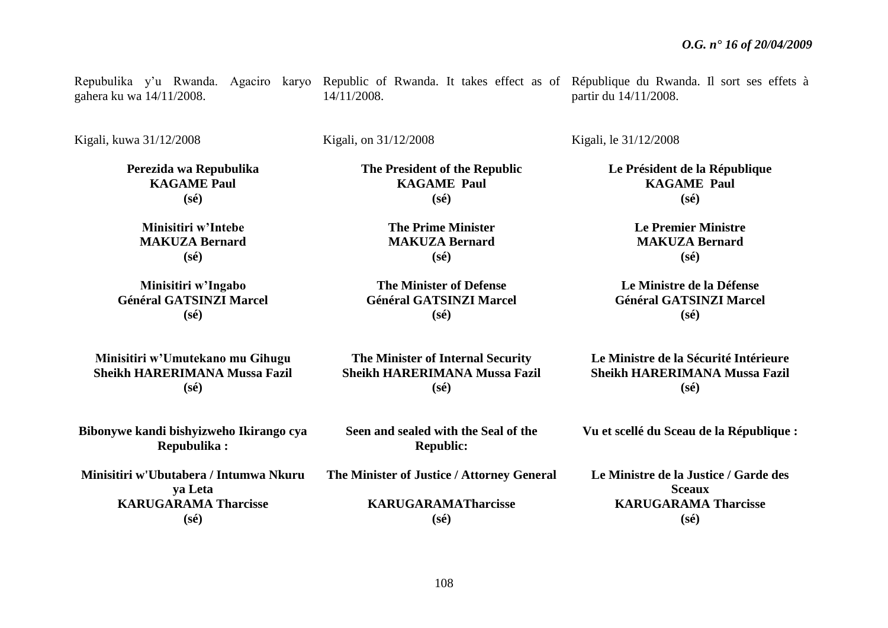gahera ku wa 14/11/2008.

Repubulika y'u Rwanda. Agaciro karyo Republic of Rwanda. It takes effect as of République du Rwanda. Il sort ses effets à 14/11/2008.

> **The President of the Republic KAGAME Paul (sé)**

> > **The Prime Minister MAKUZA Bernard (sé)**

**The Minister of Defense Général GATSINZI Marcel (sé)**

Kigali, kuwa 31/12/2008

Kigali, on 31/12/2008

**Perezida wa Repubulika KAGAME Paul (sé)**

> **Minisitiri w'Intebe MAKUZA Bernard (sé)**

**Minisitiri w'Ingabo Général GATSINZI Marcel (sé)**

**Minisitiri w'Umutekano mu Gihugu Sheikh HARERIMANA Mussa Fazil (sé)**

**The Minister of Internal Security Sheikh HARERIMANA Mussa Fazil (sé)**

Kigali, le 31/12/2008

partir du 14/11/2008.

**Le Président de la République KAGAME Paul (sé)**

> **Le Premier Ministre MAKUZA Bernard (sé)**

**Le Ministre de la Défense Général GATSINZI Marcel (sé)**

**Le Ministre de la Sécurité Intérieure Sheikh HARERIMANA Mussa Fazil (sé)**

**Vu et scellé du Sceau de la République :**

**Bibonywe kandi bishyizweho Ikirango cya Repubulika :**

**Minisitiri w'Ubutabera / Intumwa Nkuru ya Leta KARUGARAMA Tharcisse (sé)**

**Seen and sealed with the Seal of the** 

**The Minister of Justice / Attorney General**

**KARUGARAMATharcisse (sé)**

**Republic:**

**Le Ministre de la Justice / Garde des Sceaux KARUGARAMA Tharcisse (sé)**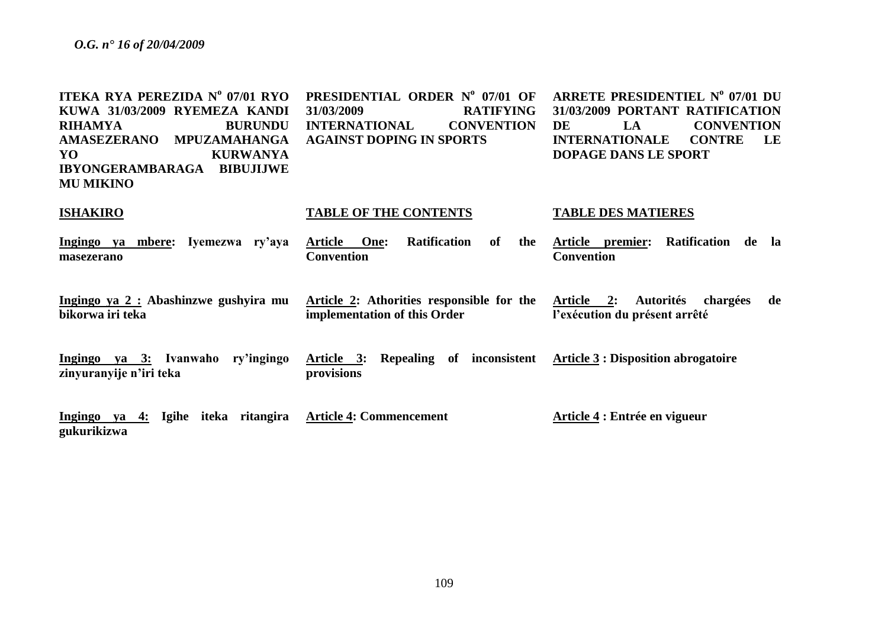| ITEKA RYA PEREZIDA Nº 07/01 RYO<br>KUWA 31/03/2009 RYEMEZA KANDI<br><b>RIHAMYA</b><br><b>BURUNDU</b><br><b>AMASEZERANO</b><br><b>MPUZAMAHANGA</b><br>YO<br><b>KURWANYA</b><br>IBYONGERAMBARAGA BIBUJIJWE<br><b>MU MIKINO</b> | PRESIDENTIAL ORDER Nº 07/01 OF<br>31/03/2009<br><b>RATIFYING</b><br><b>INTERNATIONAL</b><br><b>CONVENTION</b><br><b>AGAINST DOPING IN SPORTS</b> | ARRETE PRESIDENTIEL Nº 07/01 DU<br>31/03/2009 PORTANT RATIFICATION<br><b>CONVENTION</b><br>DE<br>LA<br><b>CONTRE</b><br><b>INTERNATIONALE</b><br>LE<br>DOPAGE DANS LE SPORT |
|------------------------------------------------------------------------------------------------------------------------------------------------------------------------------------------------------------------------------|--------------------------------------------------------------------------------------------------------------------------------------------------|-----------------------------------------------------------------------------------------------------------------------------------------------------------------------------|
| <b>ISHAKIRO</b>                                                                                                                                                                                                              | <b>TABLE OF THE CONTENTS</b>                                                                                                                     | <b>TABLE DES MATIERES</b>                                                                                                                                                   |
| Ingingo ya mbere: Iyemezwa ry'aya<br>masezerano                                                                                                                                                                              | <b>Ratification</b><br>Article One:<br>of<br>the<br><b>Convention</b>                                                                            | Article premier: Ratification de<br>- la<br><b>Convention</b>                                                                                                               |
| Ingingo ya 2 : Abashinzwe gushyira mu<br>bikorwa iri teka                                                                                                                                                                    | Article 2: Athorities responsible for the<br>implementation of this Order                                                                        | Article 2: Autorités chargées<br>de<br>l'exécution du présent arrêté                                                                                                        |
| Ingingo ya 3: Ivanwaho ry'ingingo<br>zinyuranyije n'iri teka                                                                                                                                                                 | Article 3: Repealing of inconsistent Article 3: Disposition abrogatoire<br>provisions                                                            |                                                                                                                                                                             |
| Ingingo ya 4: Igihe iteka ritangira<br>gukurikizwa                                                                                                                                                                           | <b>Article 4: Commencement</b>                                                                                                                   | Article 4 : Entrée en vigueur                                                                                                                                               |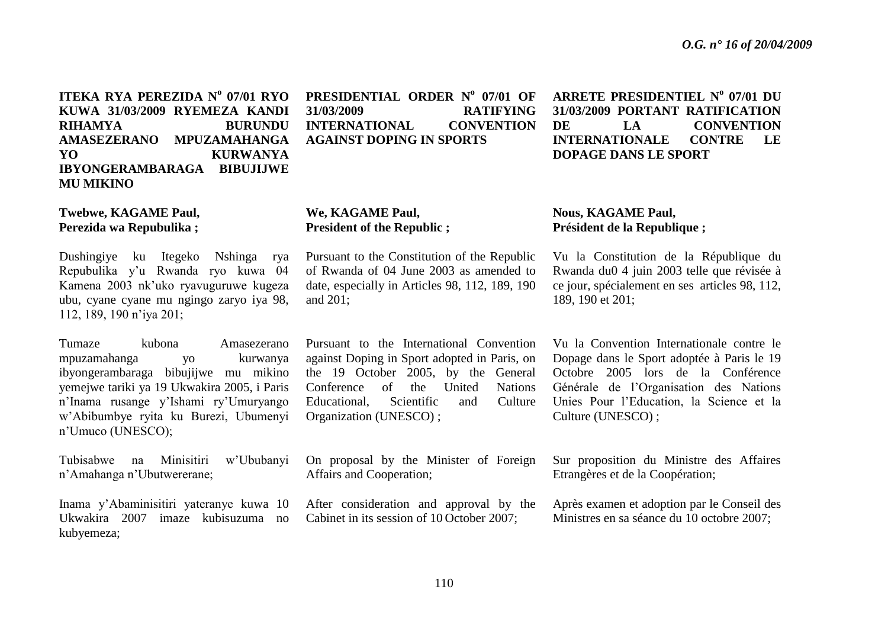**ITEKA RYA PEREZIDA N<sup>o</sup> 07/01 RYO KUWA 31/03/2009 RYEMEZA KANDI RIHAMYA BURUNDU AMASEZERANO MPUZAMAHANGA YO KURWANYA IBYONGERAMBARAGA BIBUJIJWE MU MIKINO** 

**Twebwe, KAGAME Paul, Perezida wa Repubulika ;**

Dushingiye ku Itegeko Nshinga rya Repubulika y'u Rwanda ryo kuwa 04 Kamena 2003 nk'uko ryavuguruwe kugeza ubu, cyane cyane mu ngingo zaryo iya 98, 112, 189, 190 n'iya 201;

Tumaze kubona Amasezerano mpuzamahanga yo kurwanya ibyongerambaraga bibujijwe mu mikino yemejwe tariki ya 19 Ukwakira 2005, i Paris n'Inama rusange y'Ishami ry'Umuryango w'Abibumbye ryita ku Burezi, Ubumenyi n'Umuco (UNESCO);

Tubisabwe na Minisitiri w'Ububanyi n'Amahanga n'Ubutwererane;

Inama y'Abaminisitiri yateranye kuwa 10 Ukwakira 2007 imaze kubisuzuma no kubyemeza;

**PRESIDENTIAL ORDER N<sup>o</sup> 07/01 OF 31/03/2009 RATIFYING INTERNATIONAL CONVENTION AGAINST DOPING IN SPORTS** 

**We, KAGAME Paul, President of the Republic ;**

Pursuant to the Constitution of the Republic of Rwanda of 04 June 2003 as amended to date, especially in Articles 98, 112, 189, 190 and 201;

Pursuant to the International Convention against Doping in Sport adopted in Paris, on the 19 October 2005, by the General Conference of the United Nations Educational, Scientific and Culture Organization (UNESCO) ;

On proposal by the Minister of Foreign Affairs and Cooperation;

After consideration and approval by the Cabinet in its session of 10 October 2007;

**ARRETE PRESIDENTIEL N<sup>o</sup> 07/01 DU 31/03/2009 PORTANT RATIFICATION DE LA CONVENTION INTERNATIONALE CONTRE LE DOPAGE DANS LE SPORT** 

## **Nous, KAGAME Paul, Président de la Republique ;**

Vu la Constitution de la République du Rwanda du0 4 juin 2003 telle que révisée à ce jour, spécialement en ses articles 98, 112, 189, 190 et 201;

Vu la Convention Internationale contre le Dopage dans le Sport adoptée à Paris le 19 Octobre 2005 lors de la Conférence Générale de l'Organisation des Nations Unies Pour l'Education, la Science et la Culture (UNESCO) ;

Sur proposition du Ministre des Affaires Etrangères et de la Coopération;

Après examen et adoption par le Conseil des Ministres en sa séance du 10 octobre 2007;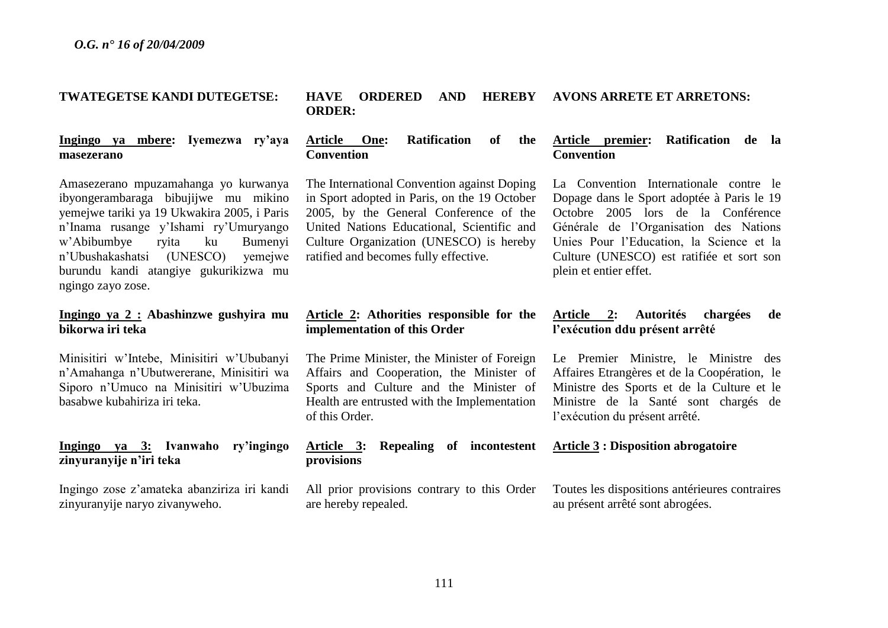## **TWATEGETSE KANDI DUTEGETSE:**

**Ingingo ya mbere: Iyemezwa ry'aya masezerano**

Amasezerano mpuzamahanga yo kurwanya ibyongerambaraga bibujijwe mu mikino yemejwe tariki ya 19 Ukwakira 2005, i Paris n'Inama rusange y'Ishami ry'Umuryango w'Abibumbye ryita ku Bumenyi n'Ubushakashatsi (UNESCO) yemejwe burundu kandi atangiye gukurikizwa mu ngingo zayo zose.

# **Ingingo ya 2 : Abashinzwe gushyira mu bikorwa iri teka**

Minisitiri w'Intebe, Minisitiri w'Ububanyi n'Amahanga n'Ubutwererane, Minisitiri wa Siporo n'Umuco na Minisitiri w'Ubuzima basabwe kubahiriza iri teka.

# **Ingingo ya 3: Ivanwaho ry'ingingo zinyuranyije n'iri teka**

Ingingo zose z'amateka abanziriza iri kandi zinyuranyije naryo zivanyweho.

#### **HAVE ORDERED AND HEREBY ORDER: AVONS ARRETE ET ARRETONS:**

**Article One: Ratification of the Convention**

The International Convention against Doping in Sport adopted in Paris, on the 19 October 2005, by the General Conference of the United Nations Educational, Scientific and Culture Organization (UNESCO) is hereby ratified and becomes fully effective.

# **Article 2: Athorities responsible for the implementation of this Order**

The Prime Minister, the Minister of Foreign Affairs and Cooperation, the Minister of Sports and Culture and the Minister of Health are entrusted with the Implementation of this Order.

## **Article 3: Repealing of incontestent provisions**

All prior provisions contrary to this Order are hereby repealed.

## **Article premier: Ratification de la Convention**

La Convention Internationale contre le Dopage dans le Sport adoptée à Paris le 19 Octobre 2005 lors de la Conférence Générale de l'Organisation des Nations Unies Pour l'Education, la Science et la Culture (UNESCO) est ratifiée et sort son plein et entier effet.

# **Article 2: Autorités chargées de l'exécution ddu présent arrêté**

Le Premier Ministre, le Ministre des Affaires Etrangères et de la Coopération, le Ministre des Sports et de la Culture et le Ministre de la Santé sont chargés de l'exécution du présent arrêté.

## **Article 3 : Disposition abrogatoire**

Toutes les dispositions antérieures contraires au présent arrêté sont abrogées.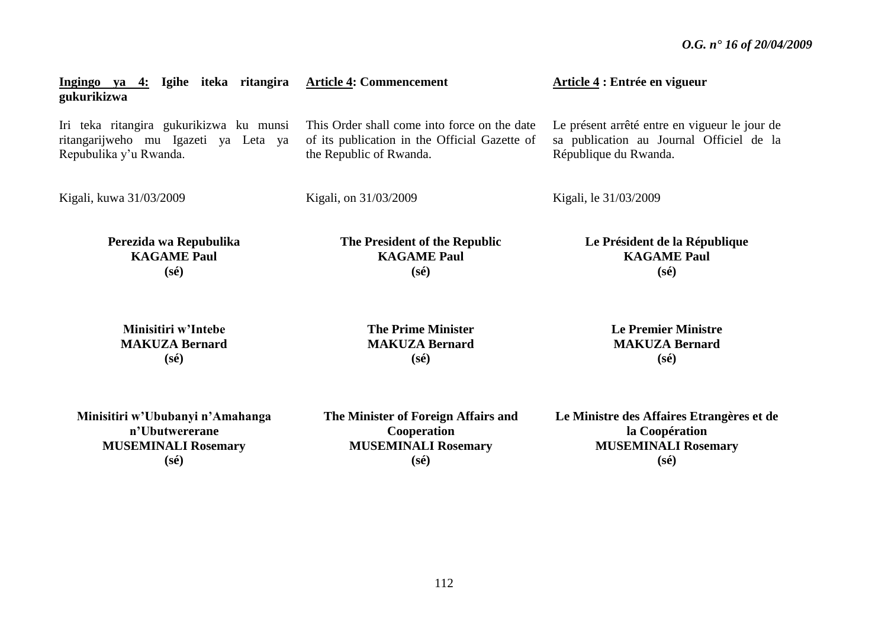| Ingingo ya 4: Igihe iteka ritangira<br>gukurikizwa | <b>Article 4: Commencement</b>                | Article 4 : Entrée en vigueur                 |
|----------------------------------------------------|-----------------------------------------------|-----------------------------------------------|
| Iri teka ritangira gukurikizwa ku munsi            | This Order shall come into force on the date  | Le présent arrêté entre en vigueur le jour de |
| ritangarijweho mu Igazeti ya Leta ya               | of its publication in the Official Gazette of | sa publication au Journal Officiel de la      |
| Repubulika y'u Rwanda.                             | the Republic of Rwanda.                       | République du Rwanda.                         |
| Kigali, kuwa 31/03/2009                            | Kigali, on 31/03/2009                         | Kigali, le 31/03/2009                         |
| Perezida wa Repubulika                             | The President of the Republic                 | Le Président de la République                 |
| <b>KAGAME Paul</b>                                 | <b>KAGAME Paul</b>                            | <b>KAGAME Paul</b>                            |
| $(s\acute{e})$                                     | $(s\acute{e})$                                | $(s\acute{e})$                                |
| Minisitiri w'Intebe                                | <b>The Prime Minister</b>                     | <b>Le Premier Ministre</b>                    |
| <b>MAKUZA Bernard</b>                              | <b>MAKUZA Bernard</b>                         | <b>MAKUZA Bernard</b>                         |
| $(s\acute{e})$                                     | $(s\acute{e})$                                | $(s\acute{e})$                                |
| Minisitiri w'Ububanyi n'Amahanga                   | The Minister of Foreign Affairs and           | Le Ministre des Affaires Etrangères et de     |

**n'Ubutwererane MUSEMINALI Rosemary (sé)**

**The Minister of Foreign Affairs and Cooperation MUSEMINALI Rosemary (sé)**

**Le Ministre des Affaires Etrangères et de la Coopération MUSEMINALI Rosemary (sé)**